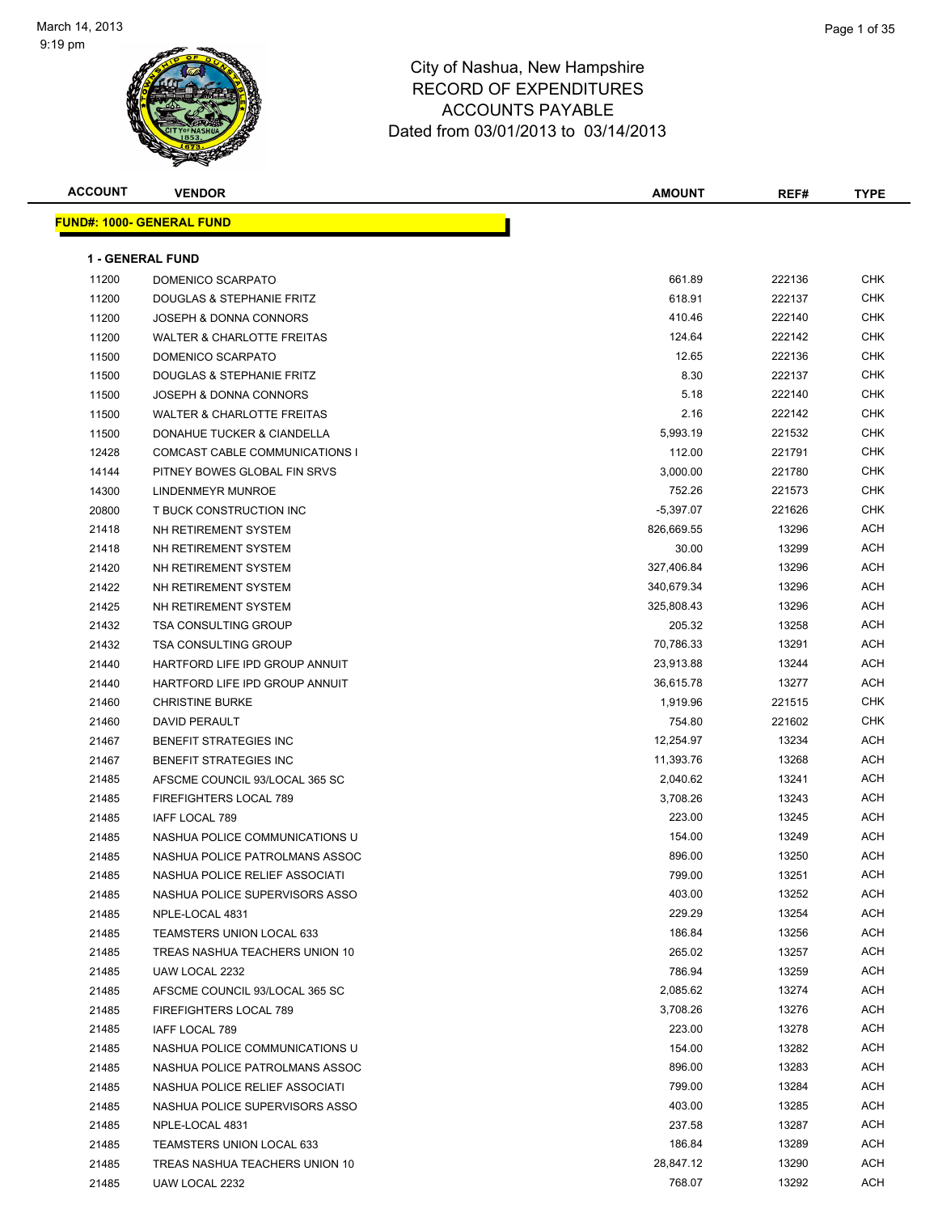

| <b>ACCOUNT</b> | <b>VENDOR</b>                     | <b>AMOUNT</b> | REF#   | <b>TYPE</b> |
|----------------|-----------------------------------|---------------|--------|-------------|
|                | <u> FUND#: 1000- GENERAL FUND</u> |               |        |             |
|                |                                   |               |        |             |
|                | <b>1 - GENERAL FUND</b>           |               |        |             |
| 11200          | DOMENICO SCARPATO                 | 661.89        | 222136 | <b>CHK</b>  |
| 11200          | DOUGLAS & STEPHANIE FRITZ         | 618.91        | 222137 | CHK         |
| 11200          | JOSEPH & DONNA CONNORS            | 410.46        | 222140 | <b>CHK</b>  |
| 11200          | WALTER & CHARLOTTE FREITAS        | 124.64        | 222142 | CHK         |
| 11500          | DOMENICO SCARPATO                 | 12.65         | 222136 | CHK         |
| 11500          | DOUGLAS & STEPHANIE FRITZ         | 8.30          | 222137 | CHK         |
| 11500          | JOSEPH & DONNA CONNORS            | 5.18          | 222140 | CHK         |
| 11500          | WALTER & CHARLOTTE FREITAS        | 2.16          | 222142 | <b>CHK</b>  |
| 11500          | DONAHUE TUCKER & CIANDELLA        | 5,993.19      | 221532 | <b>CHK</b>  |
| 12428          | COMCAST CABLE COMMUNICATIONS I    | 112.00        | 221791 | CHK         |
| 14144          | PITNEY BOWES GLOBAL FIN SRVS      | 3,000.00      | 221780 | CHK         |
| 14300          | LINDENMEYR MUNROE                 | 752.26        | 221573 | CHK         |
| 20800          | T BUCK CONSTRUCTION INC           | $-5,397.07$   | 221626 | CHK         |
| 21418          | NH RETIREMENT SYSTEM              | 826,669.55    | 13296  | ACH         |
| 21418          | NH RETIREMENT SYSTEM              | 30.00         | 13299  | <b>ACH</b>  |
| 21420          | NH RETIREMENT SYSTEM              | 327,406.84    | 13296  | <b>ACH</b>  |
| 21422          | NH RETIREMENT SYSTEM              | 340,679.34    | 13296  | <b>ACH</b>  |
| 21425          | NH RETIREMENT SYSTEM              | 325,808.43    | 13296  | ACH         |
| 21432          | <b>TSA CONSULTING GROUP</b>       | 205.32        | 13258  | ACH         |
| 21432          | <b>TSA CONSULTING GROUP</b>       | 70,786.33     | 13291  | ACH         |
| 21440          | HARTFORD LIFE IPD GROUP ANNUIT    | 23,913.88     | 13244  | <b>ACH</b>  |
| 21440          | HARTFORD LIFE IPD GROUP ANNUIT    | 36,615.78     | 13277  | ACH         |
| 21460          | <b>CHRISTINE BURKE</b>            | 1,919.96      | 221515 | CHK         |
| 21460          | <b>DAVID PERAULT</b>              | 754.80        | 221602 | <b>CHK</b>  |
| 21467          | BENEFIT STRATEGIES INC            | 12,254.97     | 13234  | ACH         |
| 21467          | BENEFIT STRATEGIES INC            | 11,393.76     | 13268  | <b>ACH</b>  |
| 21485          | AFSCME COUNCIL 93/LOCAL 365 SC    | 2,040.62      | 13241  | <b>ACH</b>  |
| 21485          | FIREFIGHTERS LOCAL 789            | 3,708.26      | 13243  | ACH         |
| 21485          | IAFF LOCAL 789                    | 223.00        | 13245  | <b>ACH</b>  |
| 21485          | NASHUA POLICE COMMUNICATIONS U    | 154.00        | 13249  | ACH         |
| 21485          | NASHUA POLICE PATROLMANS ASSOC    | 896.00        | 13250  | ACH         |
| 21485          | NASHUA POLICE RELIEF ASSOCIATI    | 799.00        | 13251  | <b>ACH</b>  |
| 21485          | NASHUA POLICE SUPERVISORS ASSO    | 403.00        | 13252  | ACH         |
| 21485          | NPLE-LOCAL 4831                   | 229.29        | 13254  | ACH         |
| 21485          | <b>TEAMSTERS UNION LOCAL 633</b>  | 186.84        | 13256  | ACH         |
| 21485          | TREAS NASHUA TEACHERS UNION 10    | 265.02        | 13257  | ACH         |
| 21485          | UAW LOCAL 2232                    | 786.94        | 13259  | ACH         |
| 21485          | AFSCME COUNCIL 93/LOCAL 365 SC    | 2,085.62      | 13274  | ACH         |
| 21485          | <b>FIREFIGHTERS LOCAL 789</b>     | 3,708.26      | 13276  | ACH         |
| 21485          | IAFF LOCAL 789                    | 223.00        | 13278  | ACH         |
| 21485          | NASHUA POLICE COMMUNICATIONS U    | 154.00        | 13282  | ACH         |
| 21485          | NASHUA POLICE PATROLMANS ASSOC    | 896.00        | 13283  | ACH         |
| 21485          | NASHUA POLICE RELIEF ASSOCIATI    | 799.00        | 13284  | ACH         |
| 21485          | NASHUA POLICE SUPERVISORS ASSO    | 403.00        | 13285  | ACH         |
| 21485          | NPLE-LOCAL 4831                   | 237.58        | 13287  | ACH         |
| 21485          | TEAMSTERS UNION LOCAL 633         | 186.84        | 13289  | ACH         |
| 21485          | TREAS NASHUA TEACHERS UNION 10    | 28,847.12     | 13290  | ACH         |
| 21485          | UAW LOCAL 2232                    | 768.07        | 13292  | ACH         |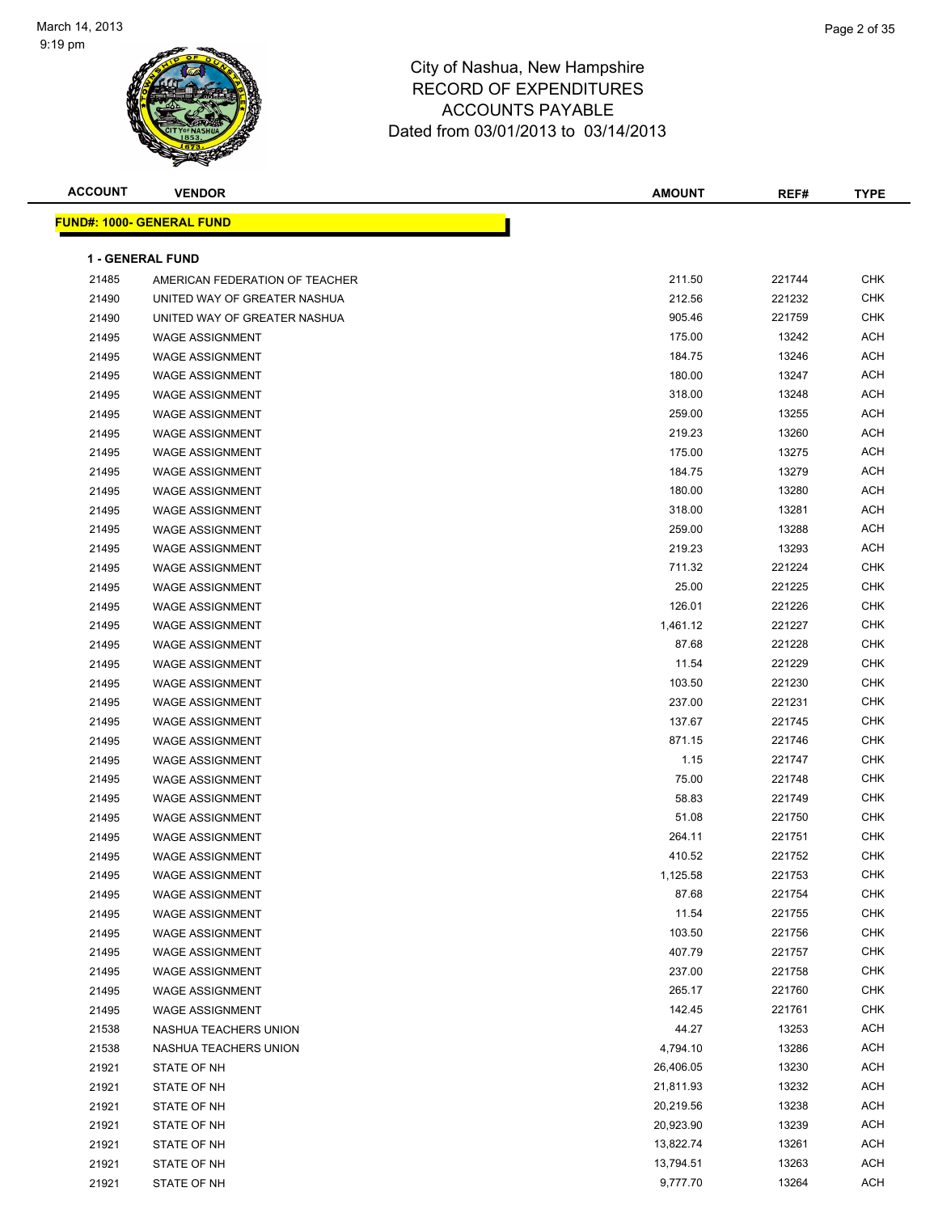

| <b>ACCOUNT</b> | <b>VENDOR</b>                     | <b>AMOUNT</b> | REF#   | <b>TYPE</b> |
|----------------|-----------------------------------|---------------|--------|-------------|
|                | <u> FUND#: 1000- GENERAL FUND</u> |               |        |             |
|                |                                   |               |        |             |
|                | <b>1 - GENERAL FUND</b>           |               |        |             |
| 21485          | AMERICAN FEDERATION OF TEACHER    | 211.50        | 221744 | <b>CHK</b>  |
| 21490          | UNITED WAY OF GREATER NASHUA      | 212.56        | 221232 | <b>CHK</b>  |
| 21490          | UNITED WAY OF GREATER NASHUA      | 905.46        | 221759 | <b>CHK</b>  |
| 21495          | <b>WAGE ASSIGNMENT</b>            | 175.00        | 13242  | <b>ACH</b>  |
| 21495          | <b>WAGE ASSIGNMENT</b>            | 184.75        | 13246  | <b>ACH</b>  |
| 21495          | <b>WAGE ASSIGNMENT</b>            | 180.00        | 13247  | <b>ACH</b>  |
| 21495          | <b>WAGE ASSIGNMENT</b>            | 318.00        | 13248  | <b>ACH</b>  |
| 21495          | <b>WAGE ASSIGNMENT</b>            | 259.00        | 13255  | <b>ACH</b>  |
| 21495          | <b>WAGE ASSIGNMENT</b>            | 219.23        | 13260  | <b>ACH</b>  |
| 21495          | <b>WAGE ASSIGNMENT</b>            | 175.00        | 13275  | <b>ACH</b>  |
| 21495          | <b>WAGE ASSIGNMENT</b>            | 184.75        | 13279  | <b>ACH</b>  |
| 21495          | <b>WAGE ASSIGNMENT</b>            | 180.00        | 13280  | ACH         |
| 21495          | <b>WAGE ASSIGNMENT</b>            | 318.00        | 13281  | <b>ACH</b>  |
| 21495          | <b>WAGE ASSIGNMENT</b>            | 259.00        | 13288  | <b>ACH</b>  |
| 21495          | <b>WAGE ASSIGNMENT</b>            | 219.23        | 13293  | <b>ACH</b>  |
| 21495          | <b>WAGE ASSIGNMENT</b>            | 711.32        | 221224 | <b>CHK</b>  |
| 21495          | <b>WAGE ASSIGNMENT</b>            | 25.00         | 221225 | <b>CHK</b>  |
| 21495          | <b>WAGE ASSIGNMENT</b>            | 126.01        | 221226 | <b>CHK</b>  |
| 21495          | <b>WAGE ASSIGNMENT</b>            | 1,461.12      | 221227 | <b>CHK</b>  |
| 21495          | <b>WAGE ASSIGNMENT</b>            | 87.68         | 221228 | <b>CHK</b>  |
| 21495          | <b>WAGE ASSIGNMENT</b>            | 11.54         | 221229 | <b>CHK</b>  |
| 21495          | <b>WAGE ASSIGNMENT</b>            | 103.50        | 221230 | <b>CHK</b>  |
| 21495          | <b>WAGE ASSIGNMENT</b>            | 237.00        | 221231 | CHK         |
| 21495          | <b>WAGE ASSIGNMENT</b>            | 137.67        | 221745 | <b>CHK</b>  |
| 21495          | <b>WAGE ASSIGNMENT</b>            | 871.15        | 221746 | <b>CHK</b>  |
| 21495          | <b>WAGE ASSIGNMENT</b>            | 1.15          | 221747 | <b>CHK</b>  |
| 21495          | <b>WAGE ASSIGNMENT</b>            | 75.00         | 221748 | <b>CHK</b>  |
| 21495          | <b>WAGE ASSIGNMENT</b>            | 58.83         | 221749 | <b>CHK</b>  |
| 21495          | <b>WAGE ASSIGNMENT</b>            | 51.08         | 221750 | <b>CHK</b>  |
| 21495          | <b>WAGE ASSIGNMENT</b>            | 264.11        | 221751 | <b>CHK</b>  |
| 21495          | <b>WAGE ASSIGNMENT</b>            | 410.52        | 221752 | <b>CHK</b>  |
| 21495          | <b>WAGE ASSIGNMENT</b>            | 1,125.58      | 221753 | <b>CHK</b>  |
| 21495          | <b>WAGE ASSIGNMENT</b>            | 87.68         | 221754 | <b>CHK</b>  |
| 21495          | WAGE ASSIGNMENT                   | 11.54         | 221755 | <b>CHK</b>  |
| 21495          | <b>WAGE ASSIGNMENT</b>            | 103.50        | 221756 | <b>CHK</b>  |
| 21495          | WAGE ASSIGNMENT                   | 407.79        | 221757 | <b>CHK</b>  |
| 21495          | <b>WAGE ASSIGNMENT</b>            | 237.00        | 221758 | <b>CHK</b>  |
| 21495          | <b>WAGE ASSIGNMENT</b>            | 265.17        | 221760 | <b>CHK</b>  |
| 21495          | WAGE ASSIGNMENT                   | 142.45        | 221761 | <b>CHK</b>  |
| 21538          | NASHUA TEACHERS UNION             | 44.27         | 13253  | ACH         |
| 21538          | NASHUA TEACHERS UNION             | 4,794.10      | 13286  | ACH         |
| 21921          | STATE OF NH                       | 26,406.05     | 13230  | ACH         |
| 21921          | STATE OF NH                       | 21,811.93     | 13232  | <b>ACH</b>  |
| 21921          | STATE OF NH                       | 20,219.56     | 13238  | <b>ACH</b>  |
| 21921          | STATE OF NH                       | 20,923.90     | 13239  | <b>ACH</b>  |
| 21921          | STATE OF NH                       | 13,822.74     | 13261  | <b>ACH</b>  |
| 21921          | STATE OF NH                       | 13,794.51     | 13263  | <b>ACH</b>  |
| 21921          | STATE OF NH                       | 9,777.70      | 13264  | ACH         |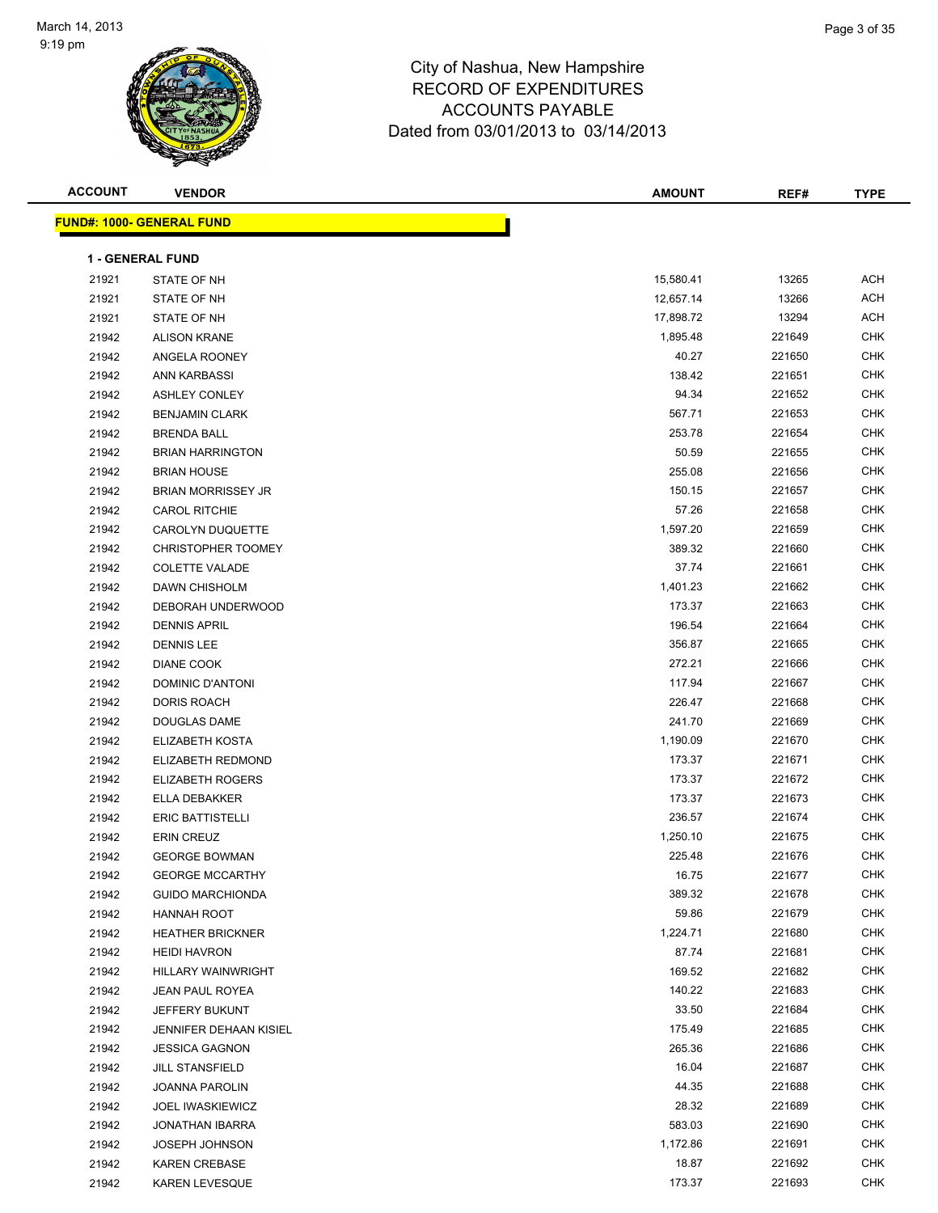

| <b>ACCOUNT</b> | <b>VENDOR</b>                    | <b>AMOUNT</b> | REF#   | <b>TYPE</b> |
|----------------|----------------------------------|---------------|--------|-------------|
|                | <b>FUND#: 1000- GENERAL FUND</b> |               |        |             |
|                |                                  |               |        |             |
|                | <b>1 - GENERAL FUND</b>          |               |        |             |
| 21921          | STATE OF NH                      | 15,580.41     | 13265  | ACH         |
| 21921          | STATE OF NH                      | 12,657.14     | 13266  | <b>ACH</b>  |
| 21921          | STATE OF NH                      | 17,898.72     | 13294  | ACH         |
| 21942          | <b>ALISON KRANE</b>              | 1,895.48      | 221649 | <b>CHK</b>  |
| 21942          | ANGELA ROONEY                    | 40.27         | 221650 | CHK         |
| 21942          | ANN KARBASSI                     | 138.42        | 221651 | CHK         |
| 21942          | <b>ASHLEY CONLEY</b>             | 94.34         | 221652 | <b>CHK</b>  |
| 21942          | <b>BENJAMIN CLARK</b>            | 567.71        | 221653 | <b>CHK</b>  |
| 21942          | <b>BRENDA BALL</b>               | 253.78        | 221654 | <b>CHK</b>  |
| 21942          | <b>BRIAN HARRINGTON</b>          | 50.59         | 221655 | CHK         |
| 21942          | <b>BRIAN HOUSE</b>               | 255.08        | 221656 | <b>CHK</b>  |
| 21942          | <b>BRIAN MORRISSEY JR</b>        | 150.15        | 221657 | <b>CHK</b>  |
| 21942          | <b>CAROL RITCHIE</b>             | 57.26         | 221658 | CHK         |
| 21942          | CAROLYN DUQUETTE                 | 1,597.20      | 221659 | <b>CHK</b>  |
| 21942          | CHRISTOPHER TOOMEY               | 389.32        | 221660 | <b>CHK</b>  |
| 21942          | <b>COLETTE VALADE</b>            | 37.74         | 221661 | CHK         |
| 21942          | DAWN CHISHOLM                    | 1,401.23      | 221662 | CHK         |
| 21942          | DEBORAH UNDERWOOD                | 173.37        | 221663 | <b>CHK</b>  |
| 21942          | <b>DENNIS APRIL</b>              | 196.54        | 221664 | <b>CHK</b>  |
| 21942          | <b>DENNIS LEE</b>                | 356.87        | 221665 | <b>CHK</b>  |
| 21942          | DIANE COOK                       | 272.21        | 221666 | <b>CHK</b>  |
| 21942          | DOMINIC D'ANTONI                 | 117.94        | 221667 | <b>CHK</b>  |
| 21942          | DORIS ROACH                      | 226.47        | 221668 | <b>CHK</b>  |
| 21942          | DOUGLAS DAME                     | 241.70        | 221669 | <b>CHK</b>  |
| 21942          | ELIZABETH KOSTA                  | 1,190.09      | 221670 | <b>CHK</b>  |
| 21942          | ELIZABETH REDMOND                | 173.37        | 221671 | <b>CHK</b>  |
| 21942          | <b>ELIZABETH ROGERS</b>          | 173.37        | 221672 | CHK         |
| 21942          | ELLA DEBAKKER                    | 173.37        | 221673 | CHK         |
| 21942          | <b>ERIC BATTISTELLI</b>          | 236.57        | 221674 | <b>CHK</b>  |
| 21942          | <b>ERIN CREUZ</b>                | 1,250.10      | 221675 | <b>CHK</b>  |
| 21942          | <b>GEORGE BOWMAN</b>             | 225.48        | 221676 | CHK         |
| 21942          | <b>GEORGE MCCARTHY</b>           | 16.75         | 221677 | <b>CHK</b>  |
| 21942          | <b>GUIDO MARCHIONDA</b>          | 389.32        | 221678 | <b>CHK</b>  |
| 21942          | HANNAH ROOT                      | 59.86         | 221679 | <b>CHK</b>  |
| 21942          | <b>HEATHER BRICKNER</b>          | 1,224.71      | 221680 | CHK         |
| 21942          | <b>HEIDI HAVRON</b>              | 87.74         | 221681 | CHK         |
| 21942          | <b>HILLARY WAINWRIGHT</b>        | 169.52        | 221682 | <b>CHK</b>  |
| 21942          | JEAN PAUL ROYEA                  | 140.22        | 221683 | <b>CHK</b>  |
| 21942          | JEFFERY BUKUNT                   | 33.50         | 221684 | <b>CHK</b>  |
| 21942          | JENNIFER DEHAAN KISIEL           | 175.49        | 221685 | <b>CHK</b>  |
| 21942          | <b>JESSICA GAGNON</b>            | 265.36        | 221686 | <b>CHK</b>  |
| 21942          | <b>JILL STANSFIELD</b>           | 16.04         | 221687 | <b>CHK</b>  |
| 21942          | <b>JOANNA PAROLIN</b>            | 44.35         | 221688 | <b>CHK</b>  |
| 21942          | <b>JOEL IWASKIEWICZ</b>          | 28.32         | 221689 | CHK         |
| 21942          | <b>JONATHAN IBARRA</b>           | 583.03        | 221690 | CHK         |
| 21942          | JOSEPH JOHNSON                   | 1,172.86      | 221691 | CHK         |
| 21942          | <b>KAREN CREBASE</b>             | 18.87         | 221692 | CHK         |
| 21942          | KAREN LEVESQUE                   | 173.37        | 221693 | <b>CHK</b>  |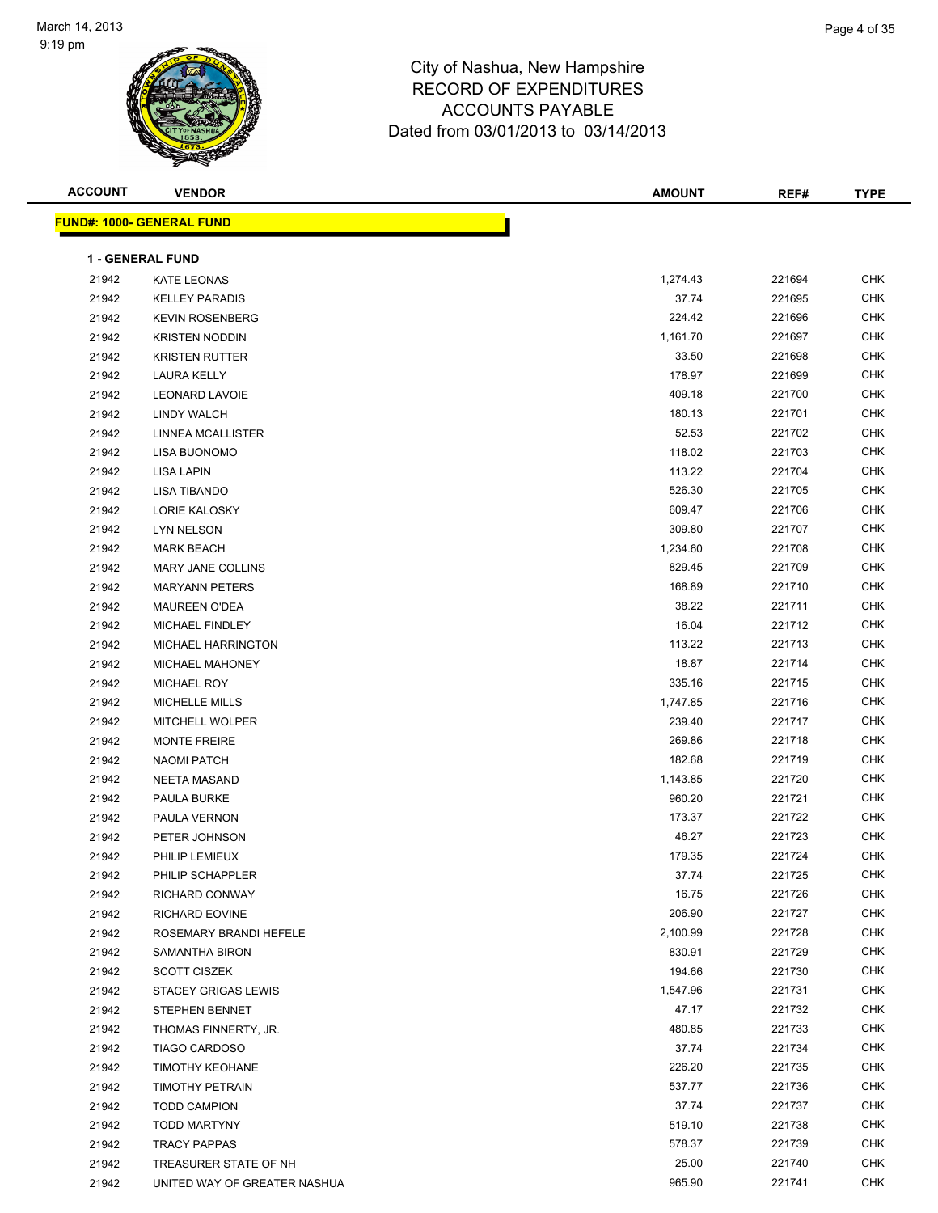

| <b>ACCOUNT</b> | <b>VENDOR</b>                                  | <b>AMOUNT</b>     | REF#             | <b>TYPE</b>       |
|----------------|------------------------------------------------|-------------------|------------------|-------------------|
|                | <u> FUND#: 1000- GENERAL FUND</u>              |                   |                  |                   |
|                |                                                |                   |                  |                   |
|                | <b>1 - GENERAL FUND</b>                        |                   |                  |                   |
| 21942          | KATE LEONAS                                    | 1,274.43          | 221694           | <b>CHK</b>        |
| 21942          | <b>KELLEY PARADIS</b>                          | 37.74             | 221695           | <b>CHK</b>        |
| 21942          | <b>KEVIN ROSENBERG</b>                         | 224.42            | 221696           | <b>CHK</b>        |
| 21942          | <b>KRISTEN NODDIN</b>                          | 1,161.70          | 221697           | <b>CHK</b>        |
| 21942          | <b>KRISTEN RUTTER</b>                          | 33.50             | 221698           | <b>CHK</b>        |
| 21942          | LAURA KELLY                                    | 178.97            | 221699           | <b>CHK</b>        |
| 21942          | <b>LEONARD LAVOIE</b>                          | 409.18            | 221700           | <b>CHK</b>        |
| 21942          | LINDY WALCH                                    | 180.13            | 221701           | <b>CHK</b>        |
| 21942          | LINNEA MCALLISTER                              | 52.53             | 221702           | <b>CHK</b>        |
| 21942          | LISA BUONOMO                                   | 118.02            | 221703           | <b>CHK</b>        |
| 21942          | LISA LAPIN                                     | 113.22            | 221704           | <b>CHK</b>        |
| 21942          | <b>LISA TIBANDO</b>                            | 526.30            | 221705           | <b>CHK</b>        |
| 21942          | <b>LORIE KALOSKY</b>                           | 609.47            | 221706           | CHK               |
| 21942          | LYN NELSON                                     | 309.80            | 221707           | CHK               |
| 21942          | <b>MARK BEACH</b>                              | 1,234.60          | 221708           | CHK               |
| 21942          | MARY JANE COLLINS                              | 829.45            | 221709           | CHK               |
| 21942          | <b>MARYANN PETERS</b>                          | 168.89            | 221710           | CHK               |
| 21942          | <b>MAUREEN O'DEA</b>                           | 38.22             | 221711           | CHK               |
| 21942          | MICHAEL FINDLEY                                | 16.04             | 221712           | CHK               |
| 21942          | MICHAEL HARRINGTON                             | 113.22            | 221713           | CHK               |
| 21942          | MICHAEL MAHONEY                                | 18.87             | 221714           | CHK               |
| 21942          | <b>MICHAEL ROY</b>                             | 335.16            | 221715           | CHK               |
| 21942          | <b>MICHELLE MILLS</b>                          | 1,747.85          | 221716           | CHK               |
| 21942          | <b>MITCHELL WOLPER</b>                         | 239.40            | 221717           | CHK               |
| 21942          | <b>MONTE FREIRE</b>                            | 269.86            | 221718           | CHK               |
| 21942          | <b>NAOMI PATCH</b>                             | 182.68            | 221719           | CHK               |
| 21942          | <b>NEETA MASAND</b>                            | 1,143.85          | 221720           | CHK               |
| 21942          | PAULA BURKE                                    | 960.20            | 221721           | CHK               |
| 21942          | PAULA VERNON                                   | 173.37            | 221722           | CHK               |
| 21942          | PETER JOHNSON                                  | 46.27             | 221723           | CHK               |
| 21942          | PHILIP LEMIEUX                                 | 179.35            | 221724           | CHK<br><b>CHK</b> |
| 21942          | PHILIP SCHAPPLER                               | 37.74             | 221725           |                   |
| 21942          | RICHARD CONWAY                                 | 16.75             | 221726           | CHK               |
| 21942          | RICHARD EOVINE                                 | 206.90            | 221727           | CHK               |
| 21942          | ROSEMARY BRANDI HEFELE                         | 2,100.99          | 221728           | CHK               |
| 21942          | <b>SAMANTHA BIRON</b>                          | 830.91            | 221729           | CHK               |
| 21942          | <b>SCOTT CISZEK</b>                            | 194.66            | 221730           | CHK               |
| 21942          | <b>STACEY GRIGAS LEWIS</b>                     | 1,547.96<br>47.17 | 221731<br>221732 | CHK<br><b>CHK</b> |
| 21942<br>21942 | STEPHEN BENNET                                 |                   |                  | <b>CHK</b>        |
|                | THOMAS FINNERTY, JR.                           | 480.85            | 221733<br>221734 | CHK               |
| 21942<br>21942 | <b>TIAGO CARDOSO</b><br><b>TIMOTHY KEOHANE</b> | 37.74<br>226.20   | 221735           | CHK               |
|                |                                                |                   |                  | CHK               |
| 21942          | TIMOTHY PETRAIN                                | 537.77<br>37.74   | 221736<br>221737 | CHK               |
| 21942          | <b>TODD CAMPION</b>                            |                   |                  | CHK               |
| 21942          | <b>TODD MARTYNY</b><br><b>TRACY PAPPAS</b>     | 519.10<br>578.37  | 221738<br>221739 | CHK               |
| 21942<br>21942 | TREASURER STATE OF NH                          | 25.00             | 221740           | CHK               |
| 21942          | UNITED WAY OF GREATER NASHUA                   | 965.90            | 221741           | <b>CHK</b>        |
|                |                                                |                   |                  |                   |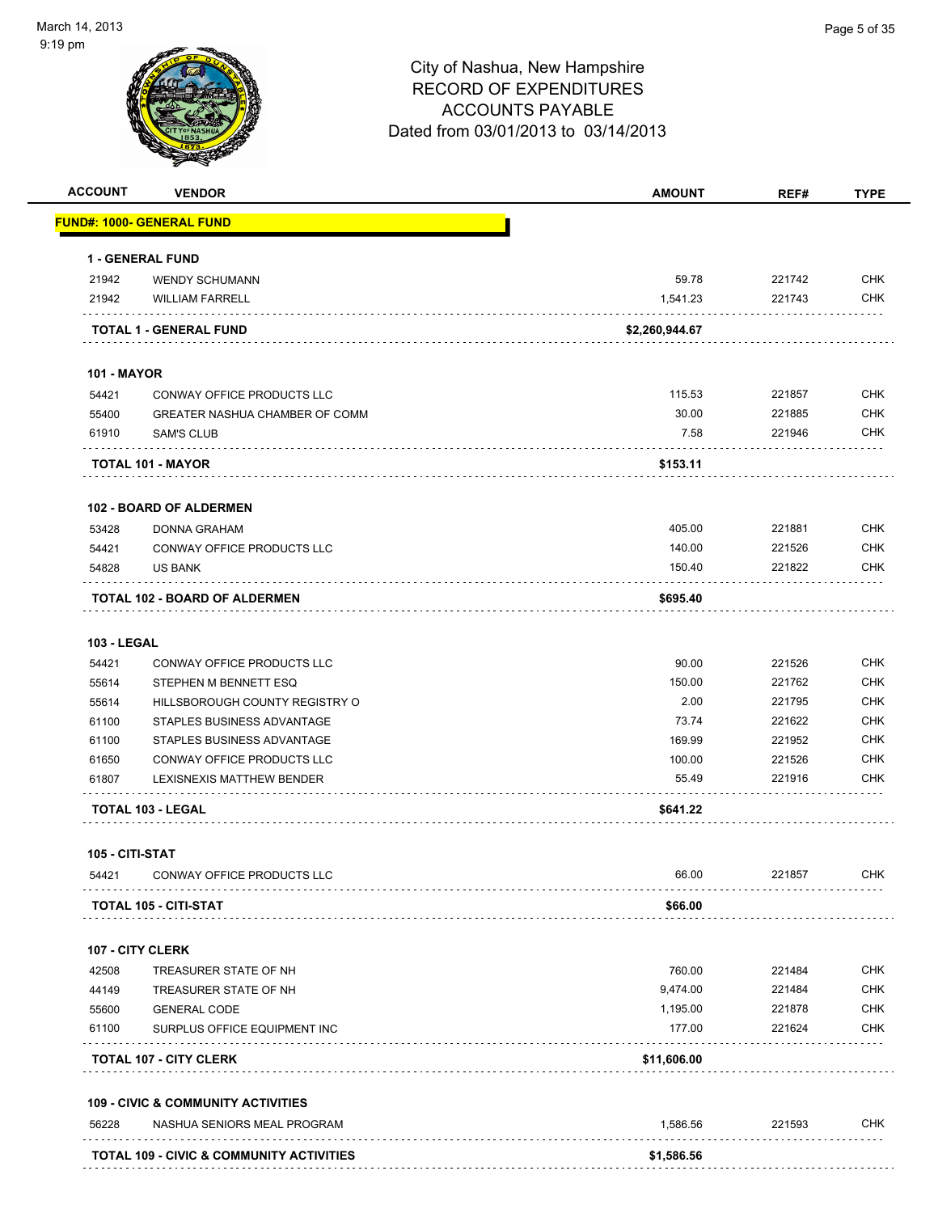| <b>ACCOUNT</b>     | <b>VENDOR</b>                                       | <b>AMOUNT</b>  | REF#   | <b>TYPE</b> |
|--------------------|-----------------------------------------------------|----------------|--------|-------------|
|                    | <b>FUND#: 1000- GENERAL FUND</b>                    |                |        |             |
|                    | 1 - GENERAL FUND                                    |                |        |             |
| 21942              | <b>WENDY SCHUMANN</b>                               | 59.78          | 221742 | <b>CHK</b>  |
| 21942              | <b>WILLIAM FARRELL</b>                              | 1,541.23       | 221743 | <b>CHK</b>  |
|                    | <b>TOTAL 1 - GENERAL FUND</b>                       | \$2,260,944.67 |        |             |
| <b>101 - MAYOR</b> |                                                     |                |        |             |
| 54421              | CONWAY OFFICE PRODUCTS LLC                          | 115.53         | 221857 | <b>CHK</b>  |
| 55400              | GREATER NASHUA CHAMBER OF COMM                      | 30.00          | 221885 | <b>CHK</b>  |
| 61910              | <b>SAM'S CLUB</b>                                   | 7.58           | 221946 | <b>CHK</b>  |
|                    | TOTAL 101 - MAYOR                                   | \$153.11       |        |             |
|                    | <b>102 - BOARD OF ALDERMEN</b>                      |                |        |             |
| 53428              | <b>DONNA GRAHAM</b>                                 | 405.00         | 221881 | <b>CHK</b>  |
| 54421              | CONWAY OFFICE PRODUCTS LLC                          | 140.00         | 221526 | <b>CHK</b>  |
| 54828              | <b>US BANK</b>                                      | 150.40         | 221822 | <b>CHK</b>  |
|                    | <b>TOTAL 102 - BOARD OF ALDERMEN</b>                | \$695.40       |        |             |
| <b>103 - LEGAL</b> |                                                     |                |        |             |
| 54421              | CONWAY OFFICE PRODUCTS LLC                          | 90.00          | 221526 | <b>CHK</b>  |
| 55614              | STEPHEN M BENNETT ESQ                               | 150.00         | 221762 | <b>CHK</b>  |
| 55614              | HILLSBOROUGH COUNTY REGISTRY O                      | 2.00           | 221795 | <b>CHK</b>  |
| 61100              | STAPLES BUSINESS ADVANTAGE                          | 73.74          | 221622 | <b>CHK</b>  |
| 61100              | STAPLES BUSINESS ADVANTAGE                          | 169.99         | 221952 | <b>CHK</b>  |
| 61650              | CONWAY OFFICE PRODUCTS LLC                          | 100.00         | 221526 | <b>CHK</b>  |
| 61807              | LEXISNEXIS MATTHEW BENDER                           | 55.49          | 221916 | CHK         |
|                    | <b>TOTAL 103 - LEGAL</b>                            | \$641.22       |        |             |
| 105 - CITI-STAT    |                                                     |                |        |             |
| 54421              | CONWAY OFFICE PRODUCTS LLC                          | 66.00          | 221857 | <b>CHK</b>  |
|                    | <b>TOTAL 105 - CITI-STAT</b>                        | \$66.00        |        |             |
|                    | 107 - CITY CLERK                                    |                |        |             |
| 42508              | TREASURER STATE OF NH                               | 760.00         | 221484 | <b>CHK</b>  |
| 44149              | TREASURER STATE OF NH                               | 9,474.00       | 221484 | <b>CHK</b>  |
| 55600              | <b>GENERAL CODE</b>                                 | 1,195.00       | 221878 | CHK         |
| 61100              | SURPLUS OFFICE EQUIPMENT INC                        | 177.00         | 221624 | <b>CHK</b>  |
|                    | <b>TOTAL 107 - CITY CLERK</b>                       | \$11,606.00    |        |             |
|                    | <b>109 - CIVIC &amp; COMMUNITY ACTIVITIES</b>       |                |        |             |
| 56228              | NASHUA SENIORS MEAL PROGRAM                         | 1,586.56       | 221593 | <b>CHK</b>  |
|                    | <b>TOTAL 109 - CIVIC &amp; COMMUNITY ACTIVITIES</b> | \$1,586.56     |        |             |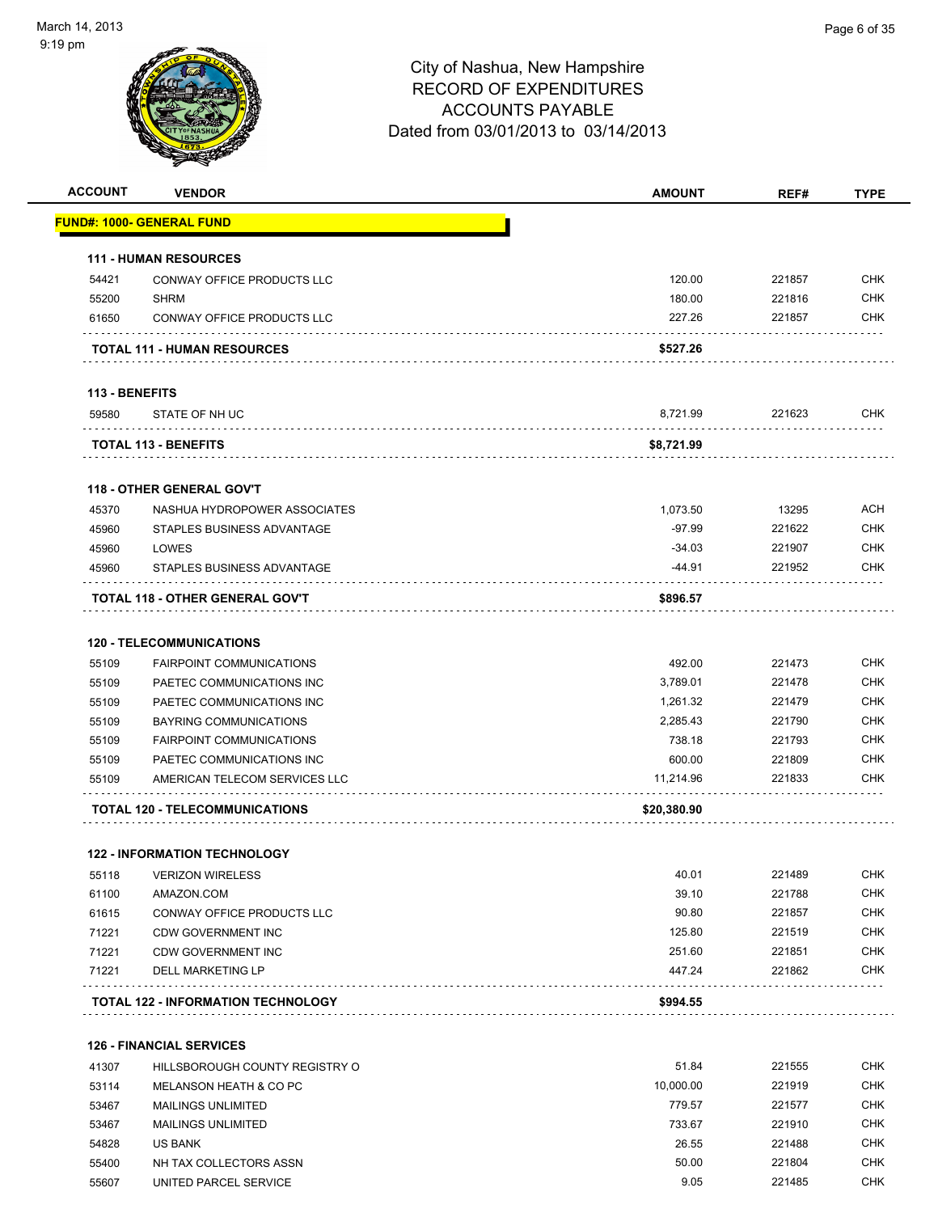

| <b>ACCOUNT</b> | <b>VENDOR</b>                             | <b>AMOUNT</b> | REF#   | <b>TYPE</b> |
|----------------|-------------------------------------------|---------------|--------|-------------|
|                | <b>FUND#: 1000- GENERAL FUND</b>          |               |        |             |
|                | <b>111 - HUMAN RESOURCES</b>              |               |        |             |
| 54421          | CONWAY OFFICE PRODUCTS LLC                | 120.00        | 221857 | <b>CHK</b>  |
| 55200          | <b>SHRM</b>                               | 180.00        | 221816 | <b>CHK</b>  |
| 61650          | CONWAY OFFICE PRODUCTS LLC                | 227.26        | 221857 | <b>CHK</b>  |
|                |                                           |               |        |             |
|                | <b>TOTAL 111 - HUMAN RESOURCES</b>        | \$527.26      |        |             |
| 113 - BENEFITS |                                           |               |        |             |
| 59580          | STATE OF NH UC                            | 8,721.99      | 221623 | <b>CHK</b>  |
|                | <b>TOTAL 113 - BENEFITS</b>               | \$8,721.99    |        |             |
|                | <b>118 - OTHER GENERAL GOV'T</b>          |               |        |             |
| 45370          | NASHUA HYDROPOWER ASSOCIATES              | 1,073.50      | 13295  | <b>ACH</b>  |
| 45960          | STAPLES BUSINESS ADVANTAGE                | $-97.99$      | 221622 | <b>CHK</b>  |
| 45960          | LOWES                                     | $-34.03$      | 221907 | <b>CHK</b>  |
| 45960          | STAPLES BUSINESS ADVANTAGE                | -44.91        | 221952 | <b>CHK</b>  |
|                | TOTAL 118 - OTHER GENERAL GOV'T           | \$896.57      |        |             |
|                | <b>120 - TELECOMMUNICATIONS</b>           |               |        |             |
| 55109          | <b>FAIRPOINT COMMUNICATIONS</b>           | 492.00        | 221473 | <b>CHK</b>  |
| 55109          | PAETEC COMMUNICATIONS INC                 | 3,789.01      | 221478 | <b>CHK</b>  |
| 55109          | PAETEC COMMUNICATIONS INC                 | 1,261.32      | 221479 | <b>CHK</b>  |
| 55109          | <b>BAYRING COMMUNICATIONS</b>             | 2,285.43      | 221790 | <b>CHK</b>  |
| 55109          | <b>FAIRPOINT COMMUNICATIONS</b>           | 738.18        | 221793 | <b>CHK</b>  |
| 55109          | PAETEC COMMUNICATIONS INC                 | 600.00        | 221809 | <b>CHK</b>  |
| 55109          | AMERICAN TELECOM SERVICES LLC             | 11,214.96     | 221833 | <b>CHK</b>  |
|                | TOTAL 120 - TELECOMMUNICATIONS            | \$20,380.90   |        |             |
|                | <b>122 - INFORMATION TECHNOLOGY</b>       |               |        |             |
| 55118          | <b>VERIZON WIRELESS</b>                   | 40.01         | 221489 | <b>CHK</b>  |
| 61100          | AMAZON.COM                                | 39.10         | 221788 | <b>CHK</b>  |
| 61615          | CONWAY OFFICE PRODUCTS LLC                | 90.80         | 221857 | <b>CHK</b>  |
| 71221          | <b>CDW GOVERNMENT INC</b>                 | 125.80        | 221519 | <b>CHK</b>  |
| 71221          | <b>CDW GOVERNMENT INC</b>                 | 251.60        | 221851 | <b>CHK</b>  |
| 71221          | DELL MARKETING LP                         | 447.24        | 221862 | <b>CHK</b>  |
|                | <b>TOTAL 122 - INFORMATION TECHNOLOGY</b> | \$994.55      |        |             |
|                |                                           |               |        |             |
|                | <b>126 - FINANCIAL SERVICES</b>           |               |        |             |
| 41307          | HILLSBOROUGH COUNTY REGISTRY O            | 51.84         | 221555 | <b>CHK</b>  |
| 53114          | MELANSON HEATH & CO PC                    | 10,000.00     | 221919 | <b>CHK</b>  |
| 53467          | <b>MAILINGS UNLIMITED</b>                 | 779.57        | 221577 | <b>CHK</b>  |
| 53467          | <b>MAILINGS UNLIMITED</b>                 | 733.67        | 221910 | <b>CHK</b>  |
| 54828          | <b>US BANK</b>                            | 26.55         | 221488 | <b>CHK</b>  |
| 55400          | NH TAX COLLECTORS ASSN                    | 50.00         | 221804 | <b>CHK</b>  |
| 55607          | UNITED PARCEL SERVICE                     | 9.05          | 221485 | <b>CHK</b>  |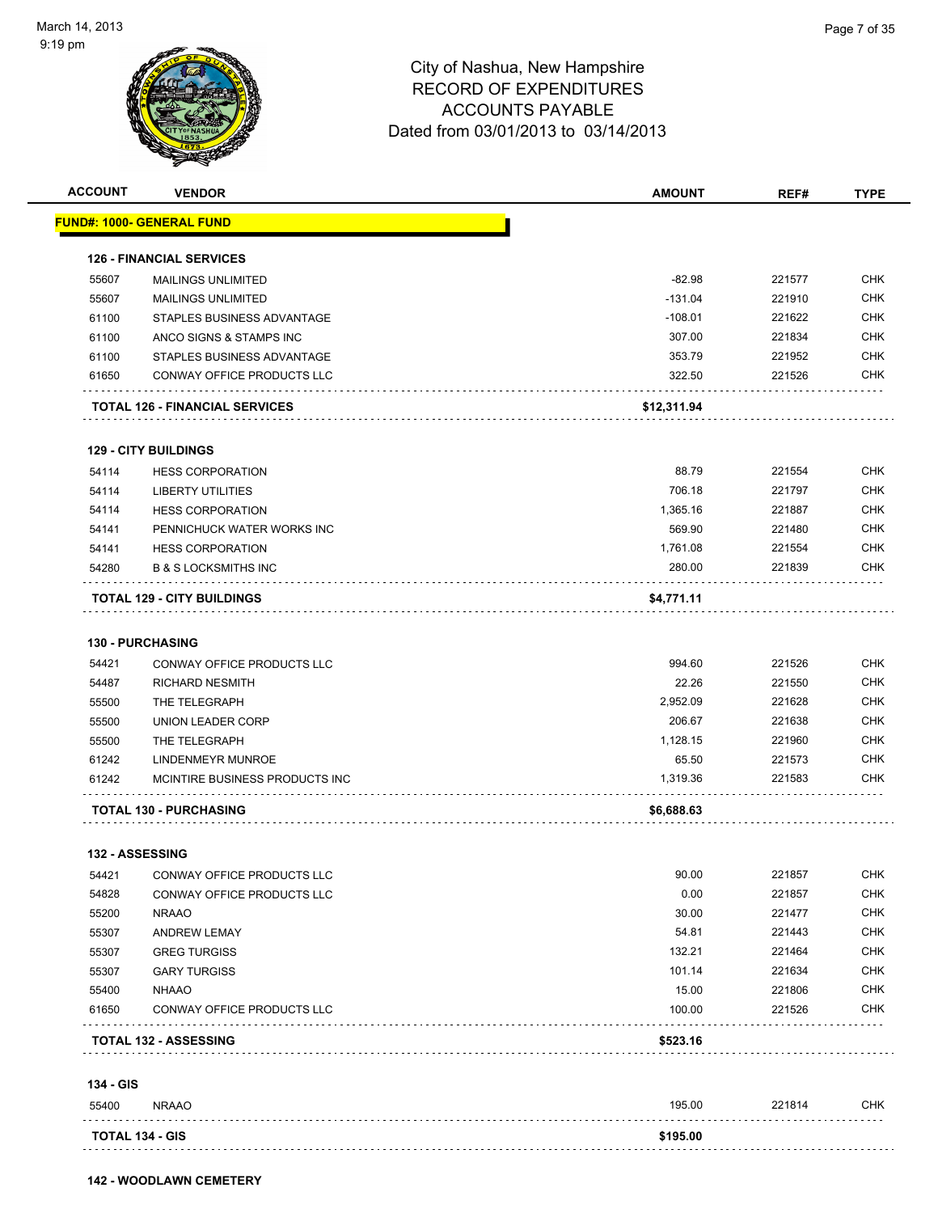

| <b>ACCOUNT</b>         | <b>VENDOR</b>                         | <b>AMOUNT</b> | REF#   | <b>TYPE</b> |
|------------------------|---------------------------------------|---------------|--------|-------------|
|                        | <u> FUND#: 1000- GENERAL FUND</u>     |               |        |             |
|                        | <b>126 - FINANCIAL SERVICES</b>       |               |        |             |
| 55607                  | <b>MAILINGS UNLIMITED</b>             | $-82.98$      | 221577 | <b>CHK</b>  |
| 55607                  | <b>MAILINGS UNLIMITED</b>             | $-131.04$     | 221910 | <b>CHK</b>  |
| 61100                  | STAPLES BUSINESS ADVANTAGE            | $-108.01$     | 221622 | <b>CHK</b>  |
| 61100                  | ANCO SIGNS & STAMPS INC               | 307.00        | 221834 | <b>CHK</b>  |
| 61100                  | STAPLES BUSINESS ADVANTAGE            | 353.79        | 221952 | <b>CHK</b>  |
| 61650                  | CONWAY OFFICE PRODUCTS LLC            | 322.50        | 221526 | <b>CHK</b>  |
|                        | <b>TOTAL 126 - FINANCIAL SERVICES</b> | \$12,311.94   |        |             |
|                        | <b>129 - CITY BUILDINGS</b>           |               |        |             |
| 54114                  | <b>HESS CORPORATION</b>               | 88.79         | 221554 | <b>CHK</b>  |
| 54114                  | LIBERTY UTILITIES                     | 706.18        | 221797 | <b>CHK</b>  |
| 54114                  | <b>HESS CORPORATION</b>               | 1,365.16      | 221887 | <b>CHK</b>  |
| 54141                  | PENNICHUCK WATER WORKS INC            | 569.90        | 221480 | <b>CHK</b>  |
| 54141                  | <b>HESS CORPORATION</b>               | 1,761.08      | 221554 | CHK         |
| 54280                  | <b>B &amp; S LOCKSMITHS INC</b>       | 280.00        | 221839 | <b>CHK</b>  |
|                        | <b>TOTAL 129 - CITY BUILDINGS</b>     | \$4,771.11    |        |             |
|                        | <b>130 - PURCHASING</b>               |               |        |             |
| 54421                  | CONWAY OFFICE PRODUCTS LLC            | 994.60        | 221526 | <b>CHK</b>  |
| 54487                  | <b>RICHARD NESMITH</b>                | 22.26         | 221550 | <b>CHK</b>  |
| 55500                  | THE TELEGRAPH                         | 2,952.09      | 221628 | <b>CHK</b>  |
| 55500                  | UNION LEADER CORP                     | 206.67        | 221638 | <b>CHK</b>  |
| 55500                  | THE TELEGRAPH                         | 1,128.15      | 221960 | <b>CHK</b>  |
| 61242                  | LINDENMEYR MUNROE                     | 65.50         | 221573 | CHK         |
| 61242                  | MCINTIRE BUSINESS PRODUCTS INC        | 1,319.36      | 221583 | CHK         |
|                        | <b>TOTAL 130 - PURCHASING</b>         | \$6,688.63    |        |             |
| <b>132 - ASSESSING</b> |                                       |               |        |             |
| 54421                  | CONWAY OFFICE PRODUCTS LLC            | 90.00         | 221857 | <b>CHK</b>  |
| 54828                  | CONWAY OFFICE PRODUCTS LLC            | 0.00          | 221857 | <b>CHK</b>  |
| 55200                  | <b>NRAAO</b>                          | 30.00         | 221477 | <b>CHK</b>  |
| 55307                  | <b>ANDREW LEMAY</b>                   | 54.81         | 221443 | <b>CHK</b>  |
| 55307                  | <b>GREG TURGISS</b>                   | 132.21        | 221464 | <b>CHK</b>  |
| 55307                  | <b>GARY TURGISS</b>                   | 101.14        | 221634 | <b>CHK</b>  |
| 55400                  | <b>NHAAO</b>                          | 15.00         | 221806 | <b>CHK</b>  |
| 61650                  | CONWAY OFFICE PRODUCTS LLC            | 100.00        | 221526 | <b>CHK</b>  |
|                        | <b>TOTAL 132 - ASSESSING</b>          | \$523.16      |        |             |
| 134 - GIS              |                                       |               |        |             |
| 55400                  | <b>NRAAO</b>                          | 195.00        | 221814 | CHK         |
| <b>TOTAL 134 - GIS</b> |                                       | \$195.00      |        |             |
| .                      |                                       |               |        |             |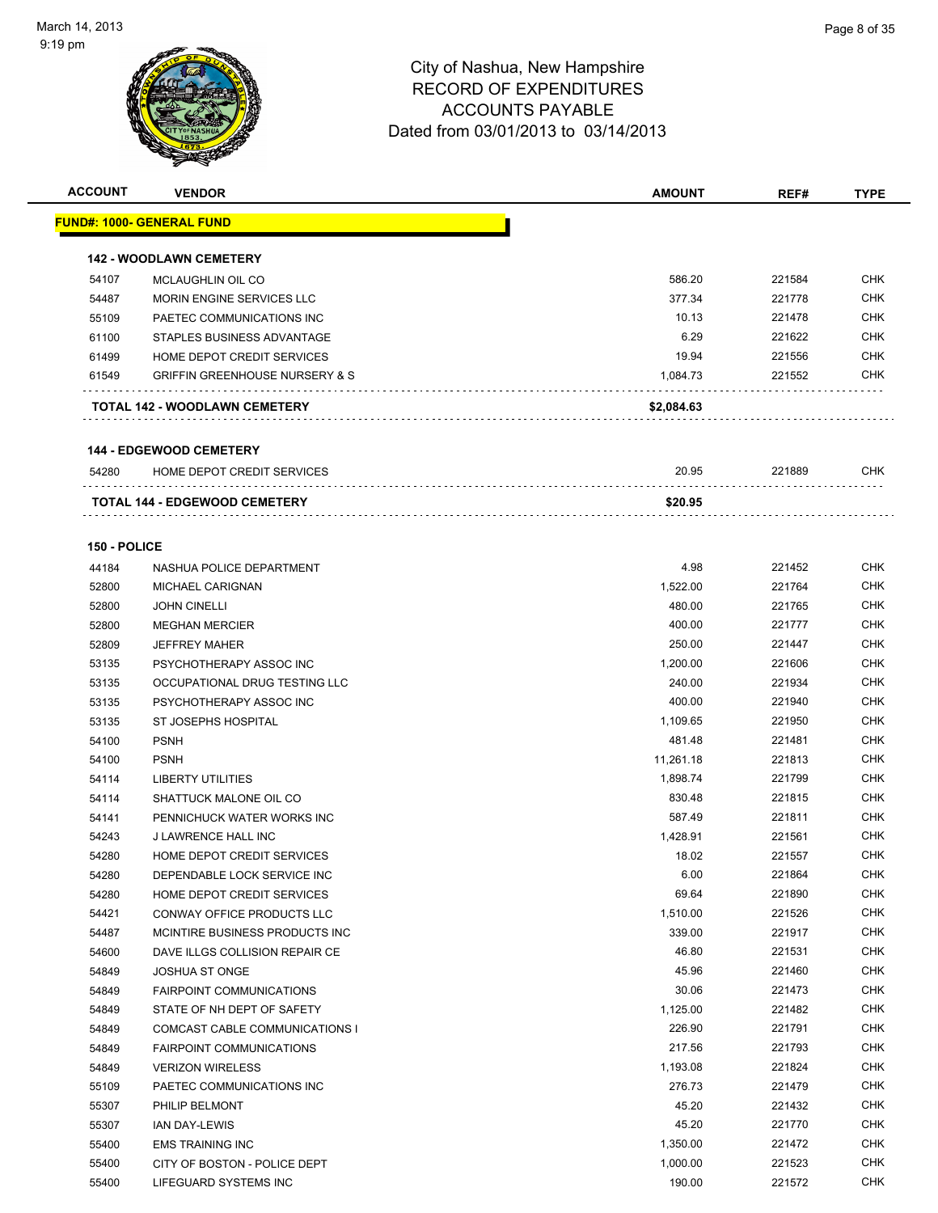

| <b>ACCOUNT</b> | <b>VENDOR</b>                                                           | <b>AMOUNT</b>     | REF#             | <b>TYPE</b>       |
|----------------|-------------------------------------------------------------------------|-------------------|------------------|-------------------|
|                | <u> FUND#: 1000- GENERAL FUND</u>                                       |                   |                  |                   |
|                |                                                                         |                   |                  |                   |
| 54107          | <b>142 - WOODLAWN CEMETERY</b><br>MCLAUGHLIN OIL CO                     | 586.20            | 221584           | <b>CHK</b>        |
|                |                                                                         | 377.34            | 221778           | <b>CHK</b>        |
| 54487          | MORIN ENGINE SERVICES LLC                                               | 10.13             |                  |                   |
| 55109          | PAETEC COMMUNICATIONS INC                                               |                   | 221478           | CHK<br><b>CHK</b> |
| 61100          | STAPLES BUSINESS ADVANTAGE                                              | 6.29              | 221622           | <b>CHK</b>        |
| 61499<br>61549 | HOME DEPOT CREDIT SERVICES<br><b>GRIFFIN GREENHOUSE NURSERY &amp; S</b> | 19.94<br>1,084.73 | 221556<br>221552 | <b>CHK</b>        |
|                |                                                                         |                   |                  |                   |
|                | TOTAL 142 - WOODLAWN CEMETERY                                           | \$2,084.63        |                  |                   |
|                | <b>144 - EDGEWOOD CEMETERY</b>                                          |                   |                  |                   |
| 54280          | HOME DEPOT CREDIT SERVICES                                              | 20.95             | 221889           | <b>CHK</b>        |
|                | <b>TOTAL 144 - EDGEWOOD CEMETERY</b>                                    | \$20.95           |                  |                   |
|                |                                                                         |                   |                  |                   |
| 150 - POLICE   |                                                                         |                   |                  |                   |
| 44184          | NASHUA POLICE DEPARTMENT                                                | 4.98              | 221452           | <b>CHK</b>        |
| 52800          | <b>MICHAEL CARIGNAN</b>                                                 | 1,522.00          | 221764           | <b>CHK</b>        |
| 52800          | <b>JOHN CINELLI</b>                                                     | 480.00            | 221765           | CHK               |
| 52800          | <b>MEGHAN MERCIER</b>                                                   | 400.00            | 221777           | CHK               |
| 52809          | <b>JEFFREY MAHER</b>                                                    | 250.00            | 221447           | CHK               |
| 53135          | PSYCHOTHERAPY ASSOC INC                                                 | 1,200.00          | 221606           | <b>CHK</b>        |
| 53135          | OCCUPATIONAL DRUG TESTING LLC                                           | 240.00            | 221934           | CHK               |
| 53135          | PSYCHOTHERAPY ASSOC INC                                                 | 400.00            | 221940           | CHK               |
| 53135          | ST JOSEPHS HOSPITAL                                                     | 1,109.65          | 221950           | <b>CHK</b>        |
| 54100          | <b>PSNH</b>                                                             | 481.48            | 221481           | CHK               |
| 54100          | <b>PSNH</b>                                                             | 11,261.18         | 221813           | <b>CHK</b>        |
| 54114          | <b>LIBERTY UTILITIES</b>                                                | 1,898.74          | 221799           | <b>CHK</b>        |
| 54114          | SHATTUCK MALONE OIL CO                                                  | 830.48            | 221815           | <b>CHK</b>        |
| 54141          | PENNICHUCK WATER WORKS INC                                              | 587.49            | 221811           | <b>CHK</b>        |
| 54243          | J LAWRENCE HALL INC                                                     | 1,428.91          | 221561           | CHK               |
| 54280          | HOME DEPOT CREDIT SERVICES                                              | 18.02             | 221557           | CHK               |
| 54280          | DEPENDABLE LOCK SERVICE INC                                             | 6.00              | 221864           | <b>CHK</b>        |
| 54280          | HOME DEPOT CREDIT SERVICES                                              | 69.64             | 221890           | CHK               |
| 54421          | CONWAY OFFICE PRODUCTS LLC                                              | 1,510.00          | 221526           | <b>CHK</b>        |
| 54487          | MCINTIRE BUSINESS PRODUCTS INC                                          | 339.00            | 221917           | <b>CHK</b>        |
| 54600          | DAVE ILLGS COLLISION REPAIR CE                                          | 46.80             | 221531           | <b>CHK</b>        |
| 54849          | <b>JOSHUA ST ONGE</b>                                                   | 45.96             | 221460           | <b>CHK</b>        |
| 54849          | <b>FAIRPOINT COMMUNICATIONS</b>                                         | 30.06             | 221473           | <b>CHK</b>        |
| 54849          | STATE OF NH DEPT OF SAFETY                                              | 1,125.00          | 221482           | <b>CHK</b>        |
| 54849          | COMCAST CABLE COMMUNICATIONS I                                          | 226.90            | 221791           | <b>CHK</b>        |
| 54849          | <b>FAIRPOINT COMMUNICATIONS</b>                                         | 217.56            | 221793           | <b>CHK</b>        |
| 54849          | <b>VERIZON WIRELESS</b>                                                 | 1,193.08          | 221824           | <b>CHK</b>        |
| 55109          | PAETEC COMMUNICATIONS INC                                               | 276.73            | 221479           | <b>CHK</b>        |
|                | PHILIP BELMONT                                                          | 45.20             | 221432           | <b>CHK</b>        |
| 55307          |                                                                         | 45.20             | 221770           | <b>CHK</b>        |
| 55307          | <b>IAN DAY-LEWIS</b>                                                    |                   |                  |                   |
| 55400          | <b>EMS TRAINING INC</b>                                                 | 1,350.00          | 221472           | <b>CHK</b>        |
| 55400          | CITY OF BOSTON - POLICE DEPT                                            | 1,000.00          | 221523           | <b>CHK</b>        |
| 55400          | LIFEGUARD SYSTEMS INC                                                   | 190.00            | 221572           | <b>CHK</b>        |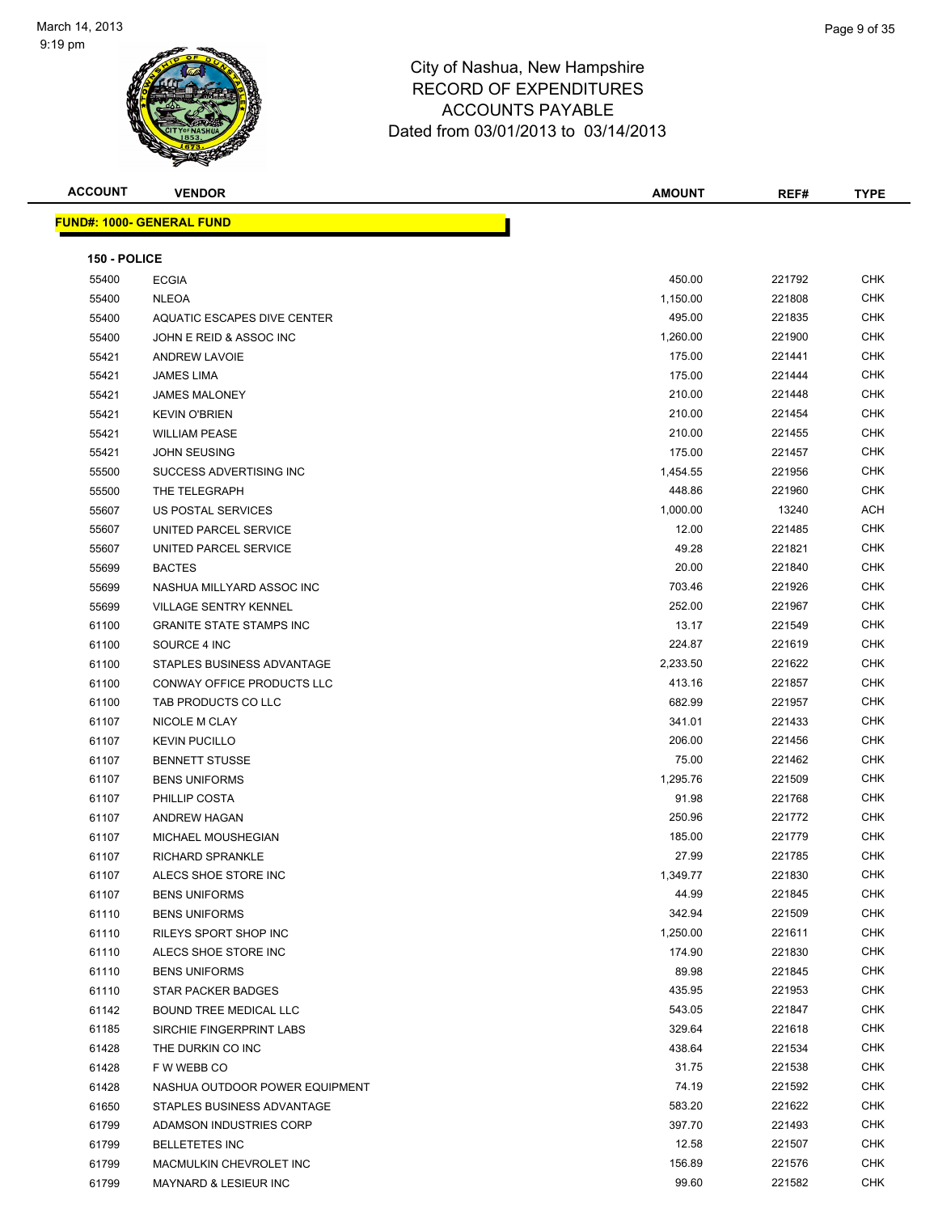

| <b>ACCOUNT</b> | <b>VENDOR</b>                    | <b>AMOUNT</b> | REF#   | <b>TYPE</b> |
|----------------|----------------------------------|---------------|--------|-------------|
|                | <b>FUND#: 1000- GENERAL FUND</b> |               |        |             |
|                |                                  |               |        |             |
| 150 - POLICE   |                                  |               |        |             |
| 55400          | <b>ECGIA</b>                     | 450.00        | 221792 | <b>CHK</b>  |
| 55400          | <b>NLEOA</b>                     | 1,150.00      | 221808 | <b>CHK</b>  |
| 55400          | AQUATIC ESCAPES DIVE CENTER      | 495.00        | 221835 | CHK         |
| 55400          | JOHN E REID & ASSOC INC          | 1,260.00      | 221900 | CHK         |
| 55421          | <b>ANDREW LAVOIE</b>             | 175.00        | 221441 | <b>CHK</b>  |
| 55421          | JAMES LIMA                       | 175.00        | 221444 | <b>CHK</b>  |
| 55421          | <b>JAMES MALONEY</b>             | 210.00        | 221448 | <b>CHK</b>  |
| 55421          | <b>KEVIN O'BRIEN</b>             | 210.00        | 221454 | CHK         |
| 55421          | <b>WILLIAM PEASE</b>             | 210.00        | 221455 | CHK         |
| 55421          | <b>JOHN SEUSING</b>              | 175.00        | 221457 | <b>CHK</b>  |
| 55500          | SUCCESS ADVERTISING INC          | 1,454.55      | 221956 | <b>CHK</b>  |
| 55500          | THE TELEGRAPH                    | 448.86        | 221960 | <b>CHK</b>  |
| 55607          | US POSTAL SERVICES               | 1,000.00      | 13240  | ACH         |
| 55607          | UNITED PARCEL SERVICE            | 12.00         | 221485 | CHK         |
| 55607          | UNITED PARCEL SERVICE            | 49.28         | 221821 | CHK         |
| 55699          | <b>BACTES</b>                    | 20.00         | 221840 | CHK         |
| 55699          | NASHUA MILLYARD ASSOC INC        | 703.46        | 221926 | CHK         |
| 55699          | <b>VILLAGE SENTRY KENNEL</b>     | 252.00        | 221967 | CHK         |
| 61100          | <b>GRANITE STATE STAMPS INC</b>  | 13.17         | 221549 | CHK         |
| 61100          | SOURCE 4 INC                     | 224.87        | 221619 | <b>CHK</b>  |
| 61100          | STAPLES BUSINESS ADVANTAGE       | 2,233.50      | 221622 | CHK         |
| 61100          | CONWAY OFFICE PRODUCTS LLC       | 413.16        | 221857 | <b>CHK</b>  |
| 61100          | TAB PRODUCTS CO LLC              | 682.99        | 221957 | CHK         |
| 61107          | NICOLE M CLAY                    | 341.01        | 221433 | CHK         |
| 61107          | <b>KEVIN PUCILLO</b>             | 206.00        | 221456 | CHK         |
| 61107          | <b>BENNETT STUSSE</b>            | 75.00         | 221462 | CHK         |
| 61107          | <b>BENS UNIFORMS</b>             | 1,295.76      | 221509 | <b>CHK</b>  |
| 61107          | PHILLIP COSTA                    | 91.98         | 221768 | <b>CHK</b>  |
| 61107          | ANDREW HAGAN                     | 250.96        | 221772 | <b>CHK</b>  |
| 61107          | <b>MICHAEL MOUSHEGIAN</b>        | 185.00        | 221779 | CHK         |
| 61107          | RICHARD SPRANKLE                 | 27.99         | 221785 | CHK         |
| 61107          | ALECS SHOE STORE INC             | 1,349.77      | 221830 | CHK         |
| 61107          | <b>BENS UNIFORMS</b>             | 44.99         | 221845 | <b>CHK</b>  |
| 61110          | <b>BENS UNIFORMS</b>             | 342.94        | 221509 | CHK         |
| 61110          | RILEYS SPORT SHOP INC            | 1,250.00      | 221611 | CHK         |
| 61110          | ALECS SHOE STORE INC             | 174.90        | 221830 | CHK         |
| 61110          | <b>BENS UNIFORMS</b>             | 89.98         | 221845 | <b>CHK</b>  |
| 61110          | STAR PACKER BADGES               | 435.95        | 221953 | CHK         |
| 61142          | BOUND TREE MEDICAL LLC           | 543.05        | 221847 | <b>CHK</b>  |
| 61185          | SIRCHIE FINGERPRINT LABS         | 329.64        | 221618 | CHK         |
| 61428          | THE DURKIN CO INC                | 438.64        | 221534 | CHK         |
| 61428          | F W WEBB CO                      | 31.75         | 221538 | CHK         |
| 61428          | NASHUA OUTDOOR POWER EQUIPMENT   | 74.19         | 221592 | CHK         |
| 61650          | STAPLES BUSINESS ADVANTAGE       | 583.20        | 221622 | CHK         |
| 61799          | ADAMSON INDUSTRIES CORP          | 397.70        | 221493 | CHK         |
| 61799          | <b>BELLETETES INC</b>            | 12.58         | 221507 | CHK         |
| 61799          | MACMULKIN CHEVROLET INC          | 156.89        | 221576 | CHK         |
| 61799          | MAYNARD & LESIEUR INC            | 99.60         | 221582 | <b>CHK</b>  |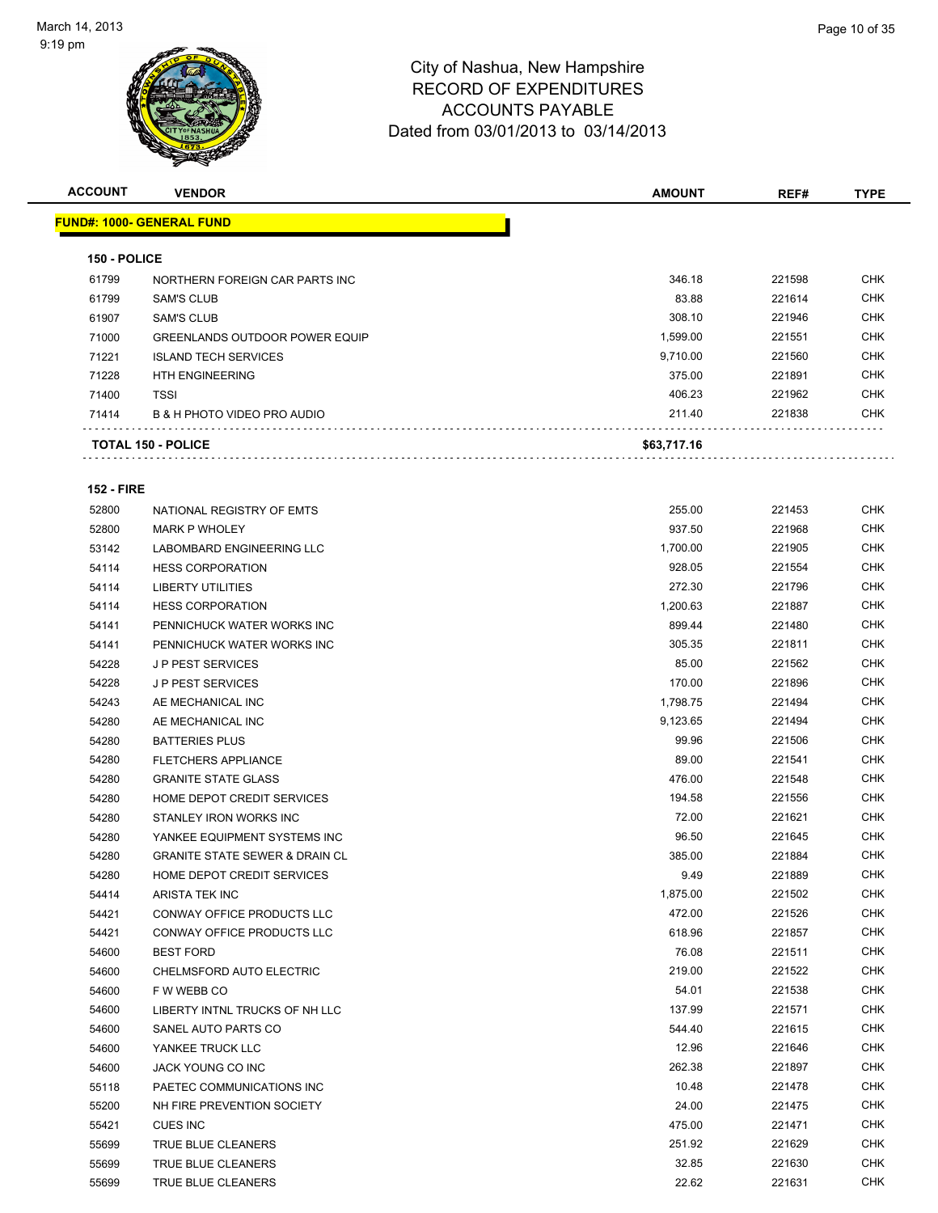

| <b>ACCOUNT</b> | <b>VENDOR</b>                          | <b>AMOUNT</b> | REF#   | <b>TYPE</b> |
|----------------|----------------------------------------|---------------|--------|-------------|
|                | <b>FUND#: 1000- GENERAL FUND</b>       |               |        |             |
| 150 - POLICE   |                                        |               |        |             |
| 61799          | NORTHERN FOREIGN CAR PARTS INC         | 346.18        | 221598 | <b>CHK</b>  |
| 61799          | <b>SAM'S CLUB</b>                      | 83.88         | 221614 | <b>CHK</b>  |
| 61907          | <b>SAM'S CLUB</b>                      | 308.10        | 221946 | <b>CHK</b>  |
| 71000          | <b>GREENLANDS OUTDOOR POWER EQUIP</b>  | 1,599.00      | 221551 | <b>CHK</b>  |
| 71221          | <b>ISLAND TECH SERVICES</b>            | 9,710.00      | 221560 | <b>CHK</b>  |
| 71228          | <b>HTH ENGINEERING</b>                 | 375.00        | 221891 | <b>CHK</b>  |
| 71400          | <b>TSSI</b>                            | 406.23        | 221962 | <b>CHK</b>  |
| 71414          | <b>B &amp; H PHOTO VIDEO PRO AUDIO</b> | 211.40        | 221838 | <b>CHK</b>  |
|                | <b>TOTAL 150 - POLICE</b>              | \$63,717.16   |        |             |
|                |                                        |               |        |             |

#### **152 - FIRE**

| 52800 | NATIONAL REGISTRY OF EMTS                 | 255.00   | 221453 | <b>CHK</b> |
|-------|-------------------------------------------|----------|--------|------------|
| 52800 | <b>MARK P WHOLEY</b>                      | 937.50   | 221968 | <b>CHK</b> |
| 53142 | <b>LABOMBARD ENGINEERING LLC</b>          | 1,700.00 | 221905 | <b>CHK</b> |
| 54114 | <b>HESS CORPORATION</b>                   | 928.05   | 221554 | <b>CHK</b> |
| 54114 | <b>LIBERTY UTILITIES</b>                  | 272.30   | 221796 | <b>CHK</b> |
| 54114 | <b>HESS CORPORATION</b>                   | 1,200.63 | 221887 | <b>CHK</b> |
| 54141 | PENNICHUCK WATER WORKS INC                | 899.44   | 221480 | <b>CHK</b> |
| 54141 | PENNICHUCK WATER WORKS INC                | 305.35   | 221811 | <b>CHK</b> |
| 54228 | <b>JP PEST SERVICES</b>                   | 85.00    | 221562 | <b>CHK</b> |
| 54228 | <b>JP PEST SERVICES</b>                   | 170.00   | 221896 | <b>CHK</b> |
| 54243 | AE MECHANICAL INC                         | 1,798.75 | 221494 | <b>CHK</b> |
| 54280 | AE MECHANICAL INC                         | 9,123.65 | 221494 | <b>CHK</b> |
| 54280 | <b>BATTERIES PLUS</b>                     | 99.96    | 221506 | <b>CHK</b> |
| 54280 | <b>FLETCHERS APPLIANCE</b>                | 89.00    | 221541 | <b>CHK</b> |
| 54280 | <b>GRANITE STATE GLASS</b>                | 476.00   | 221548 | <b>CHK</b> |
| 54280 | HOME DEPOT CREDIT SERVICES                | 194.58   | 221556 | <b>CHK</b> |
| 54280 | STANLEY IRON WORKS INC                    | 72.00    | 221621 | <b>CHK</b> |
| 54280 | YANKEE EQUIPMENT SYSTEMS INC              | 96.50    | 221645 | <b>CHK</b> |
| 54280 | <b>GRANITE STATE SEWER &amp; DRAIN CL</b> | 385.00   | 221884 | <b>CHK</b> |
| 54280 | HOME DEPOT CREDIT SERVICES                | 9.49     | 221889 | <b>CHK</b> |
| 54414 | ARISTA TEK INC                            | 1,875.00 | 221502 | <b>CHK</b> |
| 54421 | CONWAY OFFICE PRODUCTS LLC                | 472.00   | 221526 | <b>CHK</b> |
| 54421 | CONWAY OFFICE PRODUCTS LLC                | 618.96   | 221857 | <b>CHK</b> |
| 54600 | <b>BEST FORD</b>                          | 76.08    | 221511 | <b>CHK</b> |
| 54600 | CHELMSFORD AUTO ELECTRIC                  | 219.00   | 221522 | <b>CHK</b> |
| 54600 | F W WEBB CO                               | 54.01    | 221538 | <b>CHK</b> |
| 54600 | LIBERTY INTNL TRUCKS OF NH LLC            | 137.99   | 221571 | <b>CHK</b> |
| 54600 | SANEL AUTO PARTS CO                       | 544.40   | 221615 | <b>CHK</b> |
| 54600 | YANKEE TRUCK LLC                          | 12.96    | 221646 | <b>CHK</b> |
| 54600 | JACK YOUNG CO INC                         | 262.38   | 221897 | <b>CHK</b> |
| 55118 | PAETEC COMMUNICATIONS INC                 | 10.48    | 221478 | <b>CHK</b> |
| 55200 | NH FIRE PREVENTION SOCIETY                | 24.00    | 221475 | <b>CHK</b> |
| 55421 | <b>CUES INC</b>                           | 475.00   | 221471 | <b>CHK</b> |
| 55699 | TRUE BLUE CLEANERS                        | 251.92   | 221629 | <b>CHK</b> |
| 55699 | TRUE BLUE CLEANERS                        | 32.85    | 221630 | <b>CHK</b> |
| 55699 | TRUE BLUE CLEANERS                        | 22.62    | 221631 | CHK        |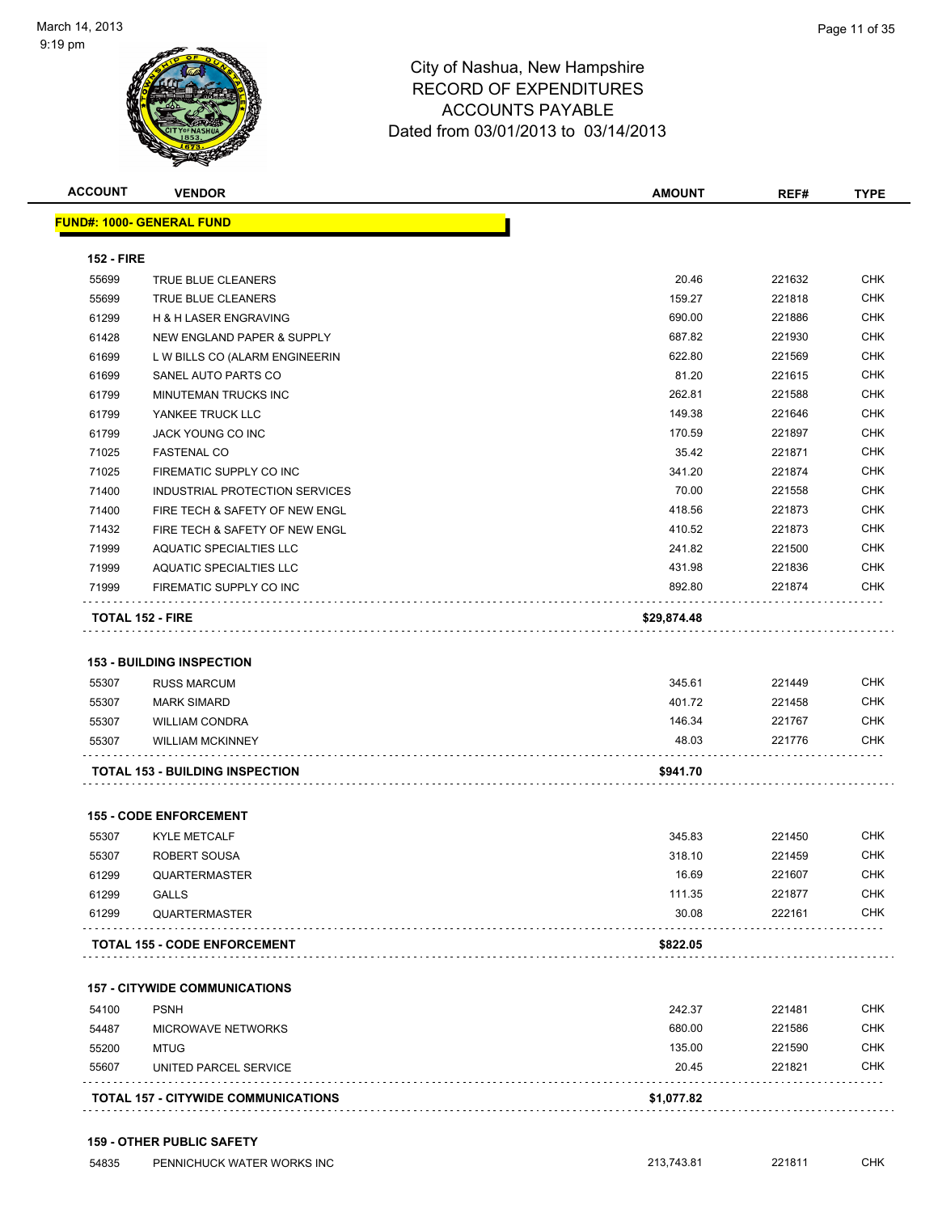

| <b>ACCOUNT</b>    | <b>VENDOR</b>                                    | <b>AMOUNT</b>   | REF#             | <b>TYPE</b> |
|-------------------|--------------------------------------------------|-----------------|------------------|-------------|
|                   | <b>FUND#: 1000- GENERAL FUND</b>                 |                 |                  |             |
| <b>152 - FIRE</b> |                                                  |                 |                  |             |
| 55699             | TRUE BLUE CLEANERS                               | 20.46           | 221632           | <b>CHK</b>  |
| 55699             | TRUE BLUE CLEANERS                               | 159.27          | 221818           | <b>CHK</b>  |
| 61299             | <b>H &amp; H LASER ENGRAVING</b>                 | 690.00          | 221886           | <b>CHK</b>  |
| 61428             | NEW ENGLAND PAPER & SUPPLY                       | 687.82          | 221930           | <b>CHK</b>  |
| 61699             | L W BILLS CO (ALARM ENGINEERIN                   | 622.80          | 221569           | <b>CHK</b>  |
| 61699             | SANEL AUTO PARTS CO                              | 81.20           | 221615           | <b>CHK</b>  |
| 61799             | MINUTEMAN TRUCKS INC                             | 262.81          | 221588           | <b>CHK</b>  |
| 61799             | YANKEE TRUCK LLC                                 | 149.38          | 221646           | <b>CHK</b>  |
| 61799             | JACK YOUNG CO INC                                | 170.59          | 221897           | <b>CHK</b>  |
| 71025             | <b>FASTENAL CO</b>                               | 35.42           | 221871           | <b>CHK</b>  |
| 71025             | FIREMATIC SUPPLY CO INC                          | 341.20          | 221874           | <b>CHK</b>  |
| 71400             | INDUSTRIAL PROTECTION SERVICES                   | 70.00           | 221558           | <b>CHK</b>  |
| 71400             | FIRE TECH & SAFETY OF NEW ENGL                   | 418.56          | 221873           | <b>CHK</b>  |
| 71432             | FIRE TECH & SAFETY OF NEW ENGL                   | 410.52          | 221873           | <b>CHK</b>  |
| 71999             | AQUATIC SPECIALTIES LLC                          | 241.82          | 221500           | <b>CHK</b>  |
| 71999             | AQUATIC SPECIALTIES LLC                          | 431.98          | 221836           | <b>CHK</b>  |
| 71999             | FIREMATIC SUPPLY CO INC                          | 892.80          | 221874           | <b>CHK</b>  |
|                   | <b>TOTAL 152 - FIRE</b>                          | \$29,874.48     |                  |             |
|                   | <b>153 - BUILDING INSPECTION</b>                 |                 |                  |             |
|                   |                                                  | 345.61          | 221449           | <b>CHK</b>  |
| 55307             | <b>RUSS MARCUM</b>                               | 401.72          | 221458           | <b>CHK</b>  |
| 55307             | <b>MARK SIMARD</b>                               |                 |                  | <b>CHK</b>  |
| 55307<br>55307    | <b>WILLIAM CONDRA</b><br><b>WILLIAM MCKINNEY</b> | 146.34<br>48.03 | 221767<br>221776 | <b>CHK</b>  |
|                   | <b>TOTAL 153 - BUILDING INSPECTION</b>           | \$941.70        |                  |             |
|                   |                                                  |                 |                  |             |
|                   | <b>155 - CODE ENFORCEMENT</b>                    |                 |                  |             |
| 55307             | <b>KYLE METCALF</b>                              | 345.83          | 221450           | <b>CHK</b>  |
| 55307             | ROBERT SOUSA                                     | 318.10          | 221459           | <b>CHK</b>  |
| 61299             | <b>QUARTERMASTER</b>                             | 16.69           | 221607           | <b>CHK</b>  |
| 61299             | <b>GALLS</b>                                     | 111.35          | 221877           | <b>CHK</b>  |
| 61299             | QUARTERMASTER                                    | 30.08           | 222161           | <b>CHK</b>  |
|                   | <b>TOTAL 155 - CODE ENFORCEMENT</b>              | \$822.05        |                  |             |
|                   |                                                  |                 |                  |             |
|                   | <b>157 - CITYWIDE COMMUNICATIONS</b>             |                 |                  |             |

|       | <b>TOTAL 157 - CITYWIDE COMMUNICATIONS</b> | \$1,077.82 |        |            |
|-------|--------------------------------------------|------------|--------|------------|
| 55607 | UNITED PARCEL SERVICE                      | 20.45      | 221821 | <b>CHK</b> |
| 55200 | MTUG                                       | 135.00     | 221590 | <b>CHK</b> |
| 54487 | <b>MICROWAVE NETWORKS</b>                  | 680.00     | 221586 | <b>CHK</b> |
| 54100 | <b>PSNH</b>                                | 242.37     | 221481 | <b>CHK</b> |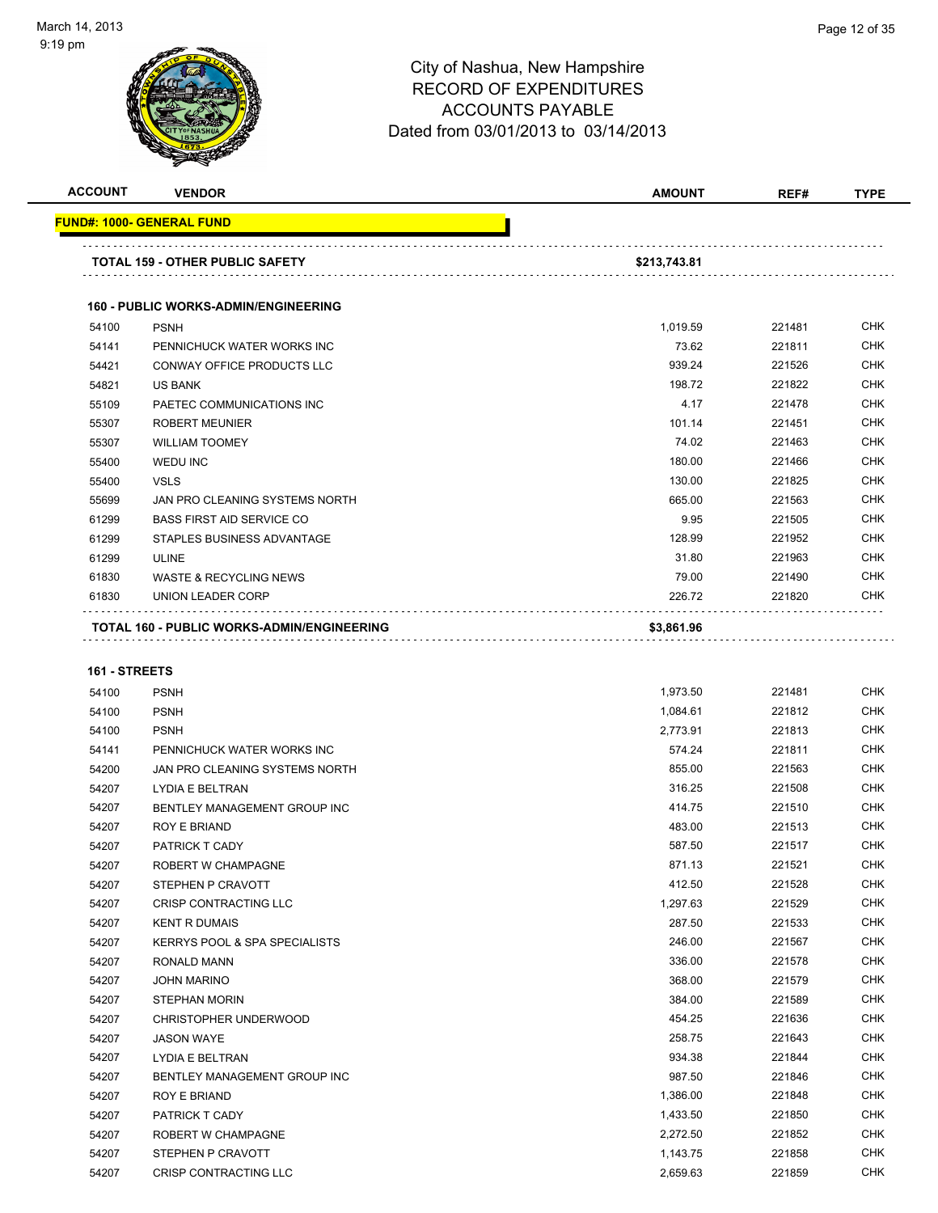

| <b>ACCOUNT</b> | <b>VENDOR</b>                                     | <b>AMOUNT</b> | REF#   | <b>TYPE</b> |
|----------------|---------------------------------------------------|---------------|--------|-------------|
|                | <b>FUND#: 1000- GENERAL FUND</b>                  |               |        |             |
|                | <b>TOTAL 159 - OTHER PUBLIC SAFETY</b>            | \$213,743.81  |        |             |
|                | <b>160 - PUBLIC WORKS-ADMIN/ENGINEERING</b>       |               |        |             |
| 54100          | <b>PSNH</b>                                       | 1,019.59      | 221481 | <b>CHK</b>  |
| 54141          | PENNICHUCK WATER WORKS INC                        | 73.62         | 221811 | <b>CHK</b>  |
| 54421          | <b>CONWAY OFFICE PRODUCTS LLC</b>                 | 939.24        | 221526 | <b>CHK</b>  |
| 54821          | <b>US BANK</b>                                    | 198.72        | 221822 | <b>CHK</b>  |
| 55109          | PAETEC COMMUNICATIONS INC                         | 4.17          | 221478 | <b>CHK</b>  |
| 55307          | <b>ROBERT MEUNIER</b>                             | 101.14        | 221451 | <b>CHK</b>  |
| 55307          | <b>WILLIAM TOOMEY</b>                             | 74.02         | 221463 | <b>CHK</b>  |
| 55400          | <b>WEDU INC</b>                                   | 180.00        | 221466 | <b>CHK</b>  |
| 55400          | <b>VSLS</b>                                       | 130.00        | 221825 | <b>CHK</b>  |
| 55699          | JAN PRO CLEANING SYSTEMS NORTH                    | 665.00        | 221563 | <b>CHK</b>  |
| 61299          | <b>BASS FIRST AID SERVICE CO</b>                  | 9.95          | 221505 | <b>CHK</b>  |
| 61299          | STAPLES BUSINESS ADVANTAGE                        | 128.99        | 221952 | <b>CHK</b>  |
| 61299          | <b>ULINE</b>                                      | 31.80         | 221963 | <b>CHK</b>  |
| 61830          | <b>WASTE &amp; RECYCLING NEWS</b>                 | 79.00         | 221490 | <b>CHK</b>  |
| 61830          | UNION LEADER CORP                                 | 226.72        | 221820 | <b>CHK</b>  |
|                | <b>TOTAL 160 - PUBLIC WORKS-ADMIN/ENGINEERING</b> | \$3,861.96    |        |             |
| 161 - STREETS  |                                                   |               |        |             |
| 54100          | <b>PSNH</b>                                       | 1,973.50      | 221481 | <b>CHK</b>  |
| 54100          | <b>PSNH</b>                                       | 1,084.61      | 221812 | <b>CHK</b>  |
| 54100          | <b>PSNH</b>                                       | 2,773.91      | 221813 | <b>CHK</b>  |

| 54100 | <b>PSNH</b>                              | 2,773.91 | 221813 | <b>CHK</b> |
|-------|------------------------------------------|----------|--------|------------|
| 54141 | PENNICHUCK WATER WORKS INC               | 574.24   | 221811 | <b>CHK</b> |
| 54200 | JAN PRO CLEANING SYSTEMS NORTH           | 855.00   | 221563 | <b>CHK</b> |
| 54207 | <b>LYDIA E BELTRAN</b>                   | 316.25   | 221508 | <b>CHK</b> |
| 54207 | BENTLEY MANAGEMENT GROUP INC             | 414.75   | 221510 | <b>CHK</b> |
| 54207 | <b>ROY E BRIAND</b>                      | 483.00   | 221513 | <b>CHK</b> |
| 54207 | <b>PATRICK T CADY</b>                    | 587.50   | 221517 | <b>CHK</b> |
| 54207 | <b>ROBERT W CHAMPAGNE</b>                | 871.13   | 221521 | <b>CHK</b> |
| 54207 | STEPHEN P CRAVOTT                        | 412.50   | 221528 | <b>CHK</b> |
| 54207 | <b>CRISP CONTRACTING LLC</b>             | 1,297.63 | 221529 | <b>CHK</b> |
| 54207 | <b>KENT R DUMAIS</b>                     | 287.50   | 221533 | <b>CHK</b> |
| 54207 | <b>KERRYS POOL &amp; SPA SPECIALISTS</b> | 246.00   | 221567 | <b>CHK</b> |
| 54207 | <b>RONALD MANN</b>                       | 336.00   | 221578 | <b>CHK</b> |
| 54207 | <b>JOHN MARINO</b>                       | 368.00   | 221579 | <b>CHK</b> |
| 54207 | <b>STEPHAN MORIN</b>                     | 384.00   | 221589 | <b>CHK</b> |
| 54207 | CHRISTOPHER UNDERWOOD                    | 454.25   | 221636 | <b>CHK</b> |
| 54207 | <b>JASON WAYE</b>                        | 258.75   | 221643 | <b>CHK</b> |
| 54207 | <b>LYDIA E BELTRAN</b>                   | 934.38   | 221844 | <b>CHK</b> |
| 54207 | BENTLEY MANAGEMENT GROUP INC             | 987.50   | 221846 | <b>CHK</b> |
| 54207 | <b>ROY E BRIAND</b>                      | 1,386.00 | 221848 | <b>CHK</b> |
| 54207 | PATRICK T CADY                           | 1,433.50 | 221850 | <b>CHK</b> |
| 54207 | <b>ROBERT W CHAMPAGNE</b>                | 2,272.50 | 221852 | <b>CHK</b> |
| 54207 | STEPHEN P CRAVOTT                        | 1,143.75 | 221858 | CHK        |
| 54207 | <b>CRISP CONTRACTING LLC</b>             | 2,659.63 | 221859 | <b>CHK</b> |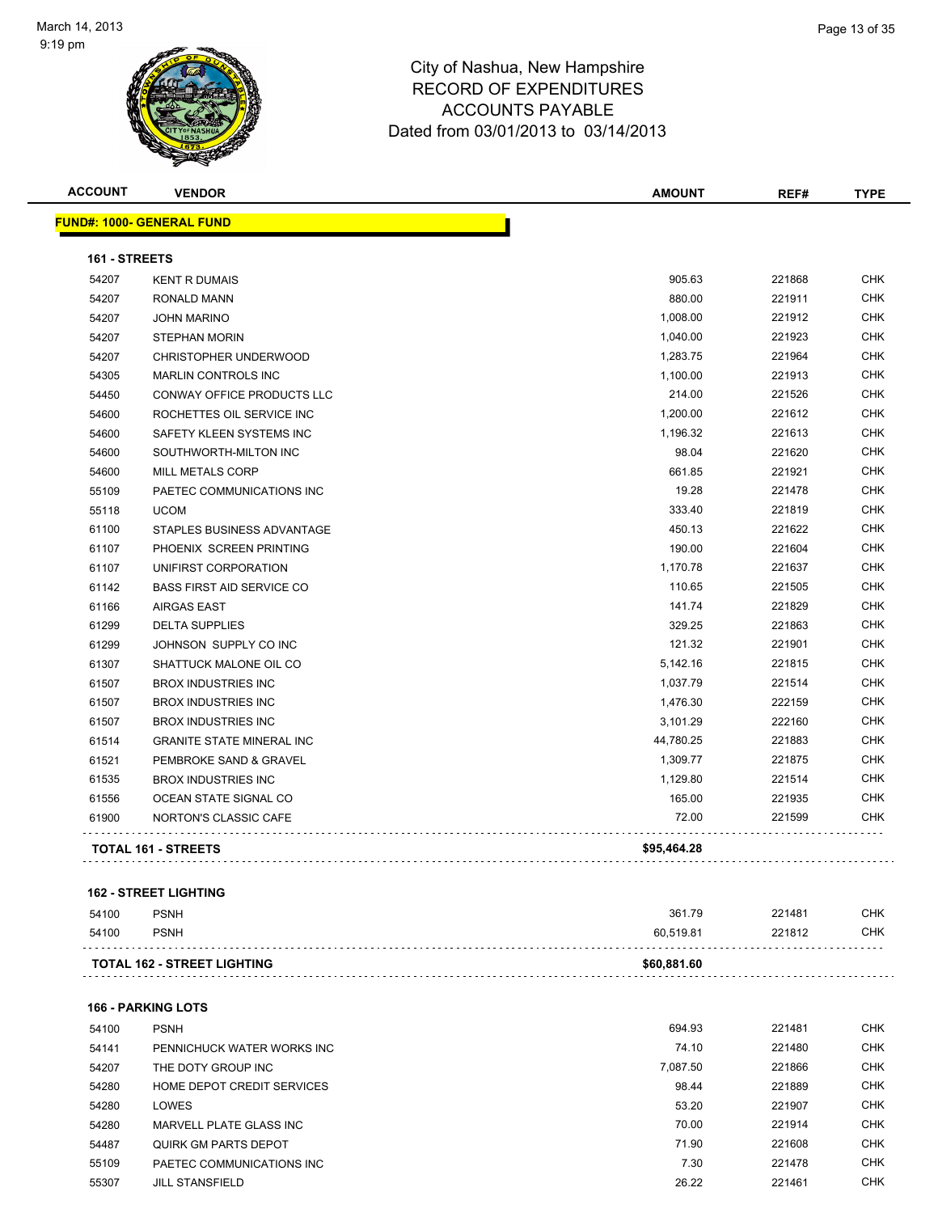

| <b>ACCOUNT</b> | <b>VENDOR</b>                     | <b>AMOUNT</b> | REF#   | <b>TYPE</b> |
|----------------|-----------------------------------|---------------|--------|-------------|
|                | <u> FUND#: 1000- GENERAL FUND</u> |               |        |             |
| 161 - STREETS  |                                   |               |        |             |
| 54207          | <b>KENT R DUMAIS</b>              | 905.63        | 221868 | <b>CHK</b>  |
| 54207          | <b>RONALD MANN</b>                | 880.00        | 221911 | CHK         |
| 54207          | <b>JOHN MARINO</b>                | 1,008.00      | 221912 | <b>CHK</b>  |
| 54207          | <b>STEPHAN MORIN</b>              | 1,040.00      | 221923 | CHK         |
| 54207          | CHRISTOPHER UNDERWOOD             | 1,283.75      | 221964 | CHK         |
| 54305          | <b>MARLIN CONTROLS INC</b>        | 1,100.00      | 221913 | <b>CHK</b>  |
| 54450          | CONWAY OFFICE PRODUCTS LLC        | 214.00        | 221526 | <b>CHK</b>  |
| 54600          | ROCHETTES OIL SERVICE INC         | 1,200.00      | 221612 | <b>CHK</b>  |
| 54600          | SAFETY KLEEN SYSTEMS INC          | 1,196.32      | 221613 | <b>CHK</b>  |
| 54600          | SOUTHWORTH-MILTON INC             | 98.04         | 221620 | <b>CHK</b>  |
| 54600          | <b>MILL METALS CORP</b>           | 661.85        | 221921 | <b>CHK</b>  |
| 55109          | PAETEC COMMUNICATIONS INC         | 19.28         | 221478 | <b>CHK</b>  |
| 55118          | <b>UCOM</b>                       | 333.40        | 221819 | <b>CHK</b>  |
| 61100          | STAPLES BUSINESS ADVANTAGE        | 450.13        | 221622 | <b>CHK</b>  |
| 61107          | PHOENIX SCREEN PRINTING           | 190.00        | 221604 | <b>CHK</b>  |
| 61107          | UNIFIRST CORPORATION              | 1,170.78      | 221637 | <b>CHK</b>  |
| 61142          | <b>BASS FIRST AID SERVICE CO</b>  | 110.65        | 221505 | <b>CHK</b>  |
| 61166          | <b>AIRGAS EAST</b>                | 141.74        | 221829 | <b>CHK</b>  |
| 61299          | <b>DELTA SUPPLIES</b>             | 329.25        | 221863 | <b>CHK</b>  |
| 61299          | JOHNSON SUPPLY CO INC             | 121.32        | 221901 | <b>CHK</b>  |
| 61307          | SHATTUCK MALONE OIL CO            | 5,142.16      | 221815 | <b>CHK</b>  |
| 61507          | <b>BROX INDUSTRIES INC</b>        | 1,037.79      | 221514 | <b>CHK</b>  |
| 61507          | <b>BROX INDUSTRIES INC</b>        | 1,476.30      | 222159 | <b>CHK</b>  |
| 61507          | <b>BROX INDUSTRIES INC</b>        | 3,101.29      | 222160 | <b>CHK</b>  |
| 61514          | <b>GRANITE STATE MINERAL INC</b>  | 44,780.25     | 221883 | <b>CHK</b>  |
| 61521          | PEMBROKE SAND & GRAVEL            | 1,309.77      | 221875 | <b>CHK</b>  |
| 61535          | <b>BROX INDUSTRIES INC</b>        | 1,129.80      | 221514 | <b>CHK</b>  |
| 61556          | OCEAN STATE SIGNAL CO             | 165.00        | 221935 | <b>CHK</b>  |
| 61900          | NORTON'S CLASSIC CAFE             | 72.00         | 221599 | <b>CHK</b>  |
|                | <b>TOTAL 161 - STREETS</b>        | \$95,464.28   |        |             |
|                |                                   |               |        |             |

#### **162 - STREET LIGHTING**

| 54100 | <b>PSNH</b>                        | 361.79      | 221481 | снк |
|-------|------------------------------------|-------------|--------|-----|
| 54100 | <b>PSNH</b>                        | 60.519.81   | 221812 | СНК |
|       | <b>TOTAL 162 - STREET LIGHTING</b> | \$60,881.60 |        |     |

#### **166 - PARKING LOTS**

| 54100 | <b>PSNH</b>                 | 694.93   | 221481 | <b>CHK</b> |
|-------|-----------------------------|----------|--------|------------|
| 54141 | PENNICHUCK WATER WORKS INC  | 74.10    | 221480 | <b>CHK</b> |
| 54207 | THE DOTY GROUP INC          | 7.087.50 | 221866 | <b>CHK</b> |
| 54280 | HOME DEPOT CREDIT SERVICES  | 98.44    | 221889 | <b>CHK</b> |
| 54280 | LOWES                       | 53.20    | 221907 | <b>CHK</b> |
| 54280 | MARVELL PLATE GLASS INC     | 70.00    | 221914 | <b>CHK</b> |
| 54487 | <b>QUIRK GM PARTS DEPOT</b> | 71.90    | 221608 | <b>CHK</b> |
| 55109 | PAETEC COMMUNICATIONS INC   | 7.30     | 221478 | <b>CHK</b> |
| 55307 | <b>JILL STANSFIELD</b>      | 26.22    | 221461 | <b>CHK</b> |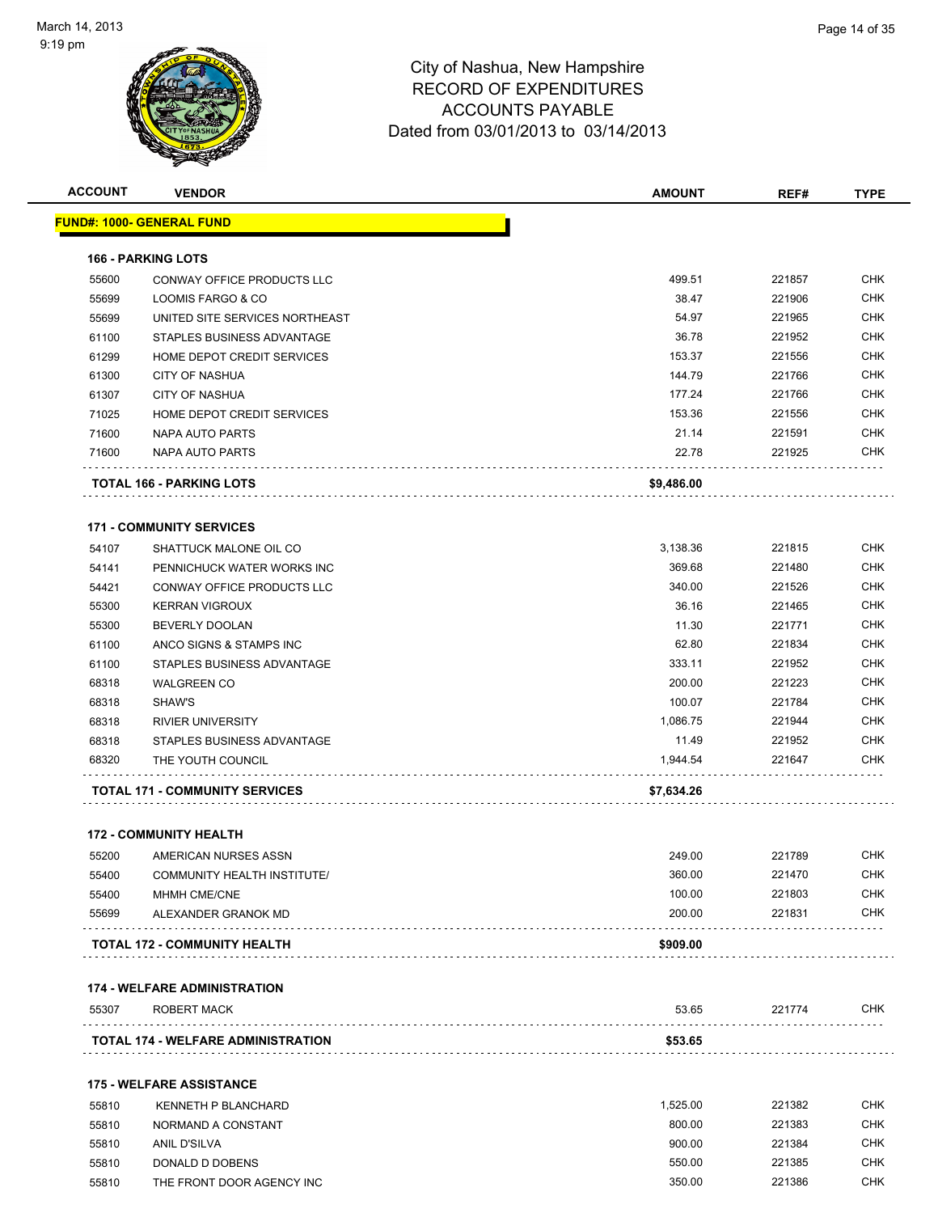

| <b>ACCOUNT</b> | <b>VENDOR</b>                                  | <b>AMOUNT</b> | REF#   | <b>TYPE</b> |
|----------------|------------------------------------------------|---------------|--------|-------------|
|                | FUND#: 1000- GENERAL FUND                      |               |        |             |
|                | <b>166 - PARKING LOTS</b>                      |               |        |             |
| 55600          | <b>CONWAY OFFICE PRODUCTS LLC</b>              | 499.51        | 221857 | <b>CHK</b>  |
| 55699          | LOOMIS FARGO & CO                              | 38.47         | 221906 | <b>CHK</b>  |
| 55699          | UNITED SITE SERVICES NORTHEAST                 | 54.97         | 221965 | <b>CHK</b>  |
| 61100          | STAPLES BUSINESS ADVANTAGE                     | 36.78         | 221952 | <b>CHK</b>  |
| 61299          | HOME DEPOT CREDIT SERVICES                     | 153.37        | 221556 | <b>CHK</b>  |
| 61300          | <b>CITY OF NASHUA</b>                          | 144.79        | 221766 | <b>CHK</b>  |
| 61307          | <b>CITY OF NASHUA</b>                          | 177.24        | 221766 | <b>CHK</b>  |
| 71025          | HOME DEPOT CREDIT SERVICES                     | 153.36        | 221556 | <b>CHK</b>  |
| 71600          | NAPA AUTO PARTS                                | 21.14         | 221591 | <b>CHK</b>  |
| 71600          | NAPA AUTO PARTS                                | 22.78         | 221925 | <b>CHK</b>  |
|                |                                                |               |        |             |
|                | TOTAL 166 - PARKING LOTS                       | \$9,486.00    |        |             |
|                | <b>171 - COMMUNITY SERVICES</b>                |               |        |             |
| 54107          | SHATTUCK MALONE OIL CO                         | 3,138.36      | 221815 | <b>CHK</b>  |
| 54141          | PENNICHUCK WATER WORKS INC                     | 369.68        | 221480 | <b>CHK</b>  |
| 54421          | CONWAY OFFICE PRODUCTS LLC                     | 340.00        | 221526 | <b>CHK</b>  |
| 55300          | <b>KERRAN VIGROUX</b>                          | 36.16         | 221465 | <b>CHK</b>  |
| 55300          | <b>BEVERLY DOOLAN</b>                          | 11.30         | 221771 | <b>CHK</b>  |
| 61100          | ANCO SIGNS & STAMPS INC                        | 62.80         | 221834 | <b>CHK</b>  |
| 61100          | STAPLES BUSINESS ADVANTAGE                     | 333.11        | 221952 | <b>CHK</b>  |
| 68318          | <b>WALGREEN CO</b>                             | 200.00        | 221223 | <b>CHK</b>  |
| 68318          | SHAW'S                                         | 100.07        | 221784 | <b>CHK</b>  |
| 68318          | <b>RIVIER UNIVERSITY</b>                       | 1,086.75      | 221944 | <b>CHK</b>  |
| 68318          | STAPLES BUSINESS ADVANTAGE                     | 11.49         | 221952 | <b>CHK</b>  |
| 68320          | THE YOUTH COUNCIL                              | 1,944.54      | 221647 | CHK         |
|                | <b>TOTAL 171 - COMMUNITY SERVICES</b>          | \$7,634.26    |        |             |
|                |                                                |               |        |             |
|                | <b>172 - COMMUNITY HEALTH</b>                  |               |        |             |
| 55200          | AMERICAN NURSES ASSN                           | 249.00        | 221789 | <b>CHK</b>  |
| 55400          | <b>COMMUNITY HEALTH INSTITUTE/</b>             | 360.00        | 221470 | <b>CHK</b>  |
| 55400          | MHMH CME/CNE                                   | 100.00        | 221803 | <b>CHK</b>  |
| 55699          | ALEXANDER GRANOK MD                            | 200.00        | 221831 | <b>CHK</b>  |
|                | TOTAL 172 - COMMUNITY HEALTH                   | \$909.00      |        |             |
|                | <b>174 - WELFARE ADMINISTRATION</b>            |               |        |             |
| 55307          | ROBERT MACK                                    | 53.65         | 221774 | CHK         |
|                | .<br><b>TOTAL 174 - WELFARE ADMINISTRATION</b> | \$53.65       |        |             |
|                |                                                |               |        |             |
|                | <b>175 - WELFARE ASSISTANCE</b>                |               |        |             |
| 55810          | <b>KENNETH P BLANCHARD</b>                     | 1,525.00      | 221382 | <b>CHK</b>  |
| 55810          | NORMAND A CONSTANT                             | 800.00        | 221383 | <b>CHK</b>  |
| 55810          | ANIL D'SILVA                                   | 900.00        | 221384 | <b>CHK</b>  |
| 55810          | DONALD D DOBENS                                | 550.00        | 221385 | <b>CHK</b>  |

THE FRONT DOOR AGENCY INC 350.00 221386 CHK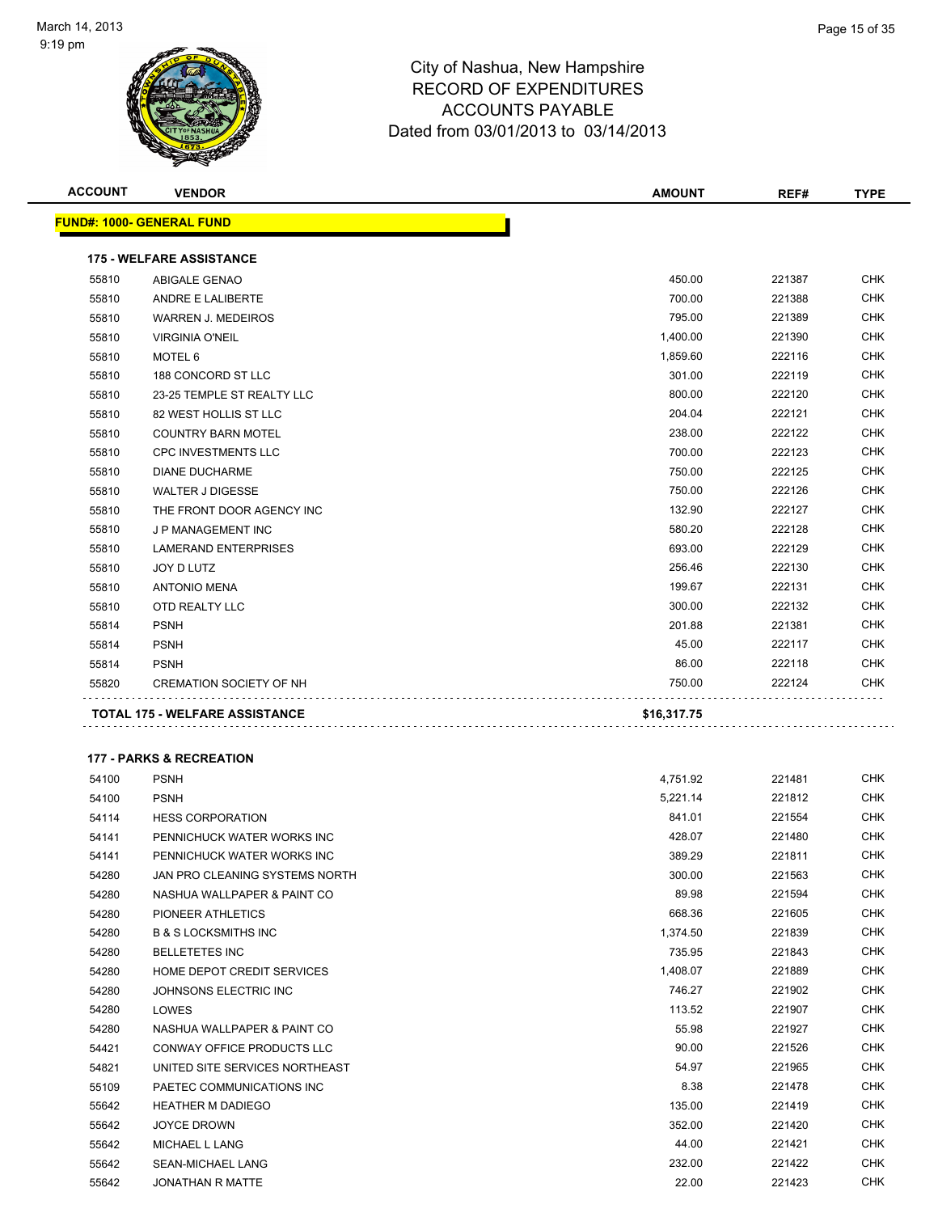

| <b>ACCOUNT</b> | <b>VENDOR</b>                       | <b>AMOUNT</b> | REF#   | <b>TYPE</b> |
|----------------|-------------------------------------|---------------|--------|-------------|
|                | <u> FUND#: 1000- GENERAL FUND</u>   |               |        |             |
|                | <b>175 - WELFARE ASSISTANCE</b>     |               |        |             |
| 55810          | ABIGALE GENAO                       | 450.00        | 221387 | <b>CHK</b>  |
| 55810          | ANDRE E LALIBERTE                   | 700.00        | 221388 | <b>CHK</b>  |
| 55810          | <b>WARREN J. MEDEIROS</b>           | 795.00        | 221389 | <b>CHK</b>  |
| 55810          | <b>VIRGINIA O'NEIL</b>              | 1,400.00      | 221390 | <b>CHK</b>  |
| 55810          | MOTEL 6                             | 1,859.60      | 222116 | CHK         |
| 55810          | 188 CONCORD ST LLC                  | 301.00        | 222119 | <b>CHK</b>  |
| 55810          | 23-25 TEMPLE ST REALTY LLC          | 800.00        | 222120 | <b>CHK</b>  |
| 55810          | 82 WEST HOLLIS ST LLC               | 204.04        | 222121 | CHK         |
| 55810          | <b>COUNTRY BARN MOTEL</b>           | 238.00        | 222122 | CHK         |
| 55810          | <b>CPC INVESTMENTS LLC</b>          | 700.00        | 222123 | CHK         |
| 55810          | <b>DIANE DUCHARME</b>               | 750.00        | 222125 | CHK         |
| 55810          | <b>WALTER J DIGESSE</b>             | 750.00        | 222126 | <b>CHK</b>  |
| 55810          | THE FRONT DOOR AGENCY INC           | 132.90        | 222127 | <b>CHK</b>  |
| 55810          | J P MANAGEMENT INC                  | 580.20        | 222128 | <b>CHK</b>  |
| 55810          | <b>LAMERAND ENTERPRISES</b>         | 693.00        | 222129 | <b>CHK</b>  |
| 55810          | JOY D LUTZ                          | 256.46        | 222130 | CHK         |
| 55810          | <b>ANTONIO MENA</b>                 | 199.67        | 222131 | <b>CHK</b>  |
| 55810          | OTD REALTY LLC                      | 300.00        | 222132 | CHK         |
| 55814          | <b>PSNH</b>                         | 201.88        | 221381 | CHK         |
| 55814          | <b>PSNH</b>                         | 45.00         | 222117 | CHK         |
| 55814          | <b>PSNH</b>                         | 86.00         | 222118 | CHK         |
| 55820          | <b>CREMATION SOCIETY OF NH</b>      | 750.00        | 222124 | CHK         |
|                | TOTAL 175 - WELFARE ASSISTANCE      | \$16,317.75   |        |             |
|                | <b>177 - PARKS &amp; RECREATION</b> |               |        |             |
| 54100          | <b>PSNH</b>                         | 4,751.92      | 221481 | <b>CHK</b>  |
| 54100          | <b>PSNH</b>                         | 5,221.14      | 221812 | <b>CHK</b>  |
| 54114          | <b>HESS CORPORATION</b>             | 841.01        | 221554 | CHK         |
| 54141          | PENNICHUCK WATER WORKS INC          | 428.07        | 221480 | CHK         |
| 54141          | PENNICHUCK WATER WORKS INC          | 389.29        | 221811 | <b>CHK</b>  |
| 54280          | JAN PRO CLEANING SYSTEMS NORTH      | 300.00        | 221563 | <b>CHK</b>  |
| 54280          | NASHUA WALLPAPER & PAINT CO         | 89.98         | 221594 | CHK         |
| 54280          | PIONEER ATHLETICS                   | 668.36        | 221605 | <b>CHK</b>  |
| 54280          | <b>B &amp; S LOCKSMITHS INC</b>     | 1,374.50      | 221839 | CHK         |
| 54280          | <b>BELLETETES INC</b>               | 735.95        | 221843 | <b>CHK</b>  |
| 54280          | HOME DEPOT CREDIT SERVICES          | 1,408.07      | 221889 | <b>CHK</b>  |
| 54280          | JOHNSONS ELECTRIC INC               | 746.27        | 221902 | <b>CHK</b>  |
| 54280          | LOWES                               | 113.52        | 221907 | <b>CHK</b>  |
| 54280          | NASHUA WALLPAPER & PAINT CO         | 55.98         | 221927 | <b>CHK</b>  |
| 54421          | CONWAY OFFICE PRODUCTS LLC          | 90.00         | 221526 | CHK         |
| 54821          | UNITED SITE SERVICES NORTHEAST      | 54.97         | 221965 | <b>CHK</b>  |
| 55109          | PAETEC COMMUNICATIONS INC           | 8.38          | 221478 | CHK         |
| 55642          | <b>HEATHER M DADIEGO</b>            | 135.00        | 221419 | CHK         |
| 55642          | <b>JOYCE DROWN</b>                  | 352.00        | 221420 | <b>CHK</b>  |
| 55642          | MICHAEL L LANG                      | 44.00         | 221421 | <b>CHK</b>  |
| 55642          | SEAN-MICHAEL LANG                   | 232.00        | 221422 | <b>CHK</b>  |
| 55642          | JONATHAN R MATTE                    | 22.00         | 221423 | <b>CHK</b>  |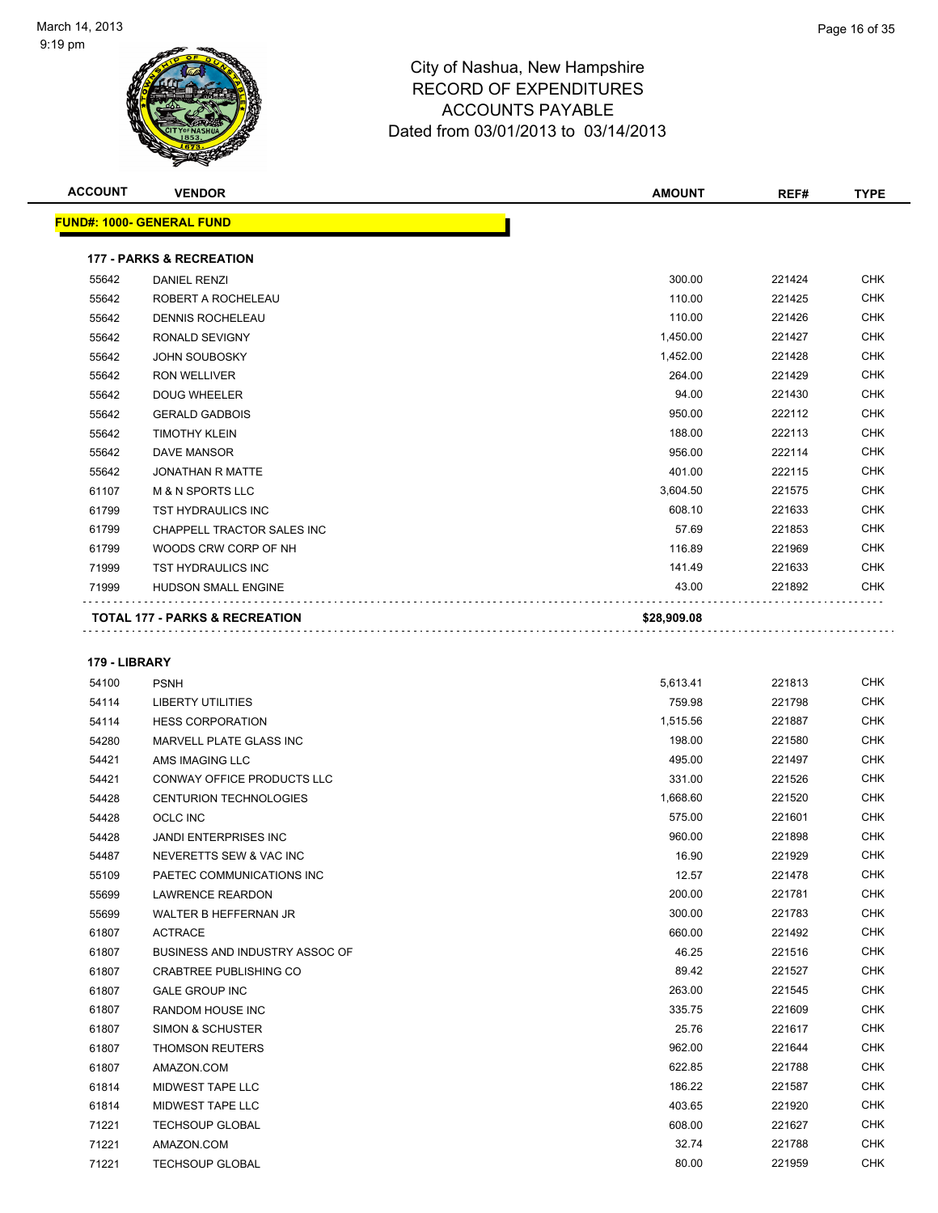

| <b>ACCOUNT</b> | <b>VENDOR</b>                             | <b>AMOUNT</b> | REF#   | <b>TYPE</b> |
|----------------|-------------------------------------------|---------------|--------|-------------|
|                | <b>FUND#: 1000- GENERAL FUND</b>          |               |        |             |
|                | <b>177 - PARKS &amp; RECREATION</b>       |               |        |             |
| 55642          | <b>DANIEL RENZI</b>                       | 300.00        | 221424 | <b>CHK</b>  |
| 55642          | ROBERT A ROCHELEAU                        | 110.00        | 221425 | <b>CHK</b>  |
| 55642          | <b>DENNIS ROCHELEAU</b>                   | 110.00        | 221426 | <b>CHK</b>  |
| 55642          | RONALD SEVIGNY                            | 1,450.00      | 221427 | <b>CHK</b>  |
| 55642          | <b>JOHN SOUBOSKY</b>                      | 1,452.00      | 221428 | <b>CHK</b>  |
| 55642          | <b>RON WELLIVER</b>                       | 264.00        | 221429 | <b>CHK</b>  |
|                |                                           |               |        |             |
| 55642          | <b>DOUG WHEELER</b>                       | 94.00         | 221430 | <b>CHK</b>  |
| 55642          | <b>GERALD GADBOIS</b>                     | 950.00        | 222112 | <b>CHK</b>  |
| 55642          | <b>TIMOTHY KLEIN</b>                      | 188.00        | 222113 | <b>CHK</b>  |
| 55642          | <b>DAVE MANSOR</b>                        | 956.00        | 222114 | <b>CHK</b>  |
| 55642          | <b>JONATHAN R MATTE</b>                   | 401.00        | 222115 | <b>CHK</b>  |
| 61107          | <b>M &amp; N SPORTS LLC</b>               | 3,604.50      | 221575 | <b>CHK</b>  |
| 61799          | <b>TST HYDRAULICS INC</b>                 | 608.10        | 221633 | <b>CHK</b>  |
| 61799          | CHAPPELL TRACTOR SALES INC                | 57.69         | 221853 | <b>CHK</b>  |
| 61799          | WOODS CRW CORP OF NH                      | 116.89        | 221969 | <b>CHK</b>  |
| 71999          | <b>TST HYDRAULICS INC</b>                 | 141.49        | 221633 | <b>CHK</b>  |
| 71999          | <b>HUDSON SMALL ENGINE</b>                | 43.00         | 221892 | <b>CHK</b>  |
|                | <b>TOTAL 177 - PARKS &amp; RECREATION</b> | \$28,909.08   |        |             |

#### **179 - LIBRARY**

| 54100 | <b>PSNH</b>                       | 5,613.41 | 221813 | <b>CHK</b> |
|-------|-----------------------------------|----------|--------|------------|
| 54114 | <b>LIBERTY UTILITIES</b>          | 759.98   | 221798 | <b>CHK</b> |
| 54114 | <b>HESS CORPORATION</b>           | 1,515.56 | 221887 | <b>CHK</b> |
| 54280 | MARVELL PLATE GLASS INC           | 198.00   | 221580 | <b>CHK</b> |
| 54421 | AMS IMAGING LLC                   | 495.00   | 221497 | <b>CHK</b> |
| 54421 | <b>CONWAY OFFICE PRODUCTS LLC</b> | 331.00   | 221526 | <b>CHK</b> |
| 54428 | <b>CENTURION TECHNOLOGIES</b>     | 1,668.60 | 221520 | <b>CHK</b> |
| 54428 | OCLC INC                          | 575.00   | 221601 | <b>CHK</b> |
| 54428 | <b>JANDI ENTERPRISES INC</b>      | 960.00   | 221898 | <b>CHK</b> |
| 54487 | NEVERETTS SEW & VAC INC           | 16.90    | 221929 | <b>CHK</b> |
| 55109 | PAETEC COMMUNICATIONS INC         | 12.57    | 221478 | <b>CHK</b> |
| 55699 | <b>LAWRENCE REARDON</b>           | 200.00   | 221781 | <b>CHK</b> |
| 55699 | WALTER B HEFFERNAN JR             | 300.00   | 221783 | <b>CHK</b> |
| 61807 | <b>ACTRACE</b>                    | 660.00   | 221492 | <b>CHK</b> |
| 61807 | BUSINESS AND INDUSTRY ASSOC OF    | 46.25    | 221516 | <b>CHK</b> |
| 61807 | <b>CRABTREE PUBLISHING CO</b>     | 89.42    | 221527 | <b>CHK</b> |
| 61807 | <b>GALE GROUP INC</b>             | 263.00   | 221545 | <b>CHK</b> |
| 61807 | RANDOM HOUSE INC                  | 335.75   | 221609 | <b>CHK</b> |
| 61807 | <b>SIMON &amp; SCHUSTER</b>       | 25.76    | 221617 | <b>CHK</b> |
| 61807 | <b>THOMSON REUTERS</b>            | 962.00   | 221644 | <b>CHK</b> |
| 61807 | AMAZON.COM                        | 622.85   | 221788 | <b>CHK</b> |
| 61814 | MIDWEST TAPE LLC                  | 186.22   | 221587 | <b>CHK</b> |
| 61814 | MIDWEST TAPE LLC                  | 403.65   | 221920 | <b>CHK</b> |
| 71221 | <b>TECHSOUP GLOBAL</b>            | 608.00   | 221627 | <b>CHK</b> |
| 71221 | AMAZON.COM                        | 32.74    | 221788 | <b>CHK</b> |
| 71221 | <b>TECHSOUP GLOBAL</b>            | 80.00    | 221959 | <b>CHK</b> |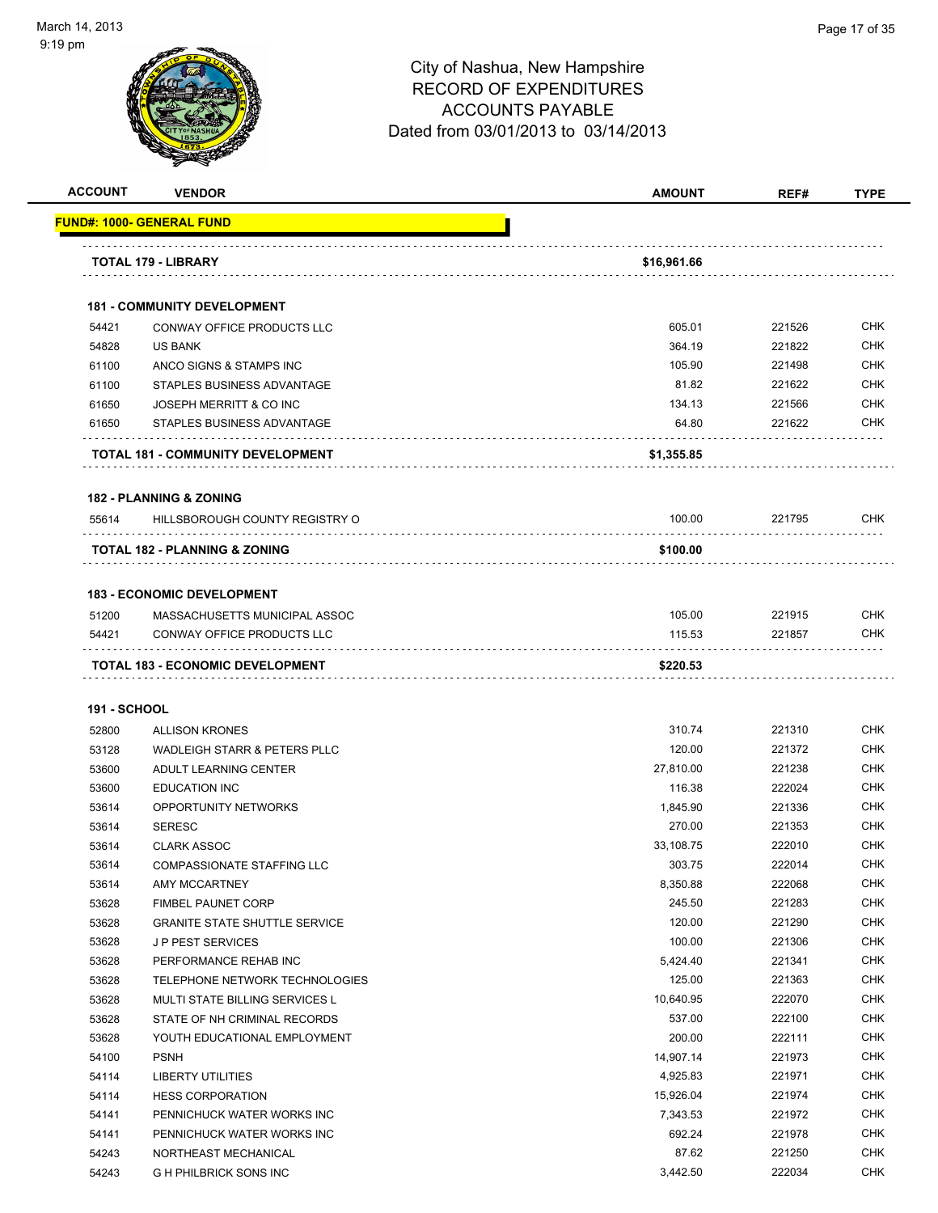

| <b>ACCOUNT</b>      | <b>VENDOR</b>                            | <b>AMOUNT</b> | REF#   | <b>TYPE</b> |
|---------------------|------------------------------------------|---------------|--------|-------------|
|                     | FUND#: 1000- GENERAL FUND                |               |        |             |
|                     | TOTAL 179 - LIBRARY                      | \$16,961.66   |        |             |
|                     |                                          |               |        |             |
|                     | <b>181 - COMMUNITY DEVELOPMENT</b>       |               |        |             |
| 54421               | CONWAY OFFICE PRODUCTS LLC               | 605.01        | 221526 | <b>CHK</b>  |
| 54828               | <b>US BANK</b>                           | 364.19        | 221822 | <b>CHK</b>  |
| 61100               | ANCO SIGNS & STAMPS INC                  | 105.90        | 221498 | <b>CHK</b>  |
| 61100               | STAPLES BUSINESS ADVANTAGE               | 81.82         | 221622 | <b>CHK</b>  |
| 61650               | JOSEPH MERRITT & CO INC                  | 134.13        | 221566 | <b>CHK</b>  |
| 61650               | STAPLES BUSINESS ADVANTAGE               | 64.80         | 221622 | CHK         |
|                     | <b>TOTAL 181 - COMMUNITY DEVELOPMENT</b> | \$1,355.85    |        |             |
|                     | <b>182 - PLANNING &amp; ZONING</b>       |               |        |             |
| 55614               | HILLSBOROUGH COUNTY REGISTRY O           | 100.00        | 221795 | <b>CHK</b>  |
|                     | TOTAL 182 - PLANNING & ZONING            | \$100.00      |        |             |
|                     | <b>183 - ECONOMIC DEVELOPMENT</b>        |               |        |             |
| 51200               | MASSACHUSETTS MUNICIPAL ASSOC            | 105.00        | 221915 | <b>CHK</b>  |
| 54421               | CONWAY OFFICE PRODUCTS LLC               | 115.53        | 221857 | CHK         |
|                     | TOTAL 183 - ECONOMIC DEVELOPMENT         | \$220.53      |        |             |
| <b>191 - SCHOOL</b> |                                          |               |        |             |
| 52800               | <b>ALLISON KRONES</b>                    | 310.74        | 221310 | <b>CHK</b>  |
| 53128               | <b>WADLEIGH STARR &amp; PETERS PLLC</b>  | 120.00        | 221372 | <b>CHK</b>  |
| 53600               | ADULT LEARNING CENTER                    | 27,810.00     | 221238 | <b>CHK</b>  |
| 53600               | <b>EDUCATION INC</b>                     | 116.38        | 222024 | <b>CHK</b>  |
| 53614               | OPPORTUNITY NETWORKS                     | 1,845.90      | 221336 | <b>CHK</b>  |
| 53614               | <b>SERESC</b>                            | 270.00        | 221353 | <b>CHK</b>  |
| 53614               | <b>CLARK ASSOC</b>                       | 33.108.75     | 222010 | CHK         |
| 53614               | COMPASSIONATE STAFFING LLC               | 303.75        | 222014 | <b>CHK</b>  |
| 53614               | AMY MCCARTNEY                            | 8,350.88      | 222068 | <b>CHK</b>  |
| 53628               | <b>FIMBEL PAUNET CORP</b>                | 245.50        | 221283 | <b>CHK</b>  |
| 53628               | <b>GRANITE STATE SHUTTLE SERVICE</b>     | 120.00        | 221290 | <b>CHK</b>  |
| 53628               | <b>JP PEST SERVICES</b>                  | 100.00        | 221306 | <b>CHK</b>  |
| 53628               | PERFORMANCE REHAB INC                    | 5,424.40      | 221341 | <b>CHK</b>  |
| 53628               | TELEPHONE NETWORK TECHNOLOGIES           | 125.00        | 221363 | <b>CHK</b>  |
| 53628               | MULTI STATE BILLING SERVICES L           | 10,640.95     | 222070 | <b>CHK</b>  |
| 53628               | STATE OF NH CRIMINAL RECORDS             | 537.00        | 222100 | <b>CHK</b>  |
| 53628               | YOUTH EDUCATIONAL EMPLOYMENT             | 200.00        | 222111 | <b>CHK</b>  |
| 54100               | <b>PSNH</b>                              | 14,907.14     | 221973 | <b>CHK</b>  |
| 54114               | LIBERTY UTILITIES                        | 4,925.83      | 221971 | CHK         |
| 54114               | <b>HESS CORPORATION</b>                  | 15,926.04     | 221974 | <b>CHK</b>  |
| 54141               | PENNICHUCK WATER WORKS INC               | 7,343.53      | 221972 | CHK         |
| 54141               | PENNICHUCK WATER WORKS INC               | 692.24        | 221978 | CHK         |
| 54243               | NORTHEAST MECHANICAL                     | 87.62         | 221250 | <b>CHK</b>  |
| 54243               | G H PHILBRICK SONS INC                   | 3,442.50      | 222034 | <b>CHK</b>  |
|                     |                                          |               |        |             |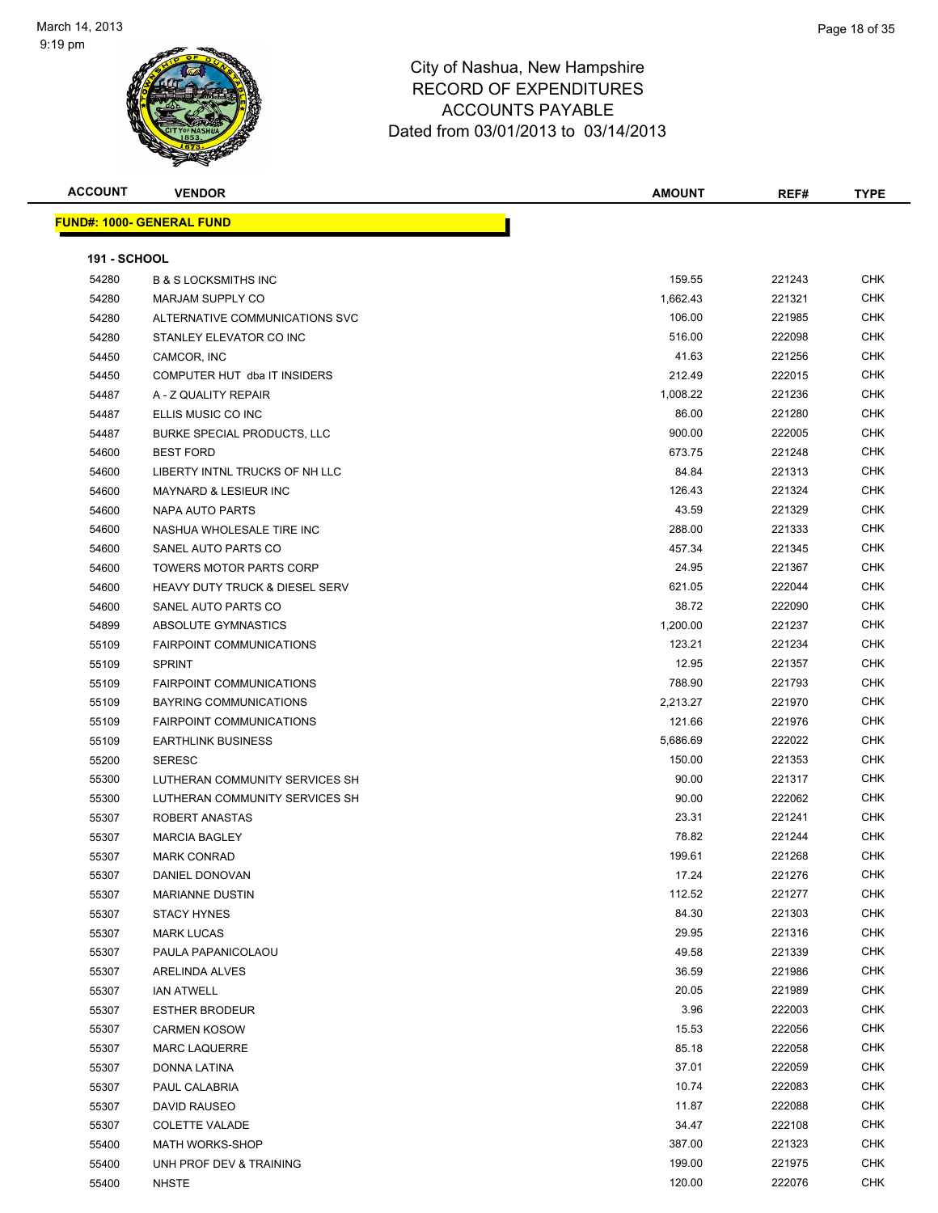

| <b>ACCOUNT</b>      | <b>VENDOR</b>                             | <b>AMOUNT</b> | REF#   | <b>TYPE</b> |
|---------------------|-------------------------------------------|---------------|--------|-------------|
|                     | <b>FUND#: 1000- GENERAL FUND</b>          |               |        |             |
|                     |                                           |               |        |             |
| <b>191 - SCHOOL</b> |                                           |               |        |             |
| 54280               | <b>B &amp; S LOCKSMITHS INC</b>           | 159.55        | 221243 | <b>CHK</b>  |
| 54280               | <b>MARJAM SUPPLY CO</b>                   | 1,662.43      | 221321 | CHK         |
| 54280               | ALTERNATIVE COMMUNICATIONS SVC            | 106.00        | 221985 | <b>CHK</b>  |
| 54280               | STANLEY ELEVATOR CO INC                   | 516.00        | 222098 | <b>CHK</b>  |
| 54450               | CAMCOR, INC                               | 41.63         | 221256 | CHK         |
| 54450               | COMPUTER HUT dba IT INSIDERS              | 212.49        | 222015 | CHK         |
| 54487               | A - Z QUALITY REPAIR                      | 1,008.22      | 221236 | <b>CHK</b>  |
| 54487               | ELLIS MUSIC CO INC                        | 86.00         | 221280 | <b>CHK</b>  |
| 54487               | <b>BURKE SPECIAL PRODUCTS, LLC</b>        | 900.00        | 222005 | <b>CHK</b>  |
| 54600               | <b>BEST FORD</b>                          | 673.75        | 221248 | CHK         |
| 54600               | LIBERTY INTNL TRUCKS OF NH LLC            | 84.84         | 221313 | CHK         |
| 54600               | <b>MAYNARD &amp; LESIEUR INC</b>          | 126.43        | 221324 | <b>CHK</b>  |
| 54600               | NAPA AUTO PARTS                           | 43.59         | 221329 | CHK         |
| 54600               | NASHUA WHOLESALE TIRE INC                 | 288.00        | 221333 | CHK         |
| 54600               | SANEL AUTO PARTS CO                       | 457.34        | 221345 | CHK         |
| 54600               | <b>TOWERS MOTOR PARTS CORP</b>            | 24.95         | 221367 | <b>CHK</b>  |
| 54600               | <b>HEAVY DUTY TRUCK &amp; DIESEL SERV</b> | 621.05        | 222044 | CHK         |
| 54600               | SANEL AUTO PARTS CO                       | 38.72         | 222090 | CHK         |
| 54899               | ABSOLUTE GYMNASTICS                       | 1,200.00      | 221237 | <b>CHK</b>  |
| 55109               | <b>FAIRPOINT COMMUNICATIONS</b>           | 123.21        | 221234 | <b>CHK</b>  |
| 55109               | <b>SPRINT</b>                             | 12.95         | 221357 | <b>CHK</b>  |
| 55109               | <b>FAIRPOINT COMMUNICATIONS</b>           | 788.90        | 221793 | <b>CHK</b>  |
| 55109               | BAYRING COMMUNICATIONS                    | 2,213.27      | 221970 | <b>CHK</b>  |
| 55109               | <b>FAIRPOINT COMMUNICATIONS</b>           | 121.66        | 221976 | <b>CHK</b>  |
| 55109               | <b>EARTHLINK BUSINESS</b>                 | 5,686.69      | 222022 | <b>CHK</b>  |
| 55200               | <b>SERESC</b>                             | 150.00        | 221353 | <b>CHK</b>  |
| 55300               | LUTHERAN COMMUNITY SERVICES SH            | 90.00         | 221317 | <b>CHK</b>  |
| 55300               | LUTHERAN COMMUNITY SERVICES SH            | 90.00         | 222062 | CHK         |
| 55307               | ROBERT ANASTAS                            | 23.31         | 221241 | <b>CHK</b>  |
| 55307               | <b>MARCIA BAGLEY</b>                      | 78.82         | 221244 | <b>CHK</b>  |
| 55307               | <b>MARK CONRAD</b>                        | 199.61        | 221268 | <b>CHK</b>  |
| 55307               | DANIEL DONOVAN                            | 17.24         | 221276 | <b>CHK</b>  |
| 55307               | <b>MARIANNE DUSTIN</b>                    | 112.52        | 221277 | <b>CHK</b>  |
| 55307               | <b>STACY HYNES</b>                        | 84.30         | 221303 | <b>CHK</b>  |
| 55307               | <b>MARK LUCAS</b>                         | 29.95         | 221316 | <b>CHK</b>  |
| 55307               | PAULA PAPANICOLAOU                        | 49.58         | 221339 | <b>CHK</b>  |
| 55307               | ARELINDA ALVES                            | 36.59         | 221986 | CHK         |
| 55307               | <b>IAN ATWELL</b>                         | 20.05         | 221989 | <b>CHK</b>  |
| 55307               | <b>ESTHER BRODEUR</b>                     | 3.96          | 222003 | <b>CHK</b>  |
| 55307               | <b>CARMEN KOSOW</b>                       | 15.53         | 222056 | <b>CHK</b>  |
| 55307               | <b>MARC LAQUERRE</b>                      | 85.18         | 222058 | CHK         |
| 55307               | DONNA LATINA                              | 37.01         | 222059 | <b>CHK</b>  |
| 55307               | PAUL CALABRIA                             | 10.74         | 222083 | CHK         |
| 55307               | DAVID RAUSEO                              | 11.87         | 222088 | <b>CHK</b>  |
| 55307               | <b>COLETTE VALADE</b>                     | 34.47         | 222108 | CHK         |
| 55400               | <b>MATH WORKS-SHOP</b>                    | 387.00        | 221323 | CHK         |
| 55400               | UNH PROF DEV & TRAINING                   | 199.00        | 221975 | CHK         |
| 55400               | <b>NHSTE</b>                              | 120.00        | 222076 | CHK         |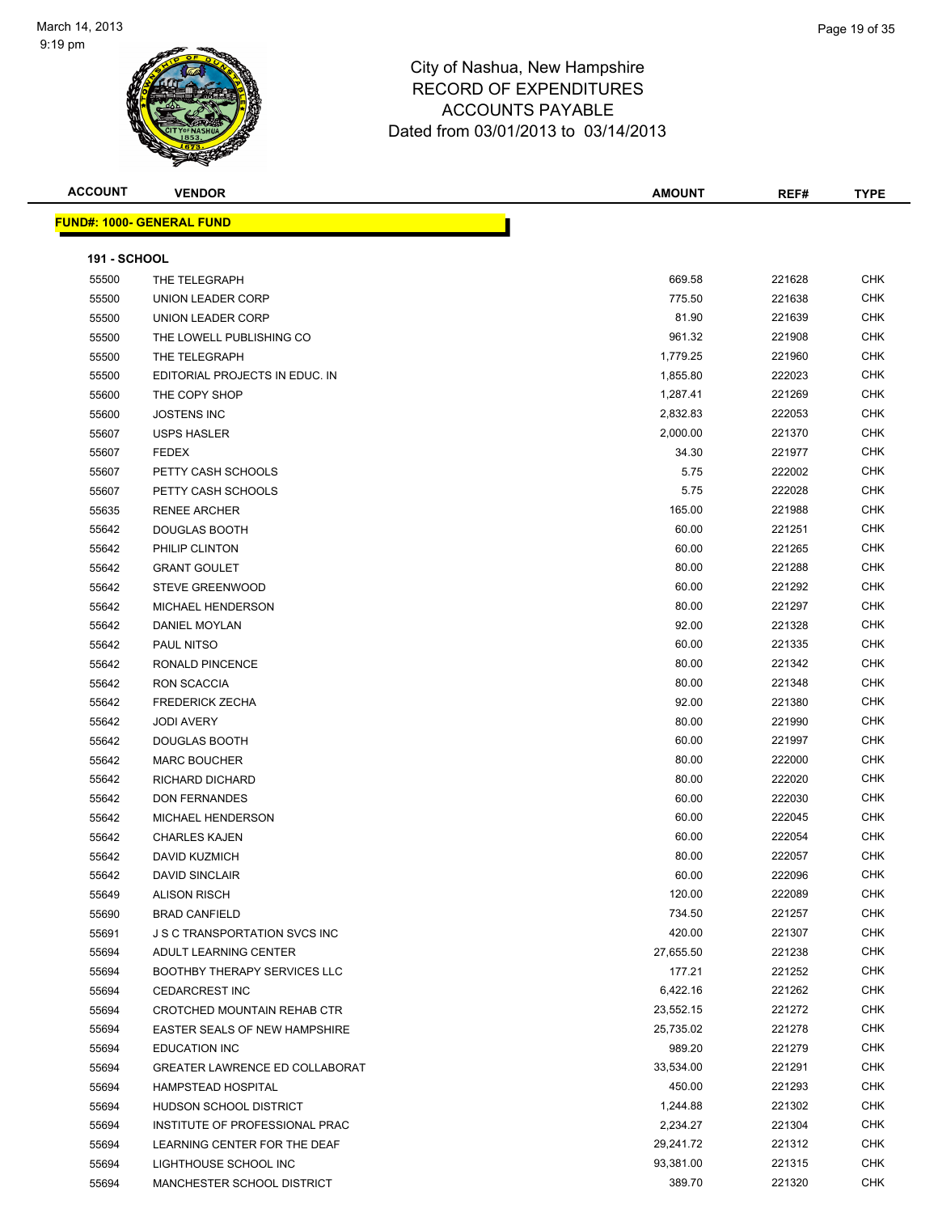

| <b>ACCOUNT</b>      | <b>VENDOR</b>                         | <b>AMOUNT</b> | REF#   | <b>TYPE</b> |
|---------------------|---------------------------------------|---------------|--------|-------------|
|                     | <u> FUND#: 1000- GENERAL FUND</u>     |               |        |             |
|                     |                                       |               |        |             |
| <b>191 - SCHOOL</b> |                                       |               |        |             |
| 55500               | THE TELEGRAPH                         | 669.58        | 221628 | <b>CHK</b>  |
| 55500               | UNION LEADER CORP                     | 775.50        | 221638 | <b>CHK</b>  |
| 55500               | UNION LEADER CORP                     | 81.90         | 221639 | <b>CHK</b>  |
| 55500               | THE LOWELL PUBLISHING CO              | 961.32        | 221908 | <b>CHK</b>  |
| 55500               | THE TELEGRAPH                         | 1,779.25      | 221960 | <b>CHK</b>  |
| 55500               | EDITORIAL PROJECTS IN EDUC. IN        | 1,855.80      | 222023 | <b>CHK</b>  |
| 55600               | THE COPY SHOP                         | 1,287.41      | 221269 | <b>CHK</b>  |
| 55600               | <b>JOSTENS INC</b>                    | 2,832.83      | 222053 | <b>CHK</b>  |
| 55607               | <b>USPS HASLER</b>                    | 2,000.00      | 221370 | <b>CHK</b>  |
| 55607               | <b>FEDEX</b>                          | 34.30         | 221977 | <b>CHK</b>  |
| 55607               | PETTY CASH SCHOOLS                    | 5.75          | 222002 | CHK         |
| 55607               | PETTY CASH SCHOOLS                    | 5.75          | 222028 | <b>CHK</b>  |
| 55635               | <b>RENEE ARCHER</b>                   | 165.00        | 221988 | <b>CHK</b>  |
| 55642               | DOUGLAS BOOTH                         | 60.00         | 221251 | <b>CHK</b>  |
| 55642               | PHILIP CLINTON                        | 60.00         | 221265 | CHK         |
| 55642               | <b>GRANT GOULET</b>                   | 80.00         | 221288 | <b>CHK</b>  |
| 55642               | <b>STEVE GREENWOOD</b>                | 60.00         | 221292 | <b>CHK</b>  |
| 55642               | <b>MICHAEL HENDERSON</b>              | 80.00         | 221297 | <b>CHK</b>  |
| 55642               | DANIEL MOYLAN                         | 92.00         | 221328 | <b>CHK</b>  |
| 55642               | <b>PAUL NITSO</b>                     | 60.00         | 221335 | <b>CHK</b>  |
| 55642               | <b>RONALD PINCENCE</b>                | 80.00         | 221342 | <b>CHK</b>  |
| 55642               | RON SCACCIA                           | 80.00         | 221348 | <b>CHK</b>  |
| 55642               | <b>FREDERICK ZECHA</b>                | 92.00         | 221380 | <b>CHK</b>  |
| 55642               | <b>JODI AVERY</b>                     | 80.00         | 221990 | <b>CHK</b>  |
| 55642               | DOUGLAS BOOTH                         | 60.00         | 221997 | <b>CHK</b>  |
| 55642               | <b>MARC BOUCHER</b>                   | 80.00         | 222000 | <b>CHK</b>  |
| 55642               | RICHARD DICHARD                       | 80.00         | 222020 | CHK         |
| 55642               | <b>DON FERNANDES</b>                  | 60.00         | 222030 | <b>CHK</b>  |
| 55642               | MICHAEL HENDERSON                     | 60.00         | 222045 | <b>CHK</b>  |
| 55642               | <b>CHARLES KAJEN</b>                  | 60.00         | 222054 | <b>CHK</b>  |
| 55642               | DAVID KUZMICH                         | 80.00         | 222057 | <b>CHK</b>  |
| 55642               | <b>DAVID SINCLAIR</b>                 | 60.00         | 222096 | <b>CHK</b>  |
| 55649               | <b>ALISON RISCH</b>                   | 120.00        | 222089 | <b>CHK</b>  |
| 55690               | <b>BRAD CANFIELD</b>                  | 734.50        | 221257 | <b>CHK</b>  |
| 55691               | J S C TRANSPORTATION SVCS INC         | 420.00        | 221307 | <b>CHK</b>  |
| 55694               | ADULT LEARNING CENTER                 | 27,655.50     | 221238 | <b>CHK</b>  |
| 55694               | BOOTHBY THERAPY SERVICES LLC          | 177.21        | 221252 | <b>CHK</b>  |
| 55694               | <b>CEDARCREST INC</b>                 | 6,422.16      | 221262 | <b>CHK</b>  |
| 55694               | CROTCHED MOUNTAIN REHAB CTR           | 23,552.15     | 221272 | <b>CHK</b>  |
| 55694               | EASTER SEALS OF NEW HAMPSHIRE         | 25,735.02     | 221278 | CHK         |
| 55694               | <b>EDUCATION INC</b>                  | 989.20        | 221279 | <b>CHK</b>  |
| 55694               | <b>GREATER LAWRENCE ED COLLABORAT</b> | 33,534.00     | 221291 | <b>CHK</b>  |
| 55694               | <b>HAMPSTEAD HOSPITAL</b>             | 450.00        | 221293 | CHK         |
| 55694               | HUDSON SCHOOL DISTRICT                | 1,244.88      | 221302 | CHK         |
| 55694               | INSTITUTE OF PROFESSIONAL PRAC        | 2,234.27      | 221304 | CHK         |
| 55694               | LEARNING CENTER FOR THE DEAF          | 29,241.72     | 221312 | CHK         |
| 55694               | LIGHTHOUSE SCHOOL INC                 | 93,381.00     | 221315 | <b>CHK</b>  |
| 55694               | MANCHESTER SCHOOL DISTRICT            | 389.70        | 221320 | CHK         |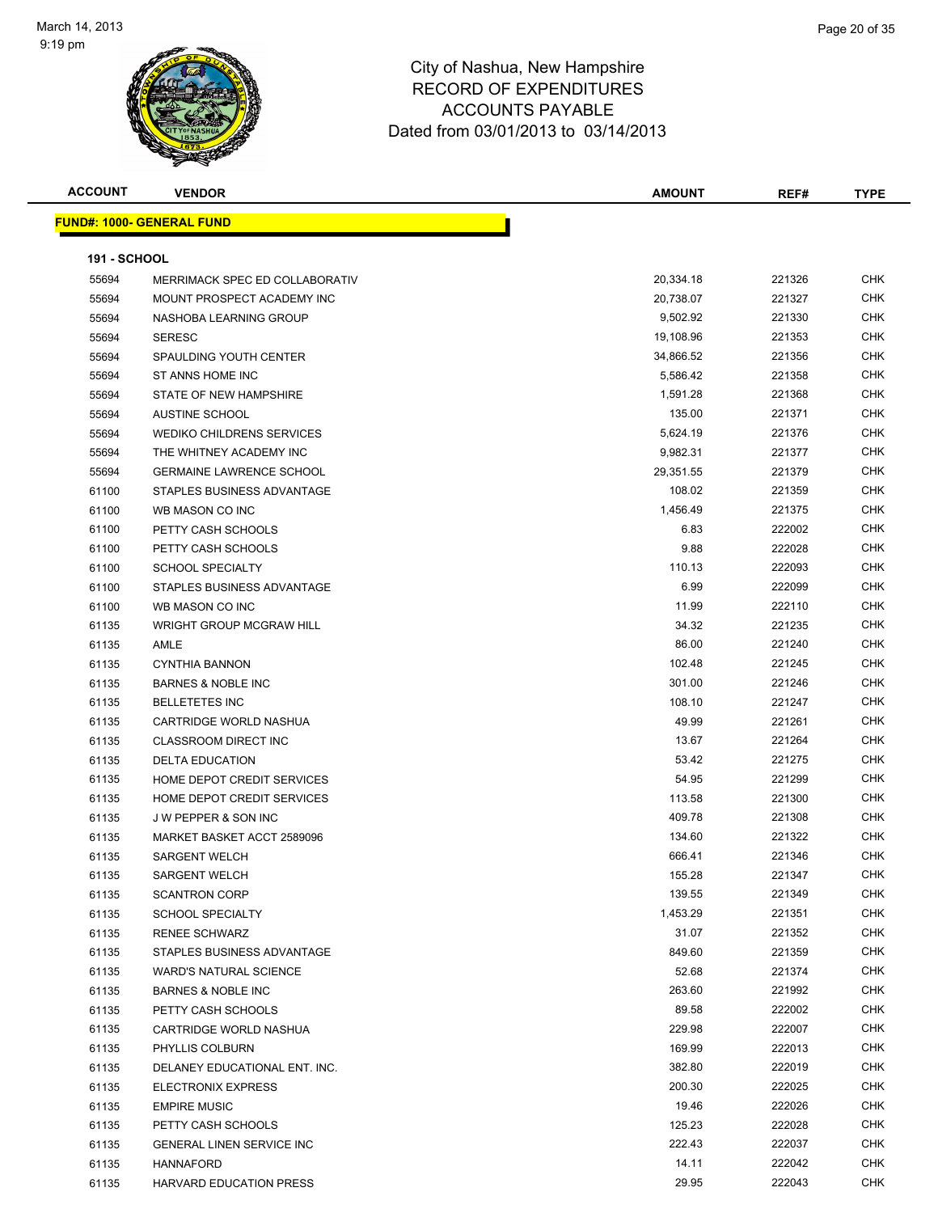

| <b>ACCOUNT</b>      | <b>VENDOR</b>                     | <b>AMOUNT</b> | REF#   | <b>TYPE</b> |
|---------------------|-----------------------------------|---------------|--------|-------------|
|                     | <u> FUND#: 1000- GENERAL FUND</u> |               |        |             |
|                     |                                   |               |        |             |
| <b>191 - SCHOOL</b> |                                   |               |        |             |
| 55694               | MERRIMACK SPEC ED COLLABORATIV    | 20,334.18     | 221326 | <b>CHK</b>  |
| 55694               | MOUNT PROSPECT ACADEMY INC        | 20,738.07     | 221327 | CHK         |
| 55694               | NASHOBA LEARNING GROUP            | 9,502.92      | 221330 | CHK         |
| 55694               | <b>SERESC</b>                     | 19,108.96     | 221353 | CHK         |
| 55694               | SPAULDING YOUTH CENTER            | 34,866.52     | 221356 | <b>CHK</b>  |
| 55694               | ST ANNS HOME INC                  | 5,586.42      | 221358 | CHK         |
| 55694               | STATE OF NEW HAMPSHIRE            | 1,591.28      | 221368 | <b>CHK</b>  |
| 55694               | <b>AUSTINE SCHOOL</b>             | 135.00        | 221371 | <b>CHK</b>  |
| 55694               | <b>WEDIKO CHILDRENS SERVICES</b>  | 5,624.19      | 221376 | <b>CHK</b>  |
| 55694               | THE WHITNEY ACADEMY INC           | 9,982.31      | 221377 | CHK         |
| 55694               | <b>GERMAINE LAWRENCE SCHOOL</b>   | 29,351.55     | 221379 | CHK         |
| 61100               | STAPLES BUSINESS ADVANTAGE        | 108.02        | 221359 | CHK         |
| 61100               | WB MASON CO INC                   | 1,456.49      | 221375 | CHK         |
| 61100               | PETTY CASH SCHOOLS                | 6.83          | 222002 | CHK         |
| 61100               | PETTY CASH SCHOOLS                | 9.88          | 222028 | CHK         |
| 61100               | <b>SCHOOL SPECIALTY</b>           | 110.13        | 222093 | <b>CHK</b>  |
| 61100               | STAPLES BUSINESS ADVANTAGE        | 6.99          | 222099 | <b>CHK</b>  |
| 61100               | WB MASON CO INC                   | 11.99         | 222110 | CHK         |
| 61135               | <b>WRIGHT GROUP MCGRAW HILL</b>   | 34.32         | 221235 | <b>CHK</b>  |
| 61135               | AMLE                              | 86.00         | 221240 | CHK         |
| 61135               | <b>CYNTHIA BANNON</b>             | 102.48        | 221245 | CHK         |
| 61135               | <b>BARNES &amp; NOBLE INC</b>     | 301.00        | 221246 | CHK         |
| 61135               | <b>BELLETETES INC</b>             | 108.10        | 221247 | CHK         |
| 61135               | CARTRIDGE WORLD NASHUA            | 49.99         | 221261 | CHK         |
| 61135               | <b>CLASSROOM DIRECT INC</b>       | 13.67         | 221264 | CHK         |
| 61135               | <b>DELTA EDUCATION</b>            | 53.42         | 221275 | CHK         |
| 61135               | HOME DEPOT CREDIT SERVICES        | 54.95         | 221299 | <b>CHK</b>  |
| 61135               | HOME DEPOT CREDIT SERVICES        | 113.58        | 221300 | <b>CHK</b>  |
| 61135               | <b>JW PEPPER &amp; SON INC</b>    | 409.78        | 221308 | <b>CHK</b>  |
| 61135               | MARKET BASKET ACCT 2589096        | 134.60        | 221322 | <b>CHK</b>  |
| 61135               | <b>SARGENT WELCH</b>              | 666.41        | 221346 | CHK         |
| 61135               | SARGENT WELCH                     | 155.28        | 221347 | <b>CHK</b>  |
| 61135               | <b>SCANTRON CORP</b>              | 139.55        | 221349 | <b>CHK</b>  |
| 61135               | <b>SCHOOL SPECIALTY</b>           | 1,453.29      | 221351 | <b>CHK</b>  |
| 61135               | <b>RENEE SCHWARZ</b>              | 31.07         | 221352 | CHK         |
| 61135               | STAPLES BUSINESS ADVANTAGE        | 849.60        | 221359 | CHK         |
| 61135               | <b>WARD'S NATURAL SCIENCE</b>     | 52.68         | 221374 | CHK         |
| 61135               | <b>BARNES &amp; NOBLE INC</b>     | 263.60        | 221992 | CHK         |
| 61135               | PETTY CASH SCHOOLS                | 89.58         | 222002 | <b>CHK</b>  |
| 61135               | CARTRIDGE WORLD NASHUA            | 229.98        | 222007 | <b>CHK</b>  |
| 61135               | PHYLLIS COLBURN                   | 169.99        | 222013 | CHK         |
| 61135               | DELANEY EDUCATIONAL ENT. INC.     | 382.80        | 222019 | <b>CHK</b>  |
| 61135               | ELECTRONIX EXPRESS                | 200.30        | 222025 | CHK         |
| 61135               | <b>EMPIRE MUSIC</b>               | 19.46         | 222026 | CHK         |
| 61135               | PETTY CASH SCHOOLS                | 125.23        | 222028 | CHK         |
| 61135               | GENERAL LINEN SERVICE INC         | 222.43        | 222037 | CHK         |
| 61135               | HANNAFORD                         | 14.11         | 222042 | CHK         |
| 61135               | <b>HARVARD EDUCATION PRESS</b>    | 29.95         | 222043 | CHK         |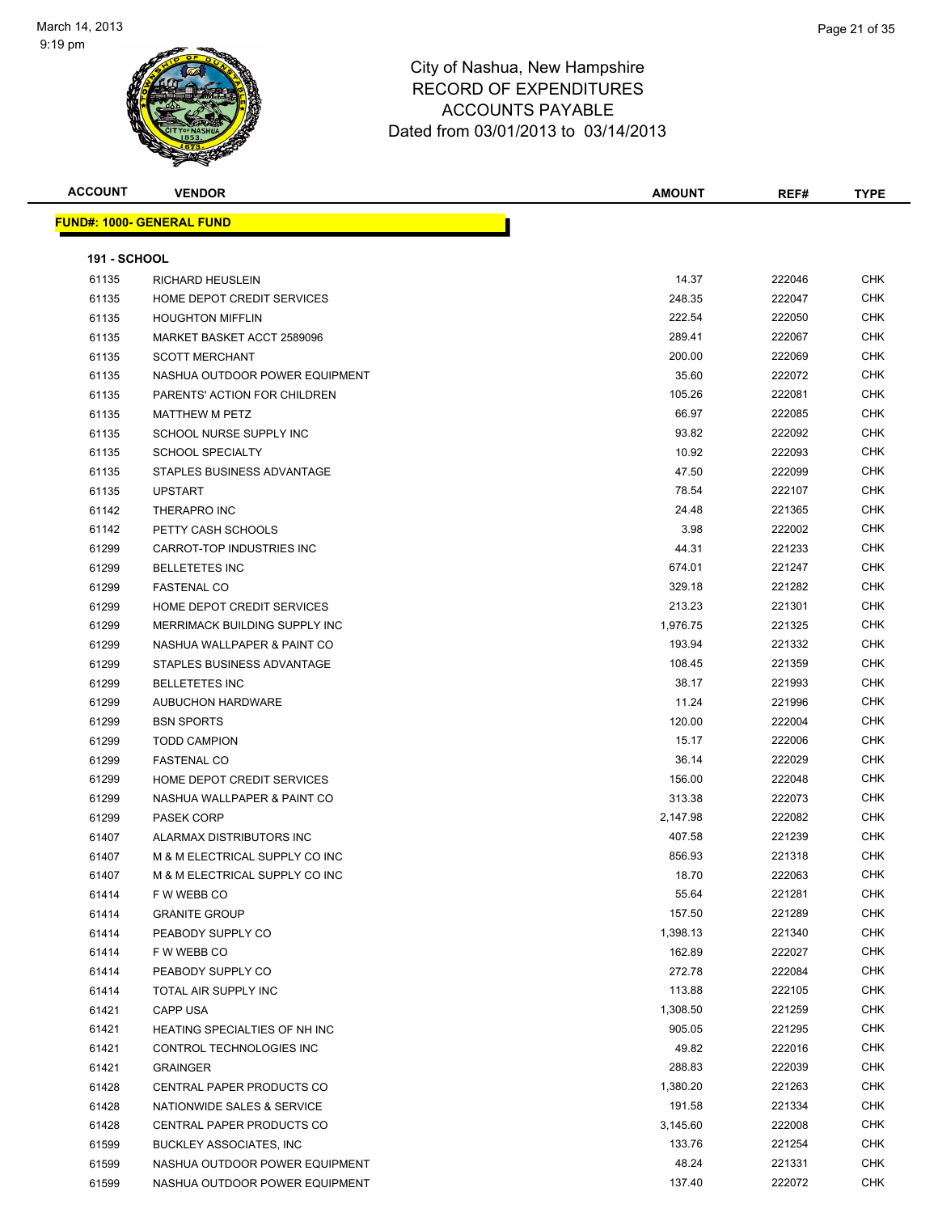

| <b>ACCOUNT</b>      | <b>VENDOR</b>                        | <b>AMOUNT</b> | REF#   | <b>TYPE</b> |
|---------------------|--------------------------------------|---------------|--------|-------------|
|                     | <u> FUND#: 1000- GENERAL FUND</u>    |               |        |             |
|                     |                                      |               |        |             |
| <b>191 - SCHOOL</b> |                                      |               |        |             |
| 61135               | <b>RICHARD HEUSLEIN</b>              | 14.37         | 222046 | <b>CHK</b>  |
| 61135               | HOME DEPOT CREDIT SERVICES           | 248.35        | 222047 | CHK         |
| 61135               | <b>HOUGHTON MIFFLIN</b>              | 222.54        | 222050 | <b>CHK</b>  |
| 61135               | MARKET BASKET ACCT 2589096           | 289.41        | 222067 | CHK         |
| 61135               | <b>SCOTT MERCHANT</b>                | 200.00        | 222069 | <b>CHK</b>  |
| 61135               | NASHUA OUTDOOR POWER EQUIPMENT       | 35.60         | 222072 | CHK         |
| 61135               | PARENTS' ACTION FOR CHILDREN         | 105.26        | 222081 | CHK         |
| 61135               | <b>MATTHEW M PETZ</b>                | 66.97         | 222085 | <b>CHK</b>  |
| 61135               | SCHOOL NURSE SUPPLY INC              | 93.82         | 222092 | CHK         |
| 61135               | <b>SCHOOL SPECIALTY</b>              | 10.92         | 222093 | CHK         |
| 61135               | STAPLES BUSINESS ADVANTAGE           | 47.50         | 222099 | CHK         |
| 61135               | <b>UPSTART</b>                       | 78.54         | 222107 | CHK         |
| 61142               | <b>THERAPRO INC</b>                  | 24.48         | 221365 | CHK         |
| 61142               | PETTY CASH SCHOOLS                   | 3.98          | 222002 | CHK         |
| 61299               | CARROT-TOP INDUSTRIES INC            | 44.31         | 221233 | <b>CHK</b>  |
| 61299               | <b>BELLETETES INC</b>                | 674.01        | 221247 | CHK         |
| 61299               | <b>FASTENAL CO</b>                   | 329.18        | 221282 | CHK         |
| 61299               | HOME DEPOT CREDIT SERVICES           | 213.23        | 221301 | CHK         |
| 61299               | MERRIMACK BUILDING SUPPLY INC        | 1,976.75      | 221325 | CHK         |
| 61299               | NASHUA WALLPAPER & PAINT CO          | 193.94        | 221332 | CHK         |
| 61299               | STAPLES BUSINESS ADVANTAGE           | 108.45        | 221359 | CHK         |
| 61299               | <b>BELLETETES INC</b>                | 38.17         | 221993 | <b>CHK</b>  |
| 61299               | <b>AUBUCHON HARDWARE</b>             | 11.24         | 221996 | CHK         |
| 61299               | <b>BSN SPORTS</b>                    | 120.00        | 222004 | <b>CHK</b>  |
| 61299               | <b>TODD CAMPION</b>                  | 15.17         | 222006 | CHK         |
| 61299               | <b>FASTENAL CO</b>                   | 36.14         | 222029 | CHK         |
| 61299               | HOME DEPOT CREDIT SERVICES           | 156.00        | 222048 | CHK         |
| 61299               | NASHUA WALLPAPER & PAINT CO          | 313.38        | 222073 | CHK         |
| 61299               | <b>PASEK CORP</b>                    | 2,147.98      | 222082 | <b>CHK</b>  |
| 61407               | ALARMAX DISTRIBUTORS INC             | 407.58        | 221239 | CHK         |
| 61407               | M & M ELECTRICAL SUPPLY CO INC       | 856.93        | 221318 | CHK         |
| 61407               | M & M ELECTRICAL SUPPLY CO INC       | 18.70         | 222063 | <b>CHK</b>  |
| 61414               | F W WEBB CO                          | 55.64         | 221281 | <b>CHK</b>  |
| 61414               | <b>GRANITE GROUP</b>                 | 157.50        | 221289 | <b>CHK</b>  |
| 61414               | PEABODY SUPPLY CO                    | 1,398.13      | 221340 | <b>CHK</b>  |
| 61414               | F W WEBB CO                          | 162.89        | 222027 | <b>CHK</b>  |
| 61414               | PEABODY SUPPLY CO                    | 272.78        | 222084 | <b>CHK</b>  |
| 61414               | TOTAL AIR SUPPLY INC                 | 113.88        | 222105 | <b>CHK</b>  |
| 61421               | CAPP USA                             | 1,308.50      | 221259 | <b>CHK</b>  |
| 61421               | <b>HEATING SPECIALTIES OF NH INC</b> | 905.05        | 221295 | <b>CHK</b>  |
| 61421               | CONTROL TECHNOLOGIES INC             | 49.82         | 222016 | CHK         |
| 61421               | <b>GRAINGER</b>                      | 288.83        | 222039 | CHK         |
| 61428               | CENTRAL PAPER PRODUCTS CO            | 1,380.20      | 221263 | CHK         |
| 61428               | NATIONWIDE SALES & SERVICE           | 191.58        | 221334 | <b>CHK</b>  |
| 61428               | CENTRAL PAPER PRODUCTS CO            | 3,145.60      | 222008 | CHK         |
| 61599               | <b>BUCKLEY ASSOCIATES, INC</b>       | 133.76        | 221254 | <b>CHK</b>  |
| 61599               | NASHUA OUTDOOR POWER EQUIPMENT       | 48.24         | 221331 | <b>CHK</b>  |
| 61599               | NASHUA OUTDOOR POWER EQUIPMENT       | 137.40        | 222072 | CHK         |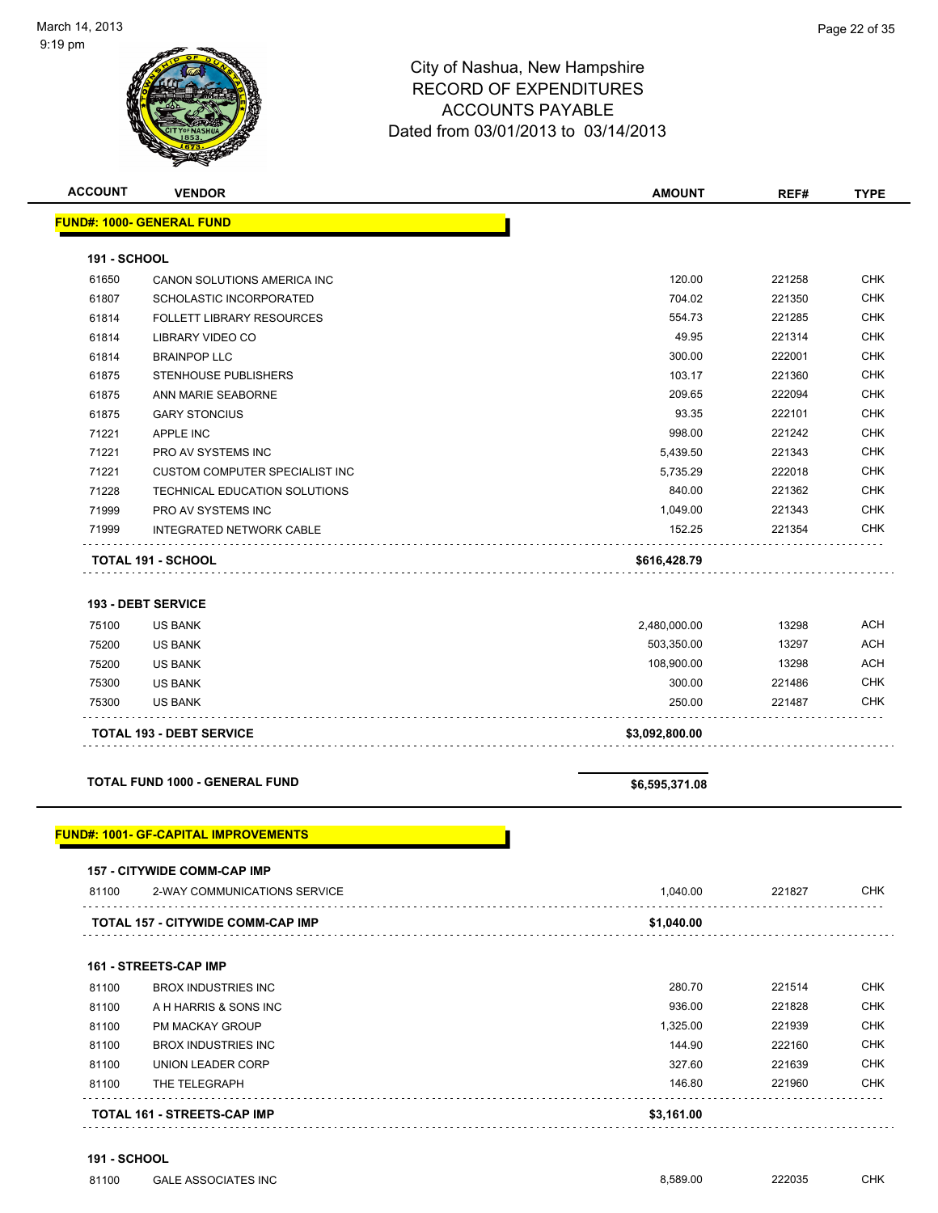|              | <b>VENDOR</b>                               | <b>AMOUNT</b>  | REF#   | <b>TYPE</b>              |
|--------------|---------------------------------------------|----------------|--------|--------------------------|
|              | <b>FUND#: 1000- GENERAL FUND</b>            |                |        |                          |
| 191 - SCHOOL |                                             |                |        |                          |
| 61650        | CANON SOLUTIONS AMERICA INC                 | 120.00         | 221258 | <b>CHK</b>               |
| 61807        | SCHOLASTIC INCORPORATED                     | 704.02         | 221350 | <b>CHK</b>               |
| 61814        | <b>FOLLETT LIBRARY RESOURCES</b>            | 554.73         | 221285 | <b>CHK</b>               |
| 61814        | LIBRARY VIDEO CO                            | 49.95          | 221314 | <b>CHK</b>               |
| 61814        | <b>BRAINPOP LLC</b>                         | 300.00         | 222001 | <b>CHK</b>               |
| 61875        | STENHOUSE PUBLISHERS                        | 103.17         | 221360 | <b>CHK</b>               |
| 61875        | ANN MARIE SEABORNE                          | 209.65         | 222094 | <b>CHK</b>               |
| 61875        | <b>GARY STONCIUS</b>                        | 93.35          | 222101 | <b>CHK</b>               |
| 71221        | <b>APPLE INC</b>                            | 998.00         | 221242 | <b>CHK</b>               |
| 71221        | PRO AV SYSTEMS INC                          | 5,439.50       | 221343 | <b>CHK</b>               |
| 71221        | CUSTOM COMPUTER SPECIALIST INC              | 5,735.29       | 222018 | <b>CHK</b>               |
| 71228        | TECHNICAL EDUCATION SOLUTIONS               | 840.00         | 221362 | <b>CHK</b>               |
| 71999        | PRO AV SYSTEMS INC                          | 1,049.00       | 221343 | <b>CHK</b>               |
| 71999        | <b>INTEGRATED NETWORK CABLE</b>             | 152.25         | 221354 | <b>CHK</b>               |
|              | TOTAL 191 - SCHOOL                          | \$616,428.79   |        |                          |
|              | <b>193 - DEBT SERVICE</b>                   |                |        |                          |
| 75100        | <b>US BANK</b>                              | 2,480,000.00   | 13298  | <b>ACH</b>               |
| 75200        | US BANK                                     | 503,350.00     | 13297  | <b>ACH</b>               |
| 75200        | <b>US BANK</b>                              | 108,900.00     | 13298  | <b>ACH</b>               |
| 75300        | <b>US BANK</b>                              | 300.00         | 221486 | <b>CHK</b>               |
| 75300        | <b>US BANK</b>                              | 250.00         | 221487 | <b>CHK</b>               |
|              | <b>TOTAL 193 - DEBT SERVICE</b>             | \$3,092,800.00 |        |                          |
|              | TOTAL FUND 1000 - GENERAL FUND              | \$6,595,371.08 |        |                          |
|              |                                             |                |        |                          |
|              | <b>FUND#: 1001- GF-CAPITAL IMPROVEMENTS</b> |                |        |                          |
|              | 157 - CITYWIDE COMM-CAP IMP                 |                |        |                          |
| 81100        | 2-WAY COMMUNICATIONS SERVICE                | 1,040.00       | 221827 | <b>CHK</b>               |
|              | TOTAL 157 - CITYWIDE COMM-CAP IMP           | \$1,040.00     |        |                          |
|              | 161 - STREETS-CAP IMP                       |                |        |                          |
|              | <b>BROX INDUSTRIES INC</b>                  | 280.70         | 221514 | <b>CHK</b>               |
| 81100        | A H HARRIS & SONS INC                       | 936.00         | 221828 | <b>CHK</b>               |
| 81100        | PM MACKAY GROUP                             | 1,325.00       | 221939 | <b>CHK</b>               |
| 81100        |                                             |                |        |                          |
| 81100        | <b>BROX INDUSTRIES INC</b>                  | 144.90         | 222160 |                          |
| 81100        | UNION LEADER CORP                           | 327.60         | 221639 | <b>CHK</b><br><b>CHK</b> |
| 81100        | THE TELEGRAPH                               | 146.80         | 221960 | <b>CHK</b>               |

**191 - SCHOOL**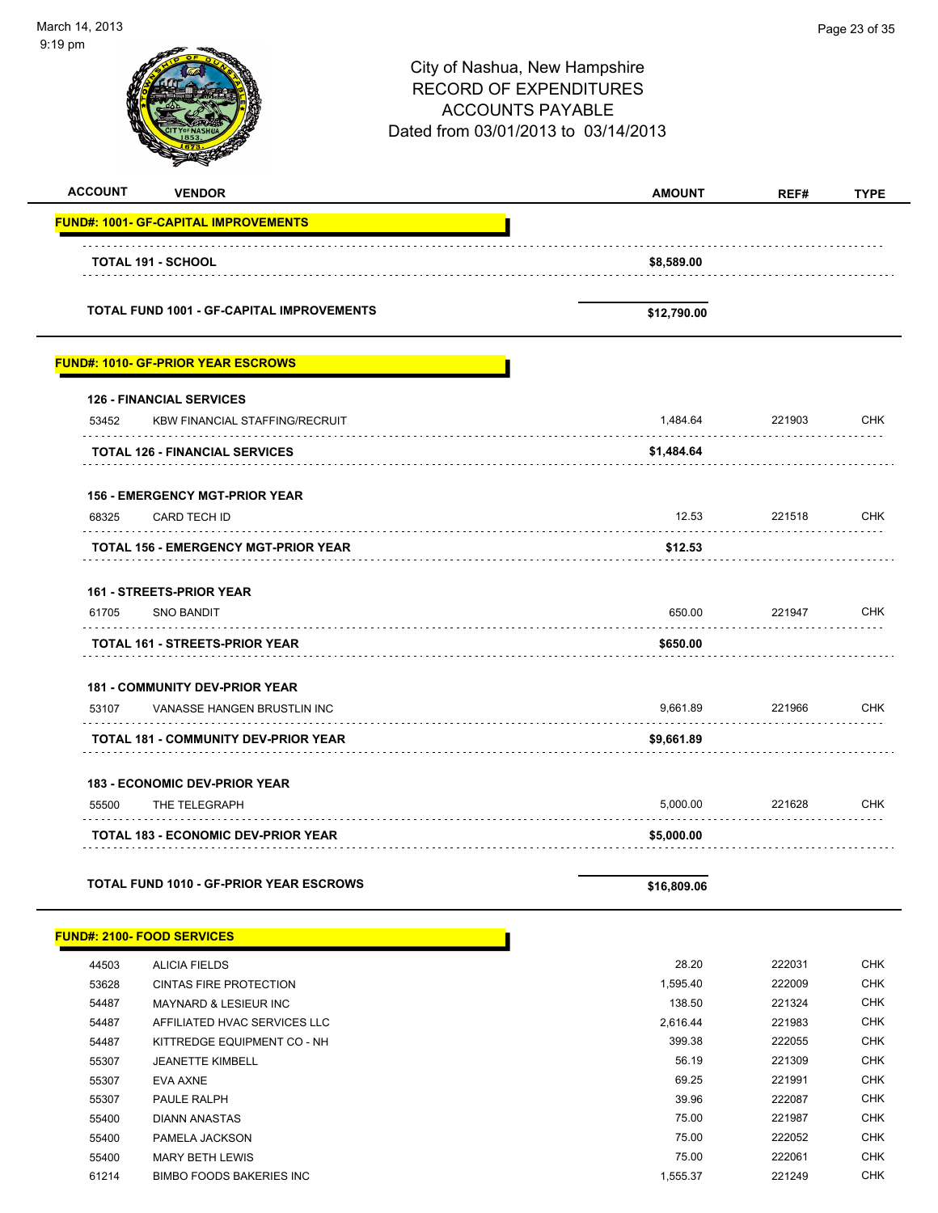-

| ∣9 pm                                                                             | City of Nashua, New Hampshire<br><b>RECORD OF EXPENDITURES</b><br><b>ACCOUNTS PAYABLE</b><br>Dated from 03/01/2013 to 03/14/2013 |        |             |
|-----------------------------------------------------------------------------------|----------------------------------------------------------------------------------------------------------------------------------|--------|-------------|
| <b>ACCOUNT</b><br><b>VENDOR</b>                                                   | <b>AMOUNT</b>                                                                                                                    | REF#   | <b>TYPE</b> |
|                                                                                   |                                                                                                                                  |        |             |
| <b>TOTAL 191 - SCHOOL</b>                                                         | \$8,589.00                                                                                                                       |        |             |
| <b>TOTAL FUND 1001 - GF-CAPITAL IMPROVEMENTS</b>                                  | \$12,790.00                                                                                                                      |        |             |
| <u> FUND#: 1010- GF-PRIOR YEAR ESCROWS</u>                                        |                                                                                                                                  |        |             |
| <b>126 - FINANCIAL SERVICES</b><br>53452<br><b>KBW FINANCIAL STAFFING/RECRUIT</b> | 1,484.64                                                                                                                         | 221903 | <b>CHK</b>  |
| <b>TOTAL 126 - FINANCIAL SERVICES</b>                                             | \$1,484.64                                                                                                                       |        |             |
| <b>156 - EMERGENCY MGT-PRIOR YEAR</b>                                             |                                                                                                                                  |        |             |
| 68325<br>CARD TECH ID                                                             | 12.53                                                                                                                            | 221518 | <b>CHK</b>  |
| TOTAL 156 - EMERGENCY MGT-PRIOR YEAR                                              | \$12.53                                                                                                                          |        |             |
| <b>161 - STREETS-PRIOR YEAR</b>                                                   |                                                                                                                                  |        |             |
| 61705<br><b>SNO BANDIT</b>                                                        | 650.00                                                                                                                           | 221947 | <b>CHK</b>  |
| <b>TOTAL 161 - STREETS-PRIOR YEAR</b>                                             | \$650.00                                                                                                                         |        |             |
| <b>181 - COMMUNITY DEV-PRIOR YEAR</b>                                             |                                                                                                                                  |        |             |
| 53107<br>VANASSE HANGEN BRUSTLIN INC                                              | 9,661.89                                                                                                                         | 221966 | CHK         |
| <b>TOTAL 181 - COMMUNITY DEV-PRIOR YEAR</b>                                       | \$9,661.89                                                                                                                       |        |             |
| <b>183 - ECONOMIC DEV-PRIOR YEAR</b>                                              |                                                                                                                                  |        |             |
| 55500<br>THE TELEGRAPH                                                            | 5,000.00                                                                                                                         | 221628 | CHK         |
| <b>TOTAL 183 - ECONOMIC DEV-PRIOR YEAR</b>                                        | \$5,000.00                                                                                                                       |        |             |
| <b>TOTAL FUND 1010 - GF-PRIOR YEAR ESCROWS</b>                                    | \$16,809.06                                                                                                                      |        |             |
| <u> FUND#: 2100- FOOD SERVICES</u>                                                |                                                                                                                                  |        |             |

| 44503 | <b>ALICIA FIELDS</b>              | 28.20    | 222031 | <b>CHK</b> |
|-------|-----------------------------------|----------|--------|------------|
| 53628 | <b>CINTAS FIRE PROTECTION</b>     | 1,595.40 | 222009 | <b>CHK</b> |
| 54487 | <b>MAYNARD &amp; LESIEUR INC.</b> | 138.50   | 221324 | <b>CHK</b> |
| 54487 | AFFILIATED HVAC SERVICES LLC      | 2.616.44 | 221983 | <b>CHK</b> |
| 54487 | KITTREDGE EQUIPMENT CO - NH       | 399.38   | 222055 | <b>CHK</b> |
| 55307 | <b>JEANETTE KIMBELL</b>           | 56.19    | 221309 | <b>CHK</b> |
| 55307 | EVA AXNE                          | 69.25    | 221991 | <b>CHK</b> |
| 55307 | PAULE RALPH                       | 39.96    | 222087 | <b>CHK</b> |
| 55400 | <b>DIANN ANASTAS</b>              | 75.00    | 221987 | <b>CHK</b> |
| 55400 | PAMELA JACKSON                    | 75.00    | 222052 | <b>CHK</b> |
| 55400 | <b>MARY BETH LEWIS</b>            | 75.00    | 222061 | <b>CHK</b> |
| 61214 | BIMBO FOODS BAKERIES INC          | 1.555.37 | 221249 | <b>CHK</b> |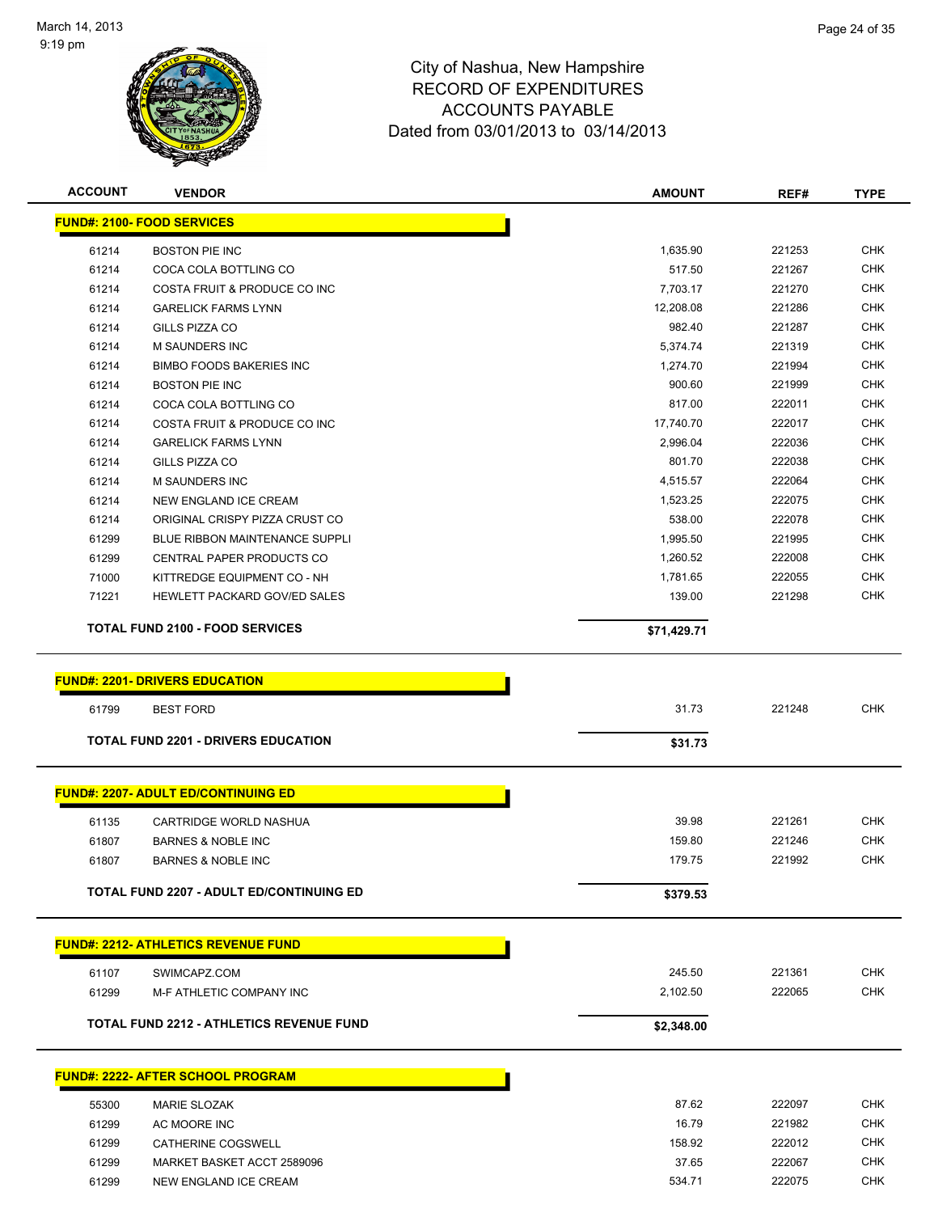$\overline{\phantom{0}}$ 

 $\overline{\phantom{0}}$ 



| <b>ACCOUNT</b> | <b>VENDOR</b>                                   | AMOUNT      | REF#             | <b>TYPE</b> |
|----------------|-------------------------------------------------|-------------|------------------|-------------|
|                | <b>FUND#: 2100- FOOD SERVICES</b>               |             |                  |             |
| 61214          | <b>BOSTON PIE INC</b>                           | 1,635.90    | 221253           | CHK         |
| 61214          | COCA COLA BOTTLING CO                           | 517.50      | 221267           | <b>CHK</b>  |
| 61214          | COSTA FRUIT & PRODUCE CO INC                    | 7,703.17    | 221270           | <b>CHK</b>  |
| 61214          | <b>GARELICK FARMS LYNN</b>                      | 12,208.08   | 221286           | CHK         |
| 61214          | GILLS PIZZA CO                                  | 982.40      | 221287           | <b>CHK</b>  |
| 61214          | M SAUNDERS INC                                  | 5,374.74    | 221319           | <b>CHK</b>  |
| 61214          | <b>BIMBO FOODS BAKERIES INC</b>                 | 1,274.70    | 221994           | <b>CHK</b>  |
| 61214          | <b>BOSTON PIE INC</b>                           | 900.60      | 221999           | <b>CHK</b>  |
| 61214          | COCA COLA BOTTLING CO                           | 817.00      | 222011           | <b>CHK</b>  |
| 61214          | COSTA FRUIT & PRODUCE CO INC                    | 17,740.70   | 222017           | <b>CHK</b>  |
| 61214          | <b>GARELICK FARMS LYNN</b>                      | 2,996.04    | 222036           | <b>CHK</b>  |
| 61214          | GILLS PIZZA CO                                  | 801.70      | 222038           | <b>CHK</b>  |
| 61214          | <b>M SAUNDERS INC</b>                           | 4,515.57    | 222064           | <b>CHK</b>  |
| 61214          | NEW ENGLAND ICE CREAM                           | 1,523.25    | 222075           | <b>CHK</b>  |
| 61214          | ORIGINAL CRISPY PIZZA CRUST CO                  | 538.00      | 222078           | <b>CHK</b>  |
| 61299          | <b>BLUE RIBBON MAINTENANCE SUPPLI</b>           | 1,995.50    | 221995           | <b>CHK</b>  |
| 61299          | CENTRAL PAPER PRODUCTS CO                       | 1,260.52    | 222008           | <b>CHK</b>  |
| 71000          | KITTREDGE EQUIPMENT CO - NH                     | 1,781.65    | 222055           | <b>CHK</b>  |
| 71221          | HEWLETT PACKARD GOV/ED SALES                    | 139.00      | 221298           | <b>CHK</b>  |
|                | <b>TOTAL FUND 2100 - FOOD SERVICES</b>          | \$71,429.71 |                  |             |
|                |                                                 |             |                  |             |
|                | <b>FUND#: 2201- DRIVERS EDUCATION</b>           |             |                  |             |
| 61799          | <b>BEST FORD</b>                                | 31.73       | 221248           | <b>CHK</b>  |
|                | <b>TOTAL FUND 2201 - DRIVERS EDUCATION</b>      | \$31.73     |                  |             |
|                | <b>FUND#: 2207- ADULT ED/CONTINUING ED</b>      |             |                  |             |
|                |                                                 |             |                  |             |
| 61135          | <b>CARTRIDGE WORLD NASHUA</b>                   | 39.98       | 221261           | <b>CHK</b>  |
| 61807          | <b>BARNES &amp; NOBLE INC</b>                   | 159.80      | 221246           | <b>CHK</b>  |
| 61807          | <b>BARNES &amp; NOBLE INC</b>                   | 179.75      | 221992           | <b>CHK</b>  |
|                | <b>TOTAL FUND 2207 - ADULT ED/CONTINUING ED</b> | \$379.53    |                  |             |
|                | <b>FUND#: 2212- ATHLETICS REVENUE FUND</b>      |             |                  |             |
|                | SWIMCAPZ.COM                                    |             |                  | <b>CHK</b>  |
| 61107          |                                                 | 245.50      | 221361<br>222065 | <b>CHK</b>  |
| 61299          | M-F ATHLETIC COMPANY INC                        | 2,102.50    |                  |             |
|                | <b>TOTAL FUND 2212 - ATHLETICS REVENUE FUND</b> | \$2,348.00  |                  |             |
|                | <b>FUND#: 2222- AFTER SCHOOL PROGRAM</b>        |             |                  |             |
| 55300          | <b>MARIE SLOZAK</b>                             | 87.62       | 222097           | <b>CHK</b>  |
| 61299          | AC MOORE INC                                    | 16.79       | 221982           | <b>CHK</b>  |
| 61299          | CATHERINE COGSWELL                              | 158.92      | 222012           | <b>CHK</b>  |
| 61299          | MARKET BASKET ACCT 2589096                      | 37.65       | 222067           | <b>CHK</b>  |
| 61299          | NEW ENGLAND ICE CREAM                           | 534.71      | 222075           | <b>CHK</b>  |
|                |                                                 |             |                  |             |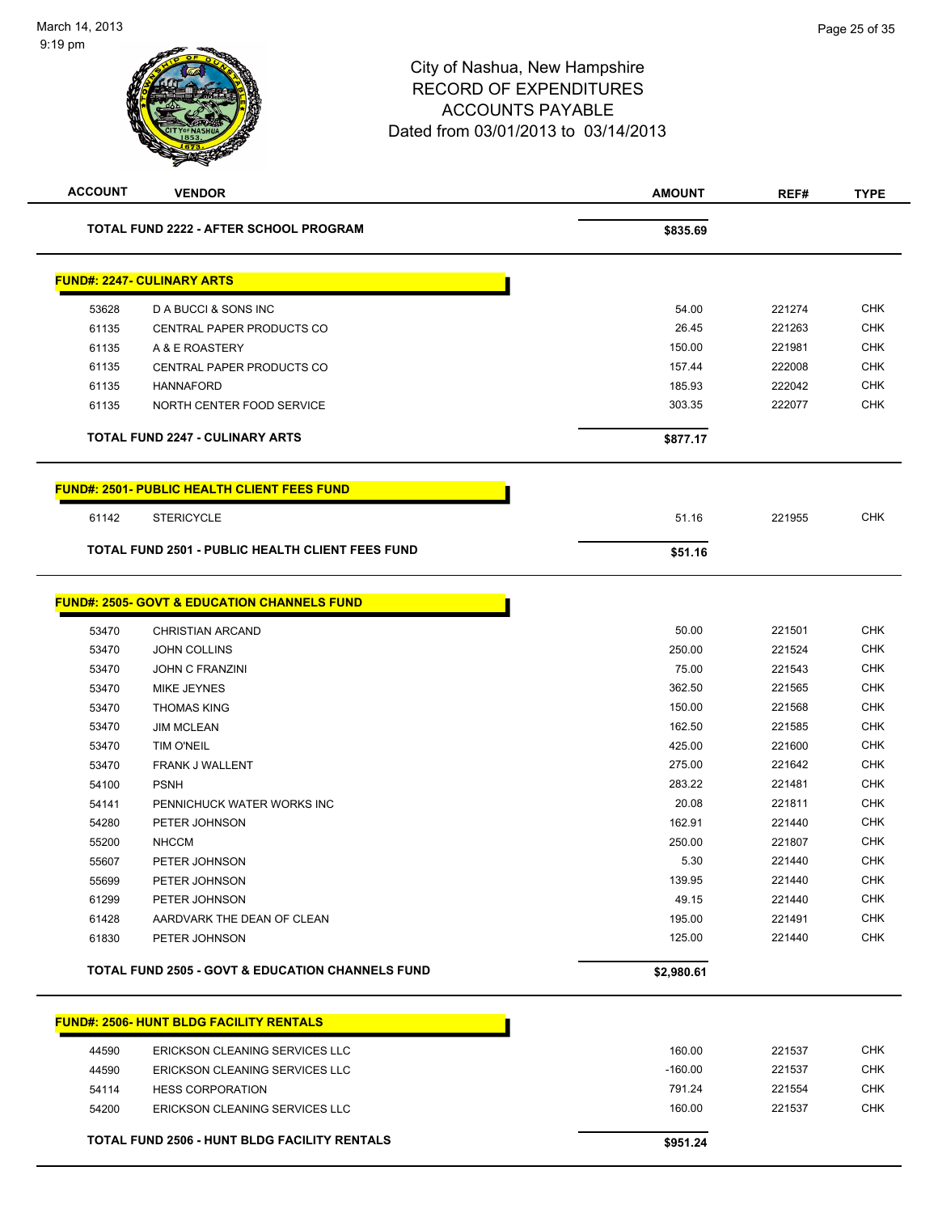| <b>ACCOUNT</b> | <b>VENDOR</b>                                               | <b>AMOUNT</b> | REF#   | <b>TYPE</b> |
|----------------|-------------------------------------------------------------|---------------|--------|-------------|
|                | <b>TOTAL FUND 2222 - AFTER SCHOOL PROGRAM</b>               | \$835.69      |        |             |
|                | <b>FUND#: 2247- CULINARY ARTS</b>                           |               |        |             |
|                |                                                             |               |        |             |
| 53628          | D A BUCCI & SONS INC                                        | 54.00         | 221274 | <b>CHK</b>  |
| 61135          | CENTRAL PAPER PRODUCTS CO                                   | 26.45         | 221263 | <b>CHK</b>  |
| 61135          | A & E ROASTERY                                              | 150.00        | 221981 | <b>CHK</b>  |
| 61135          | CENTRAL PAPER PRODUCTS CO                                   | 157.44        | 222008 | <b>CHK</b>  |
| 61135          | <b>HANNAFORD</b>                                            | 185.93        | 222042 | <b>CHK</b>  |
| 61135          | NORTH CENTER FOOD SERVICE                                   | 303.35        | 222077 | CHK         |
|                | <b>TOTAL FUND 2247 - CULINARY ARTS</b>                      | \$877.17      |        |             |
|                | <b>FUND#: 2501- PUBLIC HEALTH CLIENT FEES FUND</b>          |               |        |             |
| 61142          | <b>STERICYCLE</b>                                           | 51.16         | 221955 | <b>CHK</b>  |
|                | <b>TOTAL FUND 2501 - PUBLIC HEALTH CLIENT FEES FUND</b>     | \$51.16       |        |             |
|                |                                                             |               |        |             |
|                | <b>FUND#: 2505- GOVT &amp; EDUCATION CHANNELS FUND</b>      |               |        |             |
| 53470          | <b>CHRISTIAN ARCAND</b>                                     | 50.00         | 221501 | CHK         |
| 53470          | <b>JOHN COLLINS</b>                                         | 250.00        | 221524 | <b>CHK</b>  |
| 53470          | <b>JOHN C FRANZINI</b>                                      | 75.00         | 221543 | <b>CHK</b>  |
| 53470          | <b>MIKE JEYNES</b>                                          | 362.50        | 221565 | <b>CHK</b>  |
| 53470          | <b>THOMAS KING</b>                                          | 150.00        | 221568 | <b>CHK</b>  |
| 53470          | <b>JIM MCLEAN</b>                                           | 162.50        | 221585 | <b>CHK</b>  |
| 53470          | TIM O'NEIL                                                  | 425.00        | 221600 | <b>CHK</b>  |
| 53470          | FRANK J WALLENT                                             | 275.00        | 221642 | <b>CHK</b>  |
| 54100          | <b>PSNH</b>                                                 | 283.22        | 221481 | <b>CHK</b>  |
| 54141          | PENNICHUCK WATER WORKS INC                                  | 20.08         | 221811 | <b>CHK</b>  |
| 54280          | PETER JOHNSON                                               | 162.91        | 221440 | <b>CHK</b>  |
| 55200          | <b>NHCCM</b>                                                | 250.00        | 221807 | CHK         |
| 55607          | PETER JOHNSON                                               | 5.30          | 221440 | <b>CHK</b>  |
| 55699          | PETER JOHNSON                                               | 139.95        | 221440 | <b>CHK</b>  |
| 61299          | PETER JOHNSON                                               | 49.15         | 221440 | <b>CHK</b>  |
| 61428          | AARDVARK THE DEAN OF CLEAN                                  | 195.00        | 221491 | <b>CHK</b>  |
| 61830          | PETER JOHNSON                                               | 125.00        | 221440 | <b>CHK</b>  |
|                | <b>TOTAL FUND 2505 - GOVT &amp; EDUCATION CHANNELS FUND</b> | \$2,980.61    |        |             |
|                | <b>FUND#: 2506- HUNT BLDG FACILITY RENTALS</b>              |               |        |             |
|                | <b>ERICKSON CLEANING SERVICES LLC</b>                       | 160.00        | 221537 | <b>CHK</b>  |
| 44590          |                                                             | $-160.00$     | 221537 | <b>CHK</b>  |
| 44590<br>54114 | ERICKSON CLEANING SERVICES LLC                              | 791.24        | 221554 | <b>CHK</b>  |
| 54200          | <b>HESS CORPORATION</b><br>ERICKSON CLEANING SERVICES LLC   | 160.00        | 221537 | <b>CHK</b>  |
|                |                                                             |               |        |             |
|                | <b>TOTAL FUND 2506 - HUNT BLDG FACILITY RENTALS</b>         | \$951.24      |        |             |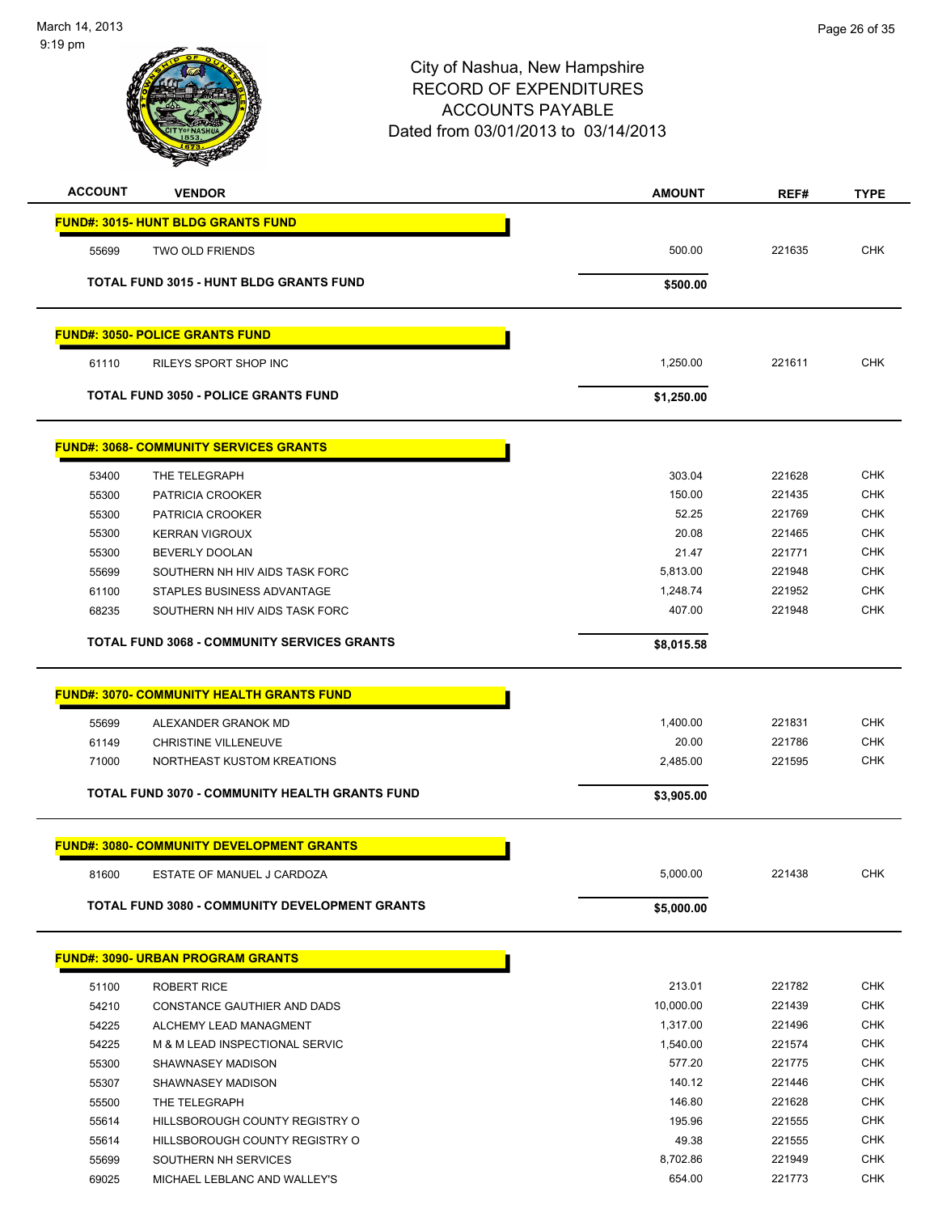

| <b>ACCOUNT</b> | <b>VENDOR</b>                                         | <b>AMOUNT</b> | REF#   | <b>TYPE</b> |
|----------------|-------------------------------------------------------|---------------|--------|-------------|
|                | <b>FUND#: 3015- HUNT BLDG GRANTS FUND</b>             |               |        |             |
| 55699          | <b>TWO OLD FRIENDS</b>                                | 500.00        | 221635 | <b>CHK</b>  |
|                | <b>TOTAL FUND 3015 - HUNT BLDG GRANTS FUND</b>        | \$500.00      |        |             |
|                | <u> FUND#: 3050- POLICE GRANTS FUND</u>               |               |        |             |
| 61110          | <b>RILEYS SPORT SHOP INC</b>                          | 1,250.00      | 221611 | <b>CHK</b>  |
|                | <b>TOTAL FUND 3050 - POLICE GRANTS FUND</b>           | \$1,250.00    |        |             |
|                | <b>FUND#: 3068- COMMUNITY SERVICES GRANTS</b>         |               |        |             |
| 53400          | THE TELEGRAPH                                         | 303.04        | 221628 | <b>CHK</b>  |
| 55300          | PATRICIA CROOKER                                      | 150.00        | 221435 | <b>CHK</b>  |
| 55300          | PATRICIA CROOKER                                      | 52.25         | 221769 | <b>CHK</b>  |
| 55300          | <b>KERRAN VIGROUX</b>                                 | 20.08         | 221465 | <b>CHK</b>  |
| 55300          | BEVERLY DOOLAN                                        | 21.47         | 221771 | <b>CHK</b>  |
| 55699          | SOUTHERN NH HIV AIDS TASK FORC                        | 5,813.00      | 221948 | <b>CHK</b>  |
| 61100          | STAPLES BUSINESS ADVANTAGE                            | 1,248.74      | 221952 | <b>CHK</b>  |
| 68235          | SOUTHERN NH HIV AIDS TASK FORC                        | 407.00        | 221948 | <b>CHK</b>  |
|                | <b>TOTAL FUND 3068 - COMMUNITY SERVICES GRANTS</b>    | \$8,015.58    |        |             |
|                | <b>FUND#: 3070- COMMUNITY HEALTH GRANTS FUND</b>      |               |        |             |
| 55699          | ALEXANDER GRANOK MD                                   | 1,400.00      | 221831 | <b>CHK</b>  |
| 61149          | CHRISTINE VILLENEUVE                                  | 20.00         | 221786 | <b>CHK</b>  |
| 71000          | NORTHEAST KUSTOM KREATIONS                            | 2,485.00      | 221595 | <b>CHK</b>  |
|                | <b>TOTAL FUND 3070 - COMMUNITY HEALTH GRANTS FUND</b> | \$3,905.00    |        |             |
|                | <b>FUND#: 3080- COMMUNITY DEVELOPMENT GRANTS</b>      |               |        |             |
| 81600          | ESTATE OF MANUEL J CARDOZA                            | 5,000.00      | 221438 | <b>CHK</b>  |
|                | <b>TOTAL FUND 3080 - COMMUNITY DEVELOPMENT GRANTS</b> | \$5,000.00    |        |             |
|                | <b>FUND#: 3090- URBAN PROGRAM GRANTS</b>              |               |        |             |
| 51100          | <b>ROBERT RICE</b>                                    | 213.01        | 221782 | <b>CHK</b>  |
| 54210          | CONSTANCE GAUTHIER AND DADS                           | 10,000.00     | 221439 | <b>CHK</b>  |
| 54225          | ALCHEMY LEAD MANAGMENT                                | 1,317.00      | 221496 | <b>CHK</b>  |
| 54225          | M & M LEAD INSPECTIONAL SERVIC                        | 1,540.00      | 221574 | <b>CHK</b>  |
| 55300          | SHAWNASEY MADISON                                     | 577.20        | 221775 | <b>CHK</b>  |
| 55307          | SHAWNASEY MADISON                                     | 140.12        | 221446 | <b>CHK</b>  |
| 55500          | THE TELEGRAPH                                         | 146.80        | 221628 | <b>CHK</b>  |
| 55614          | HILLSBOROUGH COUNTY REGISTRY O                        | 195.96        | 221555 | <b>CHK</b>  |
| 55614          | HILLSBOROUGH COUNTY REGISTRY O                        | 49.38         | 221555 | <b>CHK</b>  |
| 55699          | SOUTHERN NH SERVICES                                  | 8,702.86      | 221949 | <b>CHK</b>  |
| 69025          | MICHAEL LEBLANC AND WALLEY'S                          | 654.00        | 221773 | <b>CHK</b>  |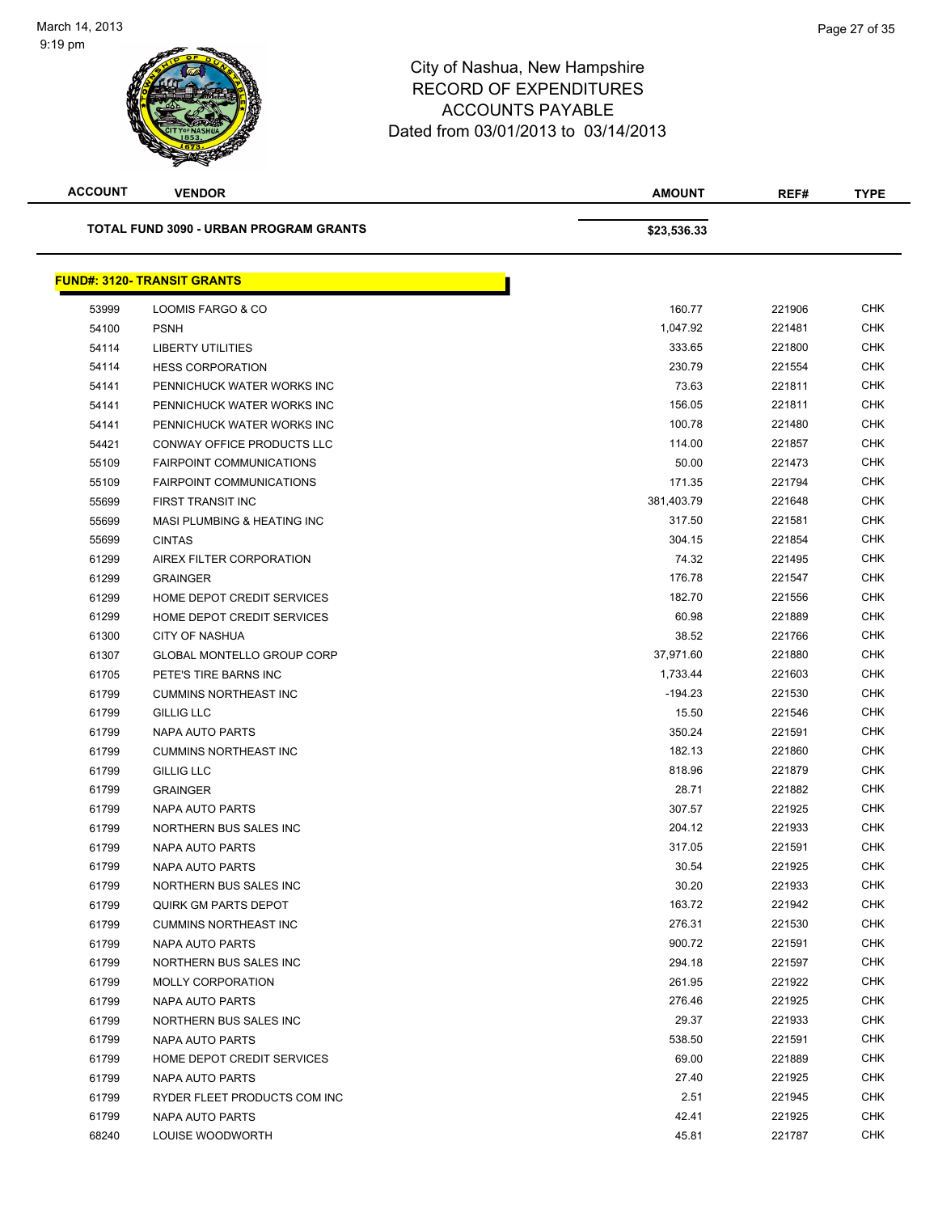

| <b>ACCOUNT</b> | <b>VENDOR</b>                                 | <b>AMOUNT</b> | REF#   | <b>TYPE</b> |
|----------------|-----------------------------------------------|---------------|--------|-------------|
|                | <b>TOTAL FUND 3090 - URBAN PROGRAM GRANTS</b> | \$23,536.33   |        |             |
|                | <b>FUND#: 3120- TRANSIT GRANTS</b>            |               |        |             |
| 53999          | LOOMIS FARGO & CO                             | 160.77        | 221906 | <b>CHK</b>  |
| 54100          | <b>PSNH</b>                                   | 1,047.92      | 221481 | <b>CHK</b>  |
| 54114          | <b>LIBERTY UTILITIES</b>                      | 333.65        | 221800 | <b>CHK</b>  |
| 54114          | <b>HESS CORPORATION</b>                       | 230.79        | 221554 | <b>CHK</b>  |
| 54141          | PENNICHUCK WATER WORKS INC                    | 73.63         | 221811 | <b>CHK</b>  |
| 54141          | PENNICHUCK WATER WORKS INC                    | 156.05        | 221811 | <b>CHK</b>  |
| 54141          | PENNICHUCK WATER WORKS INC                    | 100.78        | 221480 | <b>CHK</b>  |
| 54421          | CONWAY OFFICE PRODUCTS LLC                    | 114.00        | 221857 | <b>CHK</b>  |
| 55109          | <b>FAIRPOINT COMMUNICATIONS</b>               | 50.00         | 221473 | <b>CHK</b>  |
| 55109          | <b>FAIRPOINT COMMUNICATIONS</b>               | 171.35        | 221794 | <b>CHK</b>  |
| 55699          | <b>FIRST TRANSIT INC</b>                      | 381,403.79    | 221648 | <b>CHK</b>  |
| 55699          | MASI PLUMBING & HEATING INC                   | 317.50        | 221581 | <b>CHK</b>  |
| 55699          | <b>CINTAS</b>                                 | 304.15        | 221854 | <b>CHK</b>  |
| 61299          | AIREX FILTER CORPORATION                      | 74.32         | 221495 | <b>CHK</b>  |
| 61299          | <b>GRAINGER</b>                               | 176.78        | 221547 | <b>CHK</b>  |
| 61299          | HOME DEPOT CREDIT SERVICES                    | 182.70        | 221556 | <b>CHK</b>  |
| 61299          | HOME DEPOT CREDIT SERVICES                    | 60.98         | 221889 | <b>CHK</b>  |
| 61300          | <b>CITY OF NASHUA</b>                         | 38.52         | 221766 | <b>CHK</b>  |
| 61307          | <b>GLOBAL MONTELLO GROUP CORP</b>             | 37,971.60     | 221880 | <b>CHK</b>  |
| 61705          | PETE'S TIRE BARNS INC                         | 1,733.44      | 221603 | <b>CHK</b>  |
| 61799          | <b>CUMMINS NORTHEAST INC</b>                  | $-194.23$     | 221530 | <b>CHK</b>  |
| 61799          | <b>GILLIG LLC</b>                             | 15.50         | 221546 | <b>CHK</b>  |
| 61799          | NAPA AUTO PARTS                               | 350.24        | 221591 | <b>CHK</b>  |
| 61799          | <b>CUMMINS NORTHEAST INC</b>                  | 182.13        | 221860 | <b>CHK</b>  |
| 61799          | <b>GILLIG LLC</b>                             | 818.96        | 221879 | <b>CHK</b>  |
| 61799          | <b>GRAINGER</b>                               | 28.71         | 221882 | <b>CHK</b>  |
| 61799          | <b>NAPA AUTO PARTS</b>                        | 307.57        | 221925 | <b>CHK</b>  |
| 61799          | NORTHERN BUS SALES INC                        | 204.12        | 221933 | <b>CHK</b>  |
| 61799          | <b>NAPA AUTO PARTS</b>                        | 317.05        | 221591 | <b>CHK</b>  |
| 61799          | NAPA AUTO PARTS                               | 30.54         | 221925 | <b>CHK</b>  |
| 61799          | NORTHERN BUS SALES INC                        | 30.20         | 221933 | <b>CHK</b>  |
| 61799          | QUIRK GM PARTS DEPOT                          | 163.72        | 221942 | <b>CHK</b>  |
| 61799          | <b>CUMMINS NORTHEAST INC</b>                  | 276.31        | 221530 | <b>CHK</b>  |
| 61799          | <b>NAPA AUTO PARTS</b>                        | 900.72        | 221591 | <b>CHK</b>  |
| 61799          | NORTHERN BUS SALES INC                        | 294.18        | 221597 | <b>CHK</b>  |
| 61799          | <b>MOLLY CORPORATION</b>                      | 261.95        | 221922 | <b>CHK</b>  |
| 61799          | NAPA AUTO PARTS                               | 276.46        | 221925 | <b>CHK</b>  |
| 61799          | NORTHERN BUS SALES INC                        | 29.37         | 221933 | CHK         |
| 61799          | NAPA AUTO PARTS                               | 538.50        | 221591 | <b>CHK</b>  |
| 61799          | HOME DEPOT CREDIT SERVICES                    | 69.00         | 221889 | CHK         |
| 61799          | NAPA AUTO PARTS                               | 27.40         | 221925 | CHK         |
| 61799          | RYDER FLEET PRODUCTS COM INC                  | 2.51          | 221945 | <b>CHK</b>  |
| 61799          | NAPA AUTO PARTS                               | 42.41         | 221925 | <b>CHK</b>  |
| 68240          | LOUISE WOODWORTH                              | 45.81         | 221787 | <b>CHK</b>  |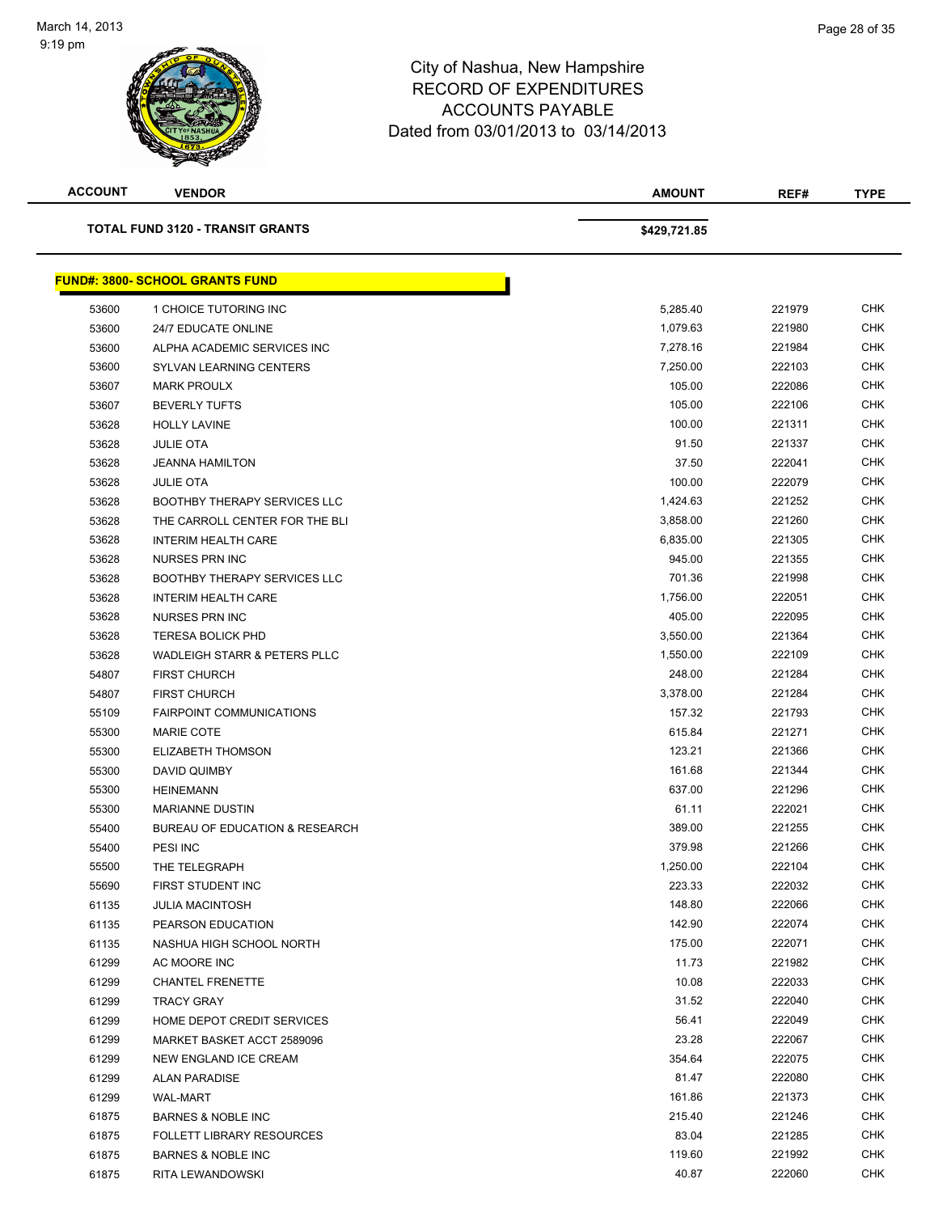

| <b>ACCOUNT</b> | <b>VENDOR</b>                             | <b>AMOUNT</b> | REF#   | <b>TYPE</b> |
|----------------|-------------------------------------------|---------------|--------|-------------|
|                | <b>TOTAL FUND 3120 - TRANSIT GRANTS</b>   | \$429,721.85  |        |             |
|                | <b>FUND#: 3800- SCHOOL GRANTS FUND</b>    |               |        |             |
| 53600          | 1 CHOICE TUTORING INC                     | 5,285.40      | 221979 | <b>CHK</b>  |
| 53600          | 24/7 EDUCATE ONLINE                       | 1,079.63      | 221980 | <b>CHK</b>  |
| 53600          | ALPHA ACADEMIC SERVICES INC               | 7,278.16      | 221984 | <b>CHK</b>  |
| 53600          | SYLVAN LEARNING CENTERS                   | 7,250.00      | 222103 | <b>CHK</b>  |
| 53607          | <b>MARK PROULX</b>                        | 105.00        | 222086 | <b>CHK</b>  |
| 53607          | <b>BEVERLY TUFTS</b>                      | 105.00        | 222106 | <b>CHK</b>  |
| 53628          | <b>HOLLY LAVINE</b>                       | 100.00        | 221311 | CHK         |
| 53628          | <b>JULIE OTA</b>                          | 91.50         | 221337 | <b>CHK</b>  |
| 53628          | <b>JEANNA HAMILTON</b>                    | 37.50         | 222041 | <b>CHK</b>  |
| 53628          | <b>JULIE OTA</b>                          | 100.00        | 222079 | <b>CHK</b>  |
| 53628          | <b>BOOTHBY THERAPY SERVICES LLC</b>       | 1,424.63      | 221252 | <b>CHK</b>  |
| 53628          | THE CARROLL CENTER FOR THE BLI            | 3,858.00      | 221260 | <b>CHK</b>  |
| 53628          | <b>INTERIM HEALTH CARE</b>                | 6,835.00      | 221305 | <b>CHK</b>  |
| 53628          | <b>NURSES PRN INC</b>                     | 945.00        | 221355 | <b>CHK</b>  |
| 53628          | <b>BOOTHBY THERAPY SERVICES LLC</b>       | 701.36        | 221998 | <b>CHK</b>  |
| 53628          | <b>INTERIM HEALTH CARE</b>                | 1,756.00      | 222051 | <b>CHK</b>  |
| 53628          | <b>NURSES PRN INC</b>                     | 405.00        | 222095 | <b>CHK</b>  |
| 53628          | <b>TERESA BOLICK PHD</b>                  | 3,550.00      | 221364 | CHK         |
| 53628          | <b>WADLEIGH STARR &amp; PETERS PLLC</b>   | 1,550.00      | 222109 | <b>CHK</b>  |
| 54807          | <b>FIRST CHURCH</b>                       | 248.00        | 221284 | <b>CHK</b>  |
| 54807          | <b>FIRST CHURCH</b>                       | 3,378.00      | 221284 | <b>CHK</b>  |
| 55109          | <b>FAIRPOINT COMMUNICATIONS</b>           | 157.32        | 221793 | <b>CHK</b>  |
| 55300          | <b>MARIE COTE</b>                         | 615.84        | 221271 | <b>CHK</b>  |
| 55300          | ELIZABETH THOMSON                         | 123.21        | 221366 | <b>CHK</b>  |
| 55300          | <b>DAVID QUIMBY</b>                       | 161.68        | 221344 | <b>CHK</b>  |
| 55300          | <b>HEINEMANN</b>                          | 637.00        | 221296 | <b>CHK</b>  |
| 55300          | <b>MARIANNE DUSTIN</b>                    | 61.11         | 222021 | <b>CHK</b>  |
| 55400          | <b>BUREAU OF EDUCATION &amp; RESEARCH</b> | 389.00        | 221255 | <b>CHK</b>  |
| 55400          | PESI INC                                  | 379.98        | 221266 | <b>CHK</b>  |
| 55500          | THE TELEGRAPH                             | 1,250.00      | 222104 | <b>CHK</b>  |
| 55690          | FIRST STUDENT INC                         | 223.33        | 222032 | <b>CHK</b>  |
| 61135          | <b>JULIA MACINTOSH</b>                    | 148.80        | 222066 | <b>CHK</b>  |
| 61135          | PEARSON EDUCATION                         | 142.90        | 222074 | <b>CHK</b>  |
| 61135          | NASHUA HIGH SCHOOL NORTH                  | 175.00        | 222071 | <b>CHK</b>  |
| 61299          | AC MOORE INC                              | 11.73         | 221982 | <b>CHK</b>  |
| 61299          | <b>CHANTEL FRENETTE</b>                   | 10.08         | 222033 | CHK         |
| 61299          | TRACY GRAY                                | 31.52         | 222040 | <b>CHK</b>  |
| 61299          | HOME DEPOT CREDIT SERVICES                | 56.41         | 222049 | <b>CHK</b>  |
| 61299          | MARKET BASKET ACCT 2589096                | 23.28         | 222067 | <b>CHK</b>  |
| 61299          | NEW ENGLAND ICE CREAM                     | 354.64        | 222075 | <b>CHK</b>  |
| 61299          | <b>ALAN PARADISE</b>                      | 81.47         | 222080 | CHK         |
| 61299          | <b>WAL-MART</b>                           | 161.86        | 221373 | <b>CHK</b>  |
| 61875          | <b>BARNES &amp; NOBLE INC</b>             | 215.40        | 221246 | CHK         |
| 61875          | <b>FOLLETT LIBRARY RESOURCES</b>          | 83.04         | 221285 | <b>CHK</b>  |
| 61875          | <b>BARNES &amp; NOBLE INC</b>             | 119.60        | 221992 | <b>CHK</b>  |
| 61875          | RITA LEWANDOWSKI                          | 40.87         | 222060 | <b>CHK</b>  |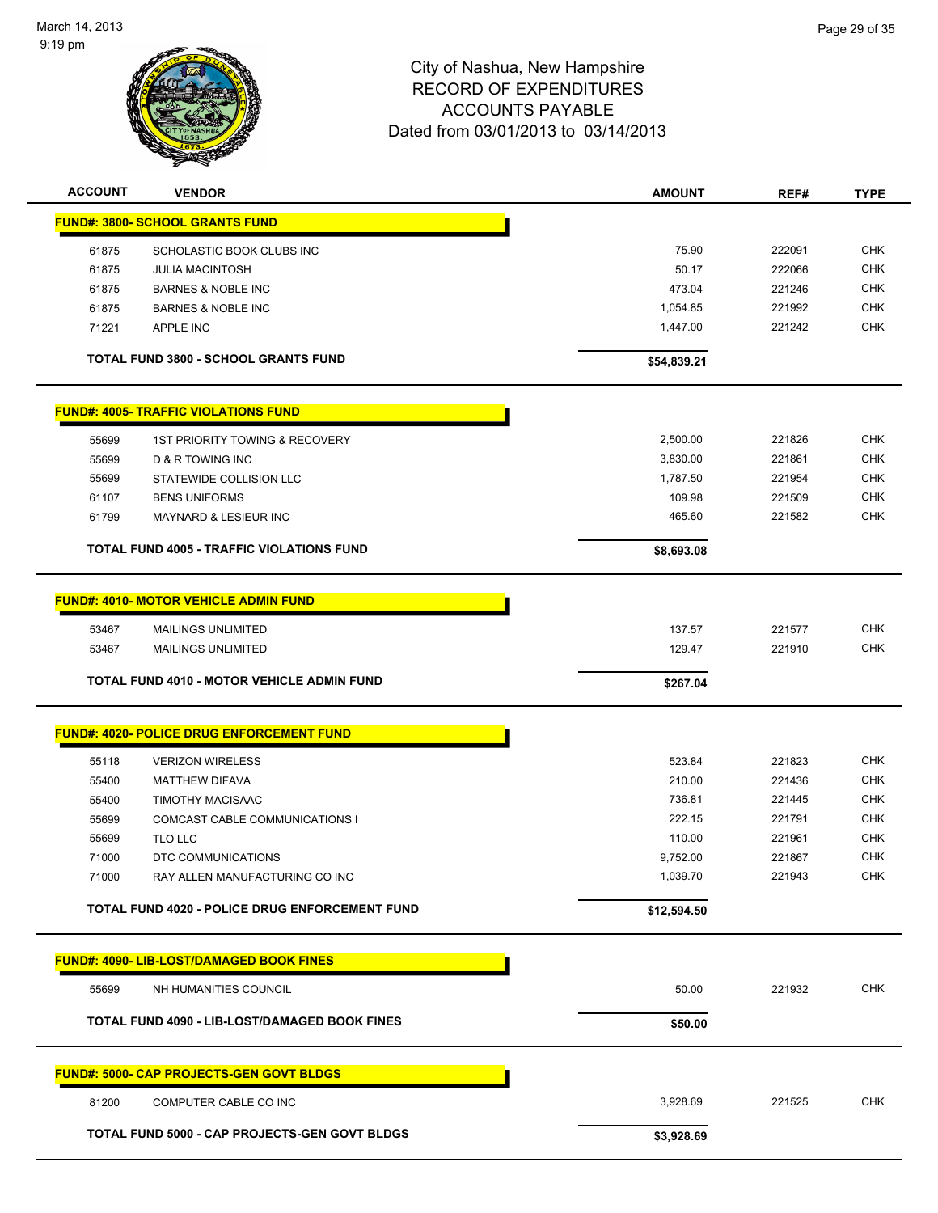

| <b>ACCOUNT</b> | <b>VENDOR</b>                                     | <b>AMOUNT</b> | REF#   | <b>TYPE</b> |
|----------------|---------------------------------------------------|---------------|--------|-------------|
|                | <b>FUND#: 3800- SCHOOL GRANTS FUND</b>            |               |        |             |
| 61875          | SCHOLASTIC BOOK CLUBS INC                         | 75.90         | 222091 | <b>CHK</b>  |
| 61875          | <b>JULIA MACINTOSH</b>                            | 50.17         | 222066 | <b>CHK</b>  |
| 61875          | <b>BARNES &amp; NOBLE INC</b>                     | 473.04        | 221246 | <b>CHK</b>  |
| 61875          | <b>BARNES &amp; NOBLE INC</b>                     | 1,054.85      | 221992 | <b>CHK</b>  |
| 71221          | APPLE INC                                         | 1,447.00      | 221242 | <b>CHK</b>  |
|                |                                                   |               |        |             |
|                | <b>TOTAL FUND 3800 - SCHOOL GRANTS FUND</b>       | \$54,839.21   |        |             |
|                | <b>FUND#: 4005- TRAFFIC VIOLATIONS FUND</b>       |               |        |             |
| 55699          | 1ST PRIORITY TOWING & RECOVERY                    | 2,500.00      | 221826 | <b>CHK</b>  |
| 55699          | D & R TOWING INC                                  | 3,830.00      | 221861 | <b>CHK</b>  |
| 55699          | STATEWIDE COLLISION LLC                           | 1,787.50      | 221954 | <b>CHK</b>  |
| 61107          | <b>BENS UNIFORMS</b>                              | 109.98        | 221509 | CHK         |
| 61799          | MAYNARD & LESIEUR INC                             | 465.60        | 221582 | <b>CHK</b>  |
|                | <b>TOTAL FUND 4005 - TRAFFIC VIOLATIONS FUND</b>  | \$8,693.08    |        |             |
|                |                                                   |               |        |             |
|                | <b>FUND#: 4010- MOTOR VEHICLE ADMIN FUND</b>      |               |        |             |
| 53467          | <b>MAILINGS UNLIMITED</b>                         | 137.57        | 221577 | <b>CHK</b>  |
| 53467          | <b>MAILINGS UNLIMITED</b>                         | 129.47        | 221910 | <b>CHK</b>  |
|                |                                                   |               |        |             |
|                | <b>TOTAL FUND 4010 - MOTOR VEHICLE ADMIN FUND</b> | \$267.04      |        |             |
|                | <b>FUND#: 4020- POLICE DRUG ENFORCEMENT FUND</b>  |               |        |             |
| 55118          | <b>VERIZON WIRELESS</b>                           | 523.84        | 221823 | <b>CHK</b>  |
| 55400          | <b>MATTHEW DIFAVA</b>                             | 210.00        | 221436 | <b>CHK</b>  |
| 55400          | <b>TIMOTHY MACISAAC</b>                           | 736.81        | 221445 | <b>CHK</b>  |
| 55699          | COMCAST CABLE COMMUNICATIONS I                    | 222.15        | 221791 | <b>CHK</b>  |
| 55699          | TLO LLC                                           | 110.00        | 221961 | <b>CHK</b>  |
| 71000          | DTC COMMUNICATIONS                                | 9,752.00      | 221867 | <b>CHK</b>  |
| 71000          | RAY ALLEN MANUFACTURING CO INC                    | 1,039.70      | 221943 | <b>CHK</b>  |
|                | TOTAL FUND 4020 - POLICE DRUG ENFORCEMENT FUND    | \$12,594.50   |        |             |
|                |                                                   |               |        |             |
|                | <b>FUND#: 4090- LIB-LOST/DAMAGED BOOK FINES</b>   |               |        |             |
| 55699          | NH HUMANITIES COUNCIL                             | 50.00         | 221932 | <b>CHK</b>  |
|                | TOTAL FUND 4090 - LIB-LOST/DAMAGED BOOK FINES     | \$50.00       |        |             |
|                | <b>FUND#: 5000- CAP PROJECTS-GEN GOVT BLDGS</b>   |               |        |             |
| 81200          | COMPUTER CABLE CO INC                             | 3,928.69      | 221525 | <b>CHK</b>  |
|                | TOTAL FUND 5000 - CAP PROJECTS-GEN GOVT BLDGS     | \$3,928.69    |        |             |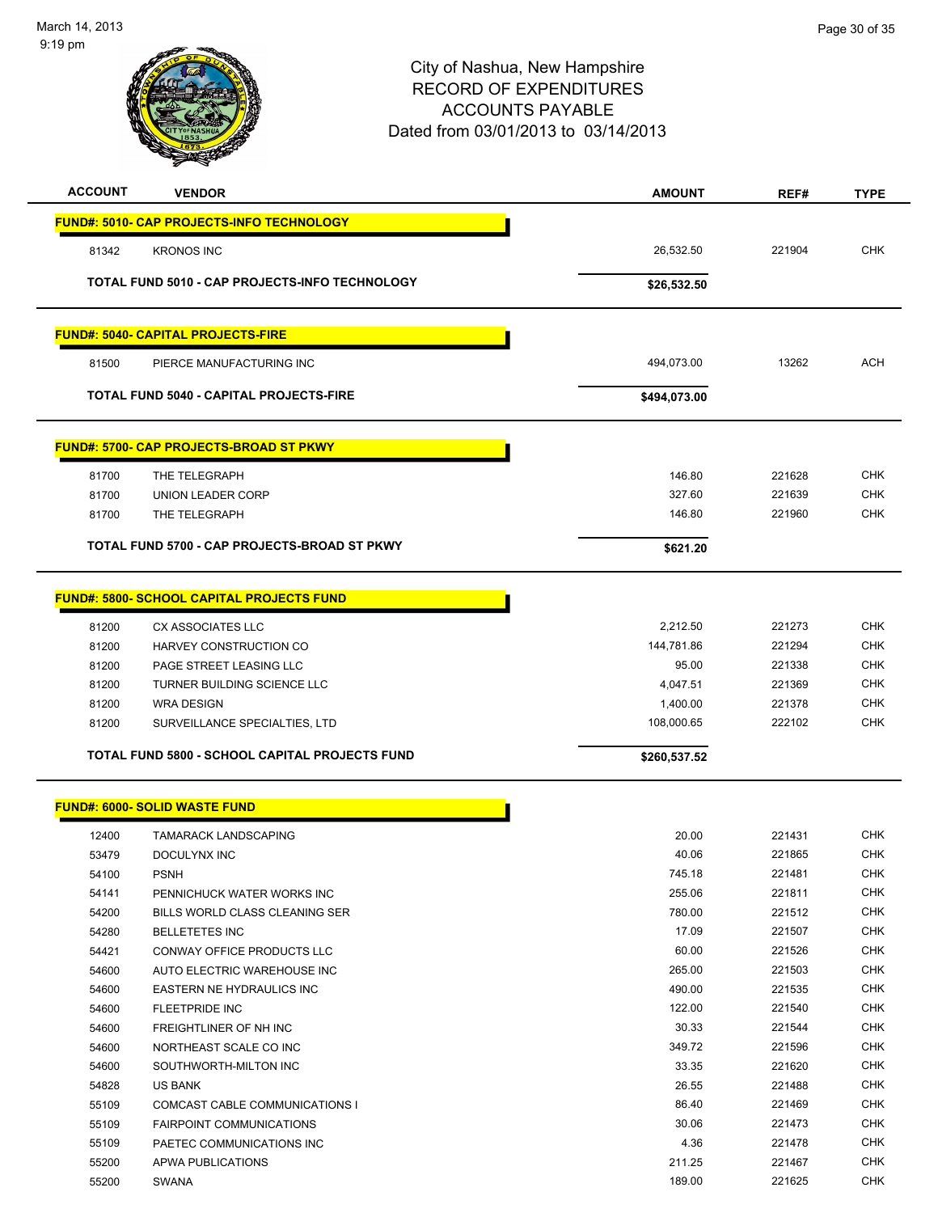

| <b>ACCOUNT</b> | <b>VENDOR</b>                                    | <b>AMOUNT</b> | REF#   | <b>TYPE</b> |
|----------------|--------------------------------------------------|---------------|--------|-------------|
|                | <b>FUND#: 5010- CAP PROJECTS-INFO TECHNOLOGY</b> |               |        |             |
| 81342          | <b>KRONOS INC</b>                                | 26,532.50     | 221904 | <b>CHK</b>  |
|                |                                                  |               |        |             |
|                | TOTAL FUND 5010 - CAP PROJECTS-INFO TECHNOLOGY   | \$26,532.50   |        |             |
|                | <b>FUND#: 5040- CAPITAL PROJECTS-FIRE</b>        |               |        |             |
| 81500          | PIERCE MANUFACTURING INC                         | 494,073.00    | 13262  | ACH         |
|                | <b>TOTAL FUND 5040 - CAPITAL PROJECTS-FIRE</b>   | \$494,073.00  |        |             |
|                | <b>FUND#: 5700- CAP PROJECTS-BROAD ST PKWY</b>   |               |        |             |
| 81700          | THE TELEGRAPH                                    | 146.80        | 221628 | <b>CHK</b>  |
| 81700          | <b>UNION LEADER CORP</b>                         | 327.60        | 221639 | <b>CHK</b>  |
| 81700          | THE TELEGRAPH                                    | 146.80        | 221960 | <b>CHK</b>  |
|                | TOTAL FUND 5700 - CAP PROJECTS-BROAD ST PKWY     | \$621.20      |        |             |
|                | <b>FUND#: 5800- SCHOOL CAPITAL PROJECTS FUND</b> |               |        |             |
| 81200          | CX ASSOCIATES LLC                                | 2,212.50      | 221273 | CHK         |
| 81200          | HARVEY CONSTRUCTION CO                           | 144,781.86    | 221294 | <b>CHK</b>  |
| 81200          | PAGE STREET LEASING LLC                          | 95.00         | 221338 | <b>CHK</b>  |
| 81200          | TURNER BUILDING SCIENCE LLC                      | 4,047.51      | 221369 | <b>CHK</b>  |
| 81200          | <b>WRA DESIGN</b>                                | 1,400.00      | 221378 | <b>CHK</b>  |
| 81200          | SURVEILLANCE SPECIALTIES, LTD                    | 108,000.65    | 222102 | <b>CHK</b>  |
|                | TOTAL FUND 5800 - SCHOOL CAPITAL PROJECTS FUND   | \$260,537.52  |        |             |
|                | <b>FUND#: 6000- SOLID WASTE FUND</b>             |               |        |             |
| 12400          | TAMARACK LANDSCAPING                             | 20.00         | 221431 | <b>CHK</b>  |
| 53479          | DOCULYNX INC                                     | 40.06         | 221865 | <b>CHK</b>  |
| 54100          | <b>PSNH</b>                                      | 745.18        | 221481 | <b>CHK</b>  |
| 54141          | PENNICHUCK WATER WORKS INC                       | 255.06        | 221811 | <b>CHK</b>  |
| 54200          | BILLS WORLD CLASS CLEANING SER                   | 780.00        | 221512 | <b>CHK</b>  |
| 54280          | <b>BELLETETES INC</b>                            | 17.09         | 221507 | <b>CHK</b>  |
| 54421          | CONWAY OFFICE PRODUCTS LLC                       | 60.00         | 221526 | <b>CHK</b>  |
| 54600          | AUTO ELECTRIC WAREHOUSE INC                      | 265.00        | 221503 | <b>CHK</b>  |
| 54600          | EASTERN NE HYDRAULICS INC                        | 490.00        | 221535 | <b>CHK</b>  |
| 54600          | <b>FLEETPRIDE INC</b>                            | 122.00        | 221540 | <b>CHK</b>  |
| 54600          | FREIGHTLINER OF NH INC                           | 30.33         | 221544 | <b>CHK</b>  |
| 54600          | NORTHEAST SCALE CO INC                           | 349.72        | 221596 | <b>CHK</b>  |
| 54600          | SOUTHWORTH-MILTON INC                            | 33.35         | 221620 | <b>CHK</b>  |
| 54828          | US BANK                                          | 26.55         | 221488 | <b>CHK</b>  |
| 55109          | COMCAST CABLE COMMUNICATIONS I                   | 86.40         | 221469 | <b>CHK</b>  |
| 55109          | <b>FAIRPOINT COMMUNICATIONS</b>                  | 30.06         | 221473 | <b>CHK</b>  |
| 55109          | PAETEC COMMUNICATIONS INC                        | 4.36          | 221478 | <b>CHK</b>  |
| 55200          | APWA PUBLICATIONS                                | 211.25        | 221467 | <b>CHK</b>  |
| 55200          | SWANA                                            | 189.00        | 221625 | <b>CHK</b>  |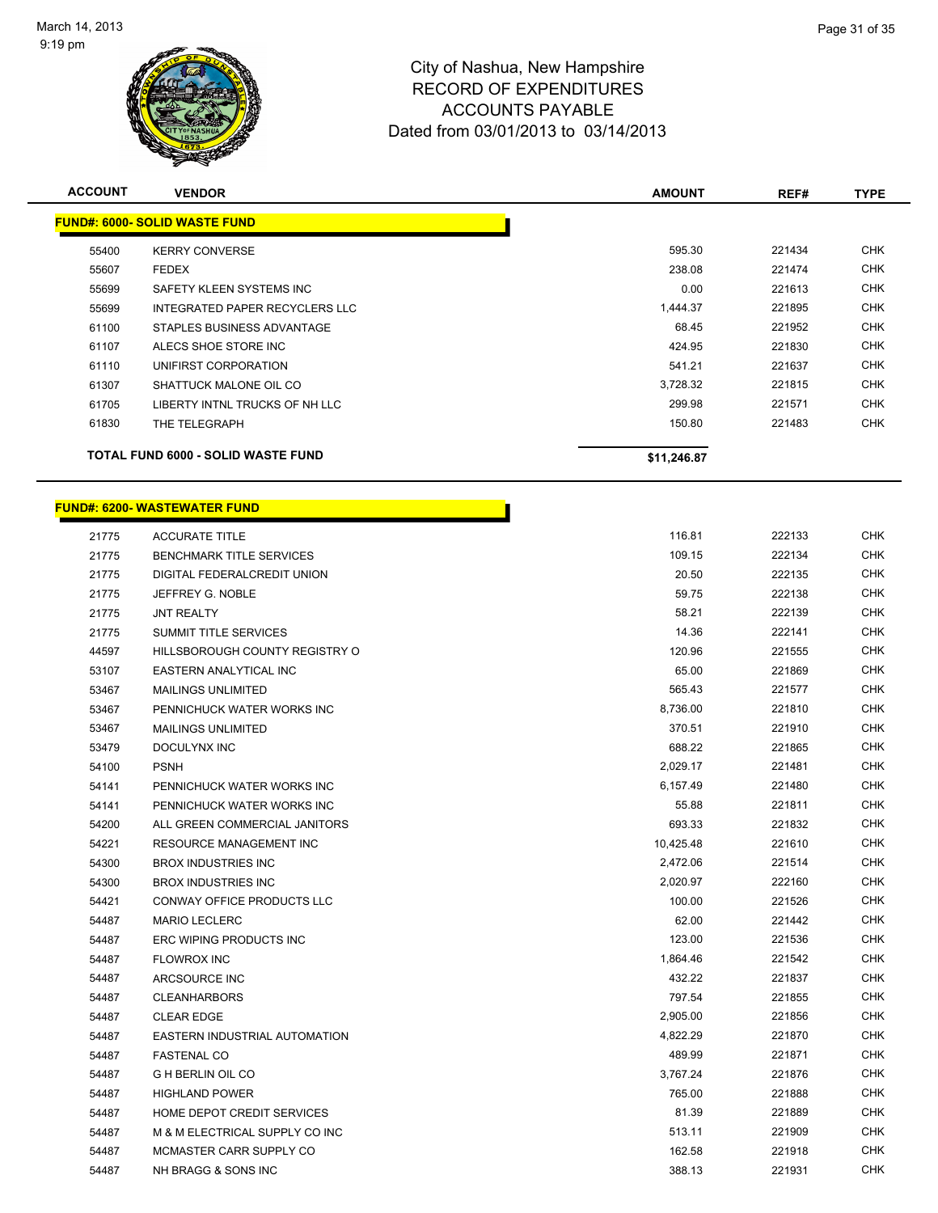

| <b>ACCOUNT</b> | <b>VENDOR</b>                        | <b>AMOUNT</b> | REF#   | <b>TYPE</b> |
|----------------|--------------------------------------|---------------|--------|-------------|
|                | <b>FUND#: 6000- SOLID WASTE FUND</b> |               |        |             |
| 55400          | <b>KERRY CONVERSE</b>                | 595.30        | 221434 | <b>CHK</b>  |
| 55607          | <b>FEDEX</b>                         | 238.08        | 221474 | <b>CHK</b>  |
| 55699          | SAFETY KLEEN SYSTEMS INC             | 0.00          | 221613 | <b>CHK</b>  |
| 55699          | INTEGRATED PAPER RECYCLERS LLC       | 1,444.37      | 221895 | <b>CHK</b>  |
| 61100          | STAPLES BUSINESS ADVANTAGE           | 68.45         | 221952 | <b>CHK</b>  |
| 61107          | ALECS SHOE STORE INC                 | 424.95        | 221830 | <b>CHK</b>  |
| 61110          | UNIFIRST CORPORATION                 | 541.21        | 221637 | <b>CHK</b>  |
| 61307          | SHATTUCK MALONE OIL CO               | 3,728.32      | 221815 | <b>CHK</b>  |
| 61705          | LIBERTY INTNL TRUCKS OF NH LLC       | 299.98        | 221571 | <b>CHK</b>  |
| 61830          | THE TELEGRAPH                        | 150.80        | 221483 | <b>CHK</b>  |
|                | TOTAL FUND 6000 - SOLID WASTE FUND   | \$11,246.87   |        |             |
|                | <b>FUND#: 6200- WASTEWATER FUND</b>  |               |        |             |

| 21775 | <b>ACCURATE TITLE</b>           | 116.81    | 222133 | <b>CHK</b> |
|-------|---------------------------------|-----------|--------|------------|
| 21775 | <b>BENCHMARK TITLE SERVICES</b> | 109.15    | 222134 | <b>CHK</b> |
| 21775 | DIGITAL FEDERALCREDIT UNION     | 20.50     | 222135 | <b>CHK</b> |
| 21775 | JEFFREY G. NOBLE                | 59.75     | 222138 | <b>CHK</b> |
| 21775 | <b>JNT REALTY</b>               | 58.21     | 222139 | <b>CHK</b> |
| 21775 | SUMMIT TITLE SERVICES           | 14.36     | 222141 | <b>CHK</b> |
| 44597 | HILLSBOROUGH COUNTY REGISTRY O  | 120.96    | 221555 | <b>CHK</b> |
| 53107 | EASTERN ANALYTICAL INC          | 65.00     | 221869 | <b>CHK</b> |
| 53467 | <b>MAILINGS UNLIMITED</b>       | 565.43    | 221577 | <b>CHK</b> |
| 53467 | PENNICHUCK WATER WORKS INC      | 8,736.00  | 221810 | <b>CHK</b> |
| 53467 | <b>MAILINGS UNLIMITED</b>       | 370.51    | 221910 | <b>CHK</b> |
| 53479 | DOCULYNX INC                    | 688.22    | 221865 | <b>CHK</b> |
| 54100 | <b>PSNH</b>                     | 2,029.17  | 221481 | <b>CHK</b> |
| 54141 | PENNICHUCK WATER WORKS INC      | 6,157.49  | 221480 | <b>CHK</b> |
| 54141 | PENNICHUCK WATER WORKS INC      | 55.88     | 221811 | <b>CHK</b> |
| 54200 | ALL GREEN COMMERCIAL JANITORS   | 693.33    | 221832 | <b>CHK</b> |
| 54221 | RESOURCE MANAGEMENT INC         | 10,425.48 | 221610 | <b>CHK</b> |
| 54300 | <b>BROX INDUSTRIES INC</b>      | 2,472.06  | 221514 | <b>CHK</b> |
| 54300 | <b>BROX INDUSTRIES INC</b>      | 2,020.97  | 222160 | <b>CHK</b> |
| 54421 | CONWAY OFFICE PRODUCTS LLC      | 100.00    | 221526 | <b>CHK</b> |
| 54487 | <b>MARIO LECLERC</b>            | 62.00     | 221442 | <b>CHK</b> |
| 54487 | ERC WIPING PRODUCTS INC         | 123.00    | 221536 | <b>CHK</b> |
| 54487 | <b>FLOWROX INC</b>              | 1,864.46  | 221542 | CHK        |
| 54487 | ARCSOURCE INC                   | 432.22    | 221837 | <b>CHK</b> |
| 54487 | <b>CLEANHARBORS</b>             | 797.54    | 221855 | CHK        |
| 54487 | <b>CLEAR EDGE</b>               | 2,905.00  | 221856 | <b>CHK</b> |
| 54487 | EASTERN INDUSTRIAL AUTOMATION   | 4,822.29  | 221870 | CHK        |
| 54487 | <b>FASTENAL CO</b>              | 489.99    | 221871 | CHK        |
| 54487 | <b>G H BERLIN OIL CO</b>        | 3,767.24  | 221876 | <b>CHK</b> |
| 54487 | <b>HIGHLAND POWER</b>           | 765.00    | 221888 | <b>CHK</b> |
| 54487 | HOME DEPOT CREDIT SERVICES      | 81.39     | 221889 | CHK        |
| 54487 | M & M ELECTRICAL SUPPLY CO INC  | 513.11    | 221909 | CHK        |
| 54487 | MCMASTER CARR SUPPLY CO         | 162.58    | 221918 | <b>CHK</b> |

54487 NH BRAGG & SONS INC 64487 NH BRAGG & SONS INC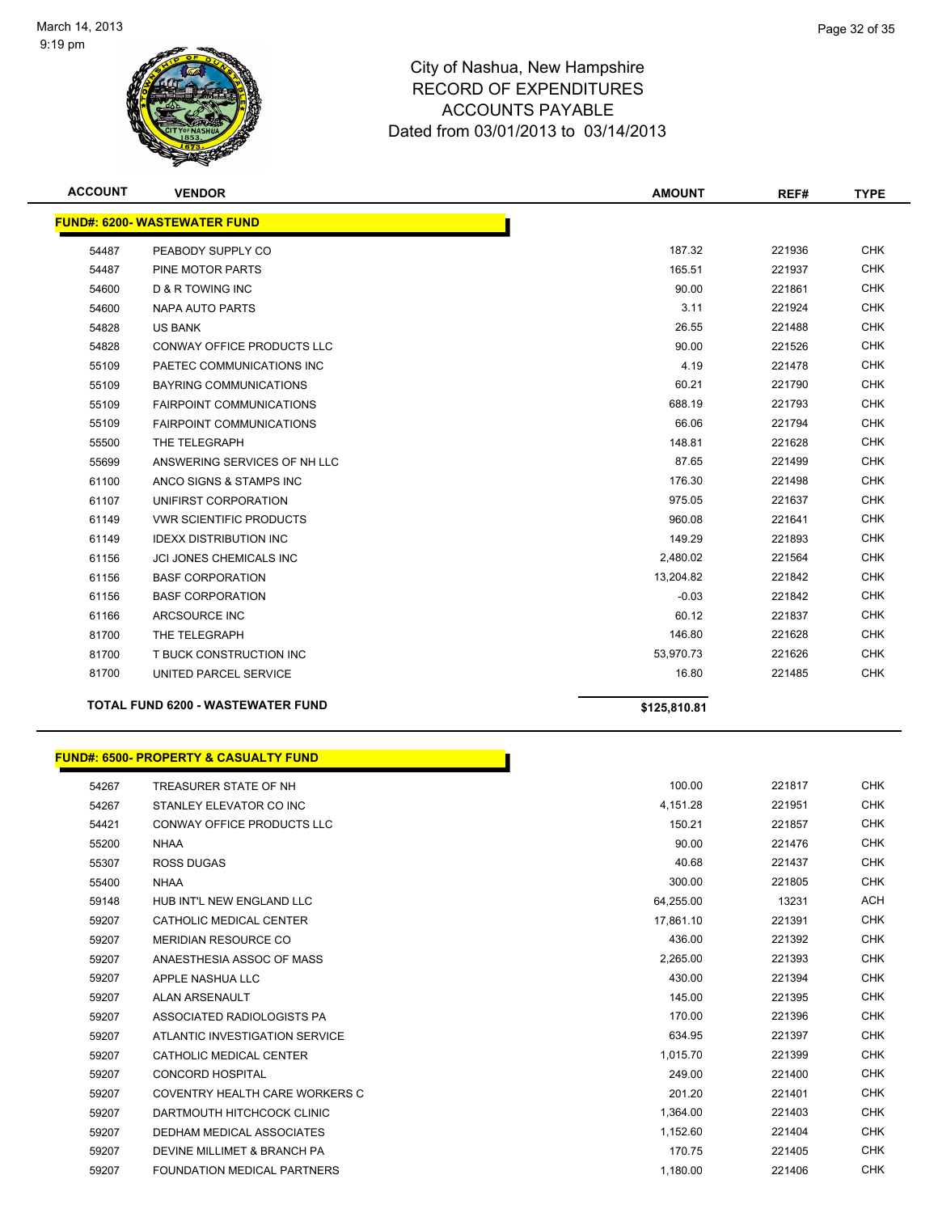

| <b>ACCOUNT</b> | <b>VENDOR</b>                                    | <b>AMOUNT</b> | REF#   | <b>TYPE</b> |
|----------------|--------------------------------------------------|---------------|--------|-------------|
|                | <b>FUND#: 6200- WASTEWATER FUND</b>              |               |        |             |
| 54487          | PEABODY SUPPLY CO                                | 187.32        | 221936 | <b>CHK</b>  |
| 54487          | PINE MOTOR PARTS                                 | 165.51        | 221937 | <b>CHK</b>  |
| 54600          | D & R TOWING INC                                 | 90.00         | 221861 | <b>CHK</b>  |
| 54600          | NAPA AUTO PARTS                                  | 3.11          | 221924 | <b>CHK</b>  |
| 54828          | <b>US BANK</b>                                   | 26.55         | 221488 | <b>CHK</b>  |
| 54828          | <b>CONWAY OFFICE PRODUCTS LLC</b>                | 90.00         | 221526 | <b>CHK</b>  |
| 55109          | PAETEC COMMUNICATIONS INC                        | 4.19          | 221478 | <b>CHK</b>  |
| 55109          | BAYRING COMMUNICATIONS                           | 60.21         | 221790 | <b>CHK</b>  |
| 55109          | <b>FAIRPOINT COMMUNICATIONS</b>                  | 688.19        | 221793 | <b>CHK</b>  |
| 55109          | <b>FAIRPOINT COMMUNICATIONS</b>                  | 66.06         | 221794 | <b>CHK</b>  |
| 55500          | THE TELEGRAPH                                    | 148.81        | 221628 | CHK         |
| 55699          | ANSWERING SERVICES OF NH LLC                     | 87.65         | 221499 | <b>CHK</b>  |
| 61100          | ANCO SIGNS & STAMPS INC                          | 176.30        | 221498 | <b>CHK</b>  |
| 61107          | UNIFIRST CORPORATION                             | 975.05        | 221637 | <b>CHK</b>  |
| 61149          | <b>VWR SCIENTIFIC PRODUCTS</b>                   | 960.08        | 221641 | <b>CHK</b>  |
| 61149          | <b>IDEXX DISTRIBUTION INC</b>                    | 149.29        | 221893 | <b>CHK</b>  |
| 61156          | <b>JCI JONES CHEMICALS INC</b>                   | 2,480.02      | 221564 | <b>CHK</b>  |
| 61156          | <b>BASF CORPORATION</b>                          | 13,204.82     | 221842 | <b>CHK</b>  |
| 61156          | <b>BASF CORPORATION</b>                          | $-0.03$       | 221842 | <b>CHK</b>  |
| 61166          | ARCSOURCE INC                                    | 60.12         | 221837 | <b>CHK</b>  |
| 81700          | THE TELEGRAPH                                    | 146.80        | 221628 | <b>CHK</b>  |
| 81700          | T BUCK CONSTRUCTION INC                          | 53,970.73     | 221626 | CHK         |
| 81700          | UNITED PARCEL SERVICE                            | 16.80         | 221485 | <b>CHK</b>  |
|                | TOTAL FUND 6200 - WASTEWATER FUND                | \$125,810.81  |        |             |
|                | <b>FUND#: 6500- PROPERTY &amp; CASUALTY FUND</b> |               |        |             |
| 54267          | TREASURER STATE OF NH                            | 100.00        | 221817 | <b>CHK</b>  |
| 54267          | STANLEY ELEVATOR CO INC                          | 4,151.28      | 221951 | <b>CHK</b>  |
| 54421          | CONWAY OFFICE PRODUCTS LLC                       | 150.21        | 221857 | <b>CHK</b>  |
| 55200          | <b>NHAA</b>                                      | 90.00         | 221476 | <b>CHK</b>  |
| 55307          | <b>ROSS DUGAS</b>                                | 40.68         | 221437 | <b>CHK</b>  |
| 55400          | <b>NHAA</b>                                      | 300.00        | 221805 | <b>CHK</b>  |
| 59148          | HUB INT'L NEW ENGLAND LLC                        | 64,255.00     | 13231  | ACH         |
| 59207          | CATHOLIC MEDICAL CENTER                          | 17,861.10     | 221391 | CHK         |
| 59207          | MERIDIAN RESOURCE CO                             | 436.00        | 221392 | CHK         |
| 59207          | ANAESTHESIA ASSOC OF MASS                        | 2,265.00      | 221393 | CHK         |
| 59207          | APPLE NASHUA LLC                                 | 430.00        | 221394 | <b>CHK</b>  |

 ALAN ARSENAULT 145.00 221395 CHK 59207 ASSOCIATED RADIOLOGISTS PA 170.00 221396 CHK ATLANTIC INVESTIGATION SERVICE 634.95 221397 CHK CATHOLIC MEDICAL CENTER 1,015.70 221399 CHK CONCORD HOSPITAL 249.00 221400 CHK COVENTRY HEALTH CARE WORKERS C 201.20 221401 CHK DARTMOUTH HITCHCOCK CLINIC 1,364.00 221403 CHK DEDHAM MEDICAL ASSOCIATES 1,152.60 221404 CHK DEVINE MILLIMET & BRANCH PA 170.75 221405 CHK FOUNDATION MEDICAL PARTNERS 1,180.00 221406 CHK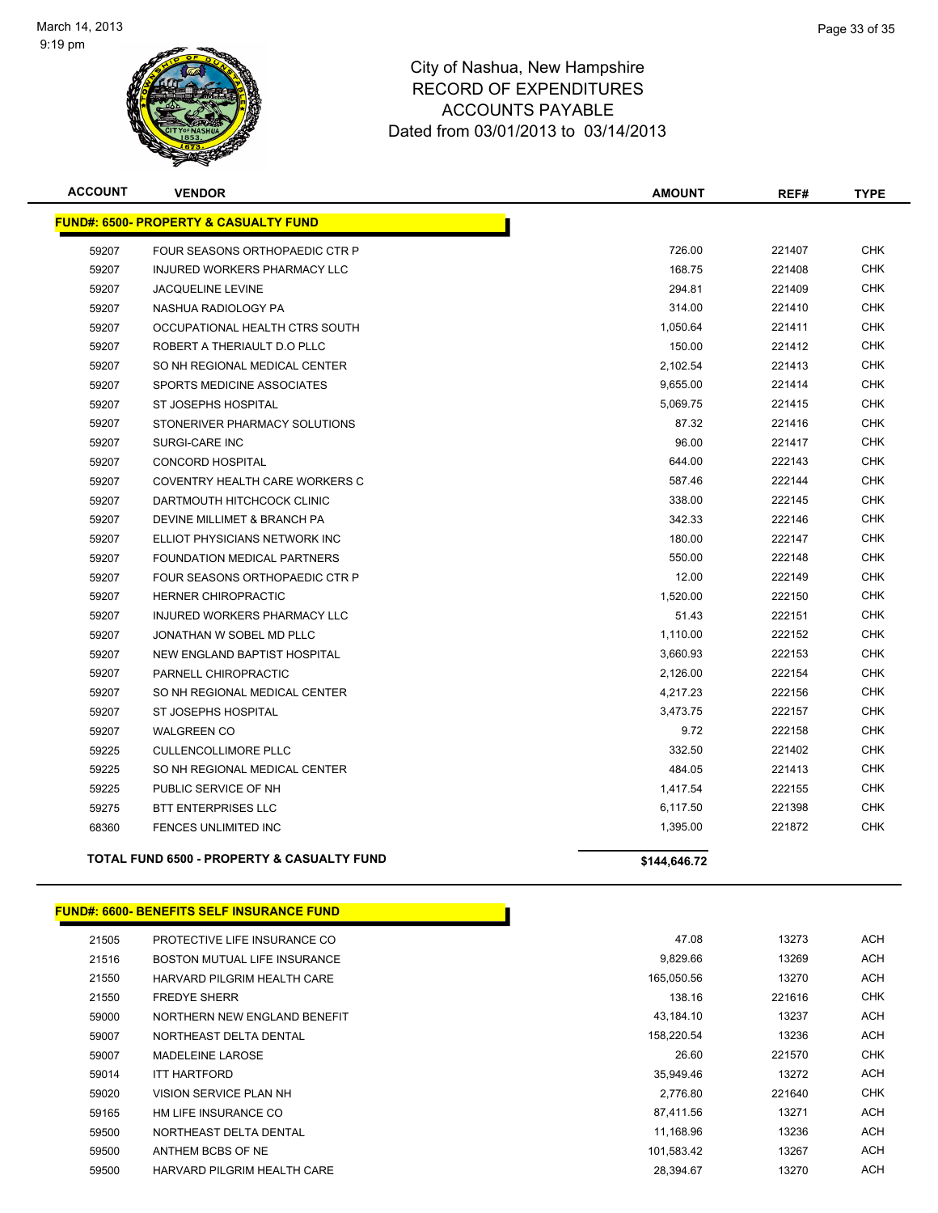

| <b>ACCOUNT</b> | <b>VENDOR</b>                                         | <b>AMOUNT</b> | REF#   | <b>TYPE</b> |
|----------------|-------------------------------------------------------|---------------|--------|-------------|
|                | <b>FUND#: 6500- PROPERTY &amp; CASUALTY FUND</b>      |               |        |             |
| 59207          | FOUR SEASONS ORTHOPAEDIC CTR P                        | 726.00        | 221407 | <b>CHK</b>  |
| 59207          | <b>INJURED WORKERS PHARMACY LLC</b>                   | 168.75        | 221408 | <b>CHK</b>  |
| 59207          | <b>JACQUELINE LEVINE</b>                              | 294.81        | 221409 | <b>CHK</b>  |
| 59207          | NASHUA RADIOLOGY PA                                   | 314.00        | 221410 | <b>CHK</b>  |
| 59207          | OCCUPATIONAL HEALTH CTRS SOUTH                        | 1,050.64      | 221411 | <b>CHK</b>  |
| 59207          | ROBERT A THERIAULT D.O PLLC                           | 150.00        | 221412 | <b>CHK</b>  |
| 59207          | SO NH REGIONAL MEDICAL CENTER                         | 2,102.54      | 221413 | <b>CHK</b>  |
| 59207          | SPORTS MEDICINE ASSOCIATES                            | 9,655.00      | 221414 | CHK         |
| 59207          | ST JOSEPHS HOSPITAL                                   | 5,069.75      | 221415 | CHK         |
| 59207          | STONERIVER PHARMACY SOLUTIONS                         | 87.32         | 221416 | <b>CHK</b>  |
| 59207          | SURGI-CARE INC                                        | 96.00         | 221417 | <b>CHK</b>  |
| 59207          | <b>CONCORD HOSPITAL</b>                               | 644.00        | 222143 | <b>CHK</b>  |
| 59207          | COVENTRY HEALTH CARE WORKERS C                        | 587.46        | 222144 | <b>CHK</b>  |
| 59207          | DARTMOUTH HITCHCOCK CLINIC                            | 338.00        | 222145 | <b>CHK</b>  |
| 59207          | DEVINE MILLIMET & BRANCH PA                           | 342.33        | 222146 | <b>CHK</b>  |
| 59207          | ELLIOT PHYSICIANS NETWORK INC                         | 180.00        | 222147 | <b>CHK</b>  |
| 59207          | <b>FOUNDATION MEDICAL PARTNERS</b>                    | 550.00        | 222148 | <b>CHK</b>  |
| 59207          | FOUR SEASONS ORTHOPAEDIC CTR P                        | 12.00         | 222149 | <b>CHK</b>  |
| 59207          | HERNER CHIROPRACTIC                                   | 1,520.00      | 222150 | CHK         |
| 59207          | INJURED WORKERS PHARMACY LLC                          | 51.43         | 222151 | CHK         |
| 59207          | JONATHAN W SOBEL MD PLLC                              | 1,110.00      | 222152 | CHK         |
| 59207          | NEW ENGLAND BAPTIST HOSPITAL                          | 3,660.93      | 222153 | <b>CHK</b>  |
| 59207          | PARNELL CHIROPRACTIC                                  | 2,126.00      | 222154 | <b>CHK</b>  |
| 59207          | SO NH REGIONAL MEDICAL CENTER                         | 4,217.23      | 222156 | <b>CHK</b>  |
| 59207          | ST JOSEPHS HOSPITAL                                   | 3,473.75      | 222157 | <b>CHK</b>  |
| 59207          | <b>WALGREEN CO</b>                                    | 9.72          | 222158 | <b>CHK</b>  |
| 59225          | <b>CULLENCOLLIMORE PLLC</b>                           | 332.50        | 221402 | <b>CHK</b>  |
| 59225          | SO NH REGIONAL MEDICAL CENTER                         | 484.05        | 221413 | <b>CHK</b>  |
| 59225          | PUBLIC SERVICE OF NH                                  | 1,417.54      | 222155 | CHK         |
| 59275          | <b>BTT ENTERPRISES LLC</b>                            | 6,117.50      | 221398 | CHK         |
| 68360          | FENCES UNLIMITED INC                                  | 1,395.00      | 221872 | CHK         |
|                | <b>TOTAL FUND 6500 - PROPERTY &amp; CASUALTY FUND</b> | \$144,646.72  |        |             |

#### **FUND#: 6600- BENEFITS SELF INSURANCE FUND**

| 21505 | PROTECTIVE LIFE INSURANCE CO | 47.08      | 13273  | <b>ACH</b> |
|-------|------------------------------|------------|--------|------------|
| 21516 | BOSTON MUTUAL LIFE INSURANCE | 9,829.66   | 13269  | <b>ACH</b> |
| 21550 | HARVARD PILGRIM HEALTH CARE  | 165.050.56 | 13270  | ACH        |
| 21550 | <b>FREDYE SHERR</b>          | 138.16     | 221616 | <b>CHK</b> |
| 59000 | NORTHERN NEW ENGLAND BENEFIT | 43.184.10  | 13237  | <b>ACH</b> |
| 59007 | NORTHEAST DELTA DENTAL       | 158,220.54 | 13236  | <b>ACH</b> |
| 59007 | MADELEINE LAROSE             | 26.60      | 221570 | <b>CHK</b> |
| 59014 | <b>ITT HARTFORD</b>          | 35,949.46  | 13272  | <b>ACH</b> |
| 59020 | VISION SERVICE PLAN NH       | 2.776.80   | 221640 | <b>CHK</b> |
| 59165 | HM LIFE INSURANCE CO         | 87.411.56  | 13271  | <b>ACH</b> |
| 59500 | NORTHEAST DELTA DENTAL       | 11.168.96  | 13236  | <b>ACH</b> |
| 59500 | ANTHEM BCBS OF NE            | 101,583.42 | 13267  | <b>ACH</b> |
| 59500 | HARVARD PILGRIM HEALTH CARE  | 28.394.67  | 13270  | <b>ACH</b> |
|       |                              |            |        |            |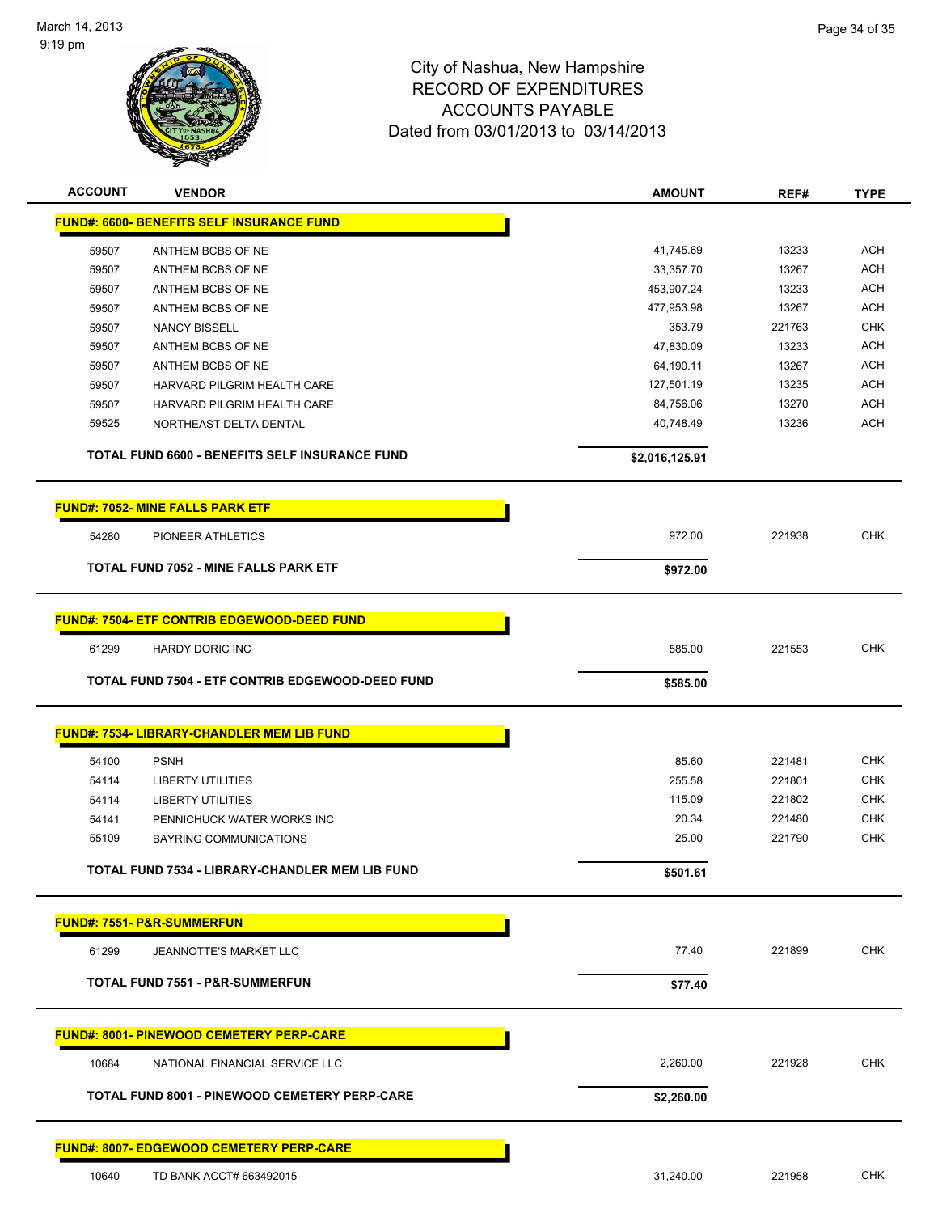

| <b>ACCOUNT</b> | <b>VENDOR</b>                                         | <b>AMOUNT</b>  | REF#   | <b>TYPE</b> |
|----------------|-------------------------------------------------------|----------------|--------|-------------|
|                | <b>FUND#: 6600- BENEFITS SELF INSURANCE FUND</b>      |                |        |             |
| 59507          | ANTHEM BCBS OF NE                                     | 41,745.69      | 13233  | <b>ACH</b>  |
| 59507          | ANTHEM BCBS OF NE                                     | 33,357.70      | 13267  | <b>ACH</b>  |
| 59507          | ANTHEM BCBS OF NE                                     | 453,907.24     | 13233  | <b>ACH</b>  |
| 59507          | ANTHEM BCBS OF NE                                     | 477,953.98     | 13267  | <b>ACH</b>  |
| 59507          | <b>NANCY BISSELL</b>                                  | 353.79         | 221763 | <b>CHK</b>  |
| 59507          | ANTHEM BCBS OF NE                                     | 47,830.09      | 13233  | ACH         |
| 59507          | ANTHEM BCBS OF NE                                     | 64,190.11      | 13267  | ACH         |
| 59507          | HARVARD PILGRIM HEALTH CARE                           | 127,501.19     | 13235  | <b>ACH</b>  |
| 59507          | HARVARD PILGRIM HEALTH CARE                           | 84,756.06      | 13270  | <b>ACH</b>  |
| 59525          | NORTHEAST DELTA DENTAL                                | 40,748.49      | 13236  | <b>ACH</b>  |
|                | <b>TOTAL FUND 6600 - BENEFITS SELF INSURANCE FUND</b> | \$2,016,125.91 |        |             |
|                |                                                       |                |        |             |
|                | <b>FUND#: 7052- MINE FALLS PARK ETF</b>               |                |        |             |
| 54280          | PIONEER ATHLETICS                                     | 972.00         | 221938 | <b>CHK</b>  |
|                | TOTAL FUND 7052 - MINE FALLS PARK ETF                 | \$972.00       |        |             |
|                | <b>FUND#: 7504- ETF CONTRIB EDGEWOOD-DEED FUND</b>    |                |        |             |
|                |                                                       |                |        |             |
| 61299          | <b>HARDY DORIC INC</b>                                | 585.00         | 221553 | <b>CHK</b>  |
|                | TOTAL FUND 7504 - ETF CONTRIB EDGEWOOD-DEED FUND      | \$585.00       |        |             |
|                | FUND#: 7534- LIBRARY-CHANDLER MEM LIB FUND            |                |        |             |
| 54100          | <b>PSNH</b>                                           | 85.60          | 221481 | <b>CHK</b>  |
|                | <b>LIBERTY UTILITIES</b>                              | 255.58         | 221801 | <b>CHK</b>  |
| 54114<br>54114 | <b>LIBERTY UTILITIES</b>                              | 115.09         | 221802 | <b>CHK</b>  |
|                |                                                       | 20.34          | 221480 | <b>CHK</b>  |
| 54141          | PENNICHUCK WATER WORKS INC                            | 25.00          | 221790 | <b>CHK</b>  |
| 55109          | BAYRING COMMUNICATIONS                                |                |        |             |
|                | TOTAL FUND 7534 - LIBRARY-CHANDLER MEM LIB FUND       | \$501.61       |        |             |
|                | <b>FUND#: 7551- P&amp;R-SUMMERFUN</b>                 |                |        |             |
| 61299          | JEANNOTTE'S MARKET LLC                                | 77.40          | 221899 | <b>CHK</b>  |
|                | <b>TOTAL FUND 7551 - P&amp;R-SUMMERFUN</b>            | \$77.40        |        |             |
|                |                                                       |                |        |             |
|                | <b>FUND#: 8001- PINEWOOD CEMETERY PERP-CARE</b>       |                |        |             |
| 10684          | NATIONAL FINANCIAL SERVICE LLC                        | 2,260.00       | 221928 | <b>CHK</b>  |
|                | TOTAL FUND 8001 - PINEWOOD CEMETERY PERP-CARE         | \$2,260.00     |        |             |
|                | <b>FUND#: 8007- EDGEWOOD CEMETERY PERP-CARE</b>       |                |        |             |
|                |                                                       |                |        |             |
| 10640          | TD BANK ACCT# 663492015                               | 31,240.00      | 221958 | <b>CHK</b>  |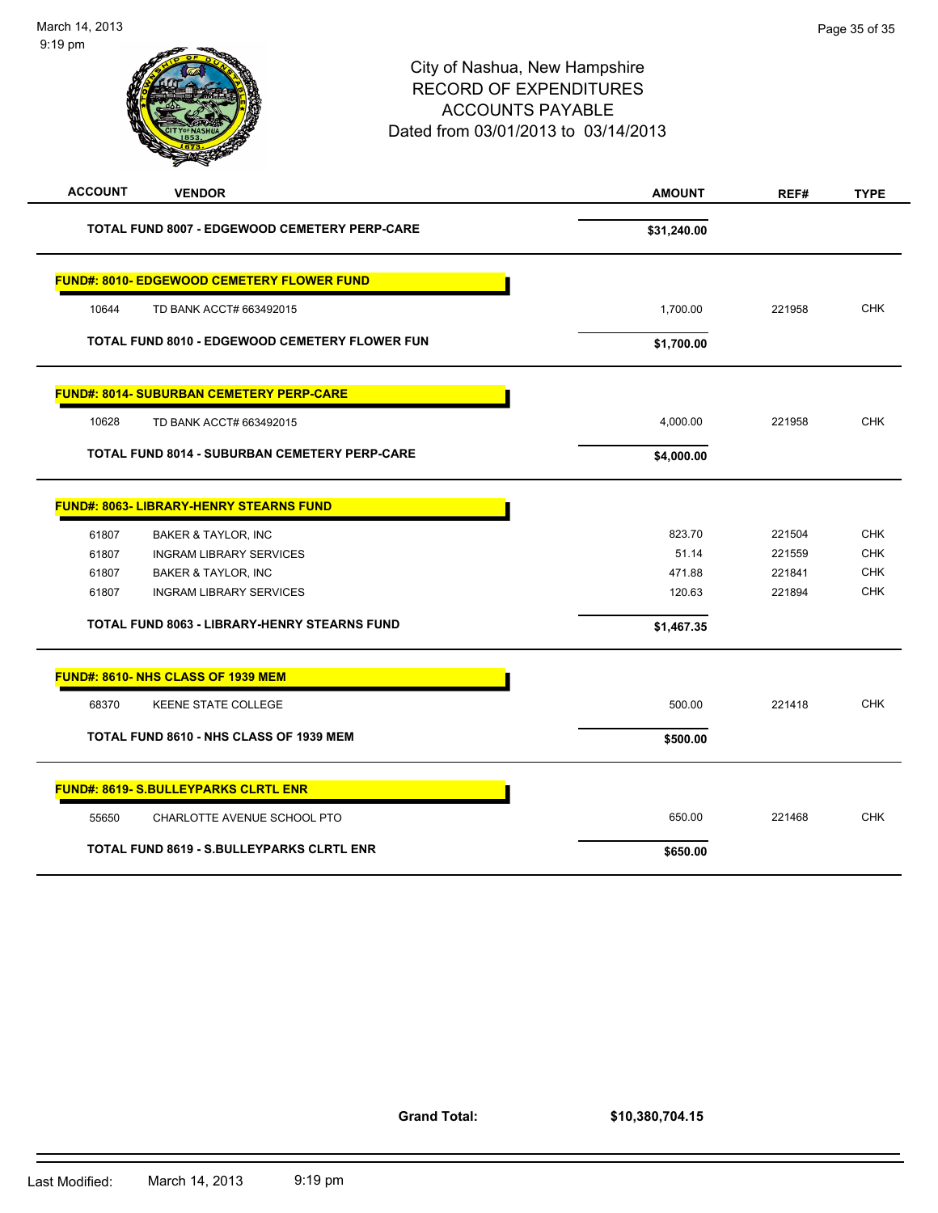

| <b>FUND#: 8014- SUBURBAN CEMETERY PERP-CARE</b>      |            |        |
|------------------------------------------------------|------------|--------|
| 10628<br>TD BANK ACCT# 663492015                     | 4.000.00   | 221958 |
| <b>TOTAL FUND 8014 - SUBURBAN CEMETERY PERP-CARE</b> | \$4,000.00 |        |

| 61807 | <b>BAKER &amp; TAYLOR, INC</b>                      | 823.70     | 221504 | <b>CHK</b> |
|-------|-----------------------------------------------------|------------|--------|------------|
| 61807 | <b>INGRAM LIBRARY SERVICES</b>                      | 51.14      | 221559 | <b>CHK</b> |
| 61807 | <b>BAKER &amp; TAYLOR, INC</b>                      | 471.88     | 221841 | <b>CHK</b> |
| 61807 | <b>INGRAM LIBRARY SERVICES</b>                      | 120.63     | 221894 | <b>CHK</b> |
|       | <b>TOTAL FUND 8063 - LIBRARY-HENRY STEARNS FUND</b> | \$1,467.35 |        |            |
|       | <b>FUND#: 8610- NHS CLASS OF 1939 MEM</b>           |            |        |            |
| 68370 | <b>KEENE STATE COLLEGE</b>                          | 500.00     | 221418 | <b>CHK</b> |
|       | TOTAL FUND 8610 - NHS CLASS OF 1939 MEM             | \$500.00   |        |            |
|       | <b>FUND#: 8619- S.BULLEYPARKS CLRTL ENR</b>         |            |        |            |
| 55650 | CHARLOTTE AVENUE SCHOOL PTO                         | 650.00     | 221468 | <b>CHK</b> |
|       | <b>TOTAL FUND 8619 - S.BULLEYPARKS CLRTL ENR</b>    | \$650.00   |        |            |

**Grand Total:**

**\$10,380,704.15**

**FUND#: 8063- LIBRARY-HENRY STEARNS FUND**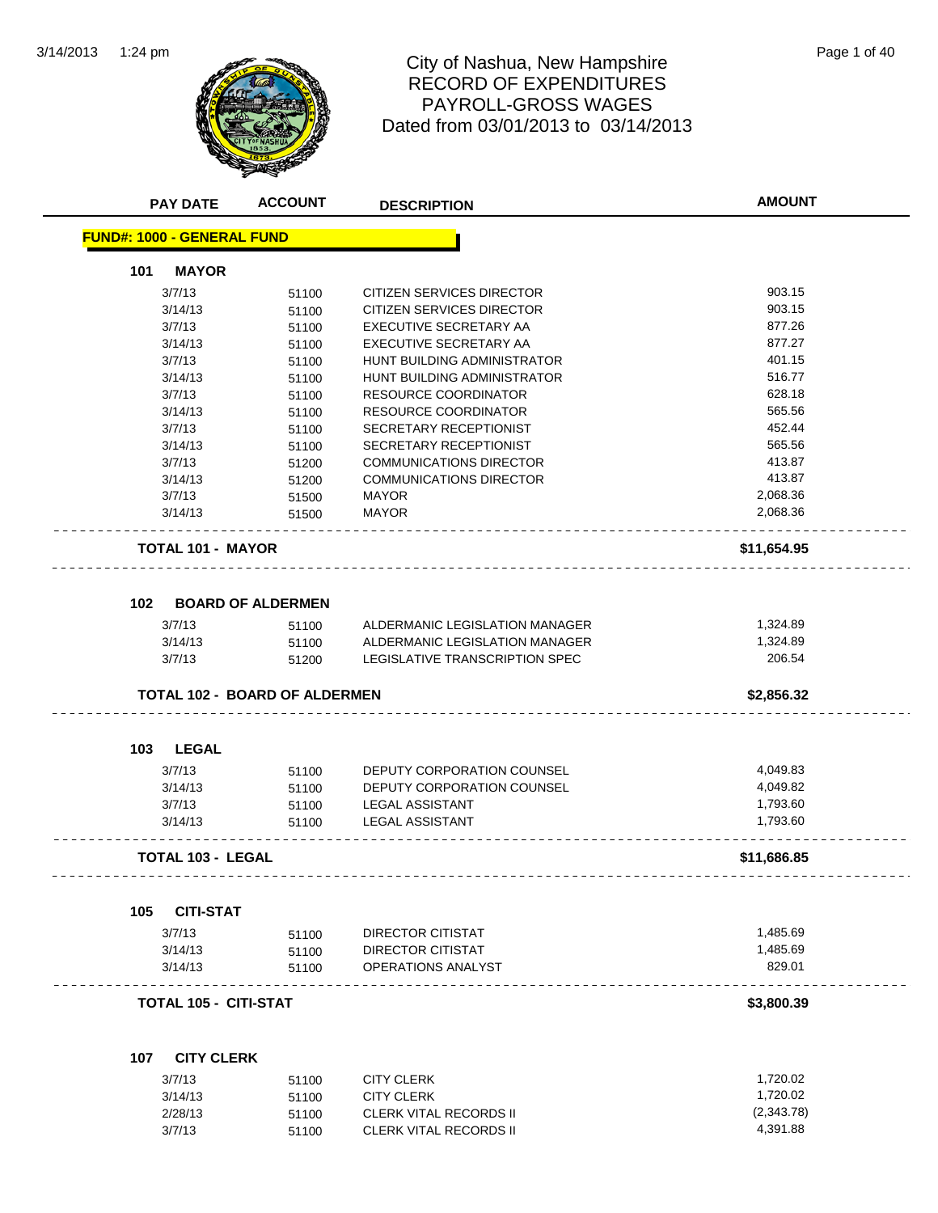

# City of Nashua, New Hampshire<br>
Page 1 of 40 RECORD OF EXPENDITURES PAYROLL-GROSS WAGES Dated from 03/01/2013 to 03/14/2013

|     | <b>PAY DATE</b>                   | <b>ACCOUNT</b>                       | <b>DESCRIPTION</b>                      | <b>AMOUNT</b> |
|-----|-----------------------------------|--------------------------------------|-----------------------------------------|---------------|
|     | <b>FUND#: 1000 - GENERAL FUND</b> |                                      |                                         |               |
| 101 | <b>MAYOR</b>                      |                                      |                                         |               |
|     | 3/7/13                            | 51100                                | CITIZEN SERVICES DIRECTOR               | 903.15        |
|     | 3/14/13                           | 51100                                | CITIZEN SERVICES DIRECTOR               | 903.15        |
|     | 3/7/13                            | 51100                                | EXECUTIVE SECRETARY AA                  | 877.26        |
|     | 3/14/13                           | 51100                                | EXECUTIVE SECRETARY AA                  | 877.27        |
|     | 3/7/13                            | 51100                                | HUNT BUILDING ADMINISTRATOR             | 401.15        |
|     | 3/14/13                           | 51100                                | HUNT BUILDING ADMINISTRATOR             | 516.77        |
|     | 3/7/13                            | 51100                                | <b>RESOURCE COORDINATOR</b>             | 628.18        |
|     | 3/14/13                           | 51100                                | RESOURCE COORDINATOR                    | 565.56        |
|     | 3/7/13                            | 51100                                | SECRETARY RECEPTIONIST                  | 452.44        |
|     | 3/14/13                           | 51100                                | SECRETARY RECEPTIONIST                  | 565.56        |
|     | 3/7/13                            | 51200                                | <b>COMMUNICATIONS DIRECTOR</b>          | 413.87        |
|     | 3/14/13                           | 51200                                | <b>COMMUNICATIONS DIRECTOR</b>          | 413.87        |
|     | 3/7/13                            | 51500                                | <b>MAYOR</b>                            | 2,068.36      |
|     | 3/14/13                           | 51500                                | <b>MAYOR</b>                            | 2,068.36      |
|     |                                   |                                      |                                         |               |
|     | <b>TOTAL 101 - MAYOR</b>          |                                      |                                         | \$11,654.95   |
|     |                                   |                                      |                                         |               |
| 102 | 3/7/13                            | <b>BOARD OF ALDERMEN</b><br>51100    | ALDERMANIC LEGISLATION MANAGER          | 1,324.89      |
|     | 3/14/13                           | 51100                                | ALDERMANIC LEGISLATION MANAGER          | 1,324.89      |
|     | 3/7/13                            | 51200                                | LEGISLATIVE TRANSCRIPTION SPEC          | 206.54        |
|     |                                   | <b>TOTAL 102 - BOARD OF ALDERMEN</b> |                                         | \$2,856.32    |
| 103 | <b>LEGAL</b>                      |                                      |                                         |               |
|     | 3/7/13                            | 51100                                | DEPUTY CORPORATION COUNSEL              | 4,049.83      |
|     | 3/14/13                           | 51100                                | <b>DEPUTY CORPORATION COUNSEL</b>       | 4,049.82      |
|     |                                   |                                      |                                         | 1,793.60      |
|     | 3/7/13                            | 51100                                | <b>LEGAL ASSISTANT</b>                  |               |
|     | 3/14/13                           | 51100                                | <b>LEGAL ASSISTANT</b>                  | 1,793.60      |
|     | <b>TOTAL 103 - LEGAL</b>          |                                      |                                         | \$11,686.85   |
| 105 | <b>CITI-STAT</b>                  |                                      |                                         |               |
|     | 3/7/13                            |                                      | <b>DIRECTOR CITISTAT</b>                | 1,485.69      |
|     |                                   | 51100                                |                                         | 1,485.69      |
|     | 3/14/13<br>3/14/13                | 51100<br>51100                       | DIRECTOR CITISTAT<br>OPERATIONS ANALYST | 829.01        |
|     |                                   |                                      |                                         |               |
|     | <b>TOTAL 105 - CITI-STAT</b>      |                                      |                                         | \$3,800.39    |
|     | 107 CITY CLERK                    |                                      |                                         |               |
|     | 3/7/13                            | 51100                                | <b>CITY CLERK</b>                       | 1,720.02      |
|     | 3/14/13                           | 51100                                | <b>CITY CLERK</b>                       | 1,720.02      |
|     | 2/28/13                           | 51100                                | <b>CLERK VITAL RECORDS II</b>           | (2, 343.78)   |
|     |                                   |                                      |                                         |               |
|     | 3/7/13                            | 51100                                | <b>CLERK VITAL RECORDS II</b>           | 4,391.88      |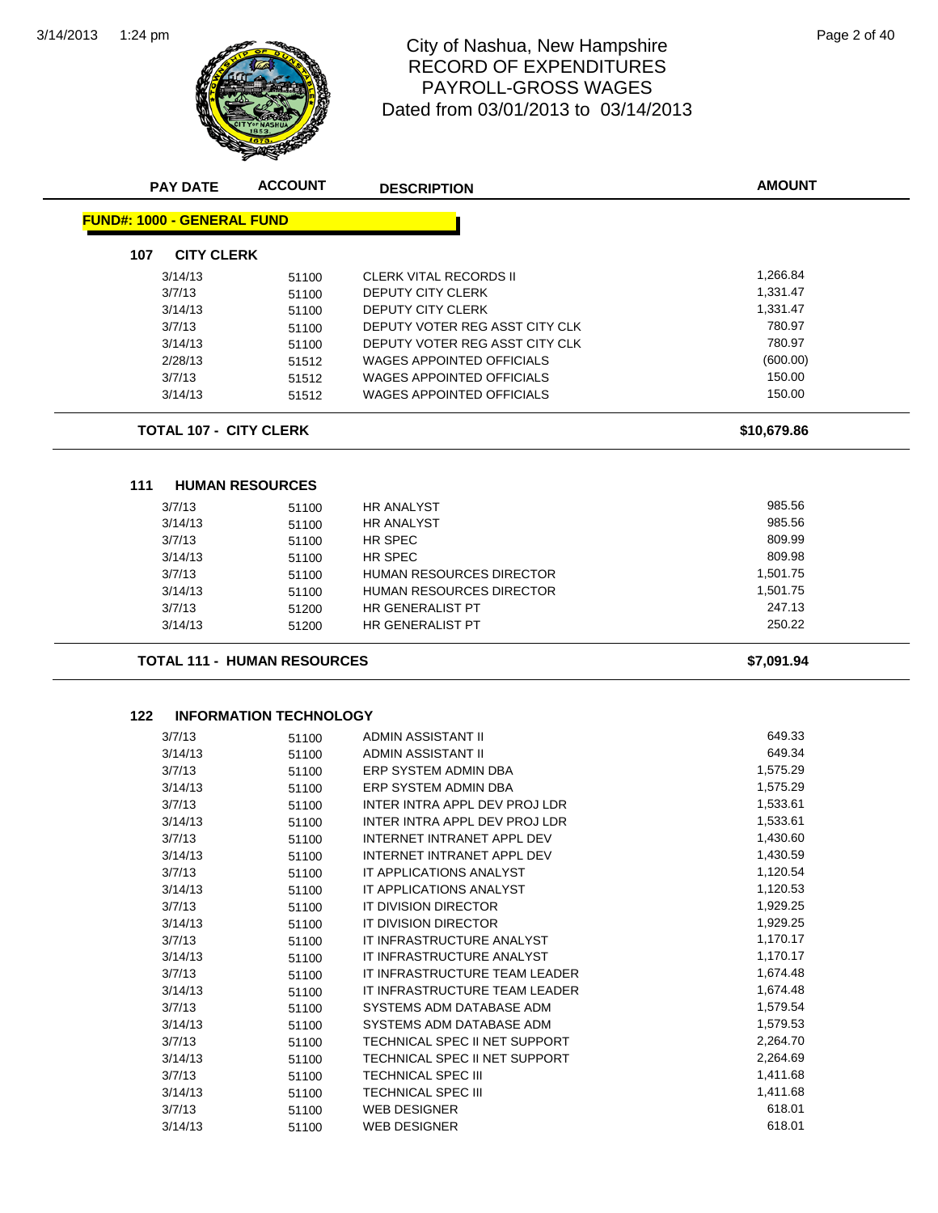

#### 1:24 pm Page 2 of 40 RECORD OF EXPENDITURES PAYROLL-GROSS WAGES Dated from 03/01/2013 to 03/14/2013

| <b>FUND#: 1000 - GENERAL FUND</b>  |                               |                                   |             |
|------------------------------------|-------------------------------|-----------------------------------|-------------|
| <b>CITY CLERK</b><br>107           |                               |                                   |             |
| 3/14/13                            | 51100                         | <b>CLERK VITAL RECORDS II</b>     | 1,266.84    |
| 3/7/13                             | 51100                         | <b>DEPUTY CITY CLERK</b>          | 1,331.47    |
| 3/14/13                            | 51100                         | <b>DEPUTY CITY CLERK</b>          | 1,331.47    |
| 3/7/13                             | 51100                         | DEPUTY VOTER REG ASST CITY CLK    | 780.97      |
| 3/14/13                            | 51100                         | DEPUTY VOTER REG ASST CITY CLK    | 780.97      |
| 2/28/13                            |                               | <b>WAGES APPOINTED OFFICIALS</b>  | (600.00)    |
| 3/7/13                             | 51512<br>51512                | <b>WAGES APPOINTED OFFICIALS</b>  | 150.00      |
| 3/14/13                            | 51512                         | <b>WAGES APPOINTED OFFICIALS</b>  | 150.00      |
|                                    |                               |                                   |             |
| <b>TOTAL 107 - CITY CLERK</b>      |                               |                                   | \$10,679.86 |
|                                    |                               |                                   |             |
| 111<br><b>HUMAN RESOURCES</b>      |                               |                                   |             |
| 3/7/13                             | 51100                         | <b>HR ANALYST</b>                 | 985.56      |
| 3/14/13                            | 51100                         | <b>HR ANALYST</b>                 | 985.56      |
| 3/7/13                             | 51100                         | HR SPEC                           | 809.99      |
| 3/14/13                            | 51100                         | HR SPEC                           | 809.98      |
| 3/7/13                             | 51100                         | HUMAN RESOURCES DIRECTOR          | 1,501.75    |
| 3/14/13                            | 51100                         | HUMAN RESOURCES DIRECTOR          | 1,501.75    |
| 3/7/13                             | 51200                         | HR GENERALIST PT                  | 247.13      |
| 3/14/13                            | 51200                         | HR GENERALIST PT                  | 250.22      |
| <b>TOTAL 111 - HUMAN RESOURCES</b> |                               |                                   | \$7,091.94  |
|                                    |                               |                                   |             |
| 122                                | <b>INFORMATION TECHNOLOGY</b> |                                   |             |
| 3/7/13                             | 51100                         | ADMIN ASSISTANT II                | 649.33      |
| 3/14/13                            | 51100                         | ADMIN ASSISTANT II                | 649.34      |
| 3/7/13                             | 51100                         | ERP SYSTEM ADMIN DBA              | 1,575.29    |
| 3/14/13                            | 51100                         | ERP SYSTEM ADMIN DBA              | 1,575.29    |
| 3/7/13                             | 51100                         | INTER INTRA APPL DEV PROJ LDR     | 1,533.61    |
| 3/14/13                            | 51100                         | INTER INTRA APPL DEV PROJ LDR     | 1,533.61    |
| 3/7/13                             | 51100                         | <b>INTERNET INTRANET APPL DEV</b> | 1,430.60    |
| 3/14/13                            | 51100                         | INTERNET INTRANET APPL DEV        | 1,430.59    |
| 3/7/13                             | 51100                         | IT APPLICATIONS ANALYST           | 1,120.54    |
| 3/14/13                            | 51100                         | IT APPLICATIONS ANALYST           | 1,120.53    |
| 3/7/13                             | 51100                         | IT DIVISION DIRECTOR              | 1,929.25    |
| 3/14/13                            | 51100                         | IT DIVISION DIRECTOR              | 1,929.25    |
| 3/7/13                             | 51100                         | IT INFRASTRUCTURE ANALYST         | 1,170.17    |
| 3/14/13                            | 51100                         | IT INFRASTRUCTURE ANALYST         | 1,170.17    |
| 3/7/13                             | 51100                         | IT INFRASTRUCTURE TEAM LEADER     | 1,674.48    |
| 3/14/13                            | 51100                         | IT INFRASTRUCTURE TEAM LEADER     | 1,674.48    |
| 3/7/13                             | 51100                         | SYSTEMS ADM DATABASE ADM          | 1,579.54    |
|                                    |                               | SYSTEMS ADM DATABASE ADM          | 1,579.53    |
| 3/14/13<br>3/7/13                  | 51100                         | TECHNICAL SPEC II NET SUPPORT     | 2,264.70    |
|                                    | 51100                         | TECHNICAL SPEC II NET SUPPORT     | 2,264.69    |
| 3/14/13                            | 51100                         |                                   | 1,411.68    |
| 3/7/13                             | 51100                         | TECHNICAL SPEC III                | 1,411.68    |
| 3/14/13                            | 51100                         | <b>TECHNICAL SPEC III</b>         |             |
| 3/7/13                             | 51100                         | <b>WEB DESIGNER</b>               | 618.01      |
| 3/14/13                            | 51100                         | <b>WEB DESIGNER</b>               | 618.01      |

**AMOUNT**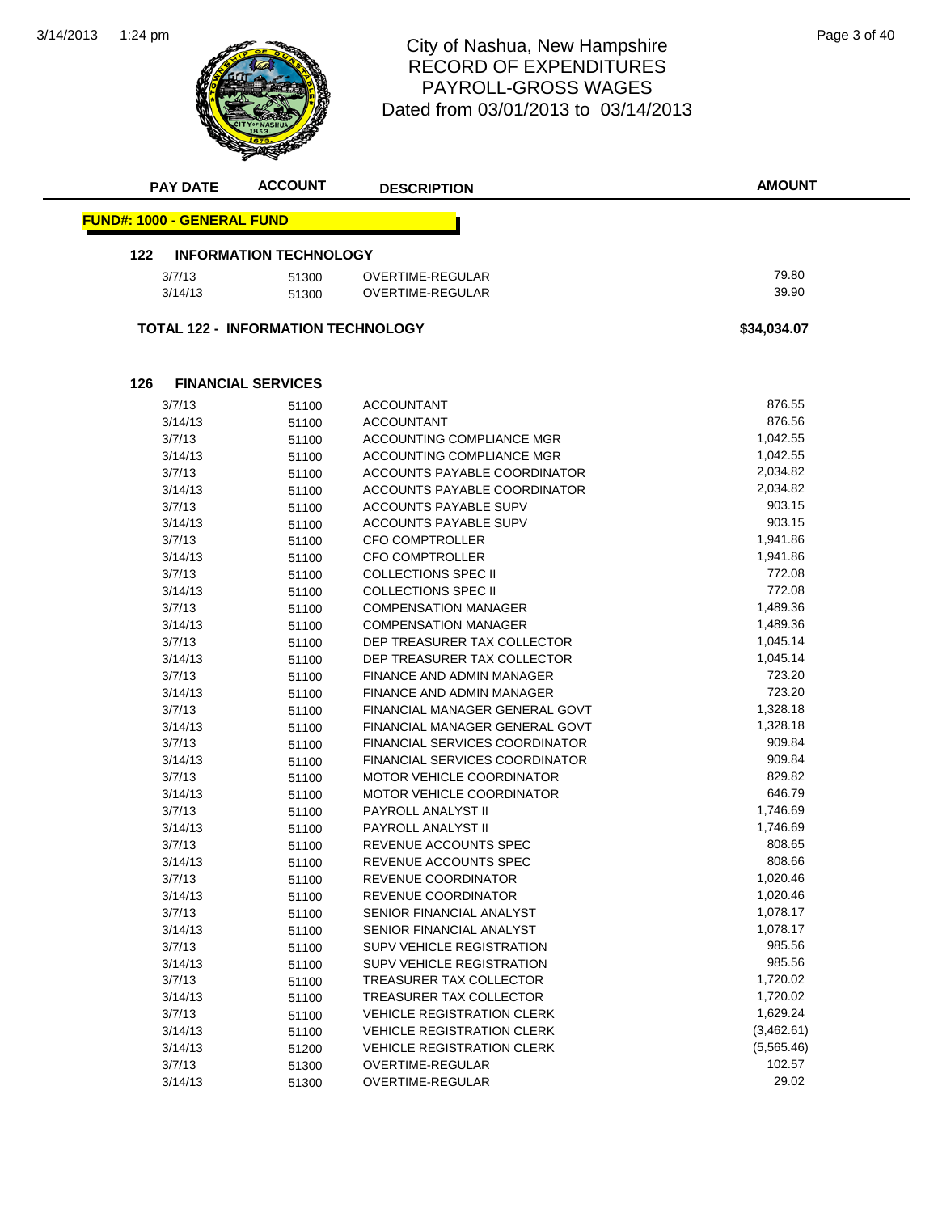3/14/2013 **ACCOUNT AMOUNT** 1:24 pm Page 3 of 40 RECORD OF EXPENDITURES PAYROLL-GROSS WAGES Dated from 03/01/2013 to 03/14/2013 **PAY DATE ACCOUNT DESCRIPTION FUND#: 1000 - GENERAL FUND 122 INFORMATION TECHNOLOGY** 3/7/13 51300 OVERTIME-REGULAR 79.80 3/14/13 51300 OVERTIME-REGULAR 39.90 **TOTAL 122 - INFORMATION TECHNOLOGY \$34,034.07 126 FINANCIAL SERVICES** 3/7/13 51100 ACCOUNTANT 876.55 3/14/13 51100 ACCOUNTANT 876.56 3/7/13 51100 ACCOUNTING COMPLIANCE MGR 3/14/13 51100 ACCOUNTING COMPLIANCE MGR 1,042.55 3/7/13 51100 ACCOUNTS PAYABLE COORDINATOR 2,034.82 3/14/13 51100 ACCOUNTS PAYABLE COORDINATOR 2,034.82 3/7/13 51100 ACCOUNTS PAYABLE SUPV 903.15 3/14/13 51100 ACCOUNTS PAYABLE SUPV 903.15 3/7/13 51100 CFO COMPTROLLER 1,941.86 3/14/13 51100 CFO COMPTROLLER 1,941.86 3/7/13 51100 COLLECTIONS SPEC II 772.08 3/14/13 51100 COLLECTIONS SPEC II 772.08 3/7/13 51100 COMPENSATION MANAGER 1,489.36 3/14/13 51100 COMPENSATION MANAGER 1,489.36 3/7/13 51100 DEP TREASURER TAX COLLECTOR 1,045.14

> 3/14/13 51100 DEP TREASURER TAX COLLECTOR 1,045.14 3/7/13 51100 FINANCE AND ADMIN MANAGER 723.20 3/14/13 51100 FINANCE AND ADMIN MANAGER 723.20 3/7/13 51100 FINANCIAL MANAGER GENERAL GOVT 57.328.18 3/14/13 51100 FINANCIAL MANAGER GENERAL GOVT 1,328.18 3/7/13 51100 FINANCIAL SERVICES COORDINATOR 909.84 3/14/13 51100 FINANCIAL SERVICES COORDINATOR 909.84 3/7/13 51100 MOTOR VEHICLE COORDINATOR 829.82 3/14/13 51100 MOTOR VEHICLE COORDINATOR 646.79 3/7/13 51100 PAYROLL ANALYST II 1,746.69 3/14/13 51100 PAYROLL ANALYST II 1,746.69 3/7/13 51100 REVENUE ACCOUNTS SPEC 808.65 3/14/13 51100 REVENUE ACCOUNTS SPEC 808.66 3/7/13 51100 REVENUE COORDINATOR 1,020.46 3/14/13 51100 REVENUE COORDINATOR 1,020.46 3/7/13 51100 SENIOR FINANCIAL ANALYST 1,078.17 3/14/13 51100 SENIOR FINANCIAL ANALYST 55 1100 55 1100 SENIOR FINANCIAL ANALYST 3/7/13 51100 SUPV VEHICLE REGISTRATION 985.56 3/14/13 51100 SUPV VEHICLE REGISTRATION 985.56 3/7/13 51100 TREASURER TAX COLLECTOR 1,720.02 3/14/13 51100 TREASURER TAX COLLECTOR 1,720.02 3/7/13 51100 VEHICLE REGISTRATION CLERK 1,629.24 3/14/13 51100 VEHICLE REGISTRATION CLERK (3,462.61) 3/14/13 51200 VEHICLE REGISTRATION CLERK (5,565.46) 3/7/13 51300 OVERTIME-REGULAR 102.57 3/14/13 51300 OVERTIME-REGULAR 29.02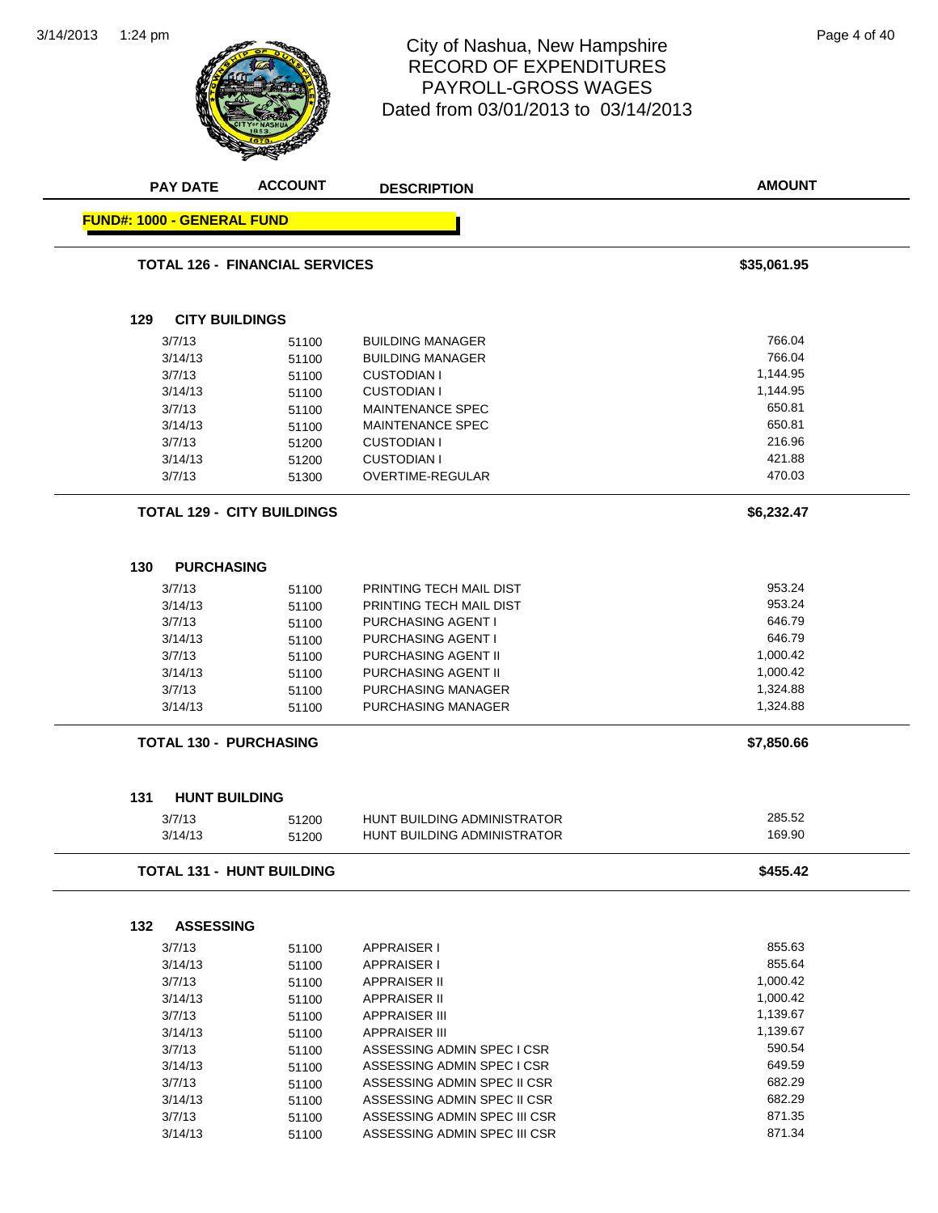

#### 1:24 pm Page 4 of 40 RECORD OF EXPENDITURES PAYROLL-GROSS WAGES Dated from 03/01/2013 to 03/14/2013

| <b>PAY DATE</b>                   | <b>ACCOUNT</b>                        | <b>DESCRIPTION</b>                 | <b>AMOUNT</b> |
|-----------------------------------|---------------------------------------|------------------------------------|---------------|
| <b>FUND#: 1000 - GENERAL FUND</b> |                                       |                                    |               |
|                                   | <b>TOTAL 126 - FINANCIAL SERVICES</b> |                                    | \$35,061.95   |
| 129                               | <b>CITY BUILDINGS</b>                 |                                    |               |
|                                   |                                       |                                    |               |
| 3/7/13                            | 51100                                 | <b>BUILDING MANAGER</b>            | 766.04        |
| 3/14/13                           | 51100                                 | <b>BUILDING MANAGER</b>            | 766.04        |
| 3/7/13                            | 51100                                 | <b>CUSTODIAN I</b>                 | 1,144.95      |
| 3/14/13                           | 51100                                 | <b>CUSTODIAN I</b>                 | 1,144.95      |
| 3/7/13                            | 51100                                 | <b>MAINTENANCE SPEC</b>            | 650.81        |
| 3/14/13                           | 51100                                 | <b>MAINTENANCE SPEC</b>            | 650.81        |
| 3/7/13                            | 51200                                 | <b>CUSTODIAN I</b>                 | 216.96        |
| 3/14/13                           | 51200                                 | <b>CUSTODIAN I</b>                 | 421.88        |
| 3/7/13                            | 51300                                 | OVERTIME-REGULAR                   | 470.03        |
|                                   | <b>TOTAL 129 - CITY BUILDINGS</b>     |                                    | \$6,232.47    |
| <b>PURCHASING</b><br>130          |                                       |                                    |               |
|                                   |                                       |                                    |               |
| 3/7/13                            | 51100                                 | PRINTING TECH MAIL DIST            | 953.24        |
| 3/14/13                           | 51100                                 | PRINTING TECH MAIL DIST            | 953.24        |
| 3/7/13                            | 51100                                 | <b>PURCHASING AGENT I</b>          | 646.79        |
| 3/14/13                           | 51100                                 | PURCHASING AGENT I                 | 646.79        |
| 3/7/13                            | 51100                                 | PURCHASING AGENT II                | 1,000.42      |
| 3/14/13                           | 51100                                 | PURCHASING AGENT II                | 1,000.42      |
| 3/7/13                            | 51100                                 | PURCHASING MANAGER                 | 1,324.88      |
| 3/14/13                           | 51100                                 | <b>PURCHASING MANAGER</b>          | 1,324.88      |
| <b>TOTAL 130 - PURCHASING</b>     |                                       |                                    | \$7,850.66    |
| 131                               | <b>HUNT BUILDING</b>                  |                                    |               |
| 3/7/13                            | 51200                                 | <b>HUNT BUILDING ADMINISTRATOR</b> | 285.52        |
| 3/14/13                           | 51200                                 | <b>HUNT BUILDING ADMINISTRATOR</b> | 169.90        |
|                                   | <b>TOTAL 131 - HUNT BUILDING</b>      |                                    | \$455.42      |
|                                   |                                       |                                    |               |
| 132<br><b>ASSESSING</b>           |                                       |                                    |               |
| 3/7/13                            | 51100                                 | <b>APPRAISER I</b>                 | 855.63        |
| 3/14/13                           | 51100                                 | APPRAISER I                        | 855.64        |
| 3/7/13                            | 51100                                 | <b>APPRAISER II</b>                | 1,000.42      |
| 3/14/13                           | 51100                                 | <b>APPRAISER II</b>                | 1,000.42      |
| 3/7/13                            | 51100                                 | <b>APPRAISER III</b>               | 1,139.67      |
| 3/14/13                           | 51100                                 | <b>APPRAISER III</b>               | 1,139.67      |
| 3/7/13                            | 51100                                 | ASSESSING ADMIN SPEC I CSR         | 590.54        |
| 3/14/13                           | 51100                                 | ASSESSING ADMIN SPEC I CSR         | 649.59        |
| 3/7/13                            | 51100                                 | ASSESSING ADMIN SPEC II CSR        | 682.29        |
| 3/14/13                           | 51100                                 | ASSESSING ADMIN SPEC II CSR        | 682.29        |
| 3/7/13                            | 51100                                 | ASSESSING ADMIN SPEC III CSR       | 871.35        |
| 3/14/13                           | 51100                                 | ASSESSING ADMIN SPEC III CSR       | 871.34        |
|                                   |                                       |                                    |               |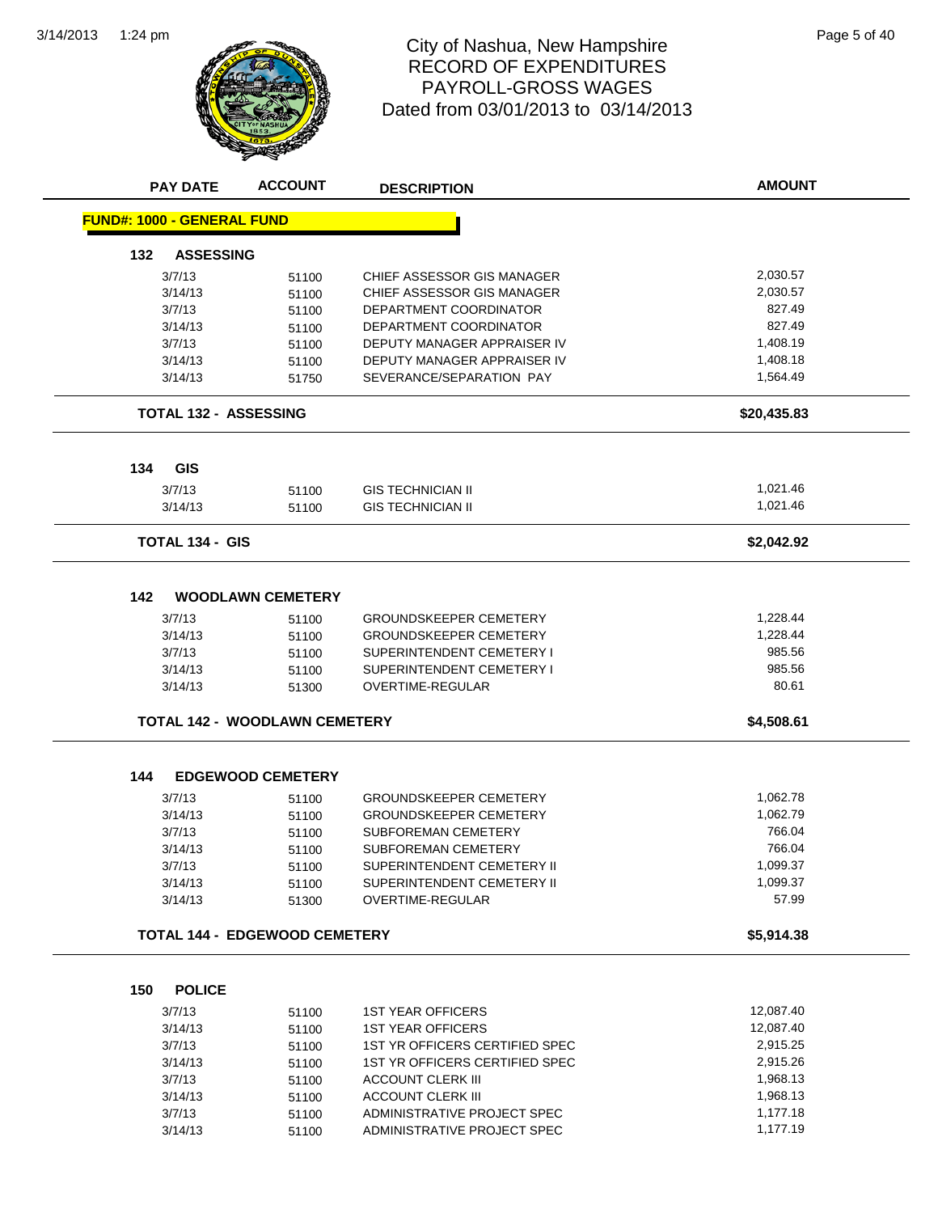

#### 1:24 pm Page 5 of 40 RECORD OF EXPENDITURES PAYROLL-GROSS WAGES Dated from 03/01/2013 to 03/14/2013

| <b>PAY DATE</b>                   | <b>ACCOUNT</b>                       | <b>DESCRIPTION</b>             | <b>AMOUNT</b> |
|-----------------------------------|--------------------------------------|--------------------------------|---------------|
| <b>FUND#: 1000 - GENERAL FUND</b> |                                      |                                |               |
| <b>ASSESSING</b><br>132           |                                      |                                |               |
| 3/7/13                            | 51100                                | CHIEF ASSESSOR GIS MANAGER     | 2,030.57      |
| 3/14/13                           | 51100                                | CHIEF ASSESSOR GIS MANAGER     | 2,030.57      |
| 3/7/13                            | 51100                                | DEPARTMENT COORDINATOR         | 827.49        |
| 3/14/13                           | 51100                                | DEPARTMENT COORDINATOR         | 827.49        |
| 3/7/13                            | 51100                                | DEPUTY MANAGER APPRAISER IV    | 1,408.19      |
| 3/14/13                           | 51100                                | DEPUTY MANAGER APPRAISER IV    | 1,408.18      |
| 3/14/13                           | 51750                                | SEVERANCE/SEPARATION PAY       | 1,564.49      |
| <b>TOTAL 132 - ASSESSING</b>      |                                      |                                | \$20,435.83   |
| 134<br><b>GIS</b>                 |                                      |                                |               |
| 3/7/13                            | 51100                                | <b>GIS TECHNICIAN II</b>       | 1,021.46      |
| 3/14/13                           | 51100                                | <b>GIS TECHNICIAN II</b>       | 1,021.46      |
| <b>TOTAL 134 - GIS</b>            |                                      |                                | \$2,042.92    |
|                                   |                                      |                                |               |
| 142                               | <b>WOODLAWN CEMETERY</b>             |                                |               |
| 3/7/13                            | 51100                                | <b>GROUNDSKEEPER CEMETERY</b>  | 1,228.44      |
| 3/14/13                           | 51100                                | <b>GROUNDSKEEPER CEMETERY</b>  | 1,228.44      |
| 3/7/13                            | 51100                                | SUPERINTENDENT CEMETERY I      | 985.56        |
| 3/14/13                           | 51100                                | SUPERINTENDENT CEMETERY I      | 985.56        |
| 3/14/13                           | 51300                                | <b>OVERTIME-REGULAR</b>        | 80.61         |
|                                   | <b>TOTAL 142 - WOODLAWN CEMETERY</b> |                                | \$4,508.61    |
| 144                               | <b>EDGEWOOD CEMETERY</b>             |                                |               |
| 3/7/13                            | 51100                                | <b>GROUNDSKEEPER CEMETERY</b>  | 1,062.78      |
| 3/14/13                           | 51100                                | <b>GROUNDSKEEPER CEMETERY</b>  | 1,062.79      |
| 3/7/13                            | 51100                                | SUBFOREMAN CEMETERY            | 766.04        |
| 3/14/13                           | 51100                                | SUBFOREMAN CEMETERY            | 766.04        |
| 3/7/13                            | 51100                                | SUPERINTENDENT CEMETERY II     | 1,099.37      |
| 3/14/13                           | 51100                                | SUPERINTENDENT CEMETERY II     | 1,099.37      |
| 3/14/13                           | 51300                                | <b>OVERTIME-REGULAR</b>        | 57.99         |
|                                   | <b>TOTAL 144 - EDGEWOOD CEMETERY</b> |                                | \$5,914.38    |
|                                   |                                      |                                |               |
| 150<br><b>POLICE</b>              |                                      |                                |               |
| 3/7/13                            | 51100                                | <b>1ST YEAR OFFICERS</b>       | 12,087.40     |
| 3/14/13                           | 51100                                | <b>1ST YEAR OFFICERS</b>       | 12,087.40     |
| 3/7/13                            | 51100                                | 1ST YR OFFICERS CERTIFIED SPEC | 2,915.25      |
| 3/14/13                           | 51100                                | 1ST YR OFFICERS CERTIFIED SPEC | 2,915.26      |
| 3/7/13                            | 51100                                | <b>ACCOUNT CLERK III</b>       | 1,968.13      |
| 3/14/13                           | 51100                                | <b>ACCOUNT CLERK III</b>       | 1,968.13      |

3/7/13 51100 ADMINISTRATIVE PROJECT SPEC<br>3/14/13 51100 ADMINISTRATIVE PROJECT SPEC 1,177.19

3/14/13 51100 ADMINISTRATIVE PROJECT SPEC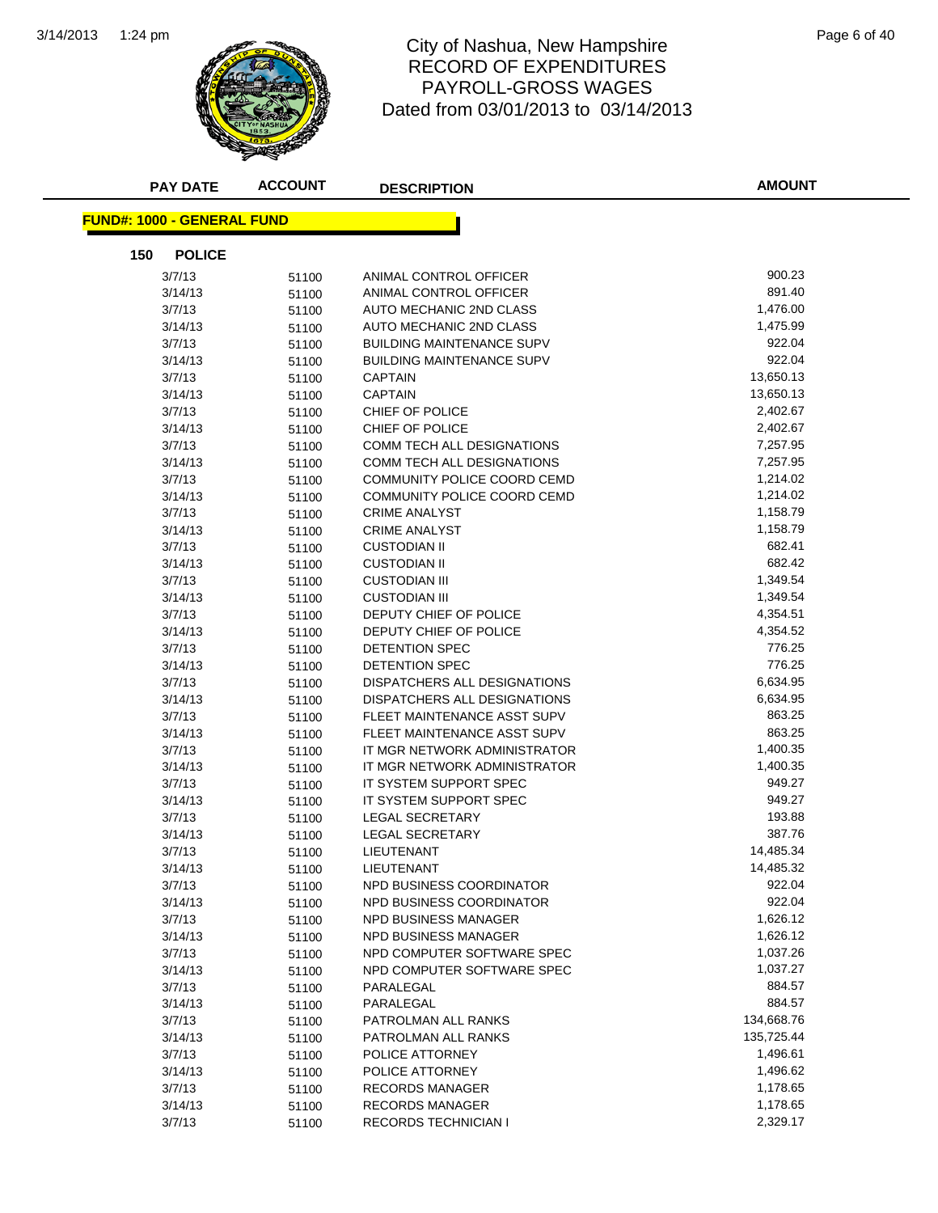

## 1:24 pm Page 6 of 40 RECORD OF EXPENDITURES PAYROLL-GROSS WAGES Dated from 03/01/2013 to 03/14/2013

| <b>PAY DATE</b>                   | <b>ACCOUNT</b> | <b>DESCRIPTION</b>               | <b>AMOUNT</b> |
|-----------------------------------|----------------|----------------------------------|---------------|
| <b>FUND#: 1000 - GENERAL FUND</b> |                |                                  |               |
| 150<br><b>POLICE</b>              |                |                                  |               |
| 3/7/13                            | 51100          | ANIMAL CONTROL OFFICER           | 900.23        |
| 3/14/13                           | 51100          | ANIMAL CONTROL OFFICER           | 891.40        |
| 3/7/13                            | 51100          | AUTO MECHANIC 2ND CLASS          | 1,476.00      |
| 3/14/13                           | 51100          | AUTO MECHANIC 2ND CLASS          | 1,475.99      |
| 3/7/13                            | 51100          | <b>BUILDING MAINTENANCE SUPV</b> | 922.04        |
| 3/14/13                           | 51100          | <b>BUILDING MAINTENANCE SUPV</b> | 922.04        |
| 3/7/13                            | 51100          | <b>CAPTAIN</b>                   | 13,650.13     |
| 3/14/13                           | 51100          | <b>CAPTAIN</b>                   | 13,650.13     |
| 3/7/13                            | 51100          | CHIEF OF POLICE                  | 2,402.67      |
| 3/14/13                           | 51100          | CHIEF OF POLICE                  | 2,402.67      |
| 3/7/13                            | 51100          | COMM TECH ALL DESIGNATIONS       | 7,257.95      |
| 3/14/13                           | 51100          | COMM TECH ALL DESIGNATIONS       | 7,257.95      |
| 3/7/13                            | 51100          | COMMUNITY POLICE COORD CEMD      | 1,214.02      |
| 3/14/13                           | 51100          | COMMUNITY POLICE COORD CEMD      | 1,214.02      |
| 3/7/13                            | 51100          | <b>CRIME ANALYST</b>             | 1,158.79      |
| 3/14/13                           | 51100          | <b>CRIME ANALYST</b>             | 1,158.79      |
| 3/7/13                            | 51100          | <b>CUSTODIAN II</b>              | 682.41        |
| 3/14/13                           | 51100          | <b>CUSTODIAN II</b>              | 682.42        |
| 3/7/13                            | 51100          | <b>CUSTODIAN III</b>             | 1,349.54      |
| 3/14/13                           | 51100          | <b>CUSTODIAN III</b>             | 1,349.54      |
| 3/7/13                            | 51100          | DEPUTY CHIEF OF POLICE           | 4,354.51      |
| 3/14/13                           | 51100          | DEPUTY CHIEF OF POLICE           | 4,354.52      |
| 3/7/13                            | 51100          | DETENTION SPEC                   | 776.25        |
| 3/14/13                           | 51100          | DETENTION SPEC                   | 776.25        |
| 3/7/13                            | 51100          | DISPATCHERS ALL DESIGNATIONS     | 6,634.95      |
| 3/14/13                           | 51100          | DISPATCHERS ALL DESIGNATIONS     | 6,634.95      |
| 3/7/13                            | 51100          | FLEET MAINTENANCE ASST SUPV      | 863.25        |
| 3/14/13                           | 51100          | FLEET MAINTENANCE ASST SUPV      | 863.25        |
| 3/7/13                            | 51100          | IT MGR NETWORK ADMINISTRATOR     | 1,400.35      |
| 3/14/13                           | 51100          | IT MGR NETWORK ADMINISTRATOR     | 1,400.35      |
| 3/7/13                            | 51100          | IT SYSTEM SUPPORT SPEC           | 949.27        |
| 3/14/13                           | 51100          | IT SYSTEM SUPPORT SPEC           | 949.27        |
| 3/7/13                            | 51100          | LEGAL SECRETARY                  | 193.88        |
| 3/14/13                           | 51100          | <b>LEGAL SECRETARY</b>           | 387.76        |
| 3/7/13                            | 51100          | LIEUTENANT                       | 14,485.34     |
| 3/14/13                           | 51100          | LIEUTENANT                       | 14,485.32     |
| 3/7/13                            | 51100          | NPD BUSINESS COORDINATOR         | 922.04        |
| 3/14/13                           | 51100          | NPD BUSINESS COORDINATOR         | 922.04        |
| 3/7/13                            | 51100          | NPD BUSINESS MANAGER             | 1,626.12      |
| 3/14/13                           | 51100          | <b>NPD BUSINESS MANAGER</b>      | 1,626.12      |
| 3/7/13                            | 51100          | NPD COMPUTER SOFTWARE SPEC       | 1,037.26      |
| 3/14/13                           | 51100          | NPD COMPUTER SOFTWARE SPEC       | 1,037.27      |
| 3/7/13                            | 51100          | PARALEGAL                        | 884.57        |
| 3/14/13                           | 51100          | PARALEGAL                        | 884.57        |
| 3/7/13                            | 51100          | PATROLMAN ALL RANKS              | 134,668.76    |
| 3/14/13                           | 51100          | PATROLMAN ALL RANKS              | 135,725.44    |
| 3/7/13                            | 51100          | POLICE ATTORNEY                  | 1,496.61      |
| 3/14/13                           | 51100          | POLICE ATTORNEY                  | 1,496.62      |
| 3/7/13                            | 51100          | <b>RECORDS MANAGER</b>           | 1,178.65      |
| 3/14/13                           | 51100          | <b>RECORDS MANAGER</b>           | 1,178.65      |
| 3/7/13                            | 51100          | <b>RECORDS TECHNICIAN I</b>      | 2,329.17      |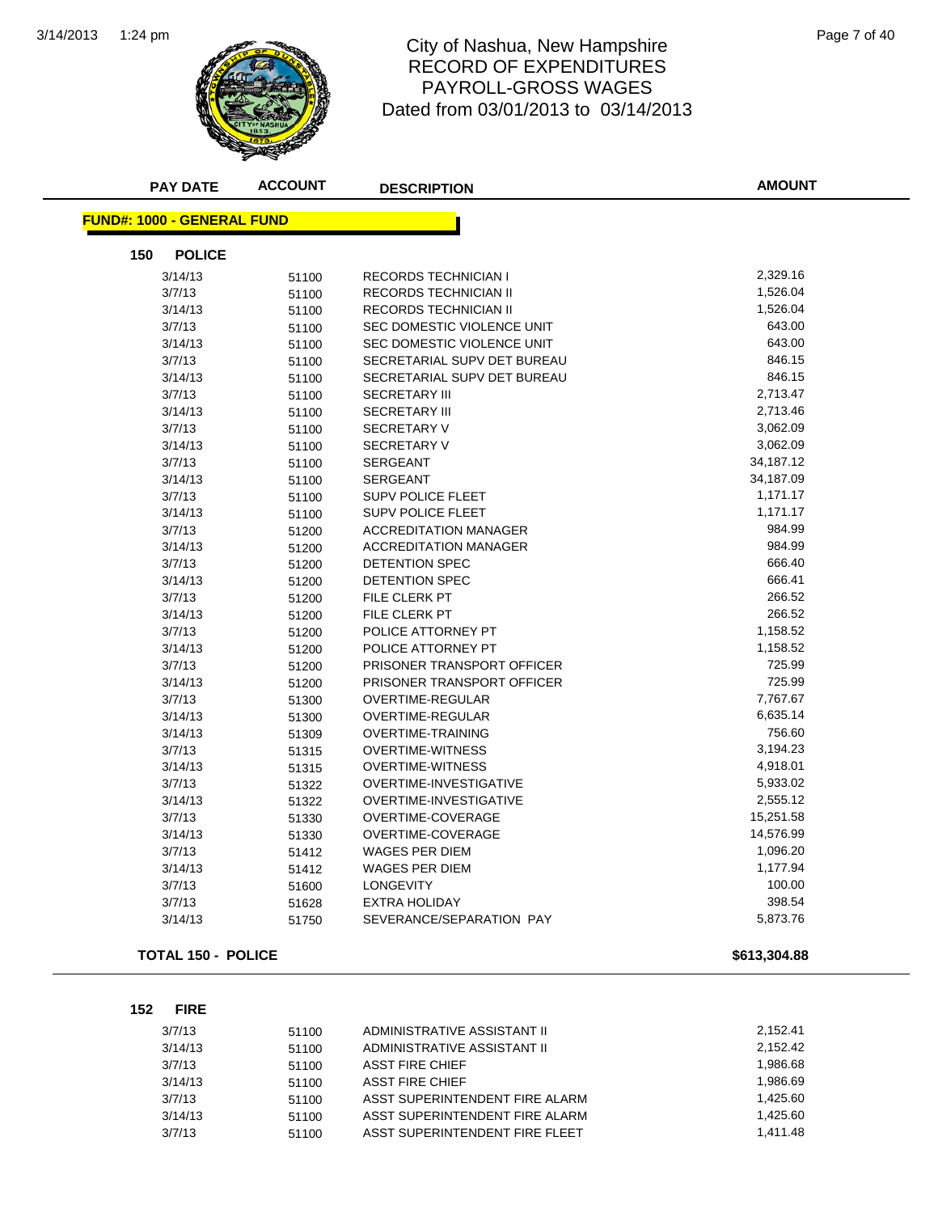

#### 1:24 pm Page 7 of 40 RECORD OF EXPENDITURES PAYROLL-GROSS WAGES Dated from 03/01/2013 to 03/14/2013

| <b>PAY DATE</b>                   | <b>ACCOUNT</b> | <b>DESCRIPTION</b>            | <b>AMOUNT</b> |
|-----------------------------------|----------------|-------------------------------|---------------|
| <b>FUND#: 1000 - GENERAL FUND</b> |                |                               |               |
| 150<br><b>POLICE</b>              |                |                               |               |
| 3/14/13                           | 51100          | <b>RECORDS TECHNICIAN I</b>   | 2,329.16      |
| 3/7/13                            | 51100          | RECORDS TECHNICIAN II         | 1,526.04      |
| 3/14/13                           | 51100          | RECORDS TECHNICIAN II         | 1,526.04      |
| 3/7/13                            | 51100          | SEC DOMESTIC VIOLENCE UNIT    | 643.00        |
| 3/14/13                           | 51100          | SEC DOMESTIC VIOLENCE UNIT    | 643.00        |
| 3/7/13                            | 51100          | SECRETARIAL SUPV DET BUREAU   | 846.15        |
| 3/14/13                           | 51100          | SECRETARIAL SUPV DET BUREAU   | 846.15        |
| 3/7/13                            | 51100          | <b>SECRETARY III</b>          | 2,713.47      |
| 3/14/13                           | 51100          | <b>SECRETARY III</b>          | 2,713.46      |
| 3/7/13                            | 51100          | <b>SECRETARY V</b>            | 3,062.09      |
| 3/14/13                           | 51100          | <b>SECRETARY V</b>            | 3,062.09      |
| 3/7/13                            | 51100          | <b>SERGEANT</b>               | 34,187.12     |
| 3/14/13                           | 51100          | <b>SERGEANT</b>               | 34,187.09     |
| 3/7/13                            | 51100          | <b>SUPV POLICE FLEET</b>      | 1,171.17      |
| 3/14/13                           | 51100          | <b>SUPV POLICE FLEET</b>      | 1,171.17      |
| 3/7/13                            | 51200          | <b>ACCREDITATION MANAGER</b>  | 984.99        |
| 3/14/13                           | 51200          | <b>ACCREDITATION MANAGER</b>  | 984.99        |
| 3/7/13                            | 51200          | DETENTION SPEC                | 666.40        |
| 3/14/13                           | 51200          | DETENTION SPEC                | 666.41        |
| 3/7/13                            | 51200          | FILE CLERK PT                 | 266.52        |
| 3/14/13                           | 51200          | <b>FILE CLERK PT</b>          | 266.52        |
| 3/7/13                            | 51200          | POLICE ATTORNEY PT            | 1,158.52      |
| 3/14/13                           | 51200          | POLICE ATTORNEY PT            | 1,158.52      |
| 3/7/13                            | 51200          | PRISONER TRANSPORT OFFICER    | 725.99        |
| 3/14/13                           | 51200          | PRISONER TRANSPORT OFFICER    | 725.99        |
| 3/7/13                            | 51300          | <b>OVERTIME-REGULAR</b>       | 7,767.67      |
| 3/14/13                           | 51300          | OVERTIME-REGULAR              | 6,635.14      |
| 3/14/13                           | 51309          | <b>OVERTIME-TRAINING</b>      | 756.60        |
| 3/7/13                            | 51315          | <b>OVERTIME-WITNESS</b>       | 3,194.23      |
| 3/14/13                           | 51315          | <b>OVERTIME-WITNESS</b>       | 4,918.01      |
| 3/7/13                            | 51322          | <b>OVERTIME-INVESTIGATIVE</b> | 5,933.02      |
| 3/14/13                           | 51322          | OVERTIME-INVESTIGATIVE        | 2,555.12      |
| 3/7/13                            | 51330          | <b>OVERTIME-COVERAGE</b>      | 15,251.58     |
| 3/14/13                           | 51330          | <b>OVERTIME-COVERAGE</b>      | 14,576.99     |
| 3/7/13                            | 51412          | <b>WAGES PER DIEM</b>         | 1,096.20      |
| 3/14/13                           | 51412          | <b>WAGES PER DIEM</b>         | 1,177.94      |
| 3/7/13                            | 51600          | <b>LONGEVITY</b>              | 100.00        |
| 3/7/13                            | 51628          | EXTRA HOLIDAY                 | 398.54        |
| 3/14/13                           | 51750          | SEVERANCE/SEPARATION PAY      | 5,873.76      |
|                                   |                |                               |               |

#### **TOTAL 150 - POLICE** \$613,304.88

**152 FIRE**

| 3/7/13  | 51100 | ADMINISTRATIVE ASSISTANT II    | 2.152.41 |
|---------|-------|--------------------------------|----------|
| 3/14/13 | 51100 | ADMINISTRATIVE ASSISTANT II    | 2.152.42 |
| 3/7/13  | 51100 | ASST FIRE CHIEF                | 1.986.68 |
| 3/14/13 | 51100 | ASST FIRE CHIEF                | 1.986.69 |
| 3/7/13  | 51100 | ASST SUPERINTENDENT FIRE ALARM | 1.425.60 |
| 3/14/13 | 51100 | ASST SUPERINTENDENT FIRE ALARM | 1.425.60 |
| 3/7/13  | 51100 | ASST SUPERINTENDENT FIRE FLEET | 1.411.48 |
|         |       |                                |          |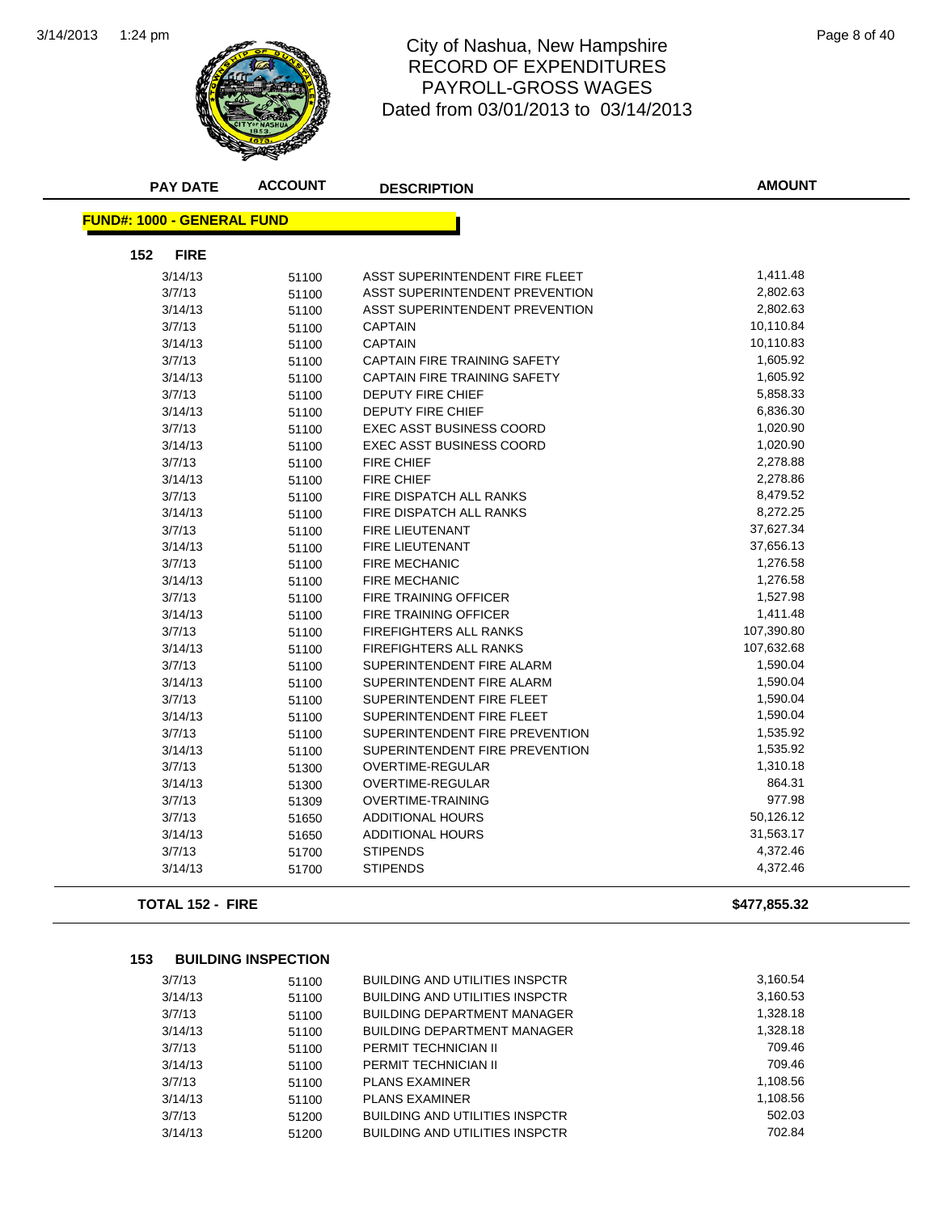

#### 1:24 pm Page 8 of 40 RECORD OF EXPENDITURES PAYROLL-GROSS WAGES Dated from 03/01/2013 to 03/14/2013

| <b>PAY DATE</b>                   | <b>ACCOUNT</b> | <b>DESCRIPTION</b>                  | <b>AMOUNT</b> |
|-----------------------------------|----------------|-------------------------------------|---------------|
| <b>FUND#: 1000 - GENERAL FUND</b> |                |                                     |               |
|                                   |                |                                     |               |
| 152<br><b>FIRE</b>                |                |                                     |               |
| 3/14/13                           | 51100          | ASST SUPERINTENDENT FIRE FLEET      | 1,411.48      |
| 3/7/13                            | 51100          | ASST SUPERINTENDENT PREVENTION      | 2,802.63      |
| 3/14/13                           | 51100          | ASST SUPERINTENDENT PREVENTION      | 2,802.63      |
| 3/7/13                            | 51100          | <b>CAPTAIN</b>                      | 10,110.84     |
| 3/14/13                           | 51100          | <b>CAPTAIN</b>                      | 10,110.83     |
| 3/7/13                            | 51100          | <b>CAPTAIN FIRE TRAINING SAFETY</b> | 1,605.92      |
| 3/14/13                           | 51100          | <b>CAPTAIN FIRE TRAINING SAFETY</b> | 1,605.92      |
| 3/7/13                            | 51100          | <b>DEPUTY FIRE CHIEF</b>            | 5,858.33      |
| 3/14/13                           | 51100          | DEPUTY FIRE CHIEF                   | 6,836.30      |
| 3/7/13                            | 51100          | <b>EXEC ASST BUSINESS COORD</b>     | 1,020.90      |
| 3/14/13                           | 51100          | <b>EXEC ASST BUSINESS COORD</b>     | 1,020.90      |
| 3/7/13                            | 51100          | <b>FIRE CHIEF</b>                   | 2,278.88      |
| 3/14/13                           | 51100          | <b>FIRE CHIEF</b>                   | 2,278.86      |
| 3/7/13                            | 51100          | FIRE DISPATCH ALL RANKS             | 8,479.52      |
| 3/14/13                           | 51100          | FIRE DISPATCH ALL RANKS             | 8,272.25      |
| 3/7/13                            | 51100          | FIRE LIEUTENANT                     | 37,627.34     |
| 3/14/13                           | 51100          | FIRE LIEUTENANT                     | 37,656.13     |
| 3/7/13                            | 51100          | <b>FIRE MECHANIC</b>                | 1,276.58      |
| 3/14/13                           | 51100          | <b>FIRE MECHANIC</b>                | 1,276.58      |
| 3/7/13                            | 51100          | <b>FIRE TRAINING OFFICER</b>        | 1,527.98      |
| 3/14/13                           | 51100          | <b>FIRE TRAINING OFFICER</b>        | 1,411.48      |
| 3/7/13                            | 51100          | <b>FIREFIGHTERS ALL RANKS</b>       | 107,390.80    |
| 3/14/13                           | 51100          | <b>FIREFIGHTERS ALL RANKS</b>       | 107,632.68    |
| 3/7/13                            | 51100          | SUPERINTENDENT FIRE ALARM           | 1,590.04      |
| 3/14/13                           | 51100          | SUPERINTENDENT FIRE ALARM           | 1,590.04      |
| 3/7/13                            | 51100          | SUPERINTENDENT FIRE FLEET           | 1,590.04      |
| 3/14/13                           | 51100          | SUPERINTENDENT FIRE FLEET           | 1,590.04      |
| 3/7/13                            | 51100          | SUPERINTENDENT FIRE PREVENTION      | 1,535.92      |
| 3/14/13                           | 51100          | SUPERINTENDENT FIRE PREVENTION      | 1,535.92      |
| 3/7/13                            | 51300          | OVERTIME-REGULAR                    | 1,310.18      |
| 3/14/13                           | 51300          | <b>OVERTIME-REGULAR</b>             | 864.31        |
| 3/7/13                            | 51309          | <b>OVERTIME-TRAINING</b>            | 977.98        |
| 3/7/13                            | 51650          | <b>ADDITIONAL HOURS</b>             | 50,126.12     |
| 3/14/13                           | 51650          | <b>ADDITIONAL HOURS</b>             | 31,563.17     |
| 3/7/13                            | 51700          | <b>STIPENDS</b>                     | 4,372.46      |
| 3/14/13                           | 51700          | <b>STIPENDS</b>                     | 4,372.46      |
|                                   |                |                                     |               |

**TOTAL 152 - FIRE \$477,855.32**

**153 BUILDING INSPECTION**

| 3/7/13  | 51100 | <b>BUILDING AND UTILITIES INSPCTR</b> | 3,160.54 |
|---------|-------|---------------------------------------|----------|
| 3/14/13 | 51100 | <b>BUILDING AND UTILITIES INSPCTR</b> | 3,160.53 |
| 3/7/13  | 51100 | <b>BUILDING DEPARTMENT MANAGER</b>    | 1,328.18 |
| 3/14/13 | 51100 | <b>BUILDING DEPARTMENT MANAGER</b>    | 1,328.18 |
| 3/7/13  | 51100 | PERMIT TECHNICIAN II                  | 709.46   |
| 3/14/13 | 51100 | PERMIT TECHNICIAN II                  | 709.46   |
| 3/7/13  | 51100 | <b>PLANS EXAMINER</b>                 | 1,108.56 |
| 3/14/13 | 51100 | <b>PLANS EXAMINER</b>                 | 1,108.56 |
| 3/7/13  | 51200 | <b>BUILDING AND UTILITIES INSPCTR</b> | 502.03   |
| 3/14/13 | 51200 | <b>BUILDING AND UTILITIES INSPCTR</b> | 702.84   |
|         |       |                                       |          |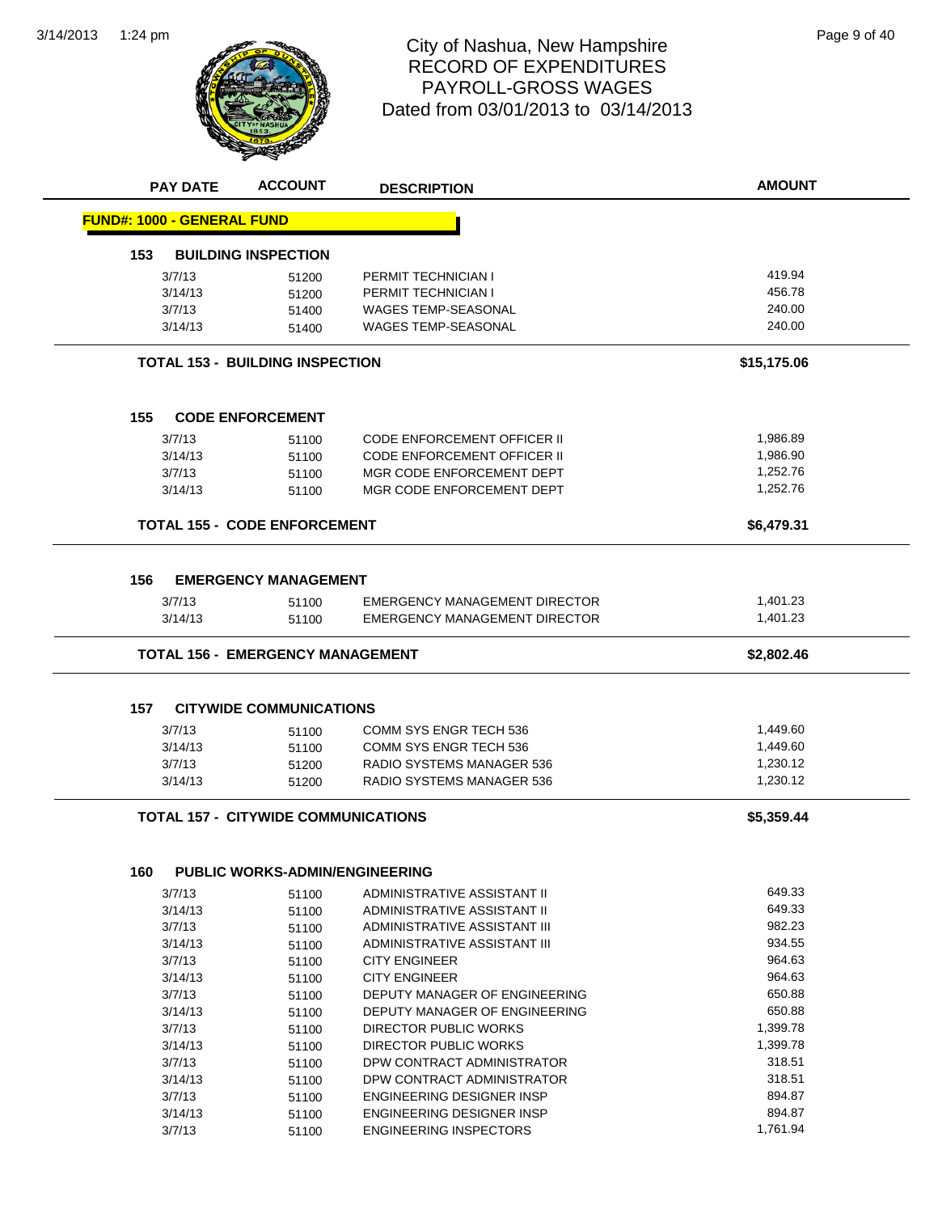

#### 1:24 pm Page 9 of 40 RECORD OF EXPENDITURES PAYROLL-GROSS WAGES Dated from 03/01/2013 to 03/14/2013

|     | <b>PAY DATE</b>                   | <b>ACCOUNT</b>                             | <b>DESCRIPTION</b>                   | <b>AMOUNT</b> |
|-----|-----------------------------------|--------------------------------------------|--------------------------------------|---------------|
|     | <b>FUND#: 1000 - GENERAL FUND</b> |                                            |                                      |               |
| 153 |                                   | <b>BUILDING INSPECTION</b>                 |                                      |               |
|     | 3/7/13                            | 51200                                      | PERMIT TECHNICIAN I                  | 419.94        |
|     | 3/14/13                           | 51200                                      | PERMIT TECHNICIAN I                  | 456.78        |
|     | 3/7/13                            | 51400                                      | <b>WAGES TEMP-SEASONAL</b>           | 240.00        |
|     | 3/14/13                           | 51400                                      | WAGES TEMP-SEASONAL                  | 240.00        |
|     |                                   | <b>TOTAL 153 - BUILDING INSPECTION</b>     |                                      | \$15,175.06   |
| 155 |                                   | <b>CODE ENFORCEMENT</b>                    |                                      |               |
|     | 3/7/13                            | 51100                                      | <b>CODE ENFORCEMENT OFFICER II</b>   | 1,986.89      |
|     | 3/14/13                           | 51100                                      | <b>CODE ENFORCEMENT OFFICER II</b>   | 1,986.90      |
|     | 3/7/13                            | 51100                                      | MGR CODE ENFORCEMENT DEPT            | 1,252.76      |
|     | 3/14/13                           | 51100                                      | MGR CODE ENFORCEMENT DEPT            | 1,252.76      |
|     |                                   | <b>TOTAL 155 - CODE ENFORCEMENT</b>        |                                      | \$6,479.31    |
| 156 |                                   | <b>EMERGENCY MANAGEMENT</b>                |                                      |               |
|     | 3/7/13                            | 51100                                      | <b>EMERGENCY MANAGEMENT DIRECTOR</b> | 1,401.23      |
|     | 3/14/13                           | 51100                                      | EMERGENCY MANAGEMENT DIRECTOR        | 1,401.23      |
|     |                                   |                                            |                                      |               |
|     |                                   | <b>TOTAL 156 - EMERGENCY MANAGEMENT</b>    |                                      | \$2,802.46    |
|     |                                   |                                            |                                      |               |
| 157 |                                   | <b>CITYWIDE COMMUNICATIONS</b>             |                                      |               |
|     | 3/7/13                            | 51100                                      | COMM SYS ENGR TECH 536               | 1,449.60      |
|     | 3/14/13                           | 51100                                      | COMM SYS ENGR TECH 536               | 1,449.60      |
|     | 3/7/13                            | 51200                                      | RADIO SYSTEMS MANAGER 536            | 1,230.12      |
|     | 3/14/13                           | 51200                                      | RADIO SYSTEMS MANAGER 536            | 1,230.12      |
|     |                                   | <b>TOTAL 157 - CITYWIDE COMMUNICATIONS</b> |                                      | \$5,359.44    |
|     |                                   |                                            |                                      |               |
| 160 |                                   | <b>PUBLIC WORKS-ADMIN/ENGINEERING</b>      |                                      |               |
|     | 3/7/13                            | 51100                                      | ADMINISTRATIVE ASSISTANT II          | 649.33        |
|     | 3/14/13                           | 51100                                      | ADMINISTRATIVE ASSISTANT II          | 649.33        |
|     | 3/7/13                            | 51100                                      | ADMINISTRATIVE ASSISTANT III         | 982.23        |
|     | 3/14/13                           | 51100                                      | ADMINISTRATIVE ASSISTANT III         | 934.55        |
|     | 3/7/13                            | 51100                                      | <b>CITY ENGINEER</b>                 | 964.63        |
|     | 3/14/13                           | 51100                                      | <b>CITY ENGINEER</b>                 | 964.63        |
|     | 3/7/13                            | 51100                                      | DEPUTY MANAGER OF ENGINEERING        | 650.88        |
|     | 3/14/13                           | 51100                                      | DEPUTY MANAGER OF ENGINEERING        | 650.88        |
|     | 3/7/13                            | 51100                                      | <b>DIRECTOR PUBLIC WORKS</b>         | 1,399.78      |
|     | 3/14/13                           | 51100                                      | <b>DIRECTOR PUBLIC WORKS</b>         | 1,399.78      |
|     | 3/7/13                            | 51100                                      | DPW CONTRACT ADMINISTRATOR           | 318.51        |
|     | 3/14/13                           | 51100                                      | DPW CONTRACT ADMINISTRATOR           | 318.51        |
|     | 3/7/13                            | 51100                                      | ENGINEERING DESIGNER INSP            | 894.87        |
|     | 3/14/13                           | 51100                                      | ENGINEERING DESIGNER INSP            | 894.87        |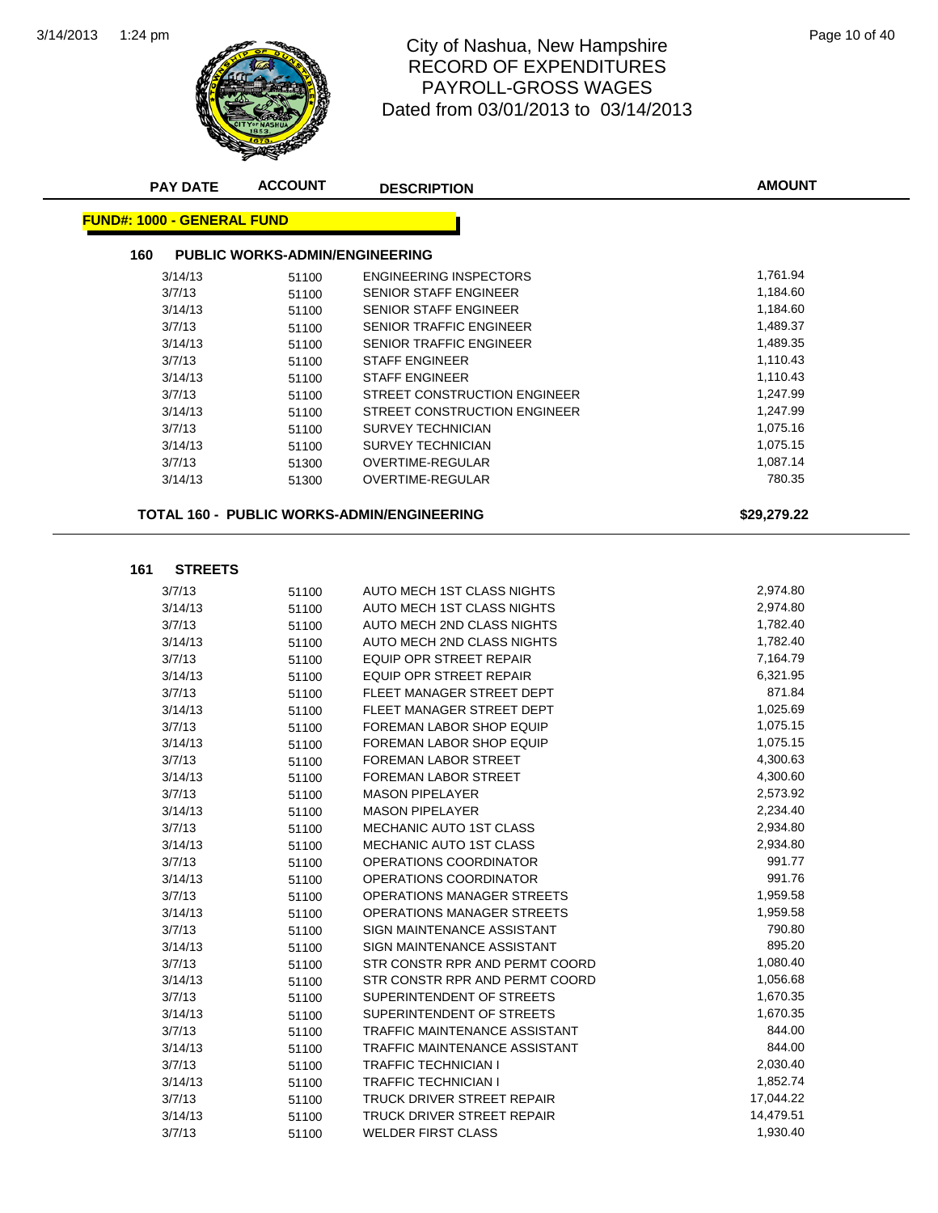

#### 1:24 pm Page 10 of 40 RECORD OF EXPENDITURES PAYROLL-GROSS WAGES Dated from 03/01/2013 to 03/14/2013

| <b>PAY DATE</b>                              | <b>ACCOUNT</b> | <b>DESCRIPTION</b>                         | <b>AMOUNT</b> |  |  |  |
|----------------------------------------------|----------------|--------------------------------------------|---------------|--|--|--|
| <b>FUND#: 1000 - GENERAL FUND</b>            |                |                                            |               |  |  |  |
| <b>PUBLIC WORKS-ADMIN/ENGINEERING</b><br>160 |                |                                            |               |  |  |  |
| 3/14/13                                      | 51100          | <b>ENGINEERING INSPECTORS</b>              | 1,761.94      |  |  |  |
| 3/7/13                                       | 51100          | SENIOR STAFF ENGINEER                      | 1,184.60      |  |  |  |
| 3/14/13                                      | 51100          | SENIOR STAFF ENGINEER                      | 1,184.60      |  |  |  |
| 3/7/13                                       | 51100          | <b>SENIOR TRAFFIC ENGINEER</b>             | 1,489.37      |  |  |  |
| 3/14/13                                      | 51100          | SENIOR TRAFFIC ENGINEER                    | 1,489.35      |  |  |  |
| 3/7/13                                       | 51100          | <b>STAFF ENGINEER</b>                      | 1,110.43      |  |  |  |
| 3/14/13                                      | 51100          | <b>STAFF ENGINEER</b>                      | 1,110.43      |  |  |  |
| 3/7/13                                       | 51100          | STREET CONSTRUCTION ENGINEER               | 1,247.99      |  |  |  |
| 3/14/13                                      | 51100          | STREET CONSTRUCTION ENGINEER               | 1,247.99      |  |  |  |
| 3/7/13                                       | 51100          | <b>SURVEY TECHNICIAN</b>                   | 1,075.16      |  |  |  |
| 3/14/13                                      | 51100          | <b>SURVEY TECHNICIAN</b>                   | 1,075.15      |  |  |  |
| 3/7/13                                       | 51300          | OVERTIME-REGULAR                           | 1,087.14      |  |  |  |
| 3/14/13                                      | 51300          | OVERTIME-REGULAR                           | 780.35        |  |  |  |
|                                              |                |                                            |               |  |  |  |
|                                              |                | TOTAL 160 - PUBLIC WORKS-ADMIN/ENGINEERING | \$29,279.22   |  |  |  |
|                                              |                |                                            |               |  |  |  |
| 161<br><b>STREETS</b>                        |                |                                            |               |  |  |  |
| 3/7/13                                       | 51100          | AUTO MECH 1ST CLASS NIGHTS                 | 2,974.80      |  |  |  |
| 3/14/13                                      | 51100          | AUTO MECH 1ST CLASS NIGHTS                 | 2,974.80      |  |  |  |
| 3/7/13                                       | 51100          | AUTO MECH 2ND CLASS NIGHTS                 | 1,782.40      |  |  |  |
| 3/14/13                                      | 51100          | AUTO MECH 2ND CLASS NIGHTS                 | 1,782.40      |  |  |  |
| 3/7/13                                       | 51100          | <b>EQUIP OPR STREET REPAIR</b>             | 7,164.79      |  |  |  |
| 3/14/13                                      | 51100          | EQUIP OPR STREET REPAIR                    | 6,321.95      |  |  |  |
| 3/7/13                                       | 51100          | FLEET MANAGER STREET DEPT                  | 871.84        |  |  |  |
| 3/14/13                                      | 51100          | FLEET MANAGER STREET DEPT                  | 1,025.69      |  |  |  |
| 3/7/13                                       | 51100          | FOREMAN LABOR SHOP EQUIP                   | 1,075.15      |  |  |  |
| 3/14/13                                      | 51100          | FOREMAN LABOR SHOP EQUIP                   | 1,075.15      |  |  |  |
| 3/7/13                                       | 51100          | FOREMAN LABOR STREET                       | 4,300.63      |  |  |  |
| 3/14/13                                      | 51100          | FOREMAN LABOR STREET                       | 4,300.60      |  |  |  |
| 3/7/13                                       | 51100          | <b>MASON PIPELAYER</b>                     | 2,573.92      |  |  |  |
| 3/14/13                                      | 51100          | <b>MASON PIPELAYER</b>                     | 2,234.40      |  |  |  |
| 3/7/13                                       | 51100          | <b>MECHANIC AUTO 1ST CLASS</b>             | 2,934.80      |  |  |  |
| 3/14/13                                      | 51100          | <b>MECHANIC AUTO 1ST CLASS</b>             | 2,934.80      |  |  |  |
| 3/7/13                                       | 51100          | OPERATIONS COORDINATOR                     | 991.77        |  |  |  |
| 3/14/13                                      | 51100          | OPERATIONS COORDINATOR                     | 991.76        |  |  |  |
| 3/7/13                                       | 51100          | OPERATIONS MANAGER STREETS                 | 1,959.58      |  |  |  |
| 3/14/13                                      | 51100          | OPERATIONS MANAGER STREETS                 | 1,959.58      |  |  |  |
| 3/7/13                                       | 51100          | SIGN MAINTENANCE ASSISTANT                 | 790.80        |  |  |  |
| 3/14/13                                      | 51100          | SIGN MAINTENANCE ASSISTANT                 | 895.20        |  |  |  |
| 3/7/13                                       | 51100          | STR CONSTR RPR AND PERMT COORD             | 1,080.40      |  |  |  |
| 3/14/13                                      | 51100          | STR CONSTR RPR AND PERMT COORD             | 1,056.68      |  |  |  |
| 3/7/13                                       | 51100          | SUPERINTENDENT OF STREETS                  | 1,670.35      |  |  |  |
| 3/14/13                                      | 51100          | SUPERINTENDENT OF STREETS                  | 1,670.35      |  |  |  |
| 3/7/13                                       | 51100          | TRAFFIC MAINTENANCE ASSISTANT              | 844.00        |  |  |  |
| 3/14/13                                      | 51100          | TRAFFIC MAINTENANCE ASSISTANT              | 844.00        |  |  |  |
| 3/7/13                                       | 51100          | TRAFFIC TECHNICIAN I                       | 2,030.40      |  |  |  |
| 3/14/13                                      | 51100          | TRAFFIC TECHNICIAN I                       | 1,852.74      |  |  |  |
| 3/7/13                                       | 51100          | TRUCK DRIVER STREET REPAIR                 | 17,044.22     |  |  |  |
| 3/14/13                                      | 51100          | TRUCK DRIVER STREET REPAIR                 | 14,479.51     |  |  |  |
| 3/7/13                                       | 51100          | <b>WELDER FIRST CLASS</b>                  | 1,930.40      |  |  |  |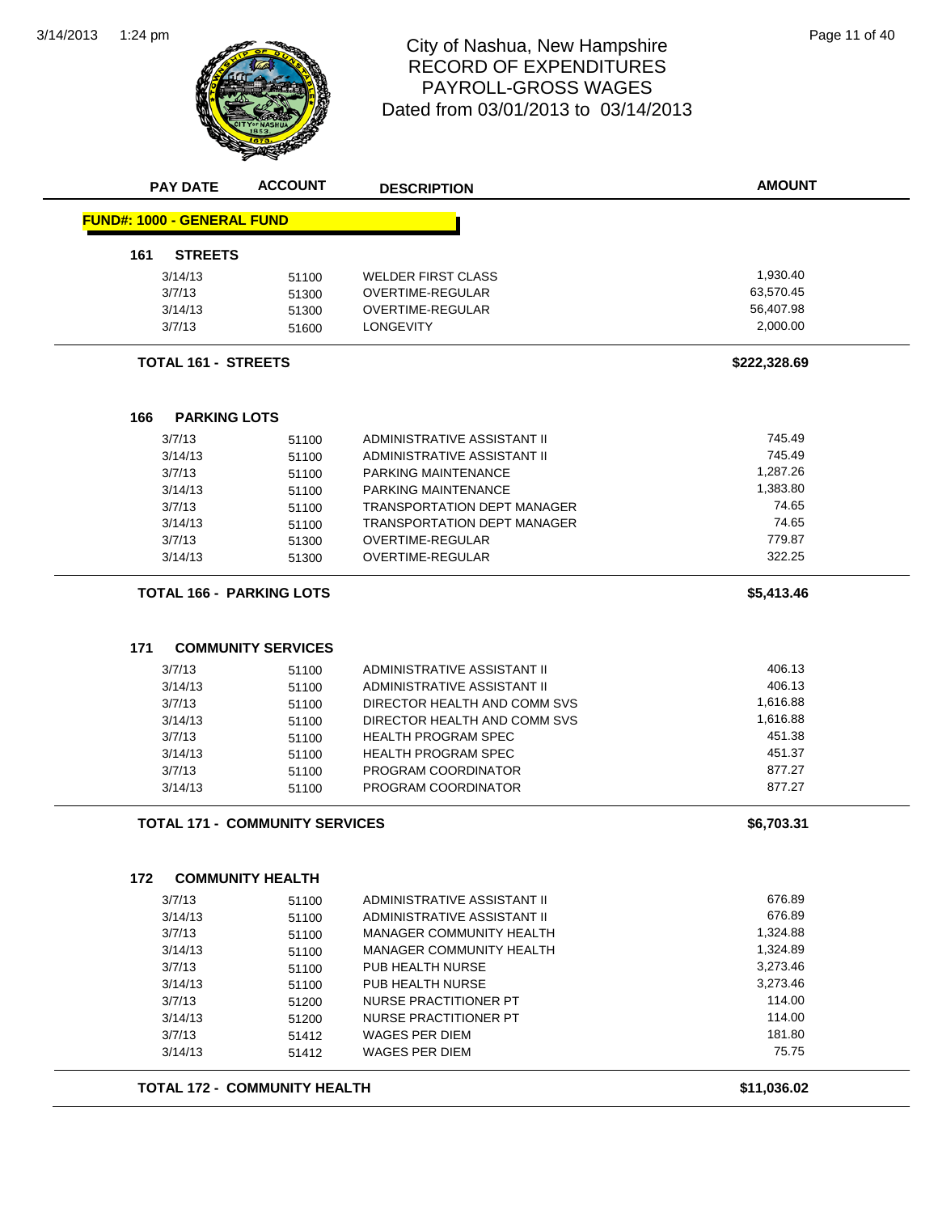3/14/2013



#### 1:24 pm Page 11 of 40 RECORD OF EXPENDITURES PAYROLL-GROSS WAGES Dated from 03/01/2013 to 03/14/2013

| <b>PAY DATE</b>                   | <b>ACCOUNT</b>                        | <b>DESCRIPTION</b>                                                       | <b>AMOUNT</b> |
|-----------------------------------|---------------------------------------|--------------------------------------------------------------------------|---------------|
| <b>FUND#: 1000 - GENERAL FUND</b> |                                       |                                                                          |               |
| 161<br><b>STREETS</b>             |                                       |                                                                          |               |
| 3/14/13                           | 51100                                 | <b>WELDER FIRST CLASS</b>                                                | 1,930.40      |
| 3/7/13                            | 51300                                 | OVERTIME-REGULAR                                                         | 63,570.45     |
| 3/14/13                           | 51300                                 | OVERTIME-REGULAR                                                         | 56,407.98     |
| 3/7/13                            | 51600                                 | <b>LONGEVITY</b>                                                         | 2,000.00      |
|                                   | <b>TOTAL 161 - STREETS</b>            |                                                                          | \$222,328.69  |
|                                   |                                       |                                                                          |               |
| 166<br>3/7/13                     | <b>PARKING LOTS</b>                   | ADMINISTRATIVE ASSISTANT II                                              | 745.49        |
| 3/14/13                           | 51100<br>51100                        | ADMINISTRATIVE ASSISTANT II                                              | 745.49        |
| 3/7/13                            | 51100                                 | PARKING MAINTENANCE                                                      | 1,287.26      |
| 3/14/13                           |                                       | PARKING MAINTENANCE                                                      | 1,383.80      |
| 3/7/13                            | 51100                                 |                                                                          | 74.65         |
| 3/14/13                           | 51100                                 | <b>TRANSPORTATION DEPT MANAGER</b><br><b>TRANSPORTATION DEPT MANAGER</b> | 74.65         |
|                                   | 51100                                 |                                                                          | 779.87        |
| 3/7/13                            | 51300                                 | <b>OVERTIME-REGULAR</b>                                                  |               |
| 3/14/13                           | 51300                                 | OVERTIME-REGULAR                                                         | 322.25        |
|                                   | <b>TOTAL 166 - PARKING LOTS</b>       |                                                                          | \$5,413.46    |
| 171                               | <b>COMMUNITY SERVICES</b>             |                                                                          |               |
| 3/7/13                            | 51100                                 | ADMINISTRATIVE ASSISTANT II                                              | 406.13        |
| 3/14/13                           | 51100                                 | ADMINISTRATIVE ASSISTANT II                                              | 406.13        |
| 3/7/13                            | 51100                                 | DIRECTOR HEALTH AND COMM SVS                                             | 1,616.88      |
| 3/14/13                           | 51100                                 | DIRECTOR HEALTH AND COMM SVS                                             | 1,616.88      |
| 3/7/13                            | 51100                                 | <b>HEALTH PROGRAM SPEC</b>                                               | 451.38        |
| 3/14/13                           | 51100                                 | <b>HEALTH PROGRAM SPEC</b>                                               | 451.37        |
| 3/7/13                            | 51100                                 | PROGRAM COORDINATOR                                                      | 877.27        |
| 3/14/13                           | 51100                                 | PROGRAM COORDINATOR                                                      | 877.27        |
|                                   | <b>TOTAL 171 - COMMUNITY SERVICES</b> |                                                                          | \$6,703.31    |
| 172                               | <b>COMMUNITY HEALTH</b>               |                                                                          |               |
| 3/7/13                            | 51100                                 | ADMINISTRATIVE ASSISTANT II                                              | 676.89        |
| 3/14/13                           | 51100                                 | ADMINISTRATIVE ASSISTANT II                                              | 676.89        |
| 3/7/13                            | 51100                                 | MANAGER COMMUNITY HEALTH                                                 | 1,324.88      |
| 3/14/13                           | 51100                                 | <b>MANAGER COMMUNITY HEALTH</b>                                          | 1,324.89      |
| 3/7/13                            | 51100                                 | PUB HEALTH NURSE                                                         | 3,273.46      |
| 3/14/13                           | 51100                                 | PUB HEALTH NURSE                                                         | 3,273.46      |
| 3/7/13                            | 51200                                 | NURSE PRACTITIONER PT                                                    | 114.00        |
| 3/14/13                           | 51200                                 | <b>NURSE PRACTITIONER PT</b>                                             | 114.00        |
| 3/7/13                            | 51412                                 | <b>WAGES PER DIEM</b>                                                    | 181.80        |
| 3/14/13                           | 51412                                 | WAGES PER DIEM                                                           | 75.75         |
|                                   |                                       |                                                                          |               |
|                                   | <b>TOTAL 172 - COMMUNITY HEALTH</b>   |                                                                          | \$11,036.02   |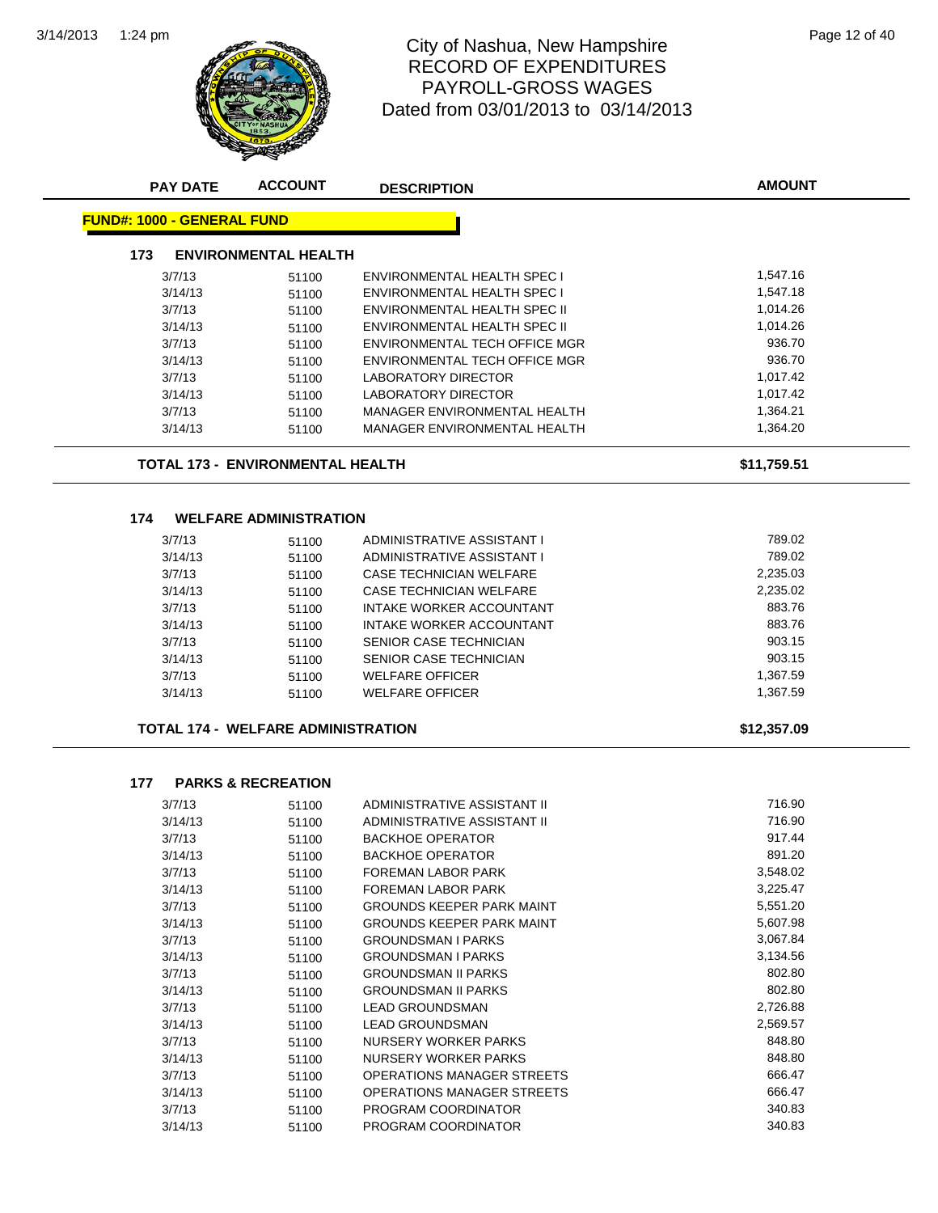

## 1:24 pm Page 12 of 40 RECORD OF EXPENDITURES PAYROLL-GROSS WAGES Dated from 03/01/2013 to 03/14/2013

| <b>PAY DATE</b>                   | <b>ACCOUNT</b>                            | <b>DESCRIPTION</b>                                         | <b>AMOUNT</b> |
|-----------------------------------|-------------------------------------------|------------------------------------------------------------|---------------|
| <b>FUND#: 1000 - GENERAL FUND</b> |                                           |                                                            |               |
| 173                               | <b>ENVIRONMENTAL HEALTH</b>               |                                                            |               |
| 3/7/13                            | 51100                                     | ENVIRONMENTAL HEALTH SPEC I                                | 1,547.16      |
| 3/14/13                           | 51100                                     | ENVIRONMENTAL HEALTH SPEC I                                | 1,547.18      |
| 3/7/13                            | 51100                                     | ENVIRONMENTAL HEALTH SPEC II                               | 1,014.26      |
| 3/14/13                           | 51100                                     | ENVIRONMENTAL HEALTH SPEC II                               | 1,014.26      |
| 3/7/13                            | 51100                                     | ENVIRONMENTAL TECH OFFICE MGR                              | 936.70        |
| 3/14/13                           | 51100                                     | ENVIRONMENTAL TECH OFFICE MGR                              | 936.70        |
| 3/7/13                            | 51100                                     | <b>LABORATORY DIRECTOR</b>                                 | 1,017.42      |
| 3/14/13                           | 51100                                     | <b>LABORATORY DIRECTOR</b>                                 | 1,017.42      |
| 3/7/13                            | 51100                                     | MANAGER ENVIRONMENTAL HEALTH                               | 1,364.21      |
| 3/14/13                           | 51100                                     | MANAGER ENVIRONMENTAL HEALTH                               | 1,364.20      |
|                                   | <b>TOTAL 173 - ENVIRONMENTAL HEALTH</b>   |                                                            | \$11,759.51   |
| 174                               | <b>WELFARE ADMINISTRATION</b>             |                                                            |               |
| 3/7/13                            |                                           | ADMINISTRATIVE ASSISTANT I                                 | 789.02        |
| 3/14/13                           | 51100                                     | ADMINISTRATIVE ASSISTANT I                                 | 789.02        |
| 3/7/13                            | 51100<br>51100                            | <b>CASE TECHNICIAN WELFARE</b>                             | 2,235.03      |
| 3/14/13                           | 51100                                     | <b>CASE TECHNICIAN WELFARE</b>                             | 2,235.02      |
| 3/7/13                            | 51100                                     | INTAKE WORKER ACCOUNTANT                                   | 883.76        |
| 3/14/13                           | 51100                                     | INTAKE WORKER ACCOUNTANT                                   | 883.76        |
| 3/7/13                            | 51100                                     | SENIOR CASE TECHNICIAN                                     | 903.15        |
| 3/14/13                           | 51100                                     | SENIOR CASE TECHNICIAN                                     | 903.15        |
| 3/7/13                            | 51100                                     | <b>WELFARE OFFICER</b>                                     | 1,367.59      |
| 3/14/13                           | 51100                                     | <b>WELFARE OFFICER</b>                                     | 1,367.59      |
|                                   | <b>TOTAL 174 - WELFARE ADMINISTRATION</b> |                                                            | \$12,357.09   |
| 177                               | <b>PARKS &amp; RECREATION</b>             |                                                            |               |
|                                   |                                           |                                                            | 716.90        |
| 3/7/13<br>3/14/13                 | 51100<br>51100                            | ADMINISTRATIVE ASSISTANT II<br>ADMINISTRATIVE ASSISTANT II | 716.90        |
| 3/7/13                            | 51100                                     | <b>BACKHOE OPERATOR</b>                                    | 917.44        |
| 3/14/13                           | 51100                                     | <b>BACKHOE OPERATOR</b>                                    | 891.20        |
| 3/7/13                            | 51100                                     | FOREMAN LABOR PARK                                         | 3,548.02      |
| 3/14/13                           | 51100                                     | FOREMAN LABOR PARK                                         | 3,225.47      |
| 3/7/13                            | 51100                                     | <b>GROUNDS KEEPER PARK MAINT</b>                           | 5,551.20      |
| 3/14/13                           | 51100                                     | GROUNDS KEEPER PARK MAINT                                  | 5,607.98      |
| 3/7/13                            | 51100                                     | <b>GROUNDSMAN I PARKS</b>                                  | 3,067.84      |
| 3/14/13                           | 51100                                     | <b>GROUNDSMAN I PARKS</b>                                  | 3,134.56      |
| 3/7/13                            | 51100                                     | <b>GROUNDSMAN II PARKS</b>                                 | 802.80        |
| 3/14/13                           | 51100                                     | <b>GROUNDSMAN II PARKS</b>                                 | 802.80        |
| 3/7/13                            | 51100                                     | <b>LEAD GROUNDSMAN</b>                                     | 2,726.88      |
| 3/14/13                           | 51100                                     | <b>LEAD GROUNDSMAN</b>                                     | 2,569.57      |
| 3/7/13                            | 51100                                     | NURSERY WORKER PARKS                                       | 848.80        |
| 3/14/13                           | 51100                                     | NURSERY WORKER PARKS                                       | 848.80        |
| 3/7/13                            | 51100                                     | OPERATIONS MANAGER STREETS                                 | 666.47        |
| 3/14/13                           | 51100                                     | OPERATIONS MANAGER STREETS                                 | 666.47        |
| 3/7/13                            | 51100                                     | PROGRAM COORDINATOR                                        | 340.83        |
| 3/14/13                           | 51100                                     | PROGRAM COORDINATOR                                        | 340.83        |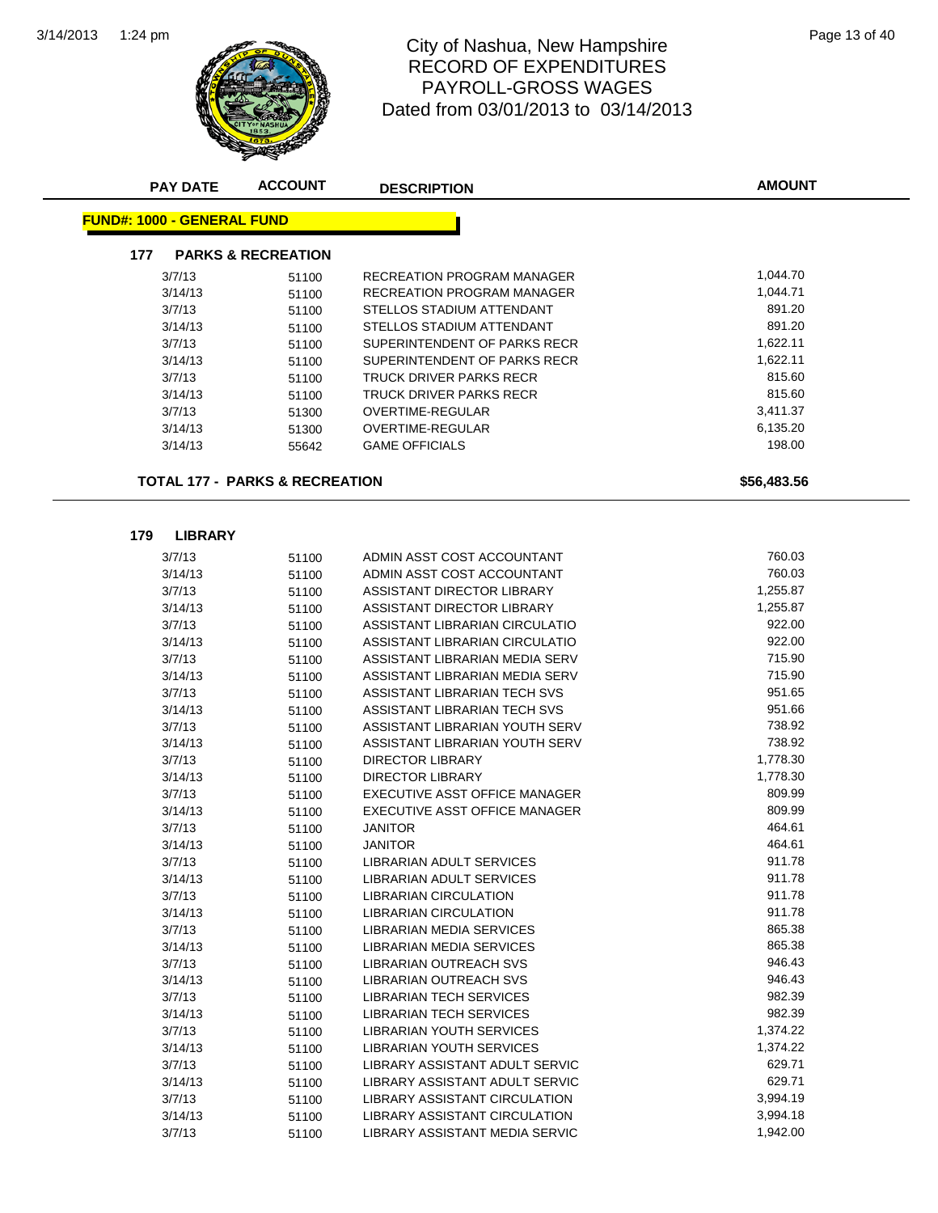

## 1:24 pm Page 13 of 40 RECORD OF EXPENDITURES PAYROLL-GROSS WAGES Dated from 03/01/2013 to 03/14/2013

| <b>FUND#: 1000 - GENERAL FUND</b> |                                           |                                      |                      |
|-----------------------------------|-------------------------------------------|--------------------------------------|----------------------|
| 177                               | <b>PARKS &amp; RECREATION</b>             |                                      |                      |
| 3/7/13                            | 51100                                     | RECREATION PROGRAM MANAGER           | 1,044.70             |
| 3/14/13                           | 51100                                     | RECREATION PROGRAM MANAGER           | 1,044.71             |
| 3/7/13                            | 51100                                     | STELLOS STADIUM ATTENDANT            | 891.20               |
| 3/14/13                           | 51100                                     | STELLOS STADIUM ATTENDANT            | 891.20               |
| 3/7/13                            | 51100                                     | SUPERINTENDENT OF PARKS RECR         | 1,622.11             |
| 3/14/13                           | 51100                                     | SUPERINTENDENT OF PARKS RECR         | 1,622.11             |
| 3/7/13                            | 51100                                     | TRUCK DRIVER PARKS RECR              | 815.60               |
| 3/14/13                           | 51100                                     | <b>TRUCK DRIVER PARKS RECR</b>       | 815.60               |
| 3/7/13                            | 51300                                     | <b>OVERTIME-REGULAR</b>              | 3,411.37             |
| 3/14/13                           | 51300                                     | <b>OVERTIME-REGULAR</b>              | 6,135.20             |
| 3/14/13                           | 55642                                     | <b>GAME OFFICIALS</b>                | 198.00               |
|                                   | <b>TOTAL 177 - PARKS &amp; RECREATION</b> |                                      | \$56,483.56          |
| 179<br><b>LIBRARY</b>             |                                           |                                      |                      |
| 3/7/13                            | 51100                                     | ADMIN ASST COST ACCOUNTANT           | 760.03               |
| 3/14/13                           | 51100                                     | ADMIN ASST COST ACCOUNTANT           | 760.03               |
| 3/7/13                            | 51100                                     | ASSISTANT DIRECTOR LIBRARY           | 1,255.87             |
| 3/14/13                           | 51100                                     | ASSISTANT DIRECTOR LIBRARY           | 1,255.87             |
| 3/7/13                            | 51100                                     | ASSISTANT LIBRARIAN CIRCULATIO       | 922.00               |
| 3/14/13                           | 51100                                     | ASSISTANT LIBRARIAN CIRCULATIO       | 922.00               |
| 3/7/13                            | 51100                                     | ASSISTANT LIBRARIAN MEDIA SERV       | 715.90               |
| 3/14/13                           | 51100                                     | ASSISTANT LIBRARIAN MEDIA SERV       | 715.90               |
| 3/7/13                            | 51100                                     | ASSISTANT LIBRARIAN TECH SVS         | 951.65               |
| 3/14/13                           | 51100                                     | ASSISTANT LIBRARIAN TECH SVS         | 951.66               |
| 3/7/13                            | 51100                                     | ASSISTANT LIBRARIAN YOUTH SERV       | 738.92               |
| 3/14/13                           | 51100                                     | ASSISTANT LIBRARIAN YOUTH SERV       | 738.92               |
| 3/7/13                            | 51100                                     | DIRECTOR LIBRARY                     | 1,778.30             |
| 3/14/13                           | 51100                                     | DIRECTOR LIBRARY                     | 1,778.30             |
| 3/7/13                            | 51100                                     | EXECUTIVE ASST OFFICE MANAGER        | 809.99               |
| 3/14/13                           | 51100                                     | EXECUTIVE ASST OFFICE MANAGER        | 809.99               |
| 3/7/13                            | 51100                                     | <b>JANITOR</b>                       | 464.61               |
| 3/14/13                           | 51100                                     | <b>JANITOR</b>                       | 464.61               |
| 3/7/13                            | 51100                                     | LIBRARIAN ADULT SERVICES             | 911.78               |
| 3/14/13                           | 51100                                     | <b>LIBRARIAN ADULT SERVICES</b>      | 911.78               |
| 3/7/13                            | 51100                                     | <b>LIBRARIAN CIRCULATION</b>         | 911.78               |
| 3/14/13                           | 51100                                     | <b>LIBRARIAN CIRCULATION</b>         | 911.78               |
| 3/7/13                            | 51100                                     | LIBRARIAN MEDIA SERVICES             | 865.38               |
| 3/14/13                           | 51100                                     | <b>LIBRARIAN MEDIA SERVICES</b>      | 865.38               |
| 3/7/13                            | 51100                                     | LIBRARIAN OUTREACH SVS               | 946.43               |
| 3/14/13                           | 51100                                     | <b>LIBRARIAN OUTREACH SVS</b>        | 946.43               |
| 3/7/13                            | 51100                                     | <b>LIBRARIAN TECH SERVICES</b>       | 982.39               |
| 3/14/13                           | 51100                                     | LIBRARIAN TECH SERVICES              | 982.39               |
| 3/7/13                            | 51100                                     | <b>LIBRARIAN YOUTH SERVICES</b>      | 1,374.22             |
| 3/14/13                           | 51100                                     | <b>LIBRARIAN YOUTH SERVICES</b>      | 1,374.22             |
| 3/7/13                            | 51100                                     | LIBRARY ASSISTANT ADULT SERVIC       | 629.71               |
|                                   | 51100                                     | LIBRARY ASSISTANT ADULT SERVIC       | 629.71               |
| 3/14/13                           |                                           |                                      |                      |
| 3/7/13                            |                                           | LIBRARY ASSISTANT CIRCULATION        |                      |
| 3/14/13                           | 51100<br>51100                            | <b>LIBRARY ASSISTANT CIRCULATION</b> | 3,994.19<br>3,994.18 |

**AMOUNT**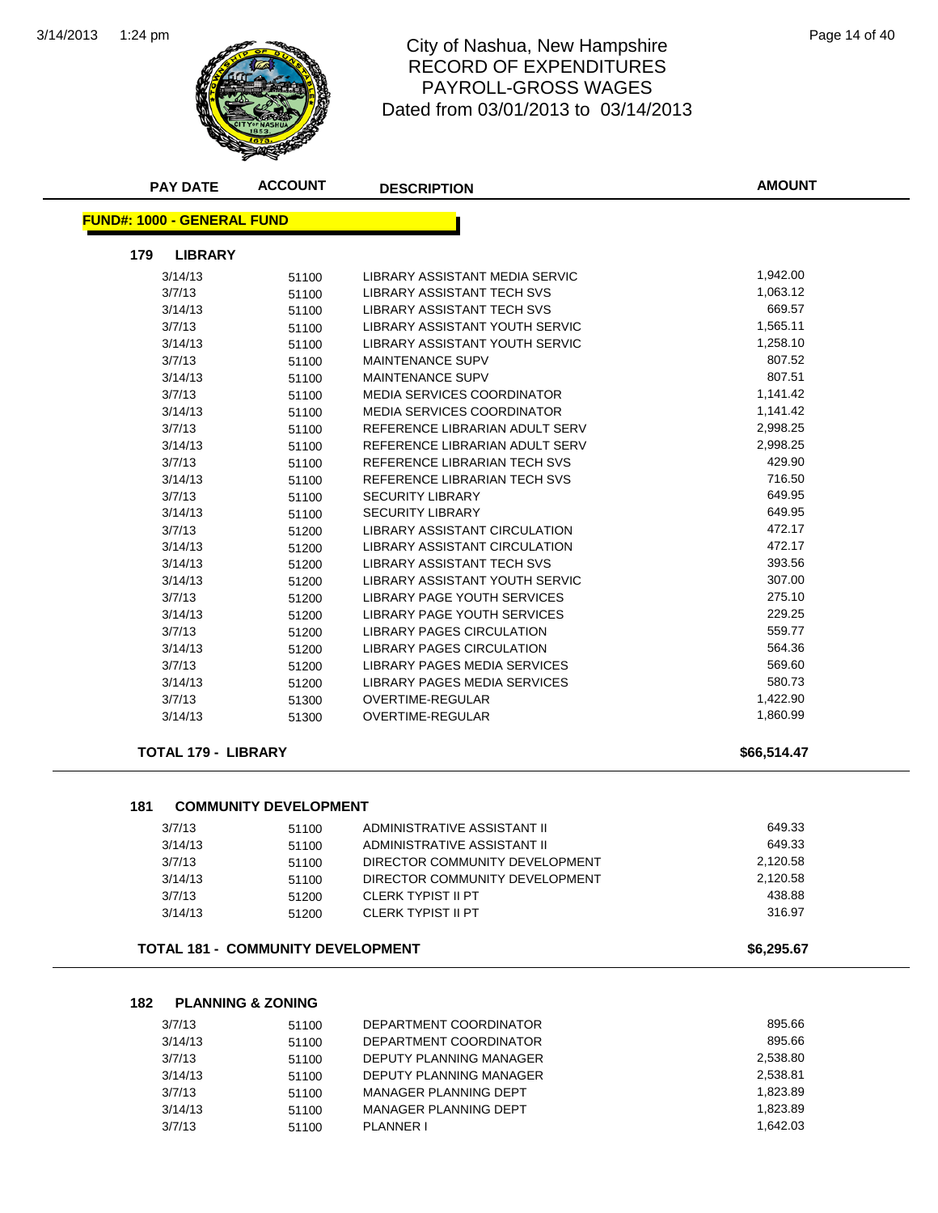

#### 1:24 pm Page 14 of 40 RECORD OF EXPENDITURES PAYROLL-GROSS WAGES Dated from 03/01/2013 to 03/14/2013

| <b>FUND#: 1000 - GENERAL FUND</b><br><b>LIBRARY</b><br>179<br>1,942.00<br>3/14/13<br>LIBRARY ASSISTANT MEDIA SERVIC<br>51100<br>1,063.12<br>3/7/13<br>LIBRARY ASSISTANT TECH SVS<br>51100<br>669.57<br>LIBRARY ASSISTANT TECH SVS<br>3/14/13<br>51100<br>3/7/13<br><b>LIBRARY ASSISTANT YOUTH SERVIC</b><br>1,565.11<br>51100<br>1,258.10<br>3/14/13<br>LIBRARY ASSISTANT YOUTH SERVIC<br>51100<br>807.52<br>3/7/13<br><b>MAINTENANCE SUPV</b><br>51100<br>807.51<br>3/14/13<br><b>MAINTENANCE SUPV</b><br>51100<br>1,141.42<br>3/7/13<br><b>MEDIA SERVICES COORDINATOR</b><br>51100<br><b>MEDIA SERVICES COORDINATOR</b><br>1,141.42<br>3/14/13<br>51100<br>2,998.25<br>3/7/13<br>REFERENCE LIBRARIAN ADULT SERV<br>51100<br>2,998.25<br>3/14/13<br>REFERENCE LIBRARIAN ADULT SERV<br>51100<br>429.90<br>3/7/13<br>REFERENCE LIBRARIAN TECH SVS<br>51100<br>716.50<br>3/14/13<br>REFERENCE LIBRARIAN TECH SVS<br>51100<br>649.95<br>3/7/13<br><b>SECURITY LIBRARY</b><br>51100<br>3/14/13<br><b>SECURITY LIBRARY</b><br>649.95<br>51100<br>472.17<br>3/7/13<br>LIBRARY ASSISTANT CIRCULATION<br>51200<br>472.17<br>LIBRARY ASSISTANT CIRCULATION<br>3/14/13<br>51200<br>393.56<br>3/14/13<br>LIBRARY ASSISTANT TECH SVS<br>51200<br>307.00<br>3/14/13<br>LIBRARY ASSISTANT YOUTH SERVIC<br>51200<br>275.10<br>3/7/13<br><b>LIBRARY PAGE YOUTH SERVICES</b><br>51200<br>229.25<br>3/14/13<br>LIBRARY PAGE YOUTH SERVICES<br>51200<br>559.77<br>3/7/13<br><b>LIBRARY PAGES CIRCULATION</b><br>51200<br>564.36<br>3/14/13<br><b>LIBRARY PAGES CIRCULATION</b><br>51200<br>569.60<br>3/7/13<br>LIBRARY PAGES MEDIA SERVICES<br>51200<br>580.73<br>LIBRARY PAGES MEDIA SERVICES<br>3/14/13<br>51200<br>1,422.90<br>3/7/13<br><b>OVERTIME-REGULAR</b><br>51300<br>1,860.99<br>3/14/13<br>OVERTIME-REGULAR<br>51300<br><b>TOTAL 179 - LIBRARY</b><br>\$66,514.47<br>181<br><b>COMMUNITY DEVELOPMENT</b><br>649.33<br>3/7/13<br>ADMINISTRATIVE ASSISTANT II<br>51100<br>649.33<br>3/14/13<br>ADMINISTRATIVE ASSISTANT II<br>51100<br>2,120.58<br>3/7/13<br>DIRECTOR COMMUNITY DEVELOPMENT<br>51100<br>2,120.58<br>3/14/13<br>DIRECTOR COMMUNITY DEVELOPMENT<br>51100<br>438.88<br>3/7/13<br><b>CLERK TYPIST II PT</b><br>51200<br>316.97<br>3/14/13<br><b>CLERK TYPIST II PT</b><br>51200<br><b>TOTAL 181 - COMMUNITY DEVELOPMENT</b><br>\$6,295.67<br>182<br><b>PLANNING &amp; ZONING</b><br>895.66<br>DEPARTMENT COORDINATOR<br>3/7/13<br>51100 | <b>PAY DATE</b> | <b>ACCOUNT</b> | <b>DESCRIPTION</b> | <b>AMOUNT</b> |
|--------------------------------------------------------------------------------------------------------------------------------------------------------------------------------------------------------------------------------------------------------------------------------------------------------------------------------------------------------------------------------------------------------------------------------------------------------------------------------------------------------------------------------------------------------------------------------------------------------------------------------------------------------------------------------------------------------------------------------------------------------------------------------------------------------------------------------------------------------------------------------------------------------------------------------------------------------------------------------------------------------------------------------------------------------------------------------------------------------------------------------------------------------------------------------------------------------------------------------------------------------------------------------------------------------------------------------------------------------------------------------------------------------------------------------------------------------------------------------------------------------------------------------------------------------------------------------------------------------------------------------------------------------------------------------------------------------------------------------------------------------------------------------------------------------------------------------------------------------------------------------------------------------------------------------------------------------------------------------------------------------------------------------------------------------------------------------------------------------------------------------------------------------------------------------------------------------------------------------------------------------------------------------------------------------------------------------------------------------------------------------------------------------------------------------------------|-----------------|----------------|--------------------|---------------|
|                                                                                                                                                                                                                                                                                                                                                                                                                                                                                                                                                                                                                                                                                                                                                                                                                                                                                                                                                                                                                                                                                                                                                                                                                                                                                                                                                                                                                                                                                                                                                                                                                                                                                                                                                                                                                                                                                                                                                                                                                                                                                                                                                                                                                                                                                                                                                                                                                                            |                 |                |                    |               |
|                                                                                                                                                                                                                                                                                                                                                                                                                                                                                                                                                                                                                                                                                                                                                                                                                                                                                                                                                                                                                                                                                                                                                                                                                                                                                                                                                                                                                                                                                                                                                                                                                                                                                                                                                                                                                                                                                                                                                                                                                                                                                                                                                                                                                                                                                                                                                                                                                                            |                 |                |                    |               |
|                                                                                                                                                                                                                                                                                                                                                                                                                                                                                                                                                                                                                                                                                                                                                                                                                                                                                                                                                                                                                                                                                                                                                                                                                                                                                                                                                                                                                                                                                                                                                                                                                                                                                                                                                                                                                                                                                                                                                                                                                                                                                                                                                                                                                                                                                                                                                                                                                                            |                 |                |                    |               |
|                                                                                                                                                                                                                                                                                                                                                                                                                                                                                                                                                                                                                                                                                                                                                                                                                                                                                                                                                                                                                                                                                                                                                                                                                                                                                                                                                                                                                                                                                                                                                                                                                                                                                                                                                                                                                                                                                                                                                                                                                                                                                                                                                                                                                                                                                                                                                                                                                                            |                 |                |                    |               |
|                                                                                                                                                                                                                                                                                                                                                                                                                                                                                                                                                                                                                                                                                                                                                                                                                                                                                                                                                                                                                                                                                                                                                                                                                                                                                                                                                                                                                                                                                                                                                                                                                                                                                                                                                                                                                                                                                                                                                                                                                                                                                                                                                                                                                                                                                                                                                                                                                                            |                 |                |                    |               |
|                                                                                                                                                                                                                                                                                                                                                                                                                                                                                                                                                                                                                                                                                                                                                                                                                                                                                                                                                                                                                                                                                                                                                                                                                                                                                                                                                                                                                                                                                                                                                                                                                                                                                                                                                                                                                                                                                                                                                                                                                                                                                                                                                                                                                                                                                                                                                                                                                                            |                 |                |                    |               |
|                                                                                                                                                                                                                                                                                                                                                                                                                                                                                                                                                                                                                                                                                                                                                                                                                                                                                                                                                                                                                                                                                                                                                                                                                                                                                                                                                                                                                                                                                                                                                                                                                                                                                                                                                                                                                                                                                                                                                                                                                                                                                                                                                                                                                                                                                                                                                                                                                                            |                 |                |                    |               |
|                                                                                                                                                                                                                                                                                                                                                                                                                                                                                                                                                                                                                                                                                                                                                                                                                                                                                                                                                                                                                                                                                                                                                                                                                                                                                                                                                                                                                                                                                                                                                                                                                                                                                                                                                                                                                                                                                                                                                                                                                                                                                                                                                                                                                                                                                                                                                                                                                                            |                 |                |                    |               |
|                                                                                                                                                                                                                                                                                                                                                                                                                                                                                                                                                                                                                                                                                                                                                                                                                                                                                                                                                                                                                                                                                                                                                                                                                                                                                                                                                                                                                                                                                                                                                                                                                                                                                                                                                                                                                                                                                                                                                                                                                                                                                                                                                                                                                                                                                                                                                                                                                                            |                 |                |                    |               |
|                                                                                                                                                                                                                                                                                                                                                                                                                                                                                                                                                                                                                                                                                                                                                                                                                                                                                                                                                                                                                                                                                                                                                                                                                                                                                                                                                                                                                                                                                                                                                                                                                                                                                                                                                                                                                                                                                                                                                                                                                                                                                                                                                                                                                                                                                                                                                                                                                                            |                 |                |                    |               |
|                                                                                                                                                                                                                                                                                                                                                                                                                                                                                                                                                                                                                                                                                                                                                                                                                                                                                                                                                                                                                                                                                                                                                                                                                                                                                                                                                                                                                                                                                                                                                                                                                                                                                                                                                                                                                                                                                                                                                                                                                                                                                                                                                                                                                                                                                                                                                                                                                                            |                 |                |                    |               |
|                                                                                                                                                                                                                                                                                                                                                                                                                                                                                                                                                                                                                                                                                                                                                                                                                                                                                                                                                                                                                                                                                                                                                                                                                                                                                                                                                                                                                                                                                                                                                                                                                                                                                                                                                                                                                                                                                                                                                                                                                                                                                                                                                                                                                                                                                                                                                                                                                                            |                 |                |                    |               |
|                                                                                                                                                                                                                                                                                                                                                                                                                                                                                                                                                                                                                                                                                                                                                                                                                                                                                                                                                                                                                                                                                                                                                                                                                                                                                                                                                                                                                                                                                                                                                                                                                                                                                                                                                                                                                                                                                                                                                                                                                                                                                                                                                                                                                                                                                                                                                                                                                                            |                 |                |                    |               |
|                                                                                                                                                                                                                                                                                                                                                                                                                                                                                                                                                                                                                                                                                                                                                                                                                                                                                                                                                                                                                                                                                                                                                                                                                                                                                                                                                                                                                                                                                                                                                                                                                                                                                                                                                                                                                                                                                                                                                                                                                                                                                                                                                                                                                                                                                                                                                                                                                                            |                 |                |                    |               |
|                                                                                                                                                                                                                                                                                                                                                                                                                                                                                                                                                                                                                                                                                                                                                                                                                                                                                                                                                                                                                                                                                                                                                                                                                                                                                                                                                                                                                                                                                                                                                                                                                                                                                                                                                                                                                                                                                                                                                                                                                                                                                                                                                                                                                                                                                                                                                                                                                                            |                 |                |                    |               |
|                                                                                                                                                                                                                                                                                                                                                                                                                                                                                                                                                                                                                                                                                                                                                                                                                                                                                                                                                                                                                                                                                                                                                                                                                                                                                                                                                                                                                                                                                                                                                                                                                                                                                                                                                                                                                                                                                                                                                                                                                                                                                                                                                                                                                                                                                                                                                                                                                                            |                 |                |                    |               |
|                                                                                                                                                                                                                                                                                                                                                                                                                                                                                                                                                                                                                                                                                                                                                                                                                                                                                                                                                                                                                                                                                                                                                                                                                                                                                                                                                                                                                                                                                                                                                                                                                                                                                                                                                                                                                                                                                                                                                                                                                                                                                                                                                                                                                                                                                                                                                                                                                                            |                 |                |                    |               |
|                                                                                                                                                                                                                                                                                                                                                                                                                                                                                                                                                                                                                                                                                                                                                                                                                                                                                                                                                                                                                                                                                                                                                                                                                                                                                                                                                                                                                                                                                                                                                                                                                                                                                                                                                                                                                                                                                                                                                                                                                                                                                                                                                                                                                                                                                                                                                                                                                                            |                 |                |                    |               |
|                                                                                                                                                                                                                                                                                                                                                                                                                                                                                                                                                                                                                                                                                                                                                                                                                                                                                                                                                                                                                                                                                                                                                                                                                                                                                                                                                                                                                                                                                                                                                                                                                                                                                                                                                                                                                                                                                                                                                                                                                                                                                                                                                                                                                                                                                                                                                                                                                                            |                 |                |                    |               |
|                                                                                                                                                                                                                                                                                                                                                                                                                                                                                                                                                                                                                                                                                                                                                                                                                                                                                                                                                                                                                                                                                                                                                                                                                                                                                                                                                                                                                                                                                                                                                                                                                                                                                                                                                                                                                                                                                                                                                                                                                                                                                                                                                                                                                                                                                                                                                                                                                                            |                 |                |                    |               |
|                                                                                                                                                                                                                                                                                                                                                                                                                                                                                                                                                                                                                                                                                                                                                                                                                                                                                                                                                                                                                                                                                                                                                                                                                                                                                                                                                                                                                                                                                                                                                                                                                                                                                                                                                                                                                                                                                                                                                                                                                                                                                                                                                                                                                                                                                                                                                                                                                                            |                 |                |                    |               |
|                                                                                                                                                                                                                                                                                                                                                                                                                                                                                                                                                                                                                                                                                                                                                                                                                                                                                                                                                                                                                                                                                                                                                                                                                                                                                                                                                                                                                                                                                                                                                                                                                                                                                                                                                                                                                                                                                                                                                                                                                                                                                                                                                                                                                                                                                                                                                                                                                                            |                 |                |                    |               |
|                                                                                                                                                                                                                                                                                                                                                                                                                                                                                                                                                                                                                                                                                                                                                                                                                                                                                                                                                                                                                                                                                                                                                                                                                                                                                                                                                                                                                                                                                                                                                                                                                                                                                                                                                                                                                                                                                                                                                                                                                                                                                                                                                                                                                                                                                                                                                                                                                                            |                 |                |                    |               |
|                                                                                                                                                                                                                                                                                                                                                                                                                                                                                                                                                                                                                                                                                                                                                                                                                                                                                                                                                                                                                                                                                                                                                                                                                                                                                                                                                                                                                                                                                                                                                                                                                                                                                                                                                                                                                                                                                                                                                                                                                                                                                                                                                                                                                                                                                                                                                                                                                                            |                 |                |                    |               |
|                                                                                                                                                                                                                                                                                                                                                                                                                                                                                                                                                                                                                                                                                                                                                                                                                                                                                                                                                                                                                                                                                                                                                                                                                                                                                                                                                                                                                                                                                                                                                                                                                                                                                                                                                                                                                                                                                                                                                                                                                                                                                                                                                                                                                                                                                                                                                                                                                                            |                 |                |                    |               |
|                                                                                                                                                                                                                                                                                                                                                                                                                                                                                                                                                                                                                                                                                                                                                                                                                                                                                                                                                                                                                                                                                                                                                                                                                                                                                                                                                                                                                                                                                                                                                                                                                                                                                                                                                                                                                                                                                                                                                                                                                                                                                                                                                                                                                                                                                                                                                                                                                                            |                 |                |                    |               |
|                                                                                                                                                                                                                                                                                                                                                                                                                                                                                                                                                                                                                                                                                                                                                                                                                                                                                                                                                                                                                                                                                                                                                                                                                                                                                                                                                                                                                                                                                                                                                                                                                                                                                                                                                                                                                                                                                                                                                                                                                                                                                                                                                                                                                                                                                                                                                                                                                                            |                 |                |                    |               |
|                                                                                                                                                                                                                                                                                                                                                                                                                                                                                                                                                                                                                                                                                                                                                                                                                                                                                                                                                                                                                                                                                                                                                                                                                                                                                                                                                                                                                                                                                                                                                                                                                                                                                                                                                                                                                                                                                                                                                                                                                                                                                                                                                                                                                                                                                                                                                                                                                                            |                 |                |                    |               |
|                                                                                                                                                                                                                                                                                                                                                                                                                                                                                                                                                                                                                                                                                                                                                                                                                                                                                                                                                                                                                                                                                                                                                                                                                                                                                                                                                                                                                                                                                                                                                                                                                                                                                                                                                                                                                                                                                                                                                                                                                                                                                                                                                                                                                                                                                                                                                                                                                                            |                 |                |                    |               |
|                                                                                                                                                                                                                                                                                                                                                                                                                                                                                                                                                                                                                                                                                                                                                                                                                                                                                                                                                                                                                                                                                                                                                                                                                                                                                                                                                                                                                                                                                                                                                                                                                                                                                                                                                                                                                                                                                                                                                                                                                                                                                                                                                                                                                                                                                                                                                                                                                                            |                 |                |                    |               |
|                                                                                                                                                                                                                                                                                                                                                                                                                                                                                                                                                                                                                                                                                                                                                                                                                                                                                                                                                                                                                                                                                                                                                                                                                                                                                                                                                                                                                                                                                                                                                                                                                                                                                                                                                                                                                                                                                                                                                                                                                                                                                                                                                                                                                                                                                                                                                                                                                                            |                 |                |                    |               |
|                                                                                                                                                                                                                                                                                                                                                                                                                                                                                                                                                                                                                                                                                                                                                                                                                                                                                                                                                                                                                                                                                                                                                                                                                                                                                                                                                                                                                                                                                                                                                                                                                                                                                                                                                                                                                                                                                                                                                                                                                                                                                                                                                                                                                                                                                                                                                                                                                                            |                 |                |                    |               |
|                                                                                                                                                                                                                                                                                                                                                                                                                                                                                                                                                                                                                                                                                                                                                                                                                                                                                                                                                                                                                                                                                                                                                                                                                                                                                                                                                                                                                                                                                                                                                                                                                                                                                                                                                                                                                                                                                                                                                                                                                                                                                                                                                                                                                                                                                                                                                                                                                                            |                 |                |                    |               |
|                                                                                                                                                                                                                                                                                                                                                                                                                                                                                                                                                                                                                                                                                                                                                                                                                                                                                                                                                                                                                                                                                                                                                                                                                                                                                                                                                                                                                                                                                                                                                                                                                                                                                                                                                                                                                                                                                                                                                                                                                                                                                                                                                                                                                                                                                                                                                                                                                                            |                 |                |                    |               |
|                                                                                                                                                                                                                                                                                                                                                                                                                                                                                                                                                                                                                                                                                                                                                                                                                                                                                                                                                                                                                                                                                                                                                                                                                                                                                                                                                                                                                                                                                                                                                                                                                                                                                                                                                                                                                                                                                                                                                                                                                                                                                                                                                                                                                                                                                                                                                                                                                                            |                 |                |                    |               |
|                                                                                                                                                                                                                                                                                                                                                                                                                                                                                                                                                                                                                                                                                                                                                                                                                                                                                                                                                                                                                                                                                                                                                                                                                                                                                                                                                                                                                                                                                                                                                                                                                                                                                                                                                                                                                                                                                                                                                                                                                                                                                                                                                                                                                                                                                                                                                                                                                                            |                 |                |                    |               |
|                                                                                                                                                                                                                                                                                                                                                                                                                                                                                                                                                                                                                                                                                                                                                                                                                                                                                                                                                                                                                                                                                                                                                                                                                                                                                                                                                                                                                                                                                                                                                                                                                                                                                                                                                                                                                                                                                                                                                                                                                                                                                                                                                                                                                                                                                                                                                                                                                                            |                 |                |                    |               |
|                                                                                                                                                                                                                                                                                                                                                                                                                                                                                                                                                                                                                                                                                                                                                                                                                                                                                                                                                                                                                                                                                                                                                                                                                                                                                                                                                                                                                                                                                                                                                                                                                                                                                                                                                                                                                                                                                                                                                                                                                                                                                                                                                                                                                                                                                                                                                                                                                                            |                 |                |                    |               |
|                                                                                                                                                                                                                                                                                                                                                                                                                                                                                                                                                                                                                                                                                                                                                                                                                                                                                                                                                                                                                                                                                                                                                                                                                                                                                                                                                                                                                                                                                                                                                                                                                                                                                                                                                                                                                                                                                                                                                                                                                                                                                                                                                                                                                                                                                                                                                                                                                                            |                 |                |                    |               |
|                                                                                                                                                                                                                                                                                                                                                                                                                                                                                                                                                                                                                                                                                                                                                                                                                                                                                                                                                                                                                                                                                                                                                                                                                                                                                                                                                                                                                                                                                                                                                                                                                                                                                                                                                                                                                                                                                                                                                                                                                                                                                                                                                                                                                                                                                                                                                                                                                                            |                 |                |                    |               |

| 3/7/13  | 51100 | DEPARTMENT COORDINATOR  | 895.66   |
|---------|-------|-------------------------|----------|
| 3/14/13 | 51100 | DEPARTMENT COORDINATOR  | 895.66   |
| 3/7/13  | 51100 | DEPUTY PLANNING MANAGER | 2,538.80 |
| 3/14/13 | 51100 | DEPUTY PLANNING MANAGER | 2.538.81 |
| 3/7/13  | 51100 | MANAGER PLANNING DEPT   | 1.823.89 |
| 3/14/13 | 51100 | MANAGER PLANNING DEPT   | 1.823.89 |
| 3/7/13  | 51100 | PI ANNER I              | 1.642.03 |
|         |       |                         |          |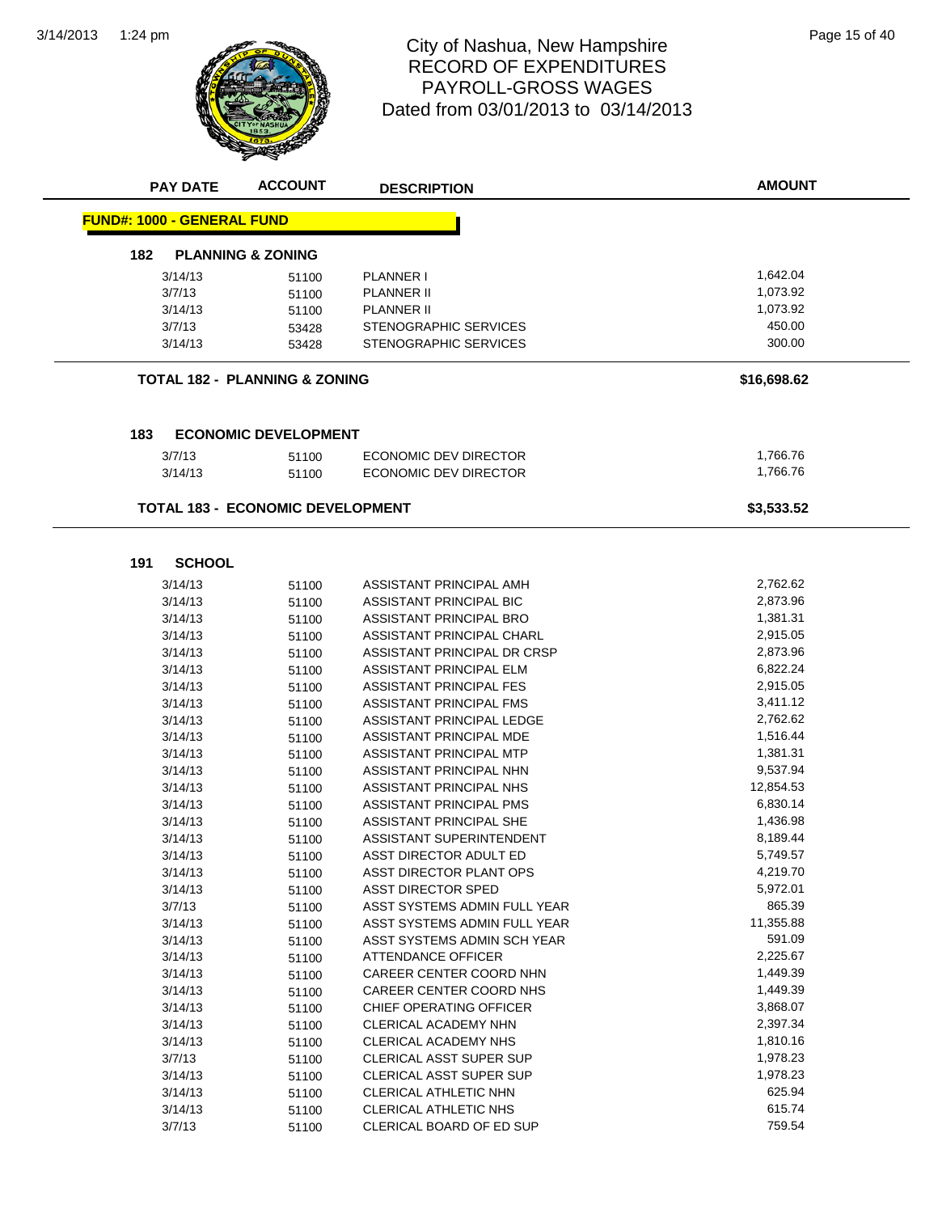

#### 1:24 pm Page 15 of 40 RECORD OF EXPENDITURES PAYROLL-GROSS WAGES Dated from 03/01/2013 to 03/14/2013

|                                   | <b>PAY DATE</b> | <b>ACCOUNT</b>                          | <b>DESCRIPTION</b>             | <b>AMOUNT</b> |
|-----------------------------------|-----------------|-----------------------------------------|--------------------------------|---------------|
| <b>FUND#: 1000 - GENERAL FUND</b> |                 |                                         |                                |               |
| 182                               |                 | <b>PLANNING &amp; ZONING</b>            |                                |               |
|                                   | 3/14/13         | 51100                                   | <b>PLANNER I</b>               | 1,642.04      |
|                                   | 3/7/13          | 51100                                   | <b>PLANNER II</b>              | 1,073.92      |
|                                   | 3/14/13         | 51100                                   | PLANNER II                     | 1,073.92      |
|                                   | 3/7/13          | 53428                                   | <b>STENOGRAPHIC SERVICES</b>   | 450.00        |
|                                   | 3/14/13         | 53428                                   | STENOGRAPHIC SERVICES          | 300.00        |
|                                   |                 |                                         |                                |               |
|                                   |                 | TOTAL 182 - PLANNING & ZONING           |                                | \$16,698.62   |
|                                   |                 |                                         |                                |               |
| 183                               |                 | <b>ECONOMIC DEVELOPMENT</b>             |                                |               |
|                                   | 3/7/13          | 51100                                   | ECONOMIC DEV DIRECTOR          | 1,766.76      |
|                                   | 3/14/13         | 51100                                   | <b>ECONOMIC DEV DIRECTOR</b>   | 1,766.76      |
|                                   |                 |                                         |                                |               |
|                                   |                 | <b>TOTAL 183 - ECONOMIC DEVELOPMENT</b> |                                | \$3,533.52    |
|                                   |                 |                                         |                                |               |
| 191                               | <b>SCHOOL</b>   |                                         |                                |               |
|                                   | 3/14/13         | 51100                                   | ASSISTANT PRINCIPAL AMH        | 2,762.62      |
|                                   | 3/14/13         | 51100                                   | <b>ASSISTANT PRINCIPAL BIC</b> | 2,873.96      |
|                                   | 3/14/13         | 51100                                   | ASSISTANT PRINCIPAL BRO        | 1,381.31      |
|                                   | 3/14/13         | 51100                                   | ASSISTANT PRINCIPAL CHARL      | 2,915.05      |
|                                   | 3/14/13         | 51100                                   | ASSISTANT PRINCIPAL DR CRSP    | 2,873.96      |
|                                   | 3/14/13         | 51100                                   | ASSISTANT PRINCIPAL ELM        | 6,822.24      |
|                                   | 3/14/13         | 51100                                   | <b>ASSISTANT PRINCIPAL FES</b> | 2,915.05      |
|                                   | 3/14/13         | 51100                                   | ASSISTANT PRINCIPAL FMS        | 3,411.12      |
|                                   | 3/14/13         | 51100                                   | ASSISTANT PRINCIPAL LEDGE      | 2,762.62      |
|                                   | 3/14/13         | 51100                                   | ASSISTANT PRINCIPAL MDE        | 1,516.44      |
|                                   | 3/14/13         | 51100                                   | ASSISTANT PRINCIPAL MTP        | 1,381.31      |
|                                   | 3/14/13         | 51100                                   | ASSISTANT PRINCIPAL NHN        | 9,537.94      |
|                                   | 3/14/13         | 51100                                   | ASSISTANT PRINCIPAL NHS        | 12,854.53     |
|                                   | 3/14/13         | 51100                                   | ASSISTANT PRINCIPAL PMS        | 6,830.14      |
|                                   | 3/14/13         | 51100                                   | ASSISTANT PRINCIPAL SHE        | 1,436.98      |
|                                   | 3/14/13         | 51100                                   | ASSISTANT SUPERINTENDENT       | 8,189.44      |
|                                   | 3/14/13         | 51100                                   | ASST DIRECTOR ADULT ED         | 5,749.57      |
|                                   | 3/14/13         | 51100                                   | ASST DIRECTOR PLANT OPS        | 4,219.70      |
|                                   | 3/14/13         | 51100                                   | ASST DIRECTOR SPED             | 5,972.01      |
|                                   | 3/7/13          | 51100                                   | ASST SYSTEMS ADMIN FULL YEAR   | 865.39        |
|                                   | 3/14/13         | 51100                                   | ASST SYSTEMS ADMIN FULL YEAR   | 11,355.88     |
|                                   | 3/14/13         | 51100                                   | ASST SYSTEMS ADMIN SCH YEAR    | 591.09        |
|                                   | 3/14/13         | 51100                                   | <b>ATTENDANCE OFFICER</b>      | 2,225.67      |
|                                   | 3/14/13         | 51100                                   | CAREER CENTER COORD NHN        | 1,449.39      |
|                                   | 3/14/13         | 51100                                   | CAREER CENTER COORD NHS        | 1,449.39      |
|                                   | 3/14/13         | 51100                                   | CHIEF OPERATING OFFICER        | 3,868.07      |
|                                   | 3/14/13         | 51100                                   | CLERICAL ACADEMY NHN           | 2,397.34      |
|                                   | 3/14/13         | 51100                                   | CLERICAL ACADEMY NHS           | 1,810.16      |
|                                   | 3/7/13          | 51100                                   | <b>CLERICAL ASST SUPER SUP</b> | 1,978.23      |
|                                   | 3/14/13         | 51100                                   | CLERICAL ASST SUPER SUP        | 1,978.23      |
|                                   | 3/14/13         | 51100                                   | CLERICAL ATHLETIC NHN          | 625.94        |
|                                   | 3/14/13         | 51100                                   | CLERICAL ATHLETIC NHS          | 615.74        |
|                                   | 3/7/13          | 51100                                   | CLERICAL BOARD OF ED SUP       | 759.54        |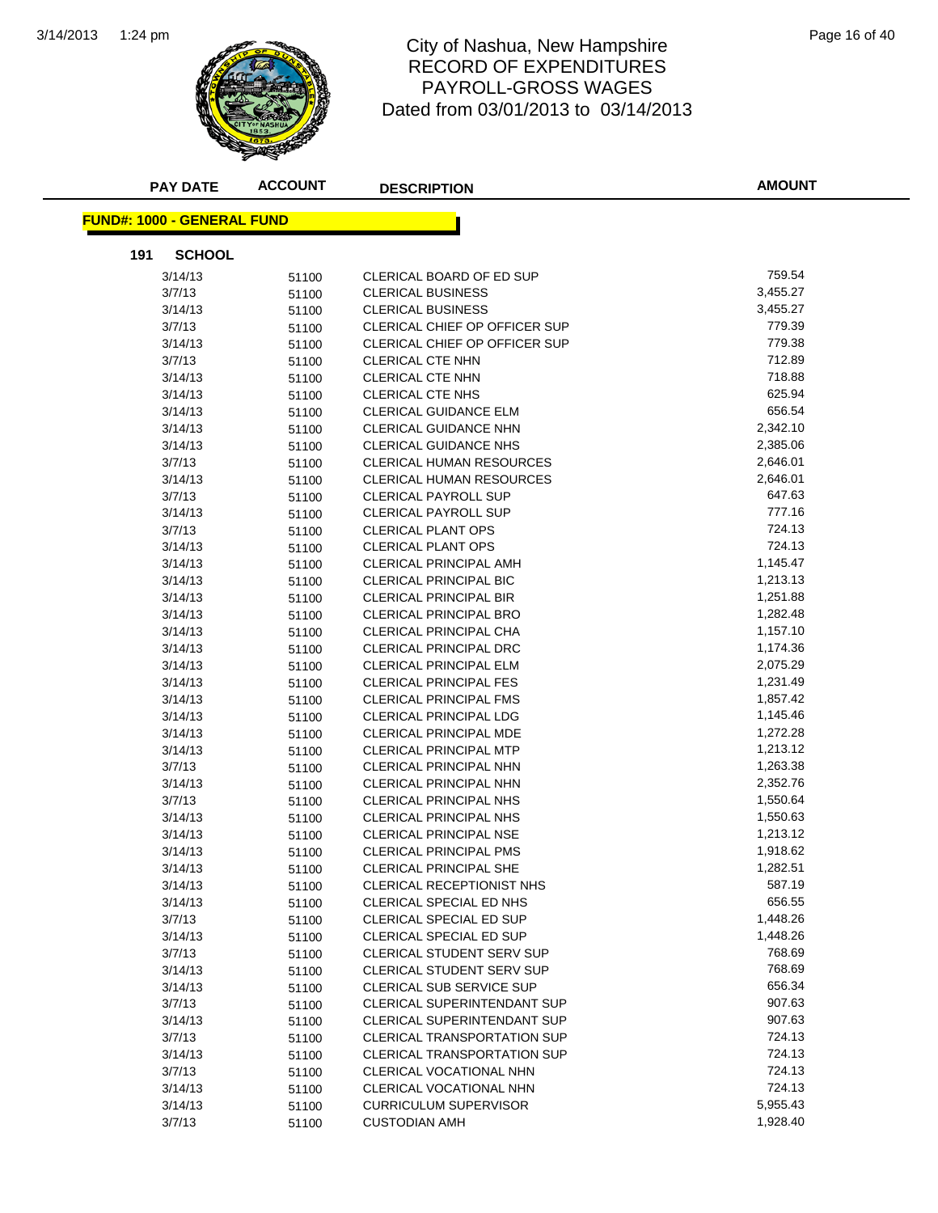

#### 1:24 pm Page 16 of 40 RECORD OF EXPENDITURES PAYROLL-GROSS WAGES Dated from 03/01/2013 to 03/14/2013

| <b>PAY DATE</b>                   | <b>ACCOUNT</b> | <b>DESCRIPTION</b>                   | <b>AMOUNT</b> |
|-----------------------------------|----------------|--------------------------------------|---------------|
| <b>FUND#: 1000 - GENERAL FUND</b> |                |                                      |               |
| 191<br><b>SCHOOL</b>              |                |                                      |               |
| 3/14/13                           | 51100          | CLERICAL BOARD OF ED SUP             | 759.54        |
| 3/7/13                            | 51100          | <b>CLERICAL BUSINESS</b>             | 3,455.27      |
| 3/14/13                           | 51100          | <b>CLERICAL BUSINESS</b>             | 3,455.27      |
| 3/7/13                            | 51100          | CLERICAL CHIEF OP OFFICER SUP        | 779.39        |
| 3/14/13                           | 51100          | <b>CLERICAL CHIEF OP OFFICER SUP</b> | 779.38        |
| 3/7/13                            | 51100          | CLERICAL CTE NHN                     | 712.89        |
| 3/14/13                           | 51100          | CLERICAL CTE NHN                     | 718.88        |
| 3/14/13                           | 51100          | <b>CLERICAL CTE NHS</b>              | 625.94        |
| 3/14/13                           | 51100          | <b>CLERICAL GUIDANCE ELM</b>         | 656.54        |
| 3/14/13                           | 51100          | <b>CLERICAL GUIDANCE NHN</b>         | 2,342.10      |
| 3/14/13                           | 51100          | <b>CLERICAL GUIDANCE NHS</b>         | 2,385.06      |
| 3/7/13                            | 51100          | <b>CLERICAL HUMAN RESOURCES</b>      | 2,646.01      |
| 3/14/13                           | 51100          | CLERICAL HUMAN RESOURCES             | 2,646.01      |
| 3/7/13                            | 51100          | <b>CLERICAL PAYROLL SUP</b>          | 647.63        |
| 3/14/13                           | 51100          | <b>CLERICAL PAYROLL SUP</b>          | 777.16        |
| 3/7/13                            | 51100          | <b>CLERICAL PLANT OPS</b>            | 724.13        |
| 3/14/13                           | 51100          | <b>CLERICAL PLANT OPS</b>            | 724.13        |
| 3/14/13                           | 51100          | <b>CLERICAL PRINCIPAL AMH</b>        | 1,145.47      |
| 3/14/13                           | 51100          | <b>CLERICAL PRINCIPAL BIC</b>        | 1,213.13      |
| 3/14/13                           | 51100          | <b>CLERICAL PRINCIPAL BIR</b>        | 1,251.88      |
| 3/14/13                           | 51100          | <b>CLERICAL PRINCIPAL BRO</b>        | 1,282.48      |
| 3/14/13                           | 51100          | CLERICAL PRINCIPAL CHA               | 1,157.10      |
| 3/14/13                           | 51100          | <b>CLERICAL PRINCIPAL DRC</b>        | 1,174.36      |
| 3/14/13                           | 51100          | <b>CLERICAL PRINCIPAL ELM</b>        | 2,075.29      |
| 3/14/13                           | 51100          | <b>CLERICAL PRINCIPAL FES</b>        | 1,231.49      |
| 3/14/13                           | 51100          | <b>CLERICAL PRINCIPAL FMS</b>        | 1,857.42      |
| 3/14/13                           | 51100          | <b>CLERICAL PRINCIPAL LDG</b>        | 1,145.46      |
| 3/14/13                           | 51100          | <b>CLERICAL PRINCIPAL MDE</b>        | 1,272.28      |
| 3/14/13                           | 51100          | <b>CLERICAL PRINCIPAL MTP</b>        | 1,213.12      |
| 3/7/13                            | 51100          | <b>CLERICAL PRINCIPAL NHN</b>        | 1,263.38      |
| 3/14/13                           | 51100          | <b>CLERICAL PRINCIPAL NHN</b>        | 2,352.76      |
| 3/7/13                            | 51100          | CLERICAL PRINCIPAL NHS               | 1,550.64      |
| 3/14/13                           | 51100          | CLERICAL PRINCIPAL NHS               | 1,550.63      |
| 3/14/13                           | 51100          | CLERICAL PRINCIPAL NSE               | 1,213.12      |
| 3/14/13                           | 51100          | <b>CLERICAL PRINCIPAL PMS</b>        | 1,918.62      |
| 3/14/13                           | 51100          | <b>CLERICAL PRINCIPAL SHE</b>        | 1,282.51      |
| 3/14/13                           | 51100          | <b>CLERICAL RECEPTIONIST NHS</b>     | 587.19        |
| 3/14/13                           | 51100          | <b>CLERICAL SPECIAL ED NHS</b>       | 656.55        |
| 3/7/13                            | 51100          | CLERICAL SPECIAL ED SUP              | 1,448.26      |
| 3/14/13                           | 51100          | <b>CLERICAL SPECIAL ED SUP</b>       | 1,448.26      |
| 3/7/13                            | 51100          | <b>CLERICAL STUDENT SERV SUP</b>     | 768.69        |
| 3/14/13                           | 51100          | CLERICAL STUDENT SERV SUP            | 768.69        |
| 3/14/13                           | 51100          | CLERICAL SUB SERVICE SUP             | 656.34        |
| 3/7/13                            | 51100          | <b>CLERICAL SUPERINTENDANT SUP</b>   | 907.63        |
| 3/14/13                           | 51100          | <b>CLERICAL SUPERINTENDANT SUP</b>   | 907.63        |
| 3/7/13                            | 51100          | <b>CLERICAL TRANSPORTATION SUP</b>   | 724.13        |
| 3/14/13                           | 51100          | <b>CLERICAL TRANSPORTATION SUP</b>   | 724.13        |
| 3/7/13                            | 51100          | CLERICAL VOCATIONAL NHN              | 724.13        |
| 3/14/13                           | 51100          | CLERICAL VOCATIONAL NHN              | 724.13        |
| 3/14/13                           | 51100          | <b>CURRICULUM SUPERVISOR</b>         | 5,955.43      |
| 3/7/13                            | 51100          | <b>CUSTODIAN AMH</b>                 | 1,928.40      |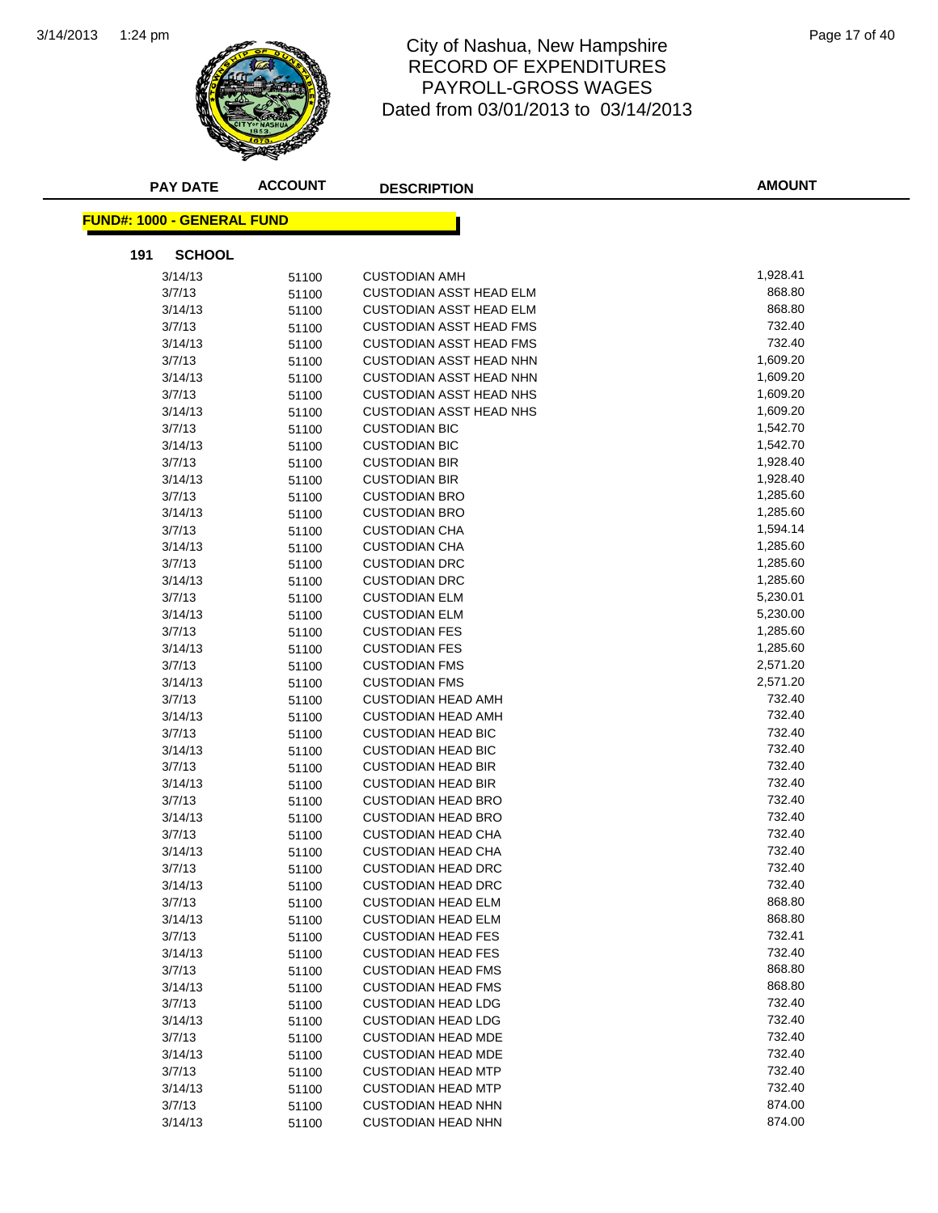

#### 1:24 pm Page 17 of 40 RECORD OF EXPENDITURES PAYROLL-GROSS WAGES Dated from 03/01/2013 to 03/14/2013

|     | <b>PAY DATE</b>                   | <b>ACCOUNT</b> | <b>DESCRIPTION</b>             | <b>AMOUNT</b> |
|-----|-----------------------------------|----------------|--------------------------------|---------------|
|     | <b>FUND#: 1000 - GENERAL FUND</b> |                |                                |               |
| 191 | <b>SCHOOL</b>                     |                |                                |               |
|     | 3/14/13                           | 51100          | <b>CUSTODIAN AMH</b>           | 1,928.41      |
|     | 3/7/13                            | 51100          | <b>CUSTODIAN ASST HEAD ELM</b> | 868.80        |
|     | 3/14/13                           | 51100          | <b>CUSTODIAN ASST HEAD ELM</b> | 868.80        |
|     | 3/7/13                            | 51100          | CUSTODIAN ASST HEAD FMS        | 732.40        |
|     | 3/14/13                           | 51100          | <b>CUSTODIAN ASST HEAD FMS</b> | 732.40        |
|     | 3/7/13                            | 51100          | <b>CUSTODIAN ASST HEAD NHN</b> | 1,609.20      |
|     | 3/14/13                           | 51100          | <b>CUSTODIAN ASST HEAD NHN</b> | 1,609.20      |
|     | 3/7/13                            | 51100          | <b>CUSTODIAN ASST HEAD NHS</b> | 1,609.20      |
|     | 3/14/13                           | 51100          | <b>CUSTODIAN ASST HEAD NHS</b> | 1,609.20      |
|     | 3/7/13                            | 51100          | <b>CUSTODIAN BIC</b>           | 1,542.70      |
|     | 3/14/13                           | 51100          | <b>CUSTODIAN BIC</b>           | 1,542.70      |
|     | 3/7/13                            | 51100          | <b>CUSTODIAN BIR</b>           | 1,928.40      |
|     | 3/14/13                           | 51100          | <b>CUSTODIAN BIR</b>           | 1,928.40      |
|     | 3/7/13                            | 51100          | <b>CUSTODIAN BRO</b>           | 1,285.60      |
|     | 3/14/13                           | 51100          | <b>CUSTODIAN BRO</b>           | 1,285.60      |
|     | 3/7/13                            | 51100          | <b>CUSTODIAN CHA</b>           | 1,594.14      |
|     | 3/14/13                           | 51100          | <b>CUSTODIAN CHA</b>           | 1,285.60      |
|     | 3/7/13                            | 51100          | <b>CUSTODIAN DRC</b>           | 1,285.60      |
|     | 3/14/13                           | 51100          | <b>CUSTODIAN DRC</b>           | 1,285.60      |
|     | 3/7/13                            | 51100          | <b>CUSTODIAN ELM</b>           | 5,230.01      |
|     | 3/14/13                           | 51100          | <b>CUSTODIAN ELM</b>           | 5,230.00      |
|     | 3/7/13                            | 51100          | <b>CUSTODIAN FES</b>           | 1,285.60      |
|     | 3/14/13                           | 51100          | <b>CUSTODIAN FES</b>           | 1,285.60      |
|     | 3/7/13                            | 51100          | <b>CUSTODIAN FMS</b>           | 2,571.20      |
|     | 3/14/13                           | 51100          | <b>CUSTODIAN FMS</b>           | 2,571.20      |
|     | 3/7/13                            | 51100          | <b>CUSTODIAN HEAD AMH</b>      | 732.40        |
|     | 3/14/13                           | 51100          | <b>CUSTODIAN HEAD AMH</b>      | 732.40        |
|     | 3/7/13                            | 51100          | <b>CUSTODIAN HEAD BIC</b>      | 732.40        |
|     | 3/14/13                           | 51100          | <b>CUSTODIAN HEAD BIC</b>      | 732.40        |
|     | 3/7/13                            | 51100          | <b>CUSTODIAN HEAD BIR</b>      | 732.40        |
|     | 3/14/13                           | 51100          | <b>CUSTODIAN HEAD BIR</b>      | 732.40        |
|     | 3/7/13                            | 51100          | <b>CUSTODIAN HEAD BRO</b>      | 732.40        |
|     | 3/14/13                           | 51100          | <b>CUSTODIAN HEAD BRO</b>      | 732.40        |
|     | 3/7/13                            | 51100          | <b>CUSTODIAN HEAD CHA</b>      | 732.40        |
|     | 3/14/13                           | 51100          | <b>CUSTODIAN HEAD CHA</b>      | 732.40        |
|     | 3/7/13                            | 51100          | <b>CUSTODIAN HEAD DRC</b>      | 732.40        |
|     | 3/14/13                           | 51100          | <b>CUSTODIAN HEAD DRC</b>      | 732.40        |
|     | 3/7/13                            | 51100          | <b>CUSTODIAN HEAD ELM</b>      | 868.80        |
|     | 3/14/13                           | 51100          | <b>CUSTODIAN HEAD ELM</b>      | 868.80        |
|     | 3/7/13                            | 51100          | <b>CUSTODIAN HEAD FES</b>      | 732.41        |
|     | 3/14/13                           | 51100          | <b>CUSTODIAN HEAD FES</b>      | 732.40        |
|     | 3/7/13                            | 51100          | <b>CUSTODIAN HEAD FMS</b>      | 868.80        |
|     | 3/14/13                           | 51100          | <b>CUSTODIAN HEAD FMS</b>      | 868.80        |
|     | 3/7/13                            | 51100          | <b>CUSTODIAN HEAD LDG</b>      | 732.40        |
|     | 3/14/13                           | 51100          | <b>CUSTODIAN HEAD LDG</b>      | 732.40        |
|     | 3/7/13                            | 51100          | <b>CUSTODIAN HEAD MDE</b>      | 732.40        |
|     | 3/14/13                           | 51100          | <b>CUSTODIAN HEAD MDE</b>      | 732.40        |
|     | 3/7/13                            | 51100          | <b>CUSTODIAN HEAD MTP</b>      | 732.40        |
|     | 3/14/13                           | 51100          | <b>CUSTODIAN HEAD MTP</b>      | 732.40        |
|     | 3/7/13                            | 51100          | <b>CUSTODIAN HEAD NHN</b>      | 874.00        |
|     | 3/14/13                           | 51100          | <b>CUSTODIAN HEAD NHN</b>      | 874.00        |
|     |                                   |                |                                |               |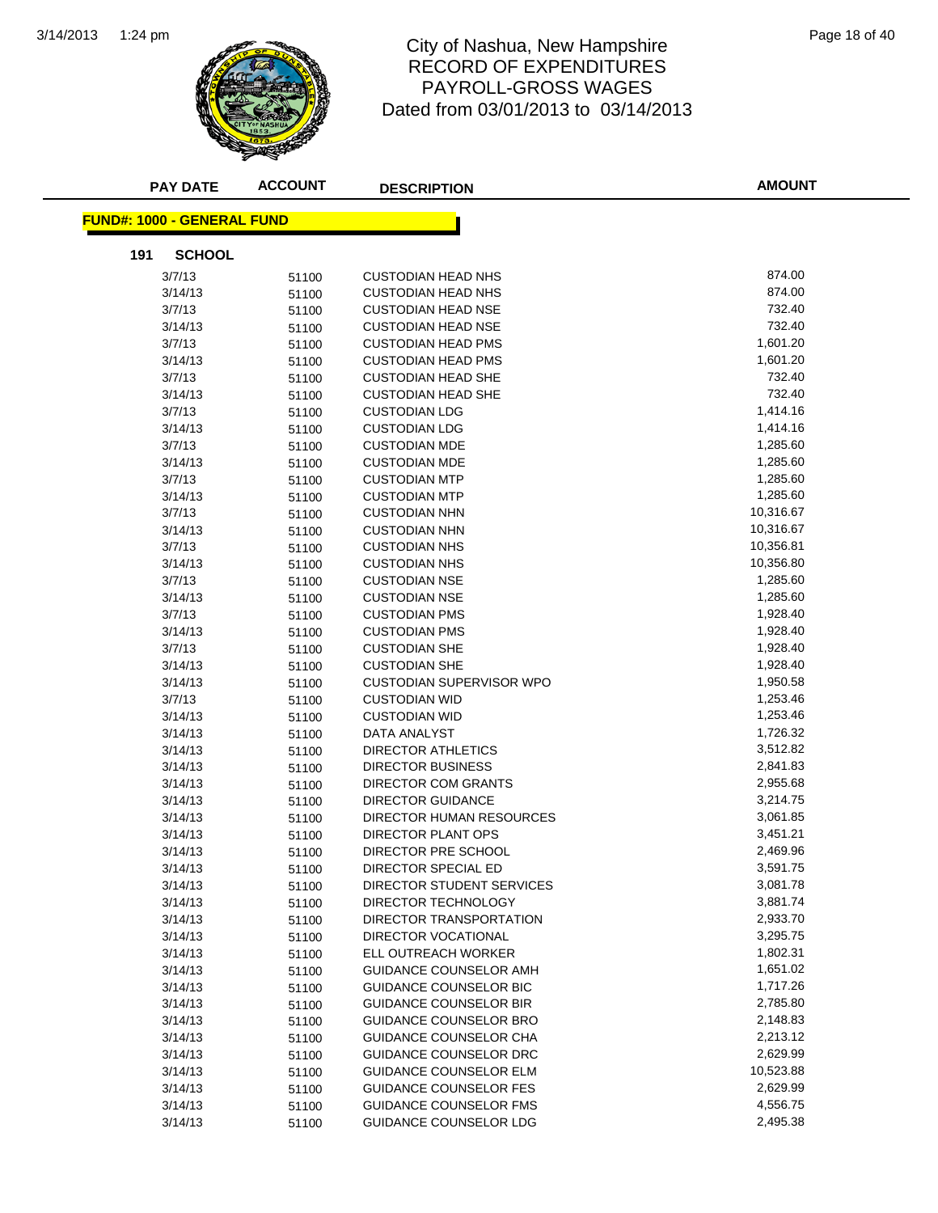

#### 1:24 pm Page 18 of 40 RECORD OF EXPENDITURES PAYROLL-GROSS WAGES Dated from 03/01/2013 to 03/14/2013

| <b>PAY DATE</b>                    | <b>ACCOUNT</b> | <b>DESCRIPTION</b>              | <b>AMOUNT</b> |
|------------------------------------|----------------|---------------------------------|---------------|
| <u> FUND#: 1000 - GENERAL FUND</u> |                |                                 |               |
| 191<br><b>SCHOOL</b>               |                |                                 |               |
| 3/7/13                             | 51100          | <b>CUSTODIAN HEAD NHS</b>       | 874.00        |
| 3/14/13                            | 51100          | <b>CUSTODIAN HEAD NHS</b>       | 874.00        |
| 3/7/13                             | 51100          | <b>CUSTODIAN HEAD NSE</b>       | 732.40        |
| 3/14/13                            | 51100          | <b>CUSTODIAN HEAD NSE</b>       | 732.40        |
| 3/7/13                             | 51100          | <b>CUSTODIAN HEAD PMS</b>       | 1,601.20      |
| 3/14/13                            | 51100          | <b>CUSTODIAN HEAD PMS</b>       | 1,601.20      |
| 3/7/13                             | 51100          | <b>CUSTODIAN HEAD SHE</b>       | 732.40        |
| 3/14/13                            | 51100          | <b>CUSTODIAN HEAD SHE</b>       | 732.40        |
| 3/7/13                             | 51100          | <b>CUSTODIAN LDG</b>            | 1,414.16      |
| 3/14/13                            | 51100          | <b>CUSTODIAN LDG</b>            | 1,414.16      |
| 3/7/13                             | 51100          | <b>CUSTODIAN MDE</b>            | 1,285.60      |
| 3/14/13                            | 51100          | <b>CUSTODIAN MDE</b>            | 1,285.60      |
| 3/7/13                             | 51100          | <b>CUSTODIAN MTP</b>            | 1,285.60      |
| 3/14/13                            | 51100          | <b>CUSTODIAN MTP</b>            | 1,285.60      |
| 3/7/13                             | 51100          | <b>CUSTODIAN NHN</b>            | 10,316.67     |
| 3/14/13                            | 51100          | <b>CUSTODIAN NHN</b>            | 10,316.67     |
| 3/7/13                             | 51100          | <b>CUSTODIAN NHS</b>            | 10,356.81     |
| 3/14/13                            | 51100          | <b>CUSTODIAN NHS</b>            | 10,356.80     |
| 3/7/13                             | 51100          | <b>CUSTODIAN NSE</b>            | 1,285.60      |
| 3/14/13                            | 51100          | <b>CUSTODIAN NSE</b>            | 1,285.60      |
| 3/7/13                             | 51100          | <b>CUSTODIAN PMS</b>            | 1,928.40      |
| 3/14/13                            | 51100          | <b>CUSTODIAN PMS</b>            | 1,928.40      |
| 3/7/13                             | 51100          | <b>CUSTODIAN SHE</b>            | 1,928.40      |
| 3/14/13                            | 51100          | <b>CUSTODIAN SHE</b>            | 1,928.40      |
| 3/14/13                            | 51100          | CUSTODIAN SUPERVISOR WPO        | 1,950.58      |
| 3/7/13                             | 51100          | <b>CUSTODIAN WID</b>            | 1,253.46      |
| 3/14/13                            | 51100          | <b>CUSTODIAN WID</b>            | 1,253.46      |
| 3/14/13                            | 51100          | DATA ANALYST                    | 1,726.32      |
| 3/14/13                            | 51100          | DIRECTOR ATHLETICS              | 3,512.82      |
| 3/14/13                            | 51100          | DIRECTOR BUSINESS               | 2,841.83      |
| 3/14/13                            | 51100          | DIRECTOR COM GRANTS             | 2,955.68      |
| 3/14/13                            | 51100          | <b>DIRECTOR GUIDANCE</b>        | 3,214.75      |
| 3/14/13                            | 51100          | <b>DIRECTOR HUMAN RESOURCES</b> | 3,061.85      |
| 3/14/13                            | 51100          | DIRECTOR PLANT OPS              | 3,451.21      |
| 3/14/13                            | 51100          | DIRECTOR PRE SCHOOL             | 2,469.96      |
| 3/14/13                            | 51100          | DIRECTOR SPECIAL ED             | 3,591.75      |
| 3/14/13                            | 51100          | DIRECTOR STUDENT SERVICES       | 3,081.78      |
| 3/14/13                            | 51100          | DIRECTOR TECHNOLOGY             | 3,881.74      |
| 3/14/13                            | 51100          | DIRECTOR TRANSPORTATION         | 2,933.70      |
| 3/14/13                            | 51100          | DIRECTOR VOCATIONAL             | 3,295.75      |
| 3/14/13                            | 51100          | ELL OUTREACH WORKER             | 1,802.31      |
| 3/14/13                            | 51100          | GUIDANCE COUNSELOR AMH          | 1,651.02      |
| 3/14/13                            | 51100          | GUIDANCE COUNSELOR BIC          | 1,717.26      |
| 3/14/13                            | 51100          | <b>GUIDANCE COUNSELOR BIR</b>   | 2,785.80      |
| 3/14/13                            |                | GUIDANCE COUNSELOR BRO          | 2,148.83      |
| 3/14/13                            | 51100<br>51100 | <b>GUIDANCE COUNSELOR CHA</b>   | 2,213.12      |
| 3/14/13                            |                | GUIDANCE COUNSELOR DRC          | 2,629.99      |
| 3/14/13                            | 51100          | GUIDANCE COUNSELOR ELM          | 10,523.88     |
| 3/14/13                            | 51100          | GUIDANCE COUNSELOR FES          | 2,629.99      |
| 3/14/13                            | 51100          | GUIDANCE COUNSELOR FMS          | 4,556.75      |
|                                    | 51100          |                                 |               |
| 3/14/13                            | 51100          | GUIDANCE COUNSELOR LDG          | 2,495.38      |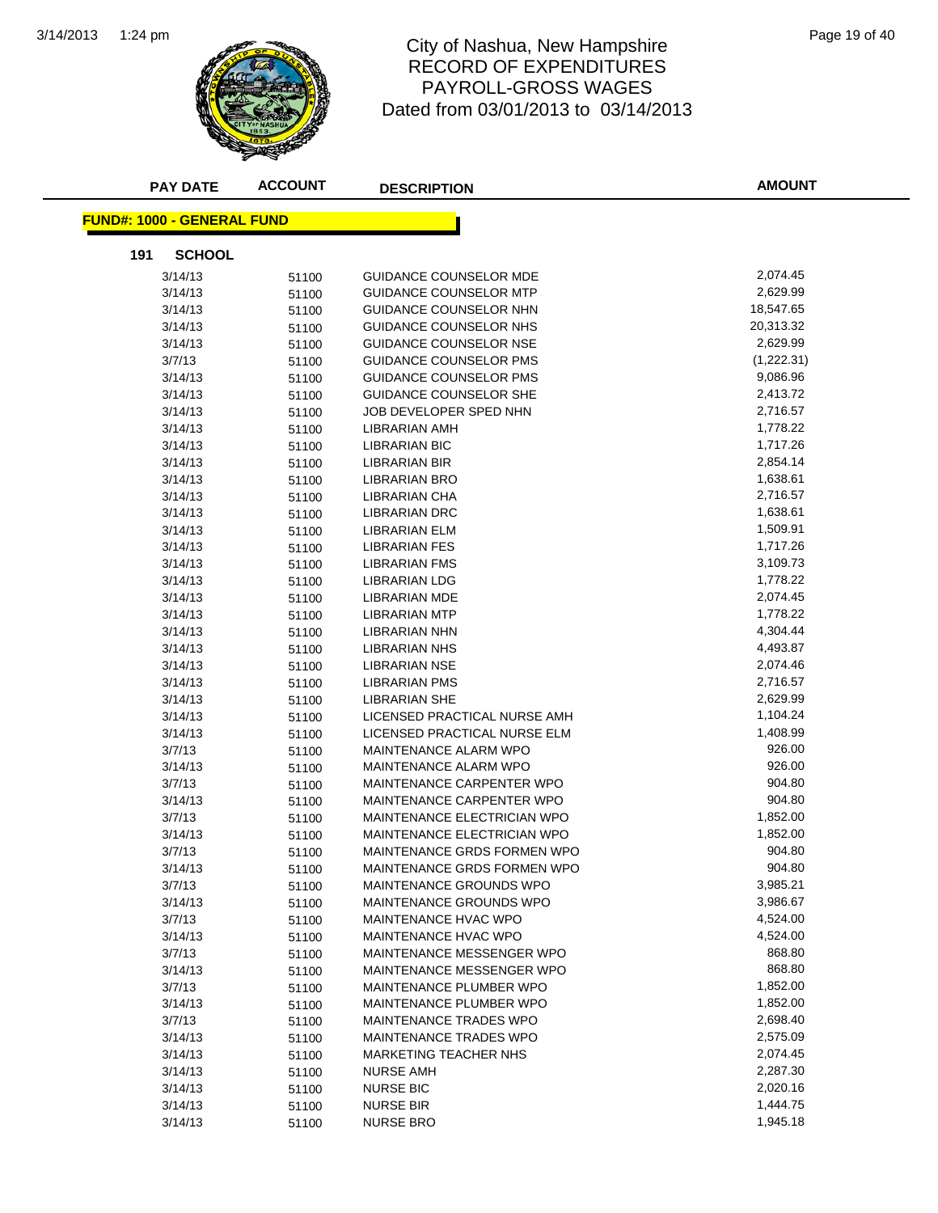

## 1:24 pm Page 19 of 40 RECORD OF EXPENDITURES PAYROLL-GROSS WAGES Dated from 03/01/2013 to 03/14/2013

| <b>PAY DATE</b>                   | <b>ACCOUNT</b> | <b>DESCRIPTION</b>            | <b>AMOUNT</b> |
|-----------------------------------|----------------|-------------------------------|---------------|
| <b>FUND#: 1000 - GENERAL FUND</b> |                |                               |               |
| 191<br><b>SCHOOL</b>              |                |                               |               |
| 3/14/13                           | 51100          | GUIDANCE COUNSELOR MDE        | 2,074.45      |
| 3/14/13                           | 51100          | GUIDANCE COUNSELOR MTP        | 2,629.99      |
| 3/14/13                           | 51100          | GUIDANCE COUNSELOR NHN        | 18,547.65     |
| 3/14/13                           | 51100          | GUIDANCE COUNSELOR NHS        | 20,313.32     |
| 3/14/13                           | 51100          | GUIDANCE COUNSELOR NSE        | 2,629.99      |
| 3/7/13                            | 51100          | <b>GUIDANCE COUNSELOR PMS</b> | (1,222.31)    |
| 3/14/13                           | 51100          | GUIDANCE COUNSELOR PMS        | 9,086.96      |
| 3/14/13                           | 51100          | GUIDANCE COUNSELOR SHE        | 2,413.72      |
| 3/14/13                           | 51100          | JOB DEVELOPER SPED NHN        | 2,716.57      |
| 3/14/13                           | 51100          | LIBRARIAN AMH                 | 1,778.22      |
| 3/14/13                           | 51100          | <b>LIBRARIAN BIC</b>          | 1,717.26      |
| 3/14/13                           | 51100          | LIBRARIAN BIR                 | 2,854.14      |
| 3/14/13                           | 51100          | <b>LIBRARIAN BRO</b>          | 1,638.61      |
| 3/14/13                           | 51100          | <b>LIBRARIAN CHA</b>          | 2,716.57      |
| 3/14/13                           | 51100          | <b>LIBRARIAN DRC</b>          | 1,638.61      |
| 3/14/13                           | 51100          | <b>LIBRARIAN ELM</b>          | 1,509.91      |
| 3/14/13                           | 51100          | LIBRARIAN FES                 | 1,717.26      |
| 3/14/13                           | 51100          | <b>LIBRARIAN FMS</b>          | 3,109.73      |
| 3/14/13                           | 51100          | <b>LIBRARIAN LDG</b>          | 1,778.22      |
| 3/14/13                           | 51100          | LIBRARIAN MDE                 | 2,074.45      |
| 3/14/13                           | 51100          | <b>LIBRARIAN MTP</b>          | 1,778.22      |
| 3/14/13                           | 51100          | <b>LIBRARIAN NHN</b>          | 4,304.44      |
| 3/14/13                           | 51100          | LIBRARIAN NHS                 | 4,493.87      |
| 3/14/13                           | 51100          | LIBRARIAN NSE                 | 2,074.46      |
| 3/14/13                           | 51100          | <b>LIBRARIAN PMS</b>          | 2,716.57      |
| 3/14/13                           | 51100          | LIBRARIAN SHE                 | 2,629.99      |
| 3/14/13                           | 51100          | LICENSED PRACTICAL NURSE AMH  | 1,104.24      |
| 3/14/13                           | 51100          | LICENSED PRACTICAL NURSE ELM  | 1,408.99      |
| 3/7/13                            | 51100          | MAINTENANCE ALARM WPO         | 926.00        |
| 3/14/13                           | 51100          | MAINTENANCE ALARM WPO         | 926.00        |
| 3/7/13                            | 51100          | MAINTENANCE CARPENTER WPO     | 904.80        |
| 3/14/13                           | 51100          | MAINTENANCE CARPENTER WPO     | 904.80        |
| 3/7/13                            | 51100          | MAINTENANCE ELECTRICIAN WPO   | 1,852.00      |
| 3/14/13                           | 51100          | MAINTENANCE ELECTRICIAN WPO   | 1,852.00      |
| 3/7/13                            | 51100          | MAINTENANCE GRDS FORMEN WPO   | 904.80        |
| 3/14/13                           | 51100          | MAINTENANCE GRDS FORMEN WPO   | 904.80        |
| 3/7/13                            | 51100          | MAINTENANCE GROUNDS WPO       | 3,985.21      |
| 3/14/13                           | 51100          | MAINTENANCE GROUNDS WPO       | 3,986.67      |
| 3/7/13                            | 51100          | MAINTENANCE HVAC WPO          | 4,524.00      |
| 3/14/13                           | 51100          | MAINTENANCE HVAC WPO          | 4,524.00      |
| 3/7/13                            | 51100          | MAINTENANCE MESSENGER WPO     | 868.80        |
| 3/14/13                           | 51100          | MAINTENANCE MESSENGER WPO     | 868.80        |
| 3/7/13                            | 51100          | MAINTENANCE PLUMBER WPO       | 1,852.00      |
| 3/14/13                           | 51100          | MAINTENANCE PLUMBER WPO       | 1,852.00      |
| 3/7/13                            | 51100          | MAINTENANCE TRADES WPO        | 2,698.40      |
| 3/14/13                           | 51100          | MAINTENANCE TRADES WPO        | 2,575.09      |
| 3/14/13                           | 51100          | MARKETING TEACHER NHS         | 2,074.45      |
| 3/14/13                           | 51100          | <b>NURSE AMH</b>              | 2,287.30      |
| 3/14/13                           | 51100          | <b>NURSE BIC</b>              | 2,020.16      |
| 3/14/13                           | 51100          | <b>NURSE BIR</b>              | 1,444.75      |
| 3/14/13                           | 51100          | <b>NURSE BRO</b>              | 1,945.18      |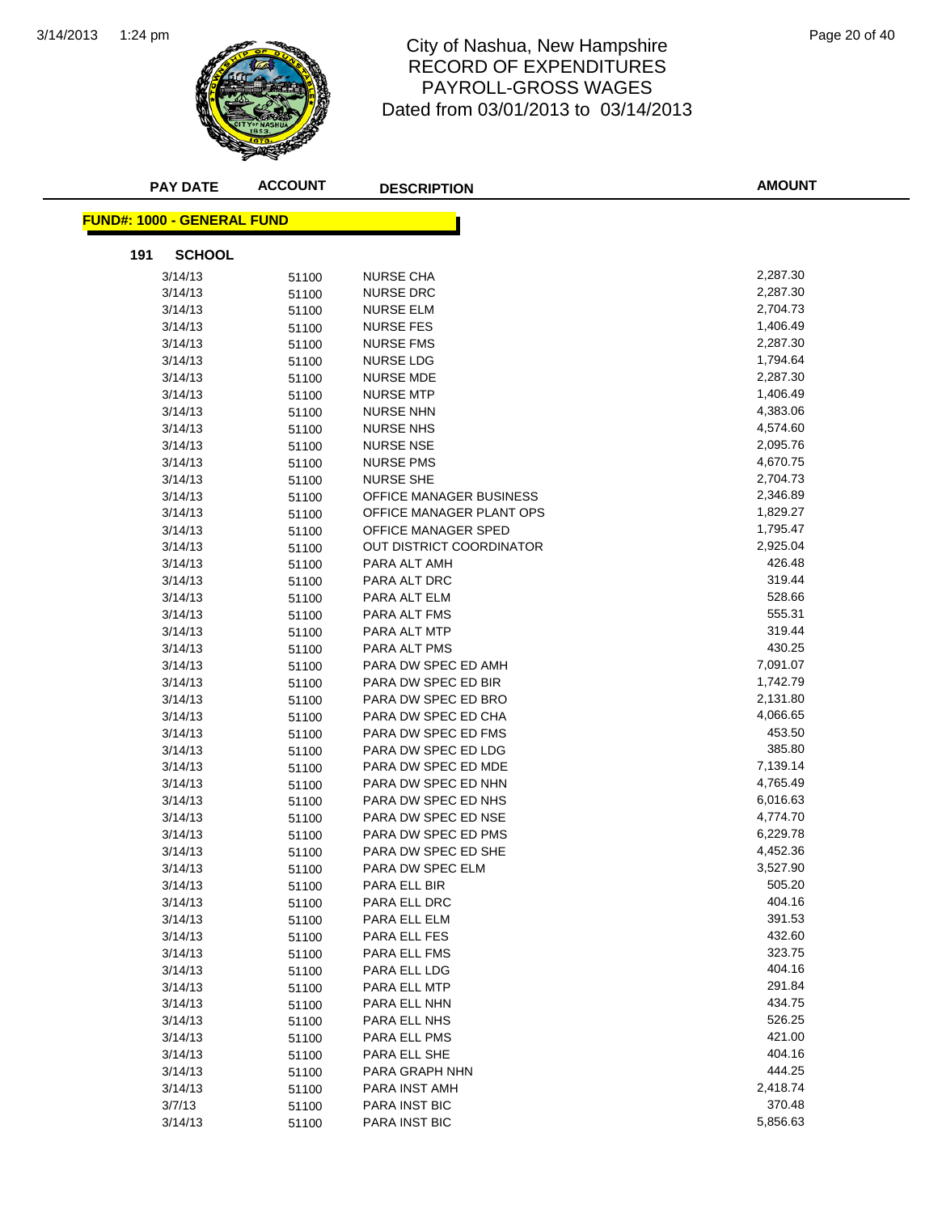

#### 1:24 pm Page 20 of 40 RECORD OF EXPENDITURES PAYROLL-GROSS WAGES Dated from 03/01/2013 to 03/14/2013

| <b>PAY DATE</b>                   | <b>ACCOUNT</b> | <b>DESCRIPTION</b>       | <b>AMOUNT</b> |
|-----------------------------------|----------------|--------------------------|---------------|
| <b>FUND#: 1000 - GENERAL FUND</b> |                |                          |               |
| <b>SCHOOL</b><br>191              |                |                          |               |
| 3/14/13                           | 51100          | <b>NURSE CHA</b>         | 2,287.30      |
| 3/14/13                           | 51100          | <b>NURSE DRC</b>         | 2,287.30      |
| 3/14/13                           | 51100          | <b>NURSE ELM</b>         | 2,704.73      |
| 3/14/13                           | 51100          | <b>NURSE FES</b>         | 1,406.49      |
| 3/14/13                           | 51100          | <b>NURSE FMS</b>         | 2,287.30      |
| 3/14/13                           | 51100          | <b>NURSE LDG</b>         | 1,794.64      |
| 3/14/13                           | 51100          | NURSE MDE                | 2,287.30      |
| 3/14/13                           | 51100          | <b>NURSE MTP</b>         | 1,406.49      |
| 3/14/13                           | 51100          | <b>NURSE NHN</b>         | 4,383.06      |
| 3/14/13                           | 51100          | <b>NURSE NHS</b>         | 4,574.60      |
| 3/14/13                           | 51100          | <b>NURSE NSE</b>         | 2,095.76      |
| 3/14/13                           | 51100          | <b>NURSE PMS</b>         | 4,670.75      |
| 3/14/13                           | 51100          | <b>NURSE SHE</b>         | 2,704.73      |
| 3/14/13                           | 51100          | OFFICE MANAGER BUSINESS  | 2,346.89      |
| 3/14/13                           | 51100          | OFFICE MANAGER PLANT OPS | 1,829.27      |
| 3/14/13                           | 51100          | OFFICE MANAGER SPED      | 1,795.47      |
| 3/14/13                           | 51100          | OUT DISTRICT COORDINATOR | 2,925.04      |
| 3/14/13                           | 51100          | PARA ALT AMH             | 426.48        |
| 3/14/13                           | 51100          | PARA ALT DRC             | 319.44        |
| 3/14/13                           | 51100          | PARA ALT ELM             | 528.66        |
| 3/14/13                           | 51100          | PARA ALT FMS             | 555.31        |
| 3/14/13                           | 51100          | PARA ALT MTP             | 319.44        |
| 3/14/13                           | 51100          | PARA ALT PMS             | 430.25        |
| 3/14/13                           | 51100          | PARA DW SPEC ED AMH      | 7,091.07      |
| 3/14/13                           | 51100          | PARA DW SPEC ED BIR      | 1,742.79      |
| 3/14/13                           | 51100          | PARA DW SPEC ED BRO      | 2,131.80      |
| 3/14/13                           | 51100          | PARA DW SPEC ED CHA      | 4,066.65      |
| 3/14/13                           | 51100          | PARA DW SPEC ED FMS      | 453.50        |
| 3/14/13                           | 51100          | PARA DW SPEC ED LDG      | 385.80        |
| 3/14/13                           | 51100          | PARA DW SPEC ED MDE      | 7,139.14      |
| 3/14/13                           | 51100          | PARA DW SPEC ED NHN      | 4,765.49      |
| 3/14/13                           | 51100          | PARA DW SPEC ED NHS      | 6,016.63      |
| 3/14/13                           | 51100          | PARA DW SPEC ED NSE      | 4,774.70      |
| 3/14/13                           | 51100          | PARA DW SPEC ED PMS      | 6,229.78      |
| 3/14/13                           | 51100          | PARA DW SPEC ED SHE      | 4,452.36      |
| 3/14/13                           | 51100          | PARA DW SPEC ELM         | 3,527.90      |
| 3/14/13                           | 51100          | PARA ELL BIR             | 505.20        |
| 3/14/13                           | 51100          | PARA ELL DRC             | 404.16        |
| 3/14/13                           | 51100          | PARA ELL ELM             | 391.53        |
| 3/14/13                           | 51100          | PARA ELL FES             | 432.60        |
| 3/14/13                           | 51100          | PARA ELL FMS             | 323.75        |
| 3/14/13                           | 51100          | PARA ELL LDG             | 404.16        |
| 3/14/13                           | 51100          | PARA ELL MTP             | 291.84        |
| 3/14/13                           | 51100          | PARA ELL NHN             | 434.75        |
| 3/14/13                           | 51100          | PARA ELL NHS             | 526.25        |
| 3/14/13                           | 51100          | PARA ELL PMS             | 421.00        |
| 3/14/13                           | 51100          | PARA ELL SHE             | 404.16        |
| 3/14/13                           | 51100          | PARA GRAPH NHN           | 444.25        |
| 3/14/13                           | 51100          | PARA INST AMH            | 2,418.74      |
| 3/7/13                            | 51100          | PARA INST BIC            | 370.48        |
| 3/14/13                           | 51100          | PARA INST BIC            | 5,856.63      |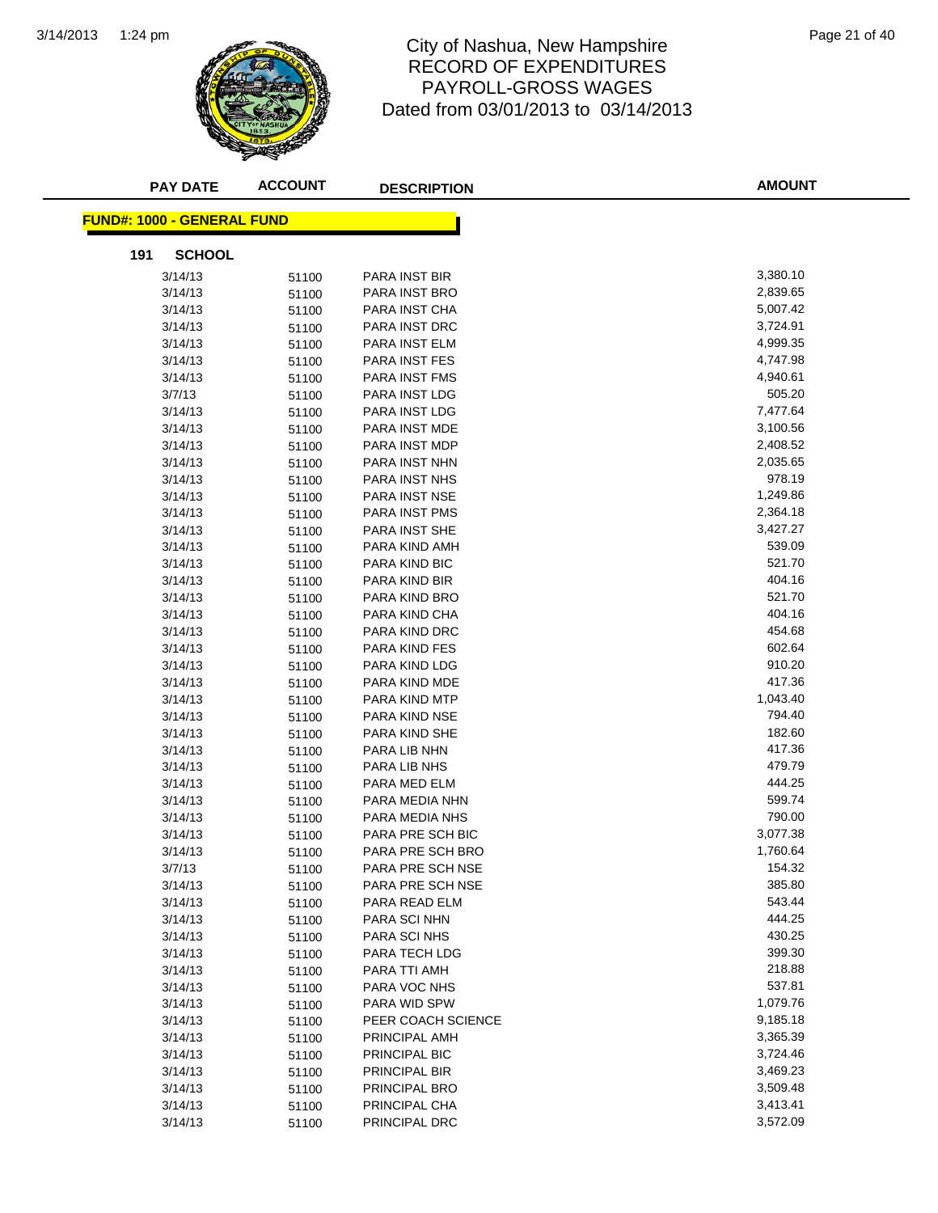

#### 1:24 pm Page 21 of 40 RECORD OF EXPENDITURES PAYROLL-GROSS WAGES Dated from 03/01/2013 to 03/14/2013

| <b>PAY DATE</b>                   | <b>ACCOUNT</b> | <b>DESCRIPTION</b>   | <b>AMOUNT</b> |
|-----------------------------------|----------------|----------------------|---------------|
| <b>FUND#: 1000 - GENERAL FUND</b> |                |                      |               |
| 191<br><b>SCHOOL</b>              |                |                      |               |
| 3/14/13                           | 51100          | <b>PARA INST BIR</b> | 3,380.10      |
| 3/14/13                           | 51100          | PARA INST BRO        | 2,839.65      |
| 3/14/13                           | 51100          | PARA INST CHA        | 5,007.42      |
| 3/14/13                           | 51100          | PARA INST DRC        | 3,724.91      |
| 3/14/13                           | 51100          | PARA INST ELM        | 4,999.35      |
| 3/14/13                           | 51100          | PARA INST FES        | 4,747.98      |
| 3/14/13                           | 51100          | <b>PARA INST FMS</b> | 4,940.61      |
| 3/7/13                            | 51100          | PARA INST LDG        | 505.20        |
| 3/14/13                           | 51100          | PARA INST LDG        | 7,477.64      |
| 3/14/13                           | 51100          | PARA INST MDE        | 3,100.56      |
| 3/14/13                           | 51100          | PARA INST MDP        | 2,408.52      |
| 3/14/13                           | 51100          | PARA INST NHN        | 2,035.65      |
| 3/14/13                           | 51100          | PARA INST NHS        | 978.19        |
| 3/14/13                           | 51100          | PARA INST NSE        | 1,249.86      |
| 3/14/13                           | 51100          | <b>PARA INST PMS</b> | 2,364.18      |
| 3/14/13                           | 51100          | <b>PARA INST SHE</b> | 3,427.27      |
| 3/14/13                           | 51100          | PARA KIND AMH        | 539.09        |
| 3/14/13                           | 51100          | PARA KIND BIC        | 521.70        |
| 3/14/13                           | 51100          | PARA KIND BIR        | 404.16        |
| 3/14/13                           | 51100          | PARA KIND BRO        | 521.70        |
| 3/14/13                           | 51100          | PARA KIND CHA        | 404.16        |
| 3/14/13                           | 51100          | PARA KIND DRC        | 454.68        |
| 3/14/13                           | 51100          | PARA KIND FES        | 602.64        |
| 3/14/13                           | 51100          | PARA KIND LDG        | 910.20        |
| 3/14/13                           | 51100          | PARA KIND MDE        | 417.36        |
| 3/14/13                           | 51100          | PARA KIND MTP        | 1,043.40      |
| 3/14/13                           | 51100          | PARA KIND NSE        | 794.40        |
| 3/14/13                           | 51100          | PARA KIND SHE        | 182.60        |
| 3/14/13                           | 51100          | PARA LIB NHN         | 417.36        |
| 3/14/13                           | 51100          | PARA LIB NHS         | 479.79        |
| 3/14/13                           | 51100          | PARA MED ELM         | 444.25        |
| 3/14/13                           | 51100          | PARA MEDIA NHN       | 599.74        |
| 3/14/13                           | 51100          | PARA MEDIA NHS       | 790.00        |
| 3/14/13                           | 51100          | PARA PRE SCH BIC     | 3,077.38      |
| 3/14/13                           | 51100          | PARA PRE SCH BRO     | 1,760.64      |
| 3/7/13                            | 51100          | PARA PRE SCH NSE     | 154.32        |
| 3/14/13                           | 51100          | PARA PRE SCH NSE     | 385.80        |
| 3/14/13                           | 51100          | PARA READ ELM        | 543.44        |
| 3/14/13                           | 51100          | PARA SCI NHN         | 444.25        |
| 3/14/13                           | 51100          | PARA SCI NHS         | 430.25        |
| 3/14/13                           | 51100          | PARA TECH LDG        | 399.30        |
| 3/14/13                           | 51100          | PARA TTI AMH         | 218.88        |
| 3/14/13                           | 51100          | PARA VOC NHS         | 537.81        |
| 3/14/13                           | 51100          | PARA WID SPW         | 1,079.76      |
| 3/14/13                           | 51100          | PEER COACH SCIENCE   | 9,185.18      |
| 3/14/13                           | 51100          | PRINCIPAL AMH        | 3,365.39      |
| 3/14/13                           | 51100          | PRINCIPAL BIC        | 3,724.46      |
| 3/14/13                           | 51100          | PRINCIPAL BIR        | 3,469.23      |
| 3/14/13                           | 51100          | PRINCIPAL BRO        | 3,509.48      |
| 3/14/13                           | 51100          | PRINCIPAL CHA        | 3,413.41      |
| 3/14/13                           | 51100          | PRINCIPAL DRC        | 3,572.09      |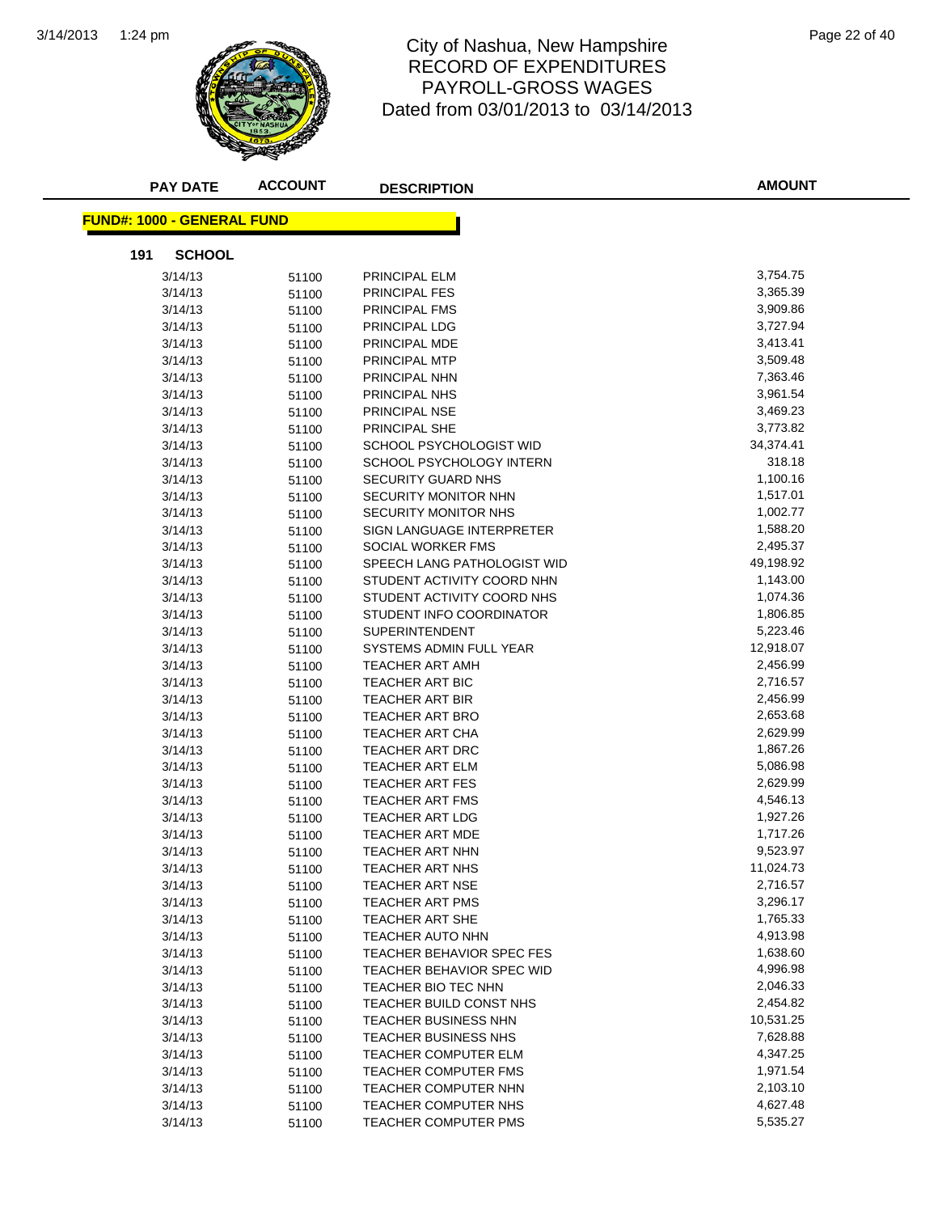

#### 1:24 pm Page 22 of 40 RECORD OF EXPENDITURES PAYROLL-GROSS WAGES Dated from 03/01/2013 to 03/14/2013

| <b>PAY DATE</b>                   | <b>ACCOUNT</b> | <b>DESCRIPTION</b>                             | <b>AMOUNT</b>         |
|-----------------------------------|----------------|------------------------------------------------|-----------------------|
| <b>FUND#: 1000 - GENERAL FUND</b> |                |                                                |                       |
| 191<br><b>SCHOOL</b>              |                |                                                |                       |
| 3/14/13                           | 51100          | PRINCIPAL ELM                                  | 3,754.75              |
| 3/14/13                           | 51100          | <b>PRINCIPAL FES</b>                           | 3,365.39              |
| 3/14/13                           | 51100          | PRINCIPAL FMS                                  | 3,909.86              |
| 3/14/13                           | 51100          | PRINCIPAL LDG                                  | 3,727.94              |
| 3/14/13                           | 51100          | PRINCIPAL MDE                                  | 3,413.41              |
| 3/14/13                           | 51100          | PRINCIPAL MTP                                  | 3,509.48              |
| 3/14/13                           | 51100          | PRINCIPAL NHN                                  | 7,363.46              |
| 3/14/13                           | 51100          | PRINCIPAL NHS                                  | 3,961.54              |
| 3/14/13                           | 51100          | PRINCIPAL NSE                                  | 3,469.23              |
| 3/14/13                           | 51100          | PRINCIPAL SHE                                  | 3,773.82              |
| 3/14/13                           | 51100          | SCHOOL PSYCHOLOGIST WID                        | 34,374.41             |
| 3/14/13                           | 51100          | SCHOOL PSYCHOLOGY INTERN                       | 318.18                |
| 3/14/13                           | 51100          | SECURITY GUARD NHS                             | 1,100.16              |
| 3/14/13                           | 51100          | SECURITY MONITOR NHN                           | 1,517.01              |
| 3/14/13                           | 51100          | <b>SECURITY MONITOR NHS</b>                    | 1,002.77              |
| 3/14/13                           | 51100          | SIGN LANGUAGE INTERPRETER                      | 1,588.20              |
| 3/14/13                           | 51100          | SOCIAL WORKER FMS                              | 2,495.37              |
| 3/14/13                           | 51100          | SPEECH LANG PATHOLOGIST WID                    | 49,198.92             |
| 3/14/13                           | 51100          | STUDENT ACTIVITY COORD NHN                     | 1,143.00              |
| 3/14/13                           | 51100          | STUDENT ACTIVITY COORD NHS                     | 1,074.36              |
| 3/14/13                           | 51100          | STUDENT INFO COORDINATOR                       | 1,806.85              |
| 3/14/13                           | 51100          | <b>SUPERINTENDENT</b>                          | 5,223.46              |
| 3/14/13                           |                | SYSTEMS ADMIN FULL YEAR                        | 12,918.07             |
| 3/14/13                           | 51100<br>51100 | TEACHER ART AMH                                | 2,456.99              |
| 3/14/13                           | 51100          | TEACHER ART BIC                                | 2,716.57              |
| 3/14/13                           |                | TEACHER ART BIR                                | 2,456.99              |
| 3/14/13                           | 51100<br>51100 | <b>TEACHER ART BRO</b>                         | 2,653.68              |
| 3/14/13                           | 51100          | TEACHER ART CHA                                | 2,629.99              |
| 3/14/13                           | 51100          | TEACHER ART DRC                                | 1,867.26              |
| 3/14/13                           | 51100          | TEACHER ART ELM                                | 5,086.98              |
| 3/14/13                           | 51100          | TEACHER ART FES                                | 2,629.99              |
| 3/14/13                           | 51100          | TEACHER ART FMS                                | 4,546.13              |
| 3/14/13                           | 51100          | TEACHER ART LDG                                | 1,927.26              |
| 3/14/13                           |                | TEACHER ART MDE                                | 1,717.26              |
| 3/14/13                           | 51100          | TEACHER ART NHN                                | 9,523.97              |
| 3/14/13                           | 51100          | TEACHER ART NHS                                | 11,024.73             |
| 3/14/13                           | 51100          | TEACHER ART NSE                                | 2,716.57              |
|                                   | 51100          | TEACHER ART PMS                                | 3,296.17              |
| 3/14/13<br>3/14/13                | 51100          | TEACHER ART SHE                                | 1,765.33              |
| 3/14/13                           | 51100          | TEACHER AUTO NHN                               | 4,913.98              |
|                                   | 51100          | <b>TEACHER BEHAVIOR SPEC FES</b>               | 1,638.60              |
| 3/14/13                           | 51100          |                                                | 4,996.98              |
| 3/14/13                           | 51100          | <b>TEACHER BEHAVIOR SPEC WID</b>               |                       |
| 3/14/13                           | 51100          | TEACHER BIO TEC NHN<br>TEACHER BUILD CONST NHS | 2,046.33<br>2,454.82  |
| 3/14/13                           | 51100          |                                                |                       |
| 3/14/13                           | 51100          | TEACHER BUSINESS NHN                           | 10,531.25<br>7,628.88 |
| 3/14/13                           | 51100          | <b>TEACHER BUSINESS NHS</b>                    | 4,347.25              |
| 3/14/13                           | 51100          | TEACHER COMPUTER ELM                           |                       |
| 3/14/13                           | 51100          | TEACHER COMPUTER FMS                           | 1,971.54              |
| 3/14/13                           | 51100          | TEACHER COMPUTER NHN                           | 2,103.10              |
| 3/14/13                           | 51100          | TEACHER COMPUTER NHS                           | 4,627.48              |
| 3/14/13                           | 51100          | TEACHER COMPUTER PMS                           | 5,535.27              |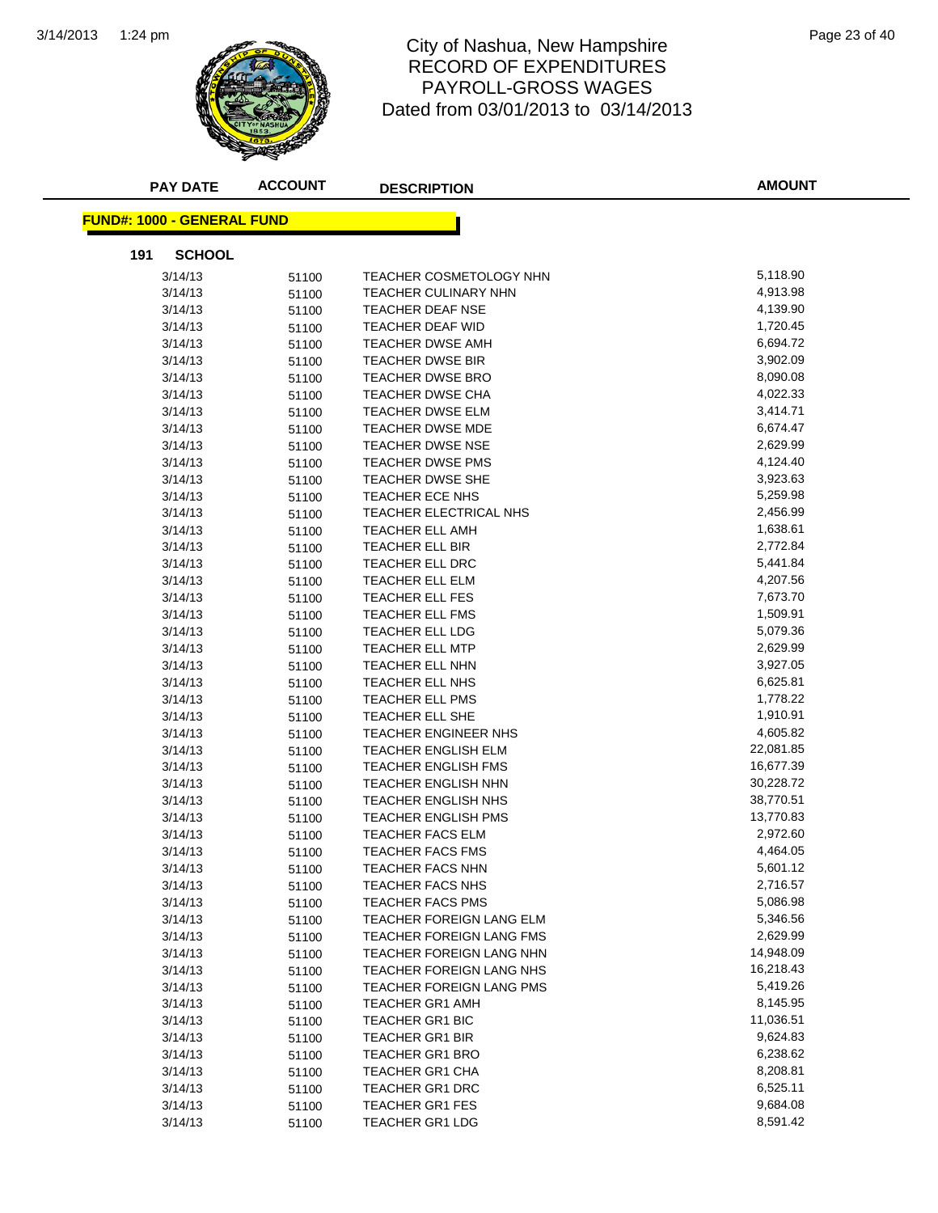

#### 1:24 pm Page 23 of 40 RECORD OF EXPENDITURES PAYROLL-GROSS WAGES Dated from 03/01/2013 to 03/14/2013

| <b>PAY DATE</b>                    | <b>ACCOUNT</b> | <b>DESCRIPTION</b>              | <b>AMOUNT</b> |
|------------------------------------|----------------|---------------------------------|---------------|
| <u> FUND#: 1000 - GENERAL FUND</u> |                |                                 |               |
| <b>SCHOOL</b><br>191               |                |                                 |               |
| 3/14/13                            | 51100          | <b>TEACHER COSMETOLOGY NHN</b>  | 5,118.90      |
| 3/14/13                            | 51100          | <b>TEACHER CULINARY NHN</b>     | 4,913.98      |
| 3/14/13                            | 51100          | <b>TEACHER DEAF NSE</b>         | 4,139.90      |
| 3/14/13                            | 51100          | <b>TEACHER DEAF WID</b>         | 1,720.45      |
| 3/14/13                            | 51100          | <b>TEACHER DWSE AMH</b>         | 6,694.72      |
| 3/14/13                            | 51100          | <b>TEACHER DWSE BIR</b>         | 3,902.09      |
| 3/14/13                            | 51100          | TEACHER DWSE BRO                | 8,090.08      |
| 3/14/13                            | 51100          | <b>TEACHER DWSE CHA</b>         | 4,022.33      |
| 3/14/13                            | 51100          | TEACHER DWSE ELM                | 3,414.71      |
| 3/14/13                            | 51100          | <b>TEACHER DWSE MDE</b>         | 6,674.47      |
| 3/14/13                            | 51100          | <b>TEACHER DWSE NSE</b>         | 2,629.99      |
| 3/14/13                            | 51100          | <b>TEACHER DWSE PMS</b>         | 4,124.40      |
| 3/14/13                            | 51100          | <b>TEACHER DWSE SHE</b>         | 3,923.63      |
| 3/14/13                            | 51100          | TEACHER ECE NHS                 | 5,259.98      |
| 3/14/13                            | 51100          | TEACHER ELECTRICAL NHS          | 2,456.99      |
| 3/14/13                            | 51100          | <b>TEACHER ELL AMH</b>          | 1,638.61      |
| 3/14/13                            | 51100          | TEACHER ELL BIR                 | 2,772.84      |
| 3/14/13                            | 51100          | TEACHER ELL DRC                 | 5,441.84      |
| 3/14/13                            | 51100          | TEACHER ELL ELM                 | 4,207.56      |
| 3/14/13                            | 51100          | TEACHER ELL FES                 | 7,673.70      |
| 3/14/13                            | 51100          | TEACHER ELL FMS                 | 1,509.91      |
| 3/14/13                            | 51100          | TEACHER ELL LDG                 | 5,079.36      |
| 3/14/13                            | 51100          | TEACHER ELL MTP                 | 2,629.99      |
| 3/14/13                            | 51100          | TEACHER ELL NHN                 | 3,927.05      |
| 3/14/13                            | 51100          | TEACHER ELL NHS                 | 6,625.81      |
| 3/14/13                            | 51100          | TEACHER ELL PMS                 | 1,778.22      |
| 3/14/13                            | 51100          | TEACHER ELL SHE                 | 1,910.91      |
| 3/14/13                            | 51100          | <b>TEACHER ENGINEER NHS</b>     | 4,605.82      |
| 3/14/13                            | 51100          | TEACHER ENGLISH ELM             | 22,081.85     |
| 3/14/13                            | 51100          | <b>TEACHER ENGLISH FMS</b>      | 16,677.39     |
| 3/14/13                            | 51100          | <b>TEACHER ENGLISH NHN</b>      | 30,228.72     |
| 3/14/13                            | 51100          | TEACHER ENGLISH NHS             | 38,770.51     |
| 3/14/13                            | 51100          | <b>TEACHER ENGLISH PMS</b>      | 13,770.83     |
| 3/14/13                            | 51100          | <b>TEACHER FACS ELM</b>         | 2,972.60      |
| 3/14/13                            | 51100          | <b>TEACHER FACS FMS</b>         | 4,464.05      |
| 3/14/13                            | 51100          | TEACHER FACS NHN                | 5,601.12      |
| 3/14/13                            | 51100          | <b>TEACHER FACS NHS</b>         | 2,716.57      |
| 3/14/13                            | 51100          | <b>TEACHER FACS PMS</b>         | 5,086.98      |
| 3/14/13                            | 51100          | TEACHER FOREIGN LANG ELM        | 5,346.56      |
| 3/14/13                            | 51100          | <b>TEACHER FOREIGN LANG FMS</b> | 2,629.99      |
| 3/14/13                            | 51100          | TEACHER FOREIGN LANG NHN        | 14,948.09     |
| 3/14/13                            | 51100          | TEACHER FOREIGN LANG NHS        | 16,218.43     |
| 3/14/13                            | 51100          | TEACHER FOREIGN LANG PMS        | 5,419.26      |
| 3/14/13                            | 51100          | <b>TEACHER GR1 AMH</b>          | 8,145.95      |
| 3/14/13                            | 51100          | TEACHER GR1 BIC                 | 11,036.51     |
| 3/14/13                            | 51100          | <b>TEACHER GR1 BIR</b>          | 9,624.83      |
| 3/14/13                            | 51100          | TEACHER GR1 BRO                 | 6,238.62      |
| 3/14/13                            | 51100          | TEACHER GR1 CHA                 | 8,208.81      |
| 3/14/13                            | 51100          | TEACHER GR1 DRC                 | 6,525.11      |
| 3/14/13                            | 51100          | <b>TEACHER GR1 FES</b>          | 9,684.08      |
| 3/14/13                            | 51100          | <b>TEACHER GR1 LDG</b>          | 8,591.42      |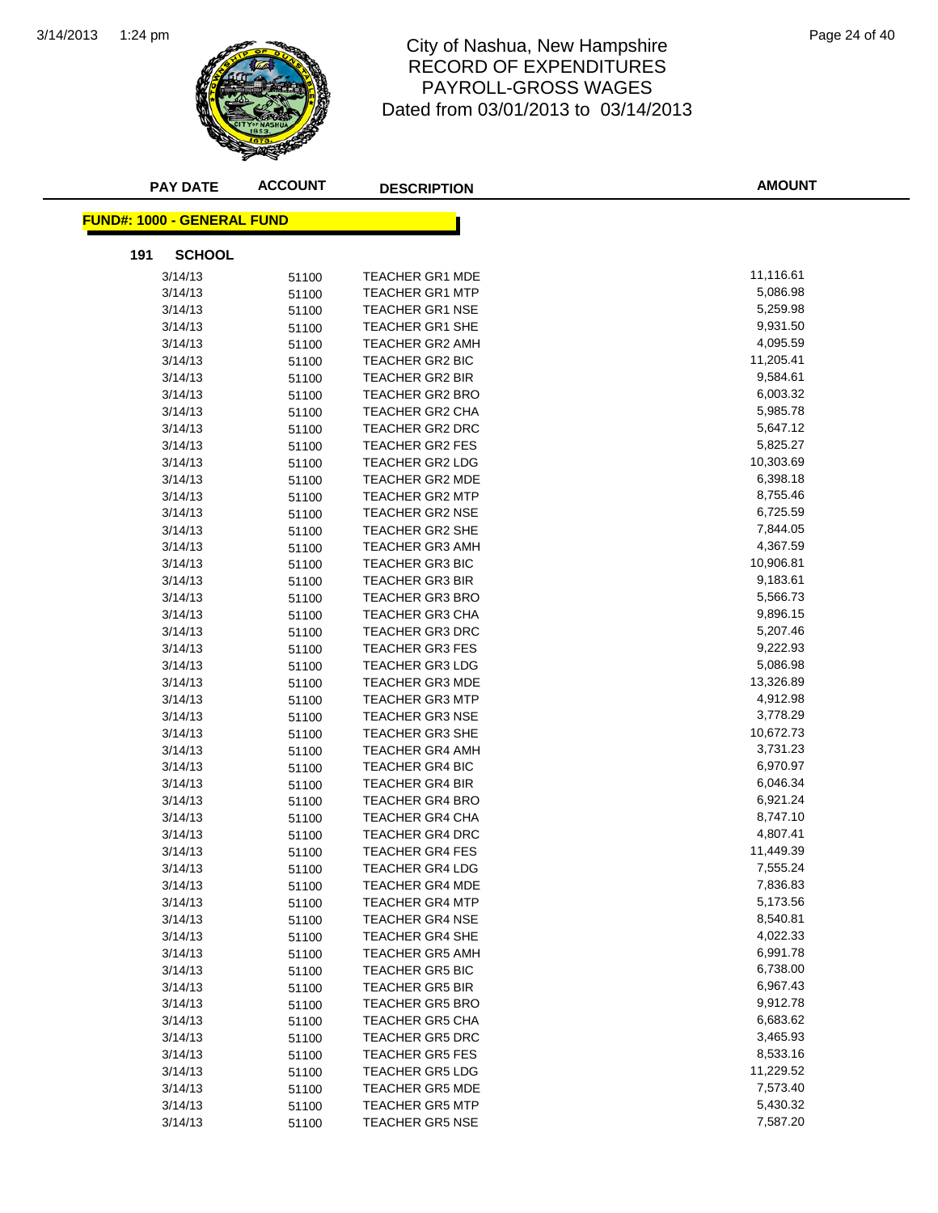

#### 1:24 pm Page 24 of 40 RECORD OF EXPENDITURES PAYROLL-GROSS WAGES Dated from 03/01/2013 to 03/14/2013

| <b>PAY DATE</b>                   | <b>ACCOUNT</b> | <b>DESCRIPTION</b>     | <b>AMOUNT</b> |
|-----------------------------------|----------------|------------------------|---------------|
| <b>FUND#: 1000 - GENERAL FUND</b> |                |                        |               |
| <b>SCHOOL</b><br>191              |                |                        |               |
| 3/14/13                           | 51100          | <b>TEACHER GR1 MDE</b> | 11,116.61     |
| 3/14/13                           | 51100          | <b>TEACHER GR1 MTP</b> | 5,086.98      |
| 3/14/13                           | 51100          | <b>TEACHER GR1 NSE</b> | 5,259.98      |
| 3/14/13                           | 51100          | <b>TEACHER GR1 SHE</b> | 9,931.50      |
| 3/14/13                           | 51100          | <b>TEACHER GR2 AMH</b> | 4,095.59      |
| 3/14/13                           | 51100          | <b>TEACHER GR2 BIC</b> | 11,205.41     |
| 3/14/13                           | 51100          | <b>TEACHER GR2 BIR</b> | 9,584.61      |
| 3/14/13                           | 51100          | TEACHER GR2 BRO        | 6,003.32      |
| 3/14/13                           | 51100          | <b>TEACHER GR2 CHA</b> | 5,985.78      |
| 3/14/13                           | 51100          | TEACHER GR2 DRC        | 5,647.12      |
| 3/14/13                           | 51100          | <b>TEACHER GR2 FES</b> | 5,825.27      |
| 3/14/13                           | 51100          | TEACHER GR2 LDG        | 10,303.69     |
| 3/14/13                           | 51100          | TEACHER GR2 MDE        | 6,398.18      |
| 3/14/13                           | 51100          | <b>TEACHER GR2 MTP</b> | 8,755.46      |
| 3/14/13                           | 51100          | TEACHER GR2 NSE        | 6,725.59      |
| 3/14/13                           | 51100          | TEACHER GR2 SHE        | 7,844.05      |
| 3/14/13                           | 51100          | TEACHER GR3 AMH        | 4,367.59      |
| 3/14/13                           | 51100          | <b>TEACHER GR3 BIC</b> | 10,906.81     |
| 3/14/13                           | 51100          | <b>TEACHER GR3 BIR</b> | 9,183.61      |
| 3/14/13                           | 51100          | <b>TEACHER GR3 BRO</b> | 5,566.73      |
| 3/14/13                           | 51100          | <b>TEACHER GR3 CHA</b> | 9,896.15      |
| 3/14/13                           | 51100          | <b>TEACHER GR3 DRC</b> | 5,207.46      |
| 3/14/13                           | 51100          | <b>TEACHER GR3 FES</b> | 9,222.93      |
| 3/14/13                           | 51100          | <b>TEACHER GR3 LDG</b> | 5,086.98      |
| 3/14/13                           | 51100          | <b>TEACHER GR3 MDE</b> | 13,326.89     |
| 3/14/13                           | 51100          | <b>TEACHER GR3 MTP</b> | 4,912.98      |
| 3/14/13                           | 51100          | <b>TEACHER GR3 NSE</b> | 3,778.29      |
| 3/14/13                           | 51100          | <b>TEACHER GR3 SHE</b> | 10,672.73     |
| 3/14/13                           | 51100          | <b>TEACHER GR4 AMH</b> | 3,731.23      |
| 3/14/13                           | 51100          | <b>TEACHER GR4 BIC</b> | 6,970.97      |
| 3/14/13                           | 51100          | <b>TEACHER GR4 BIR</b> | 6,046.34      |
| 3/14/13                           | 51100          | <b>TEACHER GR4 BRO</b> | 6,921.24      |
| 3/14/13                           | 51100          | <b>TEACHER GR4 CHA</b> | 8,747.10      |
| 3/14/13                           | 51100          | TEACHER GR4 DRC        | 4,807.41      |
| 3/14/13                           | 51100          | <b>TEACHER GR4 FES</b> | 11,449.39     |
| 3/14/13                           | 51100          | <b>TEACHER GR4 LDG</b> | 7,555.24      |
| 3/14/13                           | 51100          | <b>TEACHER GR4 MDE</b> | 7,836.83      |
| 3/14/13                           | 51100          | <b>TEACHER GR4 MTP</b> | 5,173.56      |
| 3/14/13                           | 51100          | <b>TEACHER GR4 NSE</b> | 8,540.81      |
| 3/14/13                           | 51100          | TEACHER GR4 SHE        | 4,022.33      |
| 3/14/13                           | 51100          | <b>TEACHER GR5 AMH</b> | 6,991.78      |
| 3/14/13                           | 51100          | <b>TEACHER GR5 BIC</b> | 6,738.00      |
| 3/14/13                           | 51100          | <b>TEACHER GR5 BIR</b> | 6,967.43      |
| 3/14/13                           | 51100          | <b>TEACHER GR5 BRO</b> | 9,912.78      |
| 3/14/13                           | 51100          | <b>TEACHER GR5 CHA</b> | 6,683.62      |
| 3/14/13                           | 51100          | <b>TEACHER GR5 DRC</b> | 3,465.93      |
| 3/14/13                           | 51100          | <b>TEACHER GR5 FES</b> | 8,533.16      |
| 3/14/13                           | 51100          | <b>TEACHER GR5 LDG</b> | 11,229.52     |
| 3/14/13                           | 51100          | <b>TEACHER GR5 MDE</b> | 7,573.40      |
| 3/14/13                           | 51100          | <b>TEACHER GR5 MTP</b> | 5,430.32      |
| 3/14/13                           | 51100          | <b>TEACHER GR5 NSE</b> | 7,587.20      |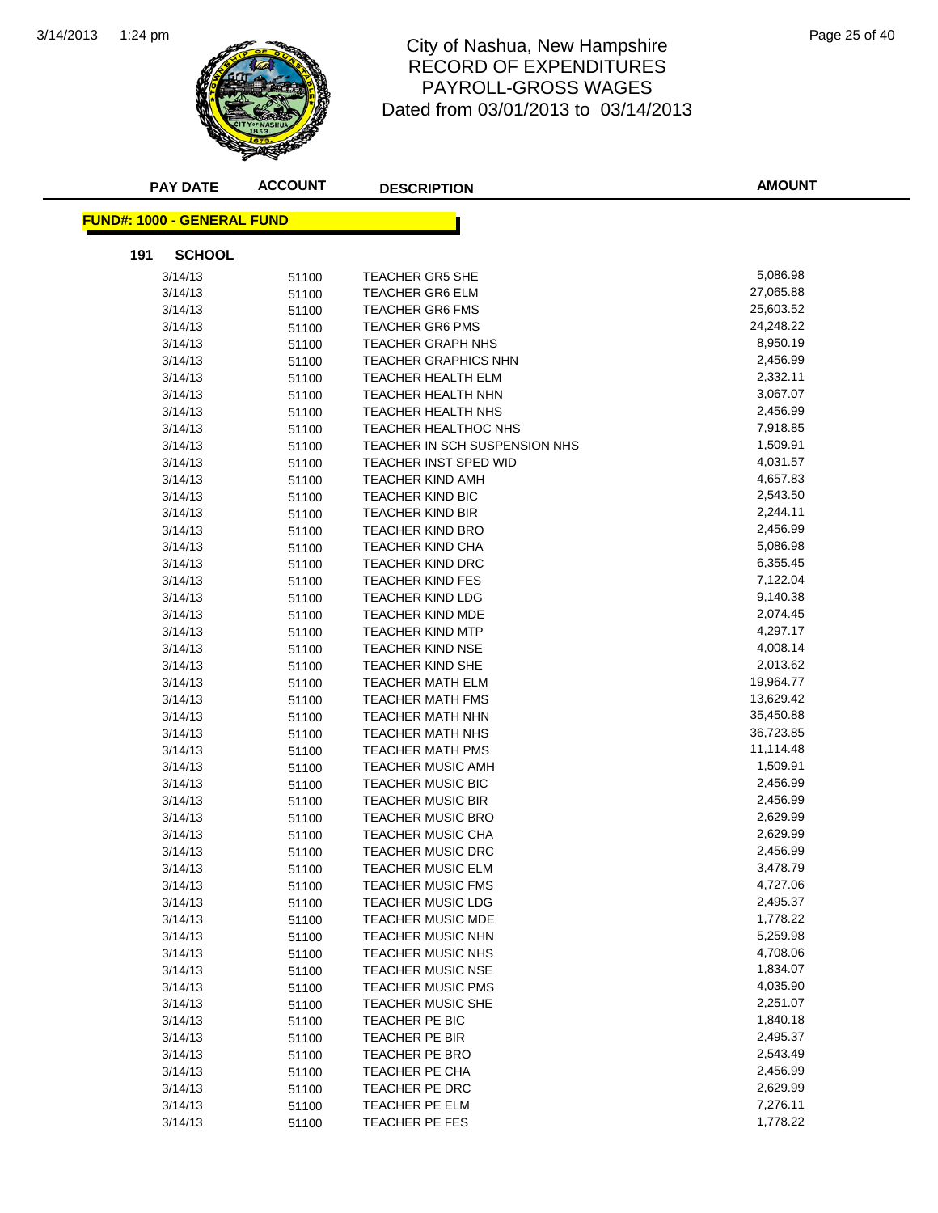

#### 1:24 pm Page 25 of 40 RECORD OF EXPENDITURES PAYROLL-GROSS WAGES Dated from 03/01/2013 to 03/14/2013

| <b>PAY DATE</b>                    | <b>ACCOUNT</b> | <b>DESCRIPTION</b>                                   | <b>AMOUNT</b>          |
|------------------------------------|----------------|------------------------------------------------------|------------------------|
| <u> FUND#: 1000 - GENERAL FUND</u> |                |                                                      |                        |
| 191<br><b>SCHOOL</b>               |                |                                                      |                        |
| 3/14/13                            | 51100          | <b>TEACHER GR5 SHE</b>                               | 5,086.98               |
| 3/14/13                            | 51100          | <b>TEACHER GR6 ELM</b>                               | 27,065.88              |
| 3/14/13                            | 51100          | <b>TEACHER GR6 FMS</b>                               | 25,603.52              |
| 3/14/13                            | 51100          | <b>TEACHER GR6 PMS</b>                               | 24,248.22              |
| 3/14/13                            | 51100          | <b>TEACHER GRAPH NHS</b>                             | 8,950.19               |
| 3/14/13                            | 51100          | <b>TEACHER GRAPHICS NHN</b>                          | 2,456.99               |
| 3/14/13                            | 51100          | TEACHER HEALTH ELM                                   | 2,332.11               |
| 3/14/13                            | 51100          | TEACHER HEALTH NHN                                   | 3,067.07               |
| 3/14/13                            | 51100          | <b>TEACHER HEALTH NHS</b>                            | 2,456.99               |
| 3/14/13                            | 51100          | <b>TEACHER HEALTHOC NHS</b>                          | 7,918.85               |
| 3/14/13                            | 51100          | TEACHER IN SCH SUSPENSION NHS                        | 1,509.91               |
| 3/14/13                            | 51100          | <b>TEACHER INST SPED WID</b>                         | 4,031.57               |
| 3/14/13                            |                | <b>TEACHER KIND AMH</b>                              | 4,657.83               |
| 3/14/13                            | 51100<br>51100 | <b>TEACHER KIND BIC</b>                              | 2,543.50               |
| 3/14/13                            |                | TEACHER KIND BIR                                     | 2,244.11               |
| 3/14/13                            | 51100          | <b>TEACHER KIND BRO</b>                              | 2,456.99               |
| 3/14/13                            | 51100          | TEACHER KIND CHA                                     | 5,086.98               |
| 3/14/13                            | 51100          | <b>TEACHER KIND DRC</b>                              | 6,355.45               |
| 3/14/13                            | 51100          | <b>TEACHER KIND FES</b>                              | 7,122.04               |
|                                    | 51100          |                                                      | 9,140.38               |
| 3/14/13<br>3/14/13                 | 51100          | <b>TEACHER KIND LDG</b><br><b>TEACHER KIND MDE</b>   | 2,074.45               |
|                                    | 51100          |                                                      | 4,297.17               |
| 3/14/13                            | 51100          | <b>TEACHER KIND MTP</b>                              | 4,008.14               |
| 3/14/13                            | 51100          | <b>TEACHER KIND NSE</b>                              |                        |
| 3/14/13                            | 51100          | <b>TEACHER KIND SHE</b>                              | 2,013.62<br>19,964.77  |
| 3/14/13                            | 51100          | <b>TEACHER MATH ELM</b>                              |                        |
| 3/14/13                            | 51100          | <b>TEACHER MATH FMS</b>                              | 13,629.42              |
| 3/14/13                            | 51100          | <b>TEACHER MATH NHN</b>                              | 35,450.88              |
| 3/14/13                            | 51100          | <b>TEACHER MATH NHS</b>                              | 36,723.85<br>11,114.48 |
| 3/14/13                            | 51100          | <b>TEACHER MATH PMS</b>                              |                        |
| 3/14/13                            | 51100          | <b>TEACHER MUSIC AMH</b>                             | 1,509.91<br>2,456.99   |
| 3/14/13                            | 51100          | <b>TEACHER MUSIC BIC</b><br><b>TEACHER MUSIC BIR</b> | 2,456.99               |
| 3/14/13                            | 51100          |                                                      |                        |
| 3/14/13                            | 51100          | <b>TEACHER MUSIC BRO</b>                             | 2,629.99               |
| 3/14/13                            | 51100          | <b>TEACHER MUSIC CHA</b>                             | 2,629.99               |
| 3/14/13                            | 51100          | <b>TEACHER MUSIC DRC</b>                             | 2,456.99               |
| 3/14/13                            | 51100          | TEACHER MUSIC ELM                                    | 3,478.79               |
| 3/14/13                            | 51100          | <b>TEACHER MUSIC FMS</b>                             | 4,727.06<br>2,495.37   |
| 3/14/13                            | 51100          | <b>TEACHER MUSIC LDG</b>                             |                        |
| 3/14/13                            | 51100          | TEACHER MUSIC MDE                                    | 1,778.22               |
| 3/14/13                            | 51100          | <b>TEACHER MUSIC NHN</b>                             | 5,259.98               |
| 3/14/13                            | 51100          | TEACHER MUSIC NHS                                    | 4,708.06               |
| 3/14/13                            | 51100          | <b>TEACHER MUSIC NSE</b>                             | 1,834.07               |
| 3/14/13                            | 51100          | <b>TEACHER MUSIC PMS</b>                             | 4,035.90               |
| 3/14/13                            | 51100          | TEACHER MUSIC SHE                                    | 2,251.07               |
| 3/14/13                            | 51100          | TEACHER PE BIC                                       | 1,840.18               |
| 3/14/13                            | 51100          | TEACHER PE BIR                                       | 2,495.37               |
| 3/14/13                            | 51100          | TEACHER PE BRO                                       | 2,543.49               |
| 3/14/13                            | 51100          | TEACHER PE CHA                                       | 2,456.99               |
| 3/14/13                            | 51100          | TEACHER PE DRC                                       | 2,629.99               |
| 3/14/13                            | 51100          | TEACHER PE ELM                                       | 7,276.11               |
| 3/14/13                            | 51100          | TEACHER PE FES                                       | 1,778.22               |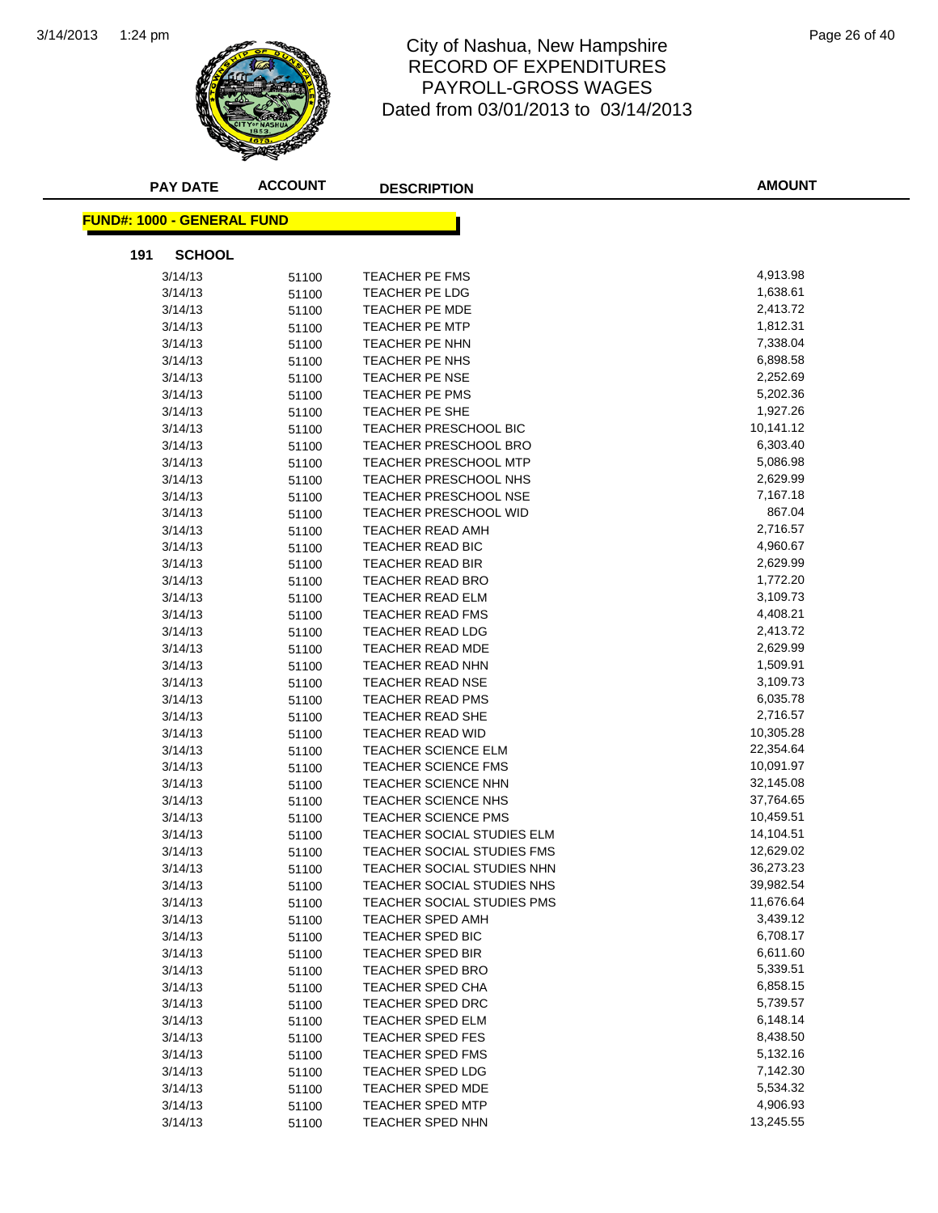

#### 1:24 pm Page 26 of 40 RECORD OF EXPENDITURES PAYROLL-GROSS WAGES Dated from 03/01/2013 to 03/14/2013

| <b>PAY DATE</b>                   | <b>ACCOUNT</b> | <b>DESCRIPTION</b>                | <b>AMOUNT</b> |
|-----------------------------------|----------------|-----------------------------------|---------------|
| <b>FUND#: 1000 - GENERAL FUND</b> |                |                                   |               |
| <b>SCHOOL</b><br>191              |                |                                   |               |
| 3/14/13                           | 51100          | TEACHER PE FMS                    | 4,913.98      |
| 3/14/13                           | 51100          | TEACHER PE LDG                    | 1,638.61      |
| 3/14/13                           | 51100          | TEACHER PE MDE                    | 2,413.72      |
| 3/14/13                           | 51100          | <b>TEACHER PE MTP</b>             | 1,812.31      |
| 3/14/13                           | 51100          | TEACHER PE NHN                    | 7,338.04      |
| 3/14/13                           | 51100          | TEACHER PE NHS                    | 6,898.58      |
| 3/14/13                           | 51100          | <b>TEACHER PE NSE</b>             | 2,252.69      |
| 3/14/13                           | 51100          | TEACHER PE PMS                    | 5,202.36      |
| 3/14/13                           | 51100          | TEACHER PE SHE                    | 1,927.26      |
| 3/14/13                           | 51100          | <b>TEACHER PRESCHOOL BIC</b>      | 10,141.12     |
| 3/14/13                           | 51100          | TEACHER PRESCHOOL BRO             | 6,303.40      |
| 3/14/13                           | 51100          | <b>TEACHER PRESCHOOL MTP</b>      | 5,086.98      |
| 3/14/13                           | 51100          | TEACHER PRESCHOOL NHS             | 2,629.99      |
| 3/14/13                           | 51100          | <b>TEACHER PRESCHOOL NSE</b>      | 7,167.18      |
| 3/14/13                           | 51100          | <b>TEACHER PRESCHOOL WID</b>      | 867.04        |
| 3/14/13                           | 51100          | <b>TEACHER READ AMH</b>           | 2,716.57      |
| 3/14/13                           | 51100          | <b>TEACHER READ BIC</b>           | 4,960.67      |
| 3/14/13                           | 51100          | TEACHER READ BIR                  | 2,629.99      |
| 3/14/13                           | 51100          | <b>TEACHER READ BRO</b>           | 1,772.20      |
| 3/14/13                           | 51100          | TEACHER READ ELM                  | 3,109.73      |
| 3/14/13                           | 51100          | TEACHER READ FMS                  | 4,408.21      |
| 3/14/13                           | 51100          | <b>TEACHER READ LDG</b>           | 2,413.72      |
| 3/14/13                           | 51100          | TEACHER READ MDE                  | 2,629.99      |
| 3/14/13                           | 51100          | TEACHER READ NHN                  | 1,509.91      |
| 3/14/13                           | 51100          | TEACHER READ NSE                  | 3,109.73      |
| 3/14/13                           | 51100          | TEACHER READ PMS                  | 6,035.78      |
| 3/14/13                           | 51100          | <b>TEACHER READ SHE</b>           | 2,716.57      |
| 3/14/13                           | 51100          | <b>TEACHER READ WID</b>           | 10,305.28     |
| 3/14/13                           | 51100          | <b>TEACHER SCIENCE ELM</b>        | 22,354.64     |
| 3/14/13                           | 51100          | <b>TEACHER SCIENCE FMS</b>        | 10,091.97     |
| 3/14/13                           | 51100          | TEACHER SCIENCE NHN               | 32,145.08     |
| 3/14/13                           | 51100          | TEACHER SCIENCE NHS               | 37,764.65     |
| 3/14/13                           | 51100          | <b>TEACHER SCIENCE PMS</b>        | 10,459.51     |
| 3/14/13                           | 51100          | TEACHER SOCIAL STUDIES ELM        | 14,104.51     |
| 3/14/13                           | 51100          | <b>TEACHER SOCIAL STUDIES FMS</b> | 12,629.02     |
| 3/14/13                           | 51100          | TEACHER SOCIAL STUDIES NHN        | 36,273.23     |
| 3/14/13                           | 51100          | TEACHER SOCIAL STUDIES NHS        | 39,982.54     |
| 3/14/13                           | 51100          | TEACHER SOCIAL STUDIES PMS        | 11,676.64     |
| 3/14/13                           | 51100          | TEACHER SPED AMH                  | 3,439.12      |
| 3/14/13                           | 51100          | TEACHER SPED BIC                  | 6,708.17      |
| 3/14/13                           | 51100          | TEACHER SPED BIR                  | 6,611.60      |
| 3/14/13                           | 51100          | TEACHER SPED BRO                  | 5,339.51      |
| 3/14/13                           | 51100          | TEACHER SPED CHA                  | 6,858.15      |
| 3/14/13                           | 51100          | <b>TEACHER SPED DRC</b>           | 5,739.57      |
| 3/14/13                           | 51100          | TEACHER SPED ELM                  | 6,148.14      |
| 3/14/13                           | 51100          | <b>TEACHER SPED FES</b>           | 8,438.50      |
| 3/14/13                           | 51100          | TEACHER SPED FMS                  | 5,132.16      |
| 3/14/13                           | 51100          | TEACHER SPED LDG                  | 7,142.30      |
| 3/14/13                           | 51100          | <b>TEACHER SPED MDE</b>           | 5,534.32      |
| 3/14/13                           | 51100          | TEACHER SPED MTP                  | 4,906.93      |
| 3/14/13                           | 51100          | TEACHER SPED NHN                  | 13,245.55     |
|                                   |                |                                   |               |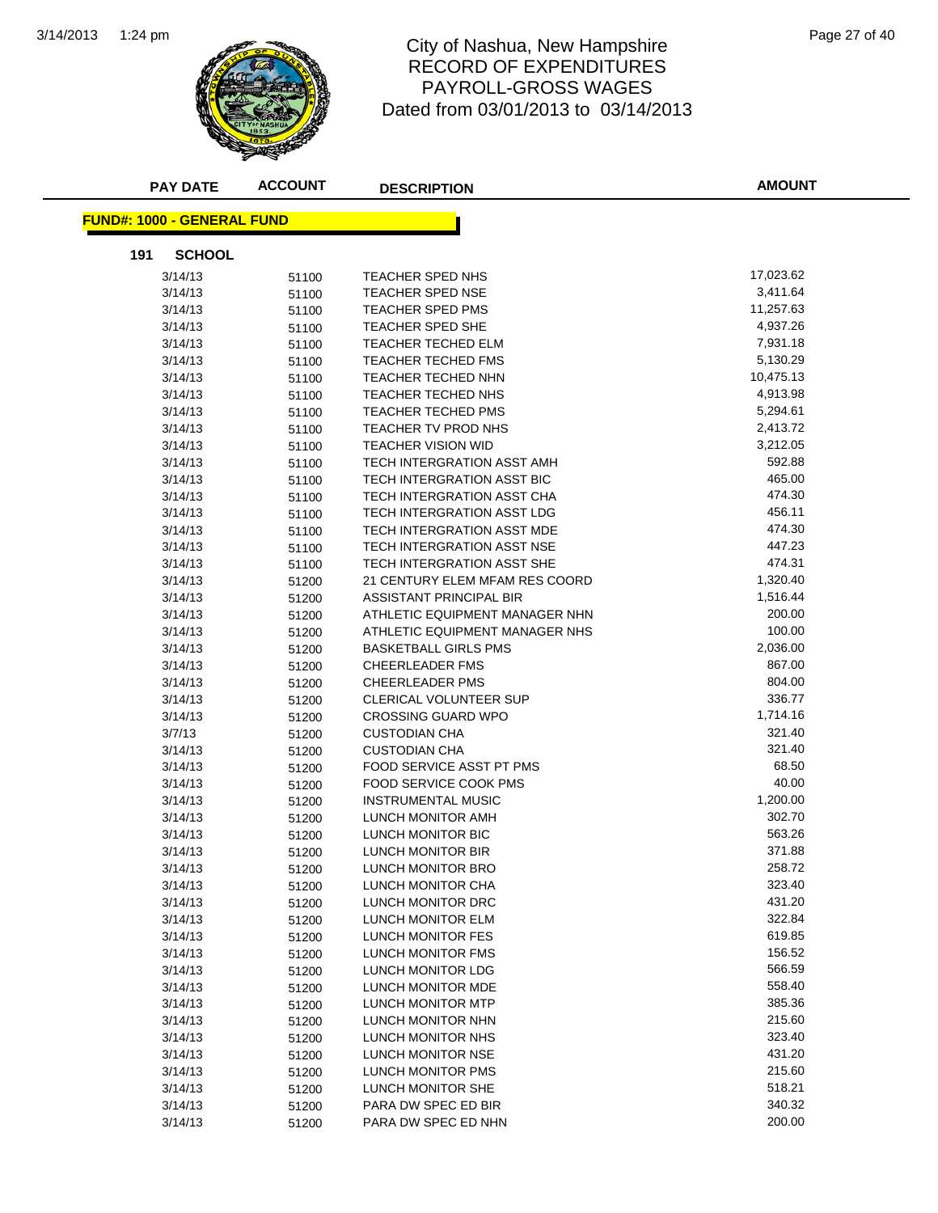

#### 1:24 pm Page 27 of 40 RECORD OF EXPENDITURES PAYROLL-GROSS WAGES Dated from 03/01/2013 to 03/14/2013

| <b>PAY DATE</b>            | <b>ACCOUNT</b> | <b>DESCRIPTION</b>             | <b>AMOUNT</b> |
|----------------------------|----------------|--------------------------------|---------------|
| FUND#: 1000 - GENERAL FUND |                |                                |               |
| <b>SCHOOL</b><br>191       |                |                                |               |
| 3/14/13                    | 51100          | TEACHER SPED NHS               | 17,023.62     |
| 3/14/13                    | 51100          | <b>TEACHER SPED NSE</b>        | 3,411.64      |
| 3/14/13                    | 51100          | TEACHER SPED PMS               | 11,257.63     |
| 3/14/13                    | 51100          | TEACHER SPED SHE               | 4,937.26      |
| 3/14/13                    | 51100          | TEACHER TECHED ELM             | 7,931.18      |
| 3/14/13                    | 51100          | TEACHER TECHED FMS             | 5,130.29      |
| 3/14/13                    | 51100          | TEACHER TECHED NHN             | 10,475.13     |
| 3/14/13                    | 51100          | TEACHER TECHED NHS             | 4,913.98      |
| 3/14/13                    | 51100          | TEACHER TECHED PMS             | 5,294.61      |
| 3/14/13                    | 51100          | TEACHER TV PROD NHS            | 2,413.72      |
| 3/14/13                    | 51100          | <b>TEACHER VISION WID</b>      | 3,212.05      |
| 3/14/13                    | 51100          | TECH INTERGRATION ASST AMH     | 592.88        |
| 3/14/13                    | 51100          | TECH INTERGRATION ASST BIC     | 465.00        |
| 3/14/13                    | 51100          | TECH INTERGRATION ASST CHA     | 474.30        |
| 3/14/13                    | 51100          | TECH INTERGRATION ASST LDG     | 456.11        |
| 3/14/13                    | 51100          | TECH INTERGRATION ASST MDE     | 474.30        |
| 3/14/13                    | 51100          | TECH INTERGRATION ASST NSE     | 447.23        |
| 3/14/13                    | 51100          | TECH INTERGRATION ASST SHE     | 474.31        |
| 3/14/13                    | 51200          | 21 CENTURY ELEM MFAM RES COORD | 1,320.40      |
| 3/14/13                    | 51200          | ASSISTANT PRINCIPAL BIR        | 1,516.44      |
| 3/14/13                    | 51200          | ATHLETIC EQUIPMENT MANAGER NHN | 200.00        |
| 3/14/13                    | 51200          | ATHLETIC EQUIPMENT MANAGER NHS | 100.00        |
| 3/14/13                    | 51200          | <b>BASKETBALL GIRLS PMS</b>    | 2,036.00      |
| 3/14/13                    | 51200          | CHEERLEADER FMS                | 867.00        |
| 3/14/13                    | 51200          | <b>CHEERLEADER PMS</b>         | 804.00        |
| 3/14/13                    | 51200          | <b>CLERICAL VOLUNTEER SUP</b>  | 336.77        |
| 3/14/13                    | 51200          | <b>CROSSING GUARD WPO</b>      | 1,714.16      |
| 3/7/13                     | 51200          | <b>CUSTODIAN CHA</b>           | 321.40        |
| 3/14/13                    | 51200          | <b>CUSTODIAN CHA</b>           | 321.40        |
| 3/14/13                    | 51200          | FOOD SERVICE ASST PT PMS       | 68.50         |
| 3/14/13                    | 51200          | <b>FOOD SERVICE COOK PMS</b>   | 40.00         |
| 3/14/13                    | 51200          | <b>INSTRUMENTAL MUSIC</b>      | 1,200.00      |
| 3/14/13                    | 51200          | LUNCH MONITOR AMH              | 302.70        |
| 3/14/13                    | 51200          | LUNCH MONITOR BIC              | 563.26        |
| 3/14/13                    | 51200          | LUNCH MONITOR BIR              | 371.88        |
| 3/14/13                    | 51200          | LUNCH MONITOR BRO              | 258.72        |
| 3/14/13                    | 51200          | LUNCH MONITOR CHA              | 323.40        |
| 3/14/13                    | 51200          | LUNCH MONITOR DRC              | 431.20        |
| 3/14/13                    | 51200          | LUNCH MONITOR ELM              | 322.84        |
| 3/14/13                    | 51200          | LUNCH MONITOR FES              | 619.85        |
| 3/14/13                    | 51200          | <b>LUNCH MONITOR FMS</b>       | 156.52        |
| 3/14/13                    | 51200          | LUNCH MONITOR LDG              | 566.59        |
| 3/14/13                    | 51200          | LUNCH MONITOR MDE              | 558.40        |
| 3/14/13                    | 51200          | LUNCH MONITOR MTP              | 385.36        |
| 3/14/13                    | 51200          | LUNCH MONITOR NHN              | 215.60        |
| 3/14/13                    | 51200          | LUNCH MONITOR NHS              | 323.40        |
| 3/14/13                    | 51200          | LUNCH MONITOR NSE              | 431.20        |
| 3/14/13                    | 51200          | LUNCH MONITOR PMS              | 215.60        |
| 3/14/13                    | 51200          | LUNCH MONITOR SHE              | 518.21        |
| 3/14/13                    | 51200          | PARA DW SPEC ED BIR            | 340.32        |
| 3/14/13                    | 51200          | PARA DW SPEC ED NHN            | 200.00        |
|                            |                |                                |               |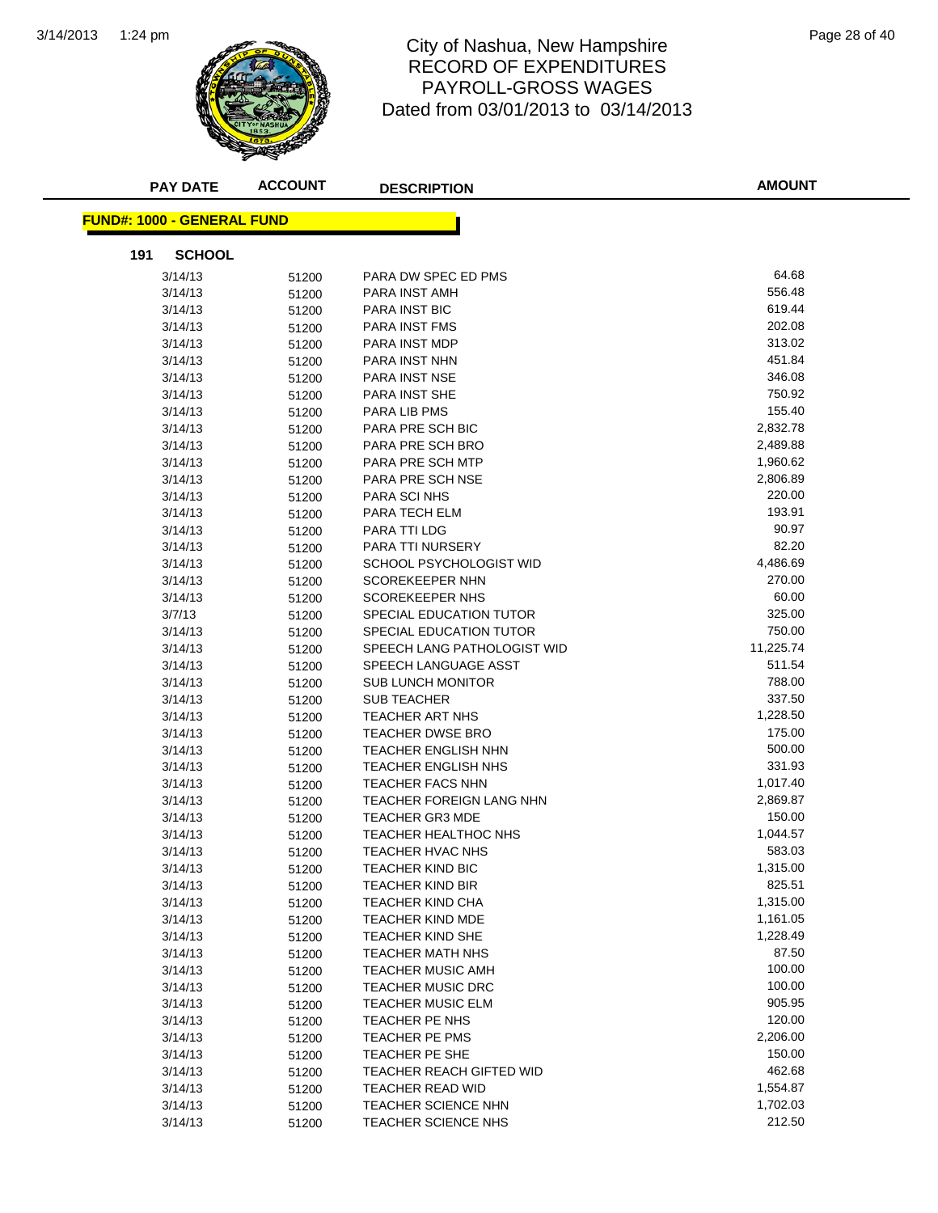

#### 1:24 pm Page 28 of 40 RECORD OF EXPENDITURES PAYROLL-GROSS WAGES Dated from 03/01/2013 to 03/14/2013

| <b>PAY DATE</b>                    | <b>ACCOUNT</b> | <b>DESCRIPTION</b>                                  | <b>AMOUNT</b>    |
|------------------------------------|----------------|-----------------------------------------------------|------------------|
| <u> FUND#: 1000 - GENERAL FUND</u> |                |                                                     |                  |
| 191<br><b>SCHOOL</b>               |                |                                                     |                  |
| 3/14/13                            | 51200          | PARA DW SPEC ED PMS                                 | 64.68            |
| 3/14/13                            | 51200          | PARA INST AMH                                       | 556.48           |
| 3/14/13                            | 51200          | PARA INST BIC                                       | 619.44           |
| 3/14/13                            | 51200          | <b>PARA INST FMS</b>                                | 202.08           |
| 3/14/13                            | 51200          | PARA INST MDP                                       | 313.02           |
| 3/14/13                            | 51200          | PARA INST NHN                                       | 451.84           |
| 3/14/13                            | 51200          | <b>PARA INST NSE</b>                                | 346.08           |
| 3/14/13                            | 51200          | PARA INST SHE                                       | 750.92           |
| 3/14/13                            | 51200          | PARA LIB PMS                                        | 155.40           |
| 3/14/13                            | 51200          | PARA PRE SCH BIC                                    | 2,832.78         |
| 3/14/13                            | 51200          | PARA PRE SCH BRO                                    | 2,489.88         |
| 3/14/13                            | 51200          | PARA PRE SCH MTP                                    | 1,960.62         |
| 3/14/13                            | 51200          | PARA PRE SCH NSE                                    | 2,806.89         |
| 3/14/13                            | 51200          | PARA SCI NHS                                        | 220.00           |
| 3/14/13                            | 51200          | PARA TECH ELM                                       | 193.91           |
| 3/14/13                            | 51200          | PARA TTI LDG                                        | 90.97            |
| 3/14/13                            | 51200          | PARA TTI NURSERY                                    | 82.20            |
| 3/14/13                            | 51200          | SCHOOL PSYCHOLOGIST WID                             | 4,486.69         |
| 3/14/13                            | 51200          | <b>SCOREKEEPER NHN</b>                              | 270.00           |
| 3/14/13                            | 51200          | <b>SCOREKEEPER NHS</b>                              | 60.00            |
| 3/7/13                             | 51200          | SPECIAL EDUCATION TUTOR                             | 325.00           |
| 3/14/13                            | 51200          | SPECIAL EDUCATION TUTOR                             | 750.00           |
| 3/14/13                            | 51200          | SPEECH LANG PATHOLOGIST WID                         | 11,225.74        |
| 3/14/13                            | 51200          | SPEECH LANGUAGE ASST                                | 511.54           |
| 3/14/13                            | 51200          | <b>SUB LUNCH MONITOR</b>                            | 788.00           |
| 3/14/13                            | 51200          | <b>SUB TEACHER</b>                                  | 337.50           |
| 3/14/13                            | 51200          | <b>TEACHER ART NHS</b>                              | 1,228.50         |
| 3/14/13                            | 51200          | <b>TEACHER DWSE BRO</b>                             | 175.00           |
| 3/14/13                            | 51200          | <b>TEACHER ENGLISH NHN</b>                          | 500.00           |
| 3/14/13                            | 51200          | <b>TEACHER ENGLISH NHS</b>                          | 331.93           |
| 3/14/13                            | 51200          | <b>TEACHER FACS NHN</b>                             | 1,017.40         |
| 3/14/13                            | 51200          | TEACHER FOREIGN LANG NHN                            | 2,869.87         |
| 3/14/13                            | 51200          | <b>TEACHER GR3 MDE</b>                              | 150.00           |
| 3/14/13                            | 51200          | TEACHER HEALTHOC NHS                                | 1,044.57         |
| 3/14/13                            | 51200          | <b>TEACHER HVAC NHS</b>                             | 583.03           |
| 3/14/13                            | 51200          | <b>TEACHER KIND BIC</b>                             | 1,315.00         |
| 3/14/13                            | 51200          | <b>TEACHER KIND BIR</b>                             | 825.51           |
| 3/14/13                            | 51200          | TEACHER KIND CHA                                    | 1,315.00         |
| 3/14/13                            | 51200          | <b>TEACHER KIND MDE</b>                             | 1,161.05         |
| 3/14/13                            | 51200          | <b>TEACHER KIND SHE</b>                             | 1,228.49         |
| 3/14/13                            | 51200          | TEACHER MATH NHS                                    | 87.50            |
| 3/14/13                            | 51200          | <b>TEACHER MUSIC AMH</b>                            | 100.00           |
| 3/14/13                            | 51200          | <b>TEACHER MUSIC DRC</b>                            | 100.00           |
| 3/14/13                            | 51200          | <b>TEACHER MUSIC ELM</b><br>TEACHER PE NHS          | 905.95<br>120.00 |
| 3/14/13                            | 51200          |                                                     | 2,206.00         |
| 3/14/13                            | 51200          | TEACHER PE PMS                                      | 150.00           |
| 3/14/13                            | 51200          | TEACHER PE SHE                                      | 462.68           |
| 3/14/13                            | 51200          | TEACHER REACH GIFTED WID<br><b>TEACHER READ WID</b> | 1,554.87         |
| 3/14/13<br>3/14/13                 | 51200          | TEACHER SCIENCE NHN                                 | 1,702.03         |
|                                    | 51200          | TEACHER SCIENCE NHS                                 | 212.50           |
| 3/14/13                            | 51200          |                                                     |                  |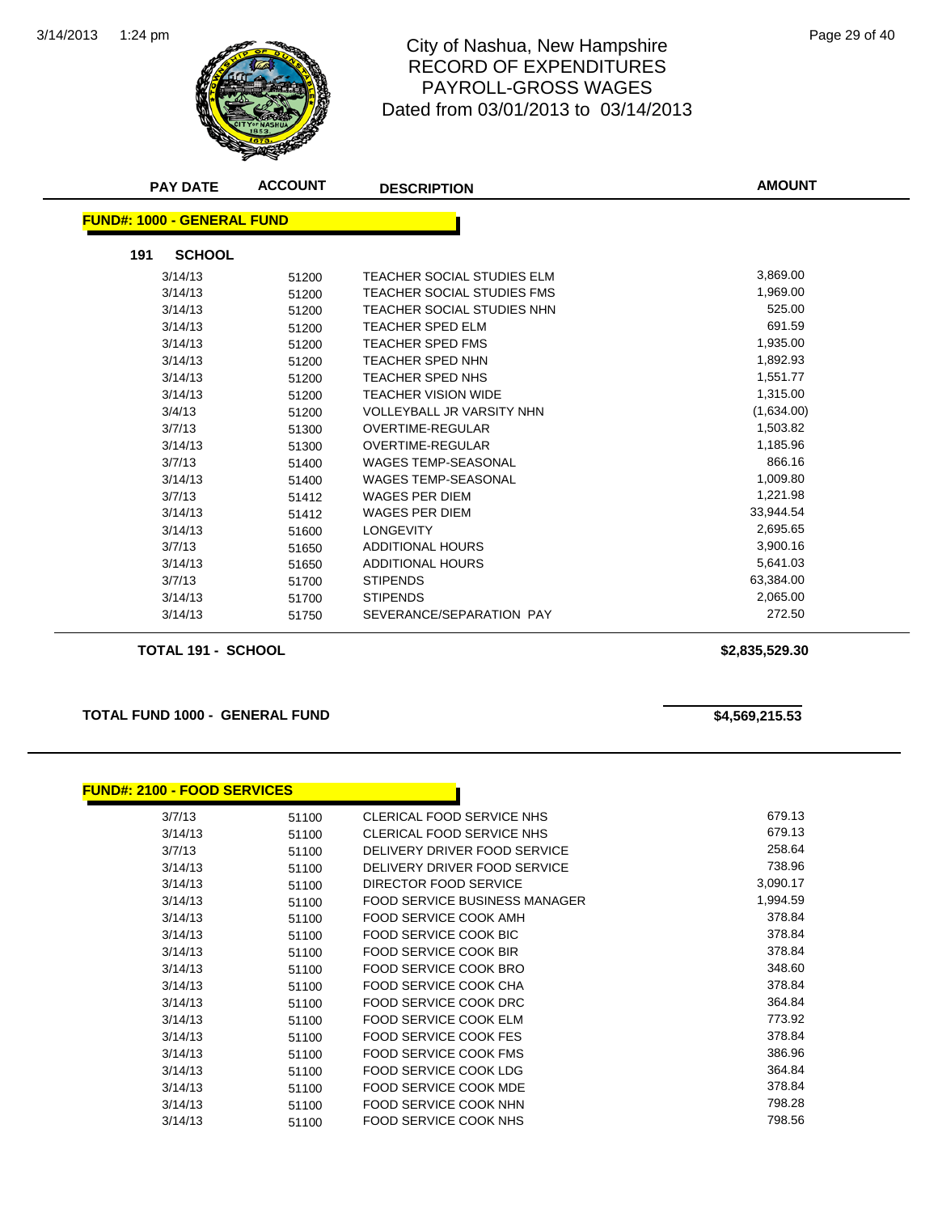

## City of Nashua, New Hampshire<br>
Page 29 of 40 RECORD OF EXPENDITURES PAYROLL-GROSS WAGES Dated from 03/01/2013 to 03/14/2013

| <b>PAY DATE</b>                   | <b>ACCOUNT</b> | <b>DESCRIPTION</b>                | <b>AMOUNT</b> |
|-----------------------------------|----------------|-----------------------------------|---------------|
| <b>FUND#: 1000 - GENERAL FUND</b> |                |                                   |               |
|                                   |                |                                   |               |
| <b>SCHOOL</b><br>191              |                |                                   |               |
| 3/14/13                           | 51200          | <b>TEACHER SOCIAL STUDIES ELM</b> | 3,869.00      |
| 3/14/13                           | 51200          | TEACHER SOCIAL STUDIES FMS        | 1,969.00      |
| 3/14/13                           | 51200          | TEACHER SOCIAL STUDIES NHN        | 525.00        |
| 3/14/13                           | 51200          | TEACHER SPED ELM                  | 691.59        |
| 3/14/13                           | 51200          | TEACHER SPED FMS                  | 1,935.00      |
| 3/14/13                           | 51200          | TEACHER SPED NHN                  | 1,892.93      |
| 3/14/13                           | 51200          | TEACHER SPED NHS                  | 1,551.77      |
| 3/14/13                           | 51200          | <b>TEACHER VISION WIDE</b>        | 1,315.00      |
| 3/4/13                            | 51200          | <b>VOLLEYBALL JR VARSITY NHN</b>  | (1,634.00)    |
| 3/7/13                            | 51300          | <b>OVERTIME-REGULAR</b>           | 1,503.82      |
| 3/14/13                           | 51300          | <b>OVERTIME-REGULAR</b>           | 1,185.96      |
| 3/7/13                            | 51400          | <b>WAGES TEMP-SEASONAL</b>        | 866.16        |
| 3/14/13                           | 51400          | <b>WAGES TEMP-SEASONAL</b>        | 1,009.80      |
| 3/7/13                            | 51412          | WAGES PER DIEM                    | 1,221.98      |
| 3/14/13                           | 51412          | <b>WAGES PER DIEM</b>             | 33,944.54     |
| 3/14/13                           | 51600          | <b>LONGEVITY</b>                  | 2,695.65      |
| 3/7/13                            | 51650          | <b>ADDITIONAL HOURS</b>           | 3,900.16      |
| 3/14/13                           | 51650          | <b>ADDITIONAL HOURS</b>           | 5,641.03      |
| 3/7/13                            | 51700          | <b>STIPENDS</b>                   | 63,384.00     |
| 3/14/13                           | 51700          | <b>STIPENDS</b>                   | 2,065.00      |
| 3/14/13                           | 51750          | SEVERANCE/SEPARATION PAY          | 272.50        |
|                                   |                |                                   |               |

**TOTAL 191 - SCHOOL \$2,835,529.30**

**TOTAL FUND 1000 - GENERAL FUND \$4,569,215.53** 

| <b>FUND#: 2100 - FOOD SERVICES</b> |       |                                      |          |
|------------------------------------|-------|--------------------------------------|----------|
| 3/7/13                             | 51100 | CLERICAL FOOD SERVICE NHS            | 679.13   |
| 3/14/13                            | 51100 | CLERICAL FOOD SERVICE NHS            | 679.13   |
| 3/7/13                             | 51100 | DELIVERY DRIVER FOOD SERVICE         | 258.64   |
| 3/14/13                            | 51100 | DELIVERY DRIVER FOOD SERVICE         | 738.96   |
| 3/14/13                            | 51100 | DIRECTOR FOOD SERVICE                | 3,090.17 |
| 3/14/13                            | 51100 | <b>FOOD SERVICE BUSINESS MANAGER</b> | 1,994.59 |
| 3/14/13                            | 51100 | FOOD SERVICE COOK AMH                | 378.84   |
| 3/14/13                            | 51100 | FOOD SERVICE COOK BIC                | 378.84   |
| 3/14/13                            | 51100 | FOOD SERVICE COOK BIR                | 378.84   |
| 3/14/13                            | 51100 | <b>FOOD SERVICE COOK BRO</b>         | 348.60   |
| 3/14/13                            | 51100 | FOOD SERVICE COOK CHA                | 378.84   |
| 3/14/13                            | 51100 | <b>FOOD SERVICE COOK DRC</b>         | 364.84   |
| 3/14/13                            | 51100 | <b>FOOD SERVICE COOK ELM</b>         | 773.92   |
| 3/14/13                            | 51100 | FOOD SERVICE COOK FES                | 378.84   |
| 3/14/13                            | 51100 | <b>FOOD SERVICE COOK FMS</b>         | 386.96   |
| 3/14/13                            | 51100 | FOOD SERVICE COOK LDG                | 364.84   |
| 3/14/13                            | 51100 | FOOD SERVICE COOK MDE                | 378.84   |
| 3/14/13                            | 51100 | FOOD SERVICE COOK NHN                | 798.28   |
| 3/14/13                            | 51100 | FOOD SERVICE COOK NHS                | 798.56   |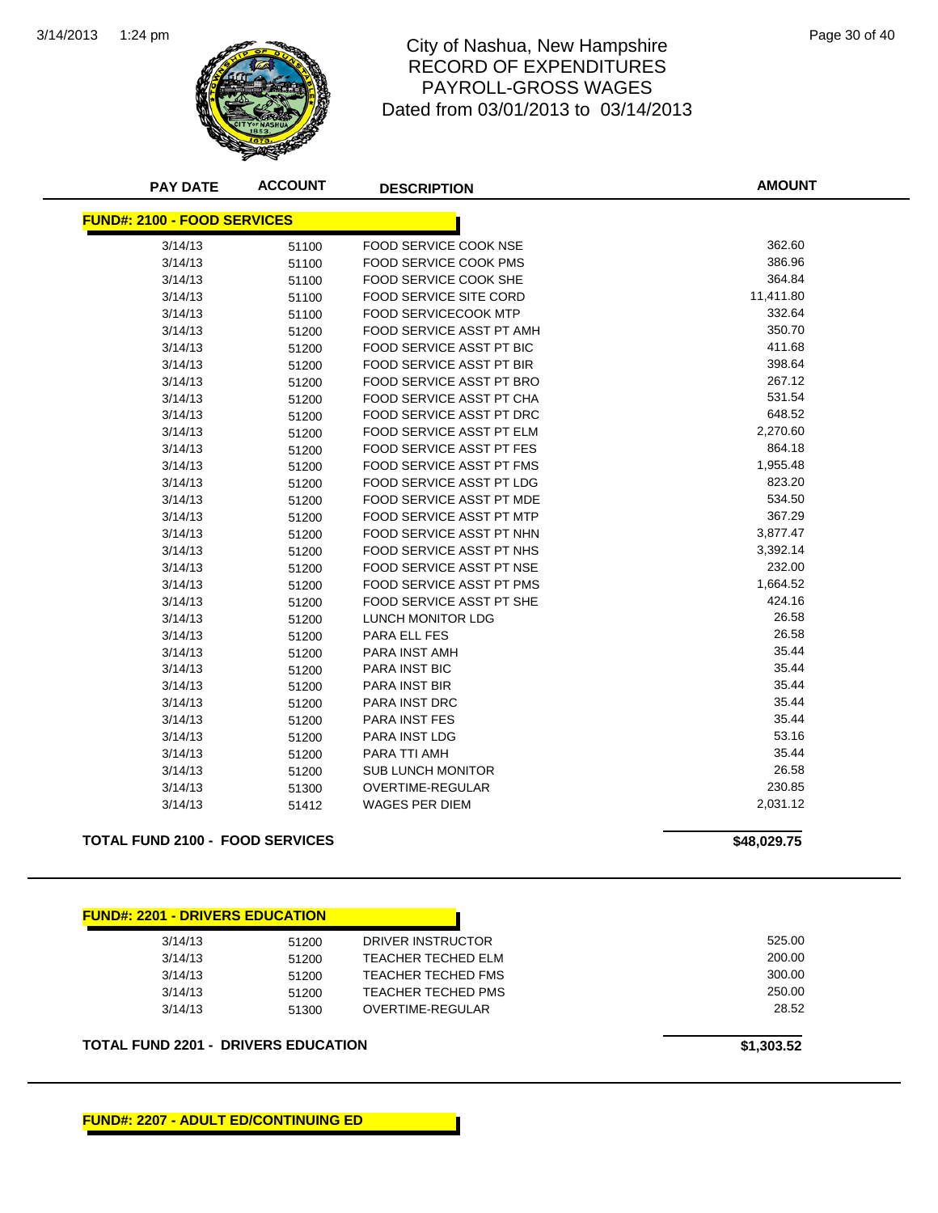

#### City of Nashua, New Hampshire Page 30 of 40 RECORD OF EXPENDITURES PAYROLL-GROSS WAGES Dated from 03/01/2013 to 03/14/2013

| <b>PAY DATE</b>                        | <b>ACCOUNT</b> | <b>DESCRIPTION</b>              | <b>AMOUNT</b> |
|----------------------------------------|----------------|---------------------------------|---------------|
| <b>FUND#: 2100 - FOOD SERVICES</b>     |                |                                 |               |
| 3/14/13                                | 51100          | FOOD SERVICE COOK NSE           | 362.60        |
| 3/14/13                                | 51100          | <b>FOOD SERVICE COOK PMS</b>    | 386.96        |
| 3/14/13                                | 51100          | FOOD SERVICE COOK SHE           | 364.84        |
| 3/14/13                                | 51100          | <b>FOOD SERVICE SITE CORD</b>   | 11,411.80     |
| 3/14/13                                | 51100          | FOOD SERVICECOOK MTP            | 332.64        |
| 3/14/13                                | 51200          | FOOD SERVICE ASST PT AMH        | 350.70        |
| 3/14/13                                | 51200          | FOOD SERVICE ASST PT BIC        | 411.68        |
| 3/14/13                                | 51200          | <b>FOOD SERVICE ASST PT BIR</b> | 398.64        |
| 3/14/13                                | 51200          | <b>FOOD SERVICE ASST PT BRO</b> | 267.12        |
| 3/14/13                                | 51200          | FOOD SERVICE ASST PT CHA        | 531.54        |
| 3/14/13                                | 51200          | FOOD SERVICE ASST PT DRC        | 648.52        |
| 3/14/13                                | 51200          | <b>FOOD SERVICE ASST PT ELM</b> | 2,270.60      |
| 3/14/13                                | 51200          | FOOD SERVICE ASST PT FES        | 864.18        |
| 3/14/13                                | 51200          | FOOD SERVICE ASST PT FMS        | 1,955.48      |
| 3/14/13                                | 51200          | FOOD SERVICE ASST PT LDG        | 823.20        |
| 3/14/13                                | 51200          | <b>FOOD SERVICE ASST PT MDE</b> | 534.50        |
| 3/14/13                                | 51200          | FOOD SERVICE ASST PT MTP        | 367.29        |
| 3/14/13                                | 51200          | FOOD SERVICE ASST PT NHN        | 3,877.47      |
| 3/14/13                                | 51200          | FOOD SERVICE ASST PT NHS        | 3,392.14      |
| 3/14/13                                | 51200          | <b>FOOD SERVICE ASST PT NSE</b> | 232.00        |
| 3/14/13                                | 51200          | FOOD SERVICE ASST PT PMS        | 1,664.52      |
| 3/14/13                                | 51200          | FOOD SERVICE ASST PT SHE        | 424.16        |
| 3/14/13                                | 51200          | LUNCH MONITOR LDG               | 26.58         |
| 3/14/13                                | 51200          | <b>PARA ELL FES</b>             | 26.58         |
| 3/14/13                                | 51200          | <b>PARA INST AMH</b>            | 35.44         |
| 3/14/13                                | 51200          | <b>PARA INST BIC</b>            | 35.44         |
| 3/14/13                                | 51200          | PARA INST BIR                   | 35.44         |
| 3/14/13                                | 51200          | <b>PARA INST DRC</b>            | 35.44         |
| 3/14/13                                | 51200          | <b>PARA INST FES</b>            | 35.44         |
| 3/14/13                                | 51200          | <b>PARA INST LDG</b>            | 53.16         |
| 3/14/13                                | 51200          | PARA TTI AMH                    | 35.44         |
| 3/14/13                                | 51200          | <b>SUB LUNCH MONITOR</b>        | 26.58         |
| 3/14/13                                | 51300          | OVERTIME-REGULAR                | 230.85        |
| 3/14/13                                | 51412          | <b>WAGES PER DIEM</b>           | 2,031.12      |
| <b>TOTAL FUND 2100 - FOOD SERVICES</b> |                |                                 | \$48,029.75   |
|                                        |                |                                 |               |
| <b>FUND#: 2201 - DRIVERS EDUCATION</b> |                |                                 |               |
| 3/14/13                                | 51200          | DRIVER INSTRUCTOR               | 525.00        |
| 3/14/13                                | 51200          | TEACHER TECHED FI M             | 200.00        |

| 3/14/13 | 51200 | DRIVER INSTRUCTOR  | 525.00 |
|---------|-------|--------------------|--------|
| 3/14/13 | 51200 | TEACHER TECHED ELM | 200.00 |
| 3/14/13 | 51200 | TEACHER TECHED FMS | 300.00 |
| 3/14/13 | 51200 | TEACHER TECHED PMS | 250.00 |
| 3/14/13 | 51300 | OVERTIME-REGULAR   | 28.52  |
|         |       |                    |        |

**TOTAL FUND 2201 - DRIVERS EDUCATION \$1,303.52**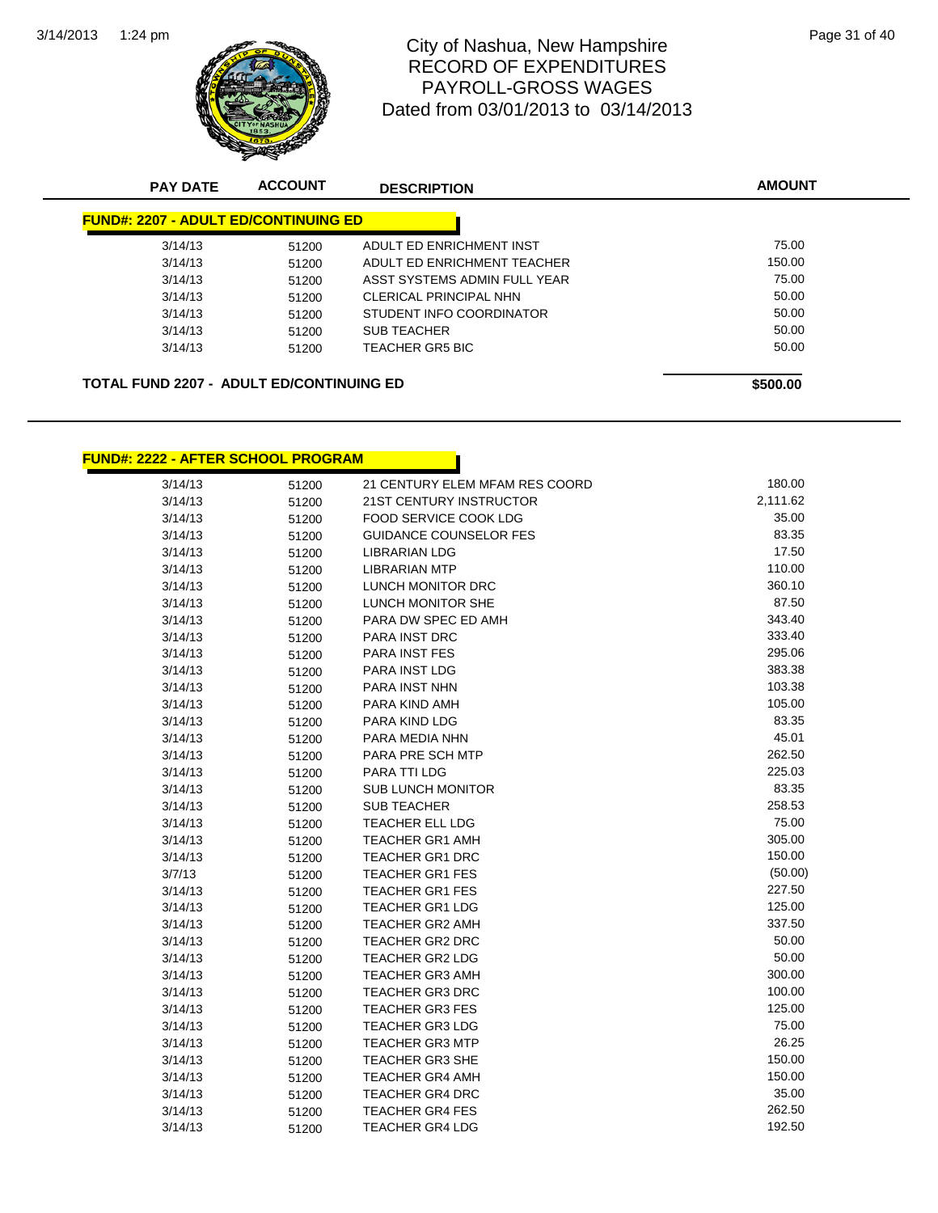

## City of Nashua, New Hampshire<br>
Page 31 of 40 RECORD OF EXPENDITURES PAYROLL-GROSS WAGES Dated from 03/01/2013 to 03/14/2013

| <b>PAY DATE</b>                             | <b>ACCOUNT</b> | <b>DESCRIPTION</b>           | <b>AMOUNT</b> |
|---------------------------------------------|----------------|------------------------------|---------------|
| <b>FUND#: 2207 - ADULT ED/CONTINUING ED</b> |                |                              |               |
| 3/14/13                                     | 51200          | ADULT ED ENRICHMENT INST     | 75.00         |
| 3/14/13                                     | 51200          | ADULT ED ENRICHMENT TEACHER  | 150.00        |
| 3/14/13                                     | 51200          | ASST SYSTEMS ADMIN FULL YEAR | 75.00         |
| 3/14/13                                     | 51200          | CLERICAL PRINCIPAL NHN       | 50.00         |
| 3/14/13                                     | 51200          | STUDENT INFO COORDINATOR     | 50.00         |
| 3/14/13                                     | 51200          | <b>SUB TEACHER</b>           | 50.00         |
| 3/14/13                                     | 51200          | <b>TEACHER GR5 BIC</b>       | 50.00         |
| TOTAL FUND 2207 - ADULT ED/CONTINUING ED    |                |                              | \$500.00      |

**FUND#: 2222 - AFTER SCHOOL PROGRAM**

| 3/14/13 | 51200 | 21 CENTURY ELEM MFAM RES COORD | 180.00   |
|---------|-------|--------------------------------|----------|
| 3/14/13 | 51200 | 21ST CENTURY INSTRUCTOR        | 2,111.62 |
| 3/14/13 | 51200 | FOOD SERVICE COOK LDG          | 35.00    |
| 3/14/13 | 51200 | GUIDANCE COUNSELOR FES         | 83.35    |
| 3/14/13 | 51200 | LIBRARIAN LDG                  | 17.50    |
| 3/14/13 | 51200 | <b>LIBRARIAN MTP</b>           | 110.00   |
| 3/14/13 | 51200 | LUNCH MONITOR DRC              | 360.10   |
| 3/14/13 | 51200 | LUNCH MONITOR SHE              | 87.50    |
| 3/14/13 | 51200 | PARA DW SPEC ED AMH            | 343.40   |
| 3/14/13 | 51200 | <b>PARA INST DRC</b>           | 333.40   |
| 3/14/13 | 51200 | <b>PARA INST FES</b>           | 295.06   |
| 3/14/13 | 51200 | PARA INST LDG                  | 383.38   |
| 3/14/13 | 51200 | PARA INST NHN                  | 103.38   |
| 3/14/13 | 51200 | PARA KIND AMH                  | 105.00   |
| 3/14/13 | 51200 | PARA KIND LDG                  | 83.35    |
| 3/14/13 | 51200 | PARA MEDIA NHN                 | 45.01    |
| 3/14/13 | 51200 | PARA PRE SCH MTP               | 262.50   |
| 3/14/13 | 51200 | PARA TTI LDG                   | 225.03   |
| 3/14/13 | 51200 | SUB LUNCH MONITOR              | 83.35    |
| 3/14/13 | 51200 | SUB TEACHER                    | 258.53   |
| 3/14/13 | 51200 | <b>TEACHER ELL LDG</b>         | 75.00    |
| 3/14/13 | 51200 | <b>TEACHER GR1 AMH</b>         | 305.00   |
| 3/14/13 | 51200 | <b>TEACHER GR1 DRC</b>         | 150.00   |
| 3/7/13  | 51200 | <b>TEACHER GR1 FES</b>         | (50.00)  |
| 3/14/13 | 51200 | <b>TEACHER GR1 FES</b>         | 227.50   |
| 3/14/13 | 51200 | <b>TEACHER GR1 LDG</b>         | 125.00   |
| 3/14/13 | 51200 | TEACHER GR2 AMH                | 337.50   |
| 3/14/13 | 51200 | <b>TEACHER GR2 DRC</b>         | 50.00    |
| 3/14/13 | 51200 | <b>TEACHER GR2 LDG</b>         | 50.00    |
| 3/14/13 | 51200 | <b>TEACHER GR3 AMH</b>         | 300.00   |
| 3/14/13 | 51200 | <b>TEACHER GR3 DRC</b>         | 100.00   |
| 3/14/13 | 51200 | <b>TEACHER GR3 FES</b>         | 125.00   |
| 3/14/13 | 51200 | <b>TEACHER GR3 LDG</b>         | 75.00    |
| 3/14/13 | 51200 | <b>TEACHER GR3 MTP</b>         | 26.25    |
| 3/14/13 | 51200 | <b>TEACHER GR3 SHE</b>         | 150.00   |
| 3/14/13 | 51200 | <b>TEACHER GR4 AMH</b>         | 150.00   |
| 3/14/13 | 51200 | TEACHER GR4 DRC                | 35.00    |
| 3/14/13 | 51200 | <b>TEACHER GR4 FES</b>         | 262.50   |
| 3/14/13 | 51200 | TEACHER GR4 LDG                | 192.50   |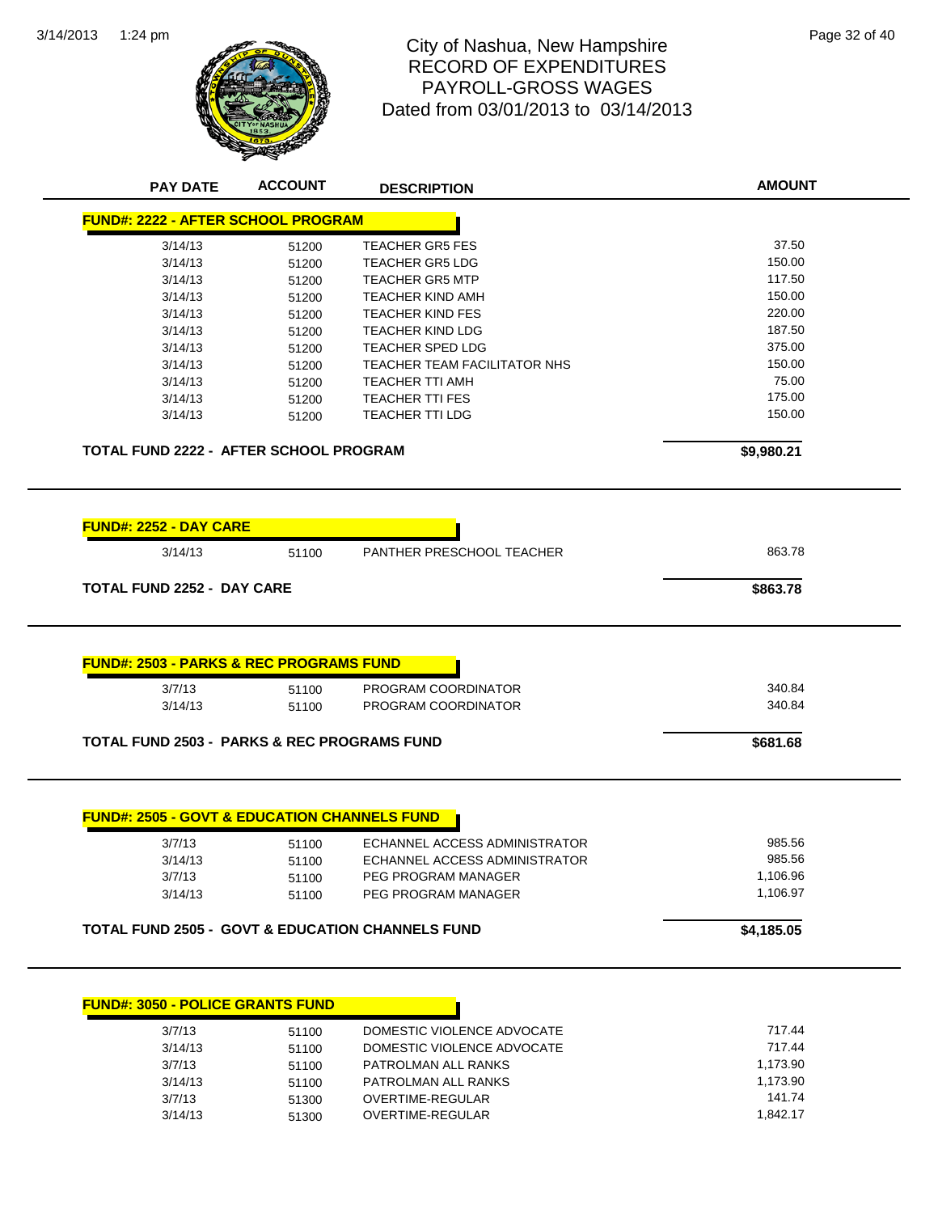

#### 1:24 pm Page 32 of 40 RECORD OF EXPENDITURES PAYROLL-GROSS WAGES Dated from 03/01/2013 to 03/14/2013

|                                                                                                                                                                         | <b>ACCOUNT</b> | <b>DESCRIPTION</b>                                          | <b>AMOUNT</b>      |
|-------------------------------------------------------------------------------------------------------------------------------------------------------------------------|----------------|-------------------------------------------------------------|--------------------|
| <b>FUND#: 2222 - AFTER SCHOOL PROGRAM</b>                                                                                                                               |                |                                                             |                    |
| 3/14/13                                                                                                                                                                 | 51200          | <b>TEACHER GR5 FES</b>                                      | 37.50              |
| 3/14/13                                                                                                                                                                 | 51200          | <b>TEACHER GR5 LDG</b>                                      | 150.00             |
| 3/14/13                                                                                                                                                                 | 51200          | <b>TEACHER GR5 MTP</b>                                      | 117.50             |
| 3/14/13                                                                                                                                                                 | 51200          | <b>TEACHER KIND AMH</b>                                     | 150.00             |
| 3/14/13                                                                                                                                                                 | 51200          | <b>TEACHER KIND FES</b>                                     | 220.00             |
| 3/14/13                                                                                                                                                                 | 51200          | <b>TEACHER KIND LDG</b>                                     | 187.50             |
| 3/14/13                                                                                                                                                                 | 51200          | <b>TEACHER SPED LDG</b>                                     | 375.00             |
| 3/14/13                                                                                                                                                                 | 51200          | TEACHER TEAM FACILITATOR NHS                                | 150.00             |
| 3/14/13                                                                                                                                                                 | 51200          | <b>TEACHER TTI AMH</b>                                      | 75.00              |
| 3/14/13                                                                                                                                                                 | 51200          | <b>TEACHER TTI FES</b>                                      | 175.00             |
| 3/14/13                                                                                                                                                                 | 51200          | <b>TEACHER TTI LDG</b>                                      | 150.00             |
| TOTAL FUND 2222 - AFTER SCHOOL PROGRAM                                                                                                                                  |                |                                                             | \$9,980.21         |
| <u> FUND#: 2252 - DAY CARE</u>                                                                                                                                          |                |                                                             |                    |
| 3/14/13                                                                                                                                                                 | 51100          | PANTHER PRESCHOOL TEACHER                                   | 863.78             |
| <b>TOTAL FUND 2252 - DAY CARE</b>                                                                                                                                       |                |                                                             | \$863.78           |
|                                                                                                                                                                         |                |                                                             |                    |
|                                                                                                                                                                         |                |                                                             |                    |
|                                                                                                                                                                         |                |                                                             |                    |
| 3/7/13                                                                                                                                                                  | 51100          | PROGRAM COORDINATOR                                         | 340.84             |
| 3/14/13                                                                                                                                                                 | 51100          | PROGRAM COORDINATOR                                         | 340.84             |
|                                                                                                                                                                         |                |                                                             | \$681.68           |
|                                                                                                                                                                         |                |                                                             |                    |
| 3/7/13                                                                                                                                                                  | 51100          | ECHANNEL ACCESS ADMINISTRATOR                               | 985.56             |
| 3/14/13                                                                                                                                                                 | 51100          | ECHANNEL ACCESS ADMINISTRATOR                               | 985.56             |
| 3/7/13                                                                                                                                                                  | 51100          | PEG PROGRAM MANAGER                                         | 1,106.96           |
| 3/14/13                                                                                                                                                                 | 51100          | PEG PROGRAM MANAGER                                         | 1,106.97           |
| <b>FUND#: 2503 - PARKS &amp; REC PROGRAMS FUND</b><br><b>TOTAL FUND 2503 - PARKS &amp; REC PROGRAMS FUND</b><br><b>FUND#: 2505 - GOVT &amp; EDUCATION CHANNELS FUND</b> |                |                                                             |                    |
|                                                                                                                                                                         |                | <b>TOTAL FUND 2505 - GOVT &amp; EDUCATION CHANNELS FUND</b> | \$4,185.05         |
|                                                                                                                                                                         |                |                                                             |                    |
| 3/7/13                                                                                                                                                                  | 51100          | DOMESTIC VIOLENCE ADVOCATE                                  | 717.44             |
| 3/14/13                                                                                                                                                                 | 51100          | DOMESTIC VIOLENCE ADVOCATE                                  | 717.44             |
| 3/7/13                                                                                                                                                                  | 51100          | PATROLMAN ALL RANKS                                         | 1,173.90           |
| <b>FUND#: 3050 - POLICE GRANTS FUND</b><br>3/14/13<br>3/7/13                                                                                                            | 51100<br>51300 | PATROLMAN ALL RANKS<br>OVERTIME-REGULAR                     | 1,173.90<br>141.74 |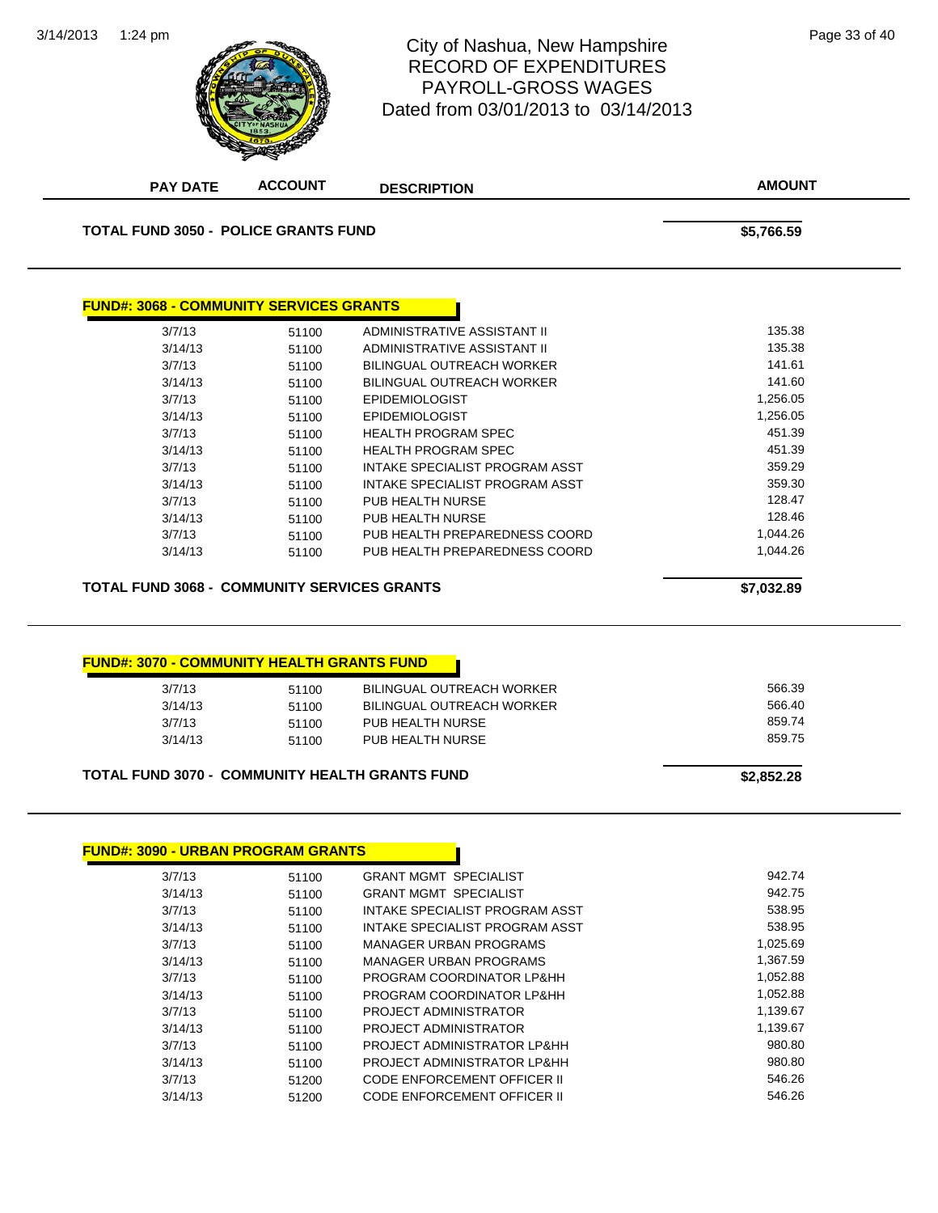

#### 1:24 pm Page 33 of 40 RECORD OF EXPENDITURES PAYROLL-GROSS WAGES Dated from 03/01/2013 to 03/14/2013

| <b>PAY DATE</b>                                                                                                                                           | <b>ACCOUNT</b> | <b>DESCRIPTION</b>                                     | <b>AMOUNT</b>        |
|-----------------------------------------------------------------------------------------------------------------------------------------------------------|----------------|--------------------------------------------------------|----------------------|
| <b>TOTAL FUND 3050 - POLICE GRANTS FUND</b>                                                                                                               |                |                                                        | \$5,766.59           |
|                                                                                                                                                           |                |                                                        |                      |
| <b>FUND#: 3068 - COMMUNITY SERVICES GRANTS</b>                                                                                                            |                |                                                        |                      |
| 3/7/13                                                                                                                                                    | 51100          | ADMINISTRATIVE ASSISTANT II                            | 135.38               |
| 3/14/13                                                                                                                                                   | 51100          | ADMINISTRATIVE ASSISTANT II                            | 135.38               |
| 3/7/13                                                                                                                                                    | 51100          | <b>BILINGUAL OUTREACH WORKER</b>                       | 141.61               |
| 3/14/13                                                                                                                                                   | 51100          | <b>BILINGUAL OUTREACH WORKER</b>                       | 141.60               |
| 3/7/13                                                                                                                                                    | 51100          | <b>EPIDEMIOLOGIST</b>                                  | 1,256.05             |
| 3/14/13                                                                                                                                                   | 51100          | <b>EPIDEMIOLOGIST</b>                                  | 1,256.05             |
| 3/7/13                                                                                                                                                    | 51100          | <b>HEALTH PROGRAM SPEC</b>                             | 451.39               |
| 3/14/13                                                                                                                                                   | 51100          | <b>HEALTH PROGRAM SPEC</b>                             | 451.39               |
| 3/7/13                                                                                                                                                    | 51100          | <b>INTAKE SPECIALIST PROGRAM ASST</b>                  | 359.29               |
| 3/14/13                                                                                                                                                   | 51100          | INTAKE SPECIALIST PROGRAM ASST                         | 359.30               |
| 3/7/13                                                                                                                                                    | 51100          | PUB HEALTH NURSE                                       | 128.47               |
| 3/14/13                                                                                                                                                   | 51100          | PUB HEALTH NURSE                                       | 128.46               |
| 3/7/13                                                                                                                                                    | 51100          | PUB HEALTH PREPAREDNESS COORD                          | 1,044.26             |
| 3/14/13                                                                                                                                                   | 51100          | PUB HEALTH PREPAREDNESS COORD                          | 1,044.26             |
|                                                                                                                                                           |                |                                                        | \$7,032.89           |
|                                                                                                                                                           |                |                                                        |                      |
|                                                                                                                                                           |                |                                                        |                      |
| 3/7/13                                                                                                                                                    | 51100          | <b>BILINGUAL OUTREACH WORKER</b>                       | 566.39               |
| 3/14/13                                                                                                                                                   | 51100          | <b>BILINGUAL OUTREACH WORKER</b>                       | 566.40               |
| 3/7/13                                                                                                                                                    | 51100          | PUB HEALTH NURSE                                       | 859.74               |
| 3/14/13                                                                                                                                                   | 51100          | PUB HEALTH NURSE                                       | 859.75               |
| <b>TOTAL FUND 3068 - COMMUNITY SERVICES GRANTS</b><br><b>FUND#: 3070 - COMMUNITY HEALTH GRANTS FUND</b><br>TOTAL FUND 3070 - COMMUNITY HEALTH GRANTS FUND |                |                                                        | \$2,852.28           |
|                                                                                                                                                           |                |                                                        |                      |
|                                                                                                                                                           |                |                                                        |                      |
|                                                                                                                                                           |                |                                                        |                      |
| 3/7/13                                                                                                                                                    | 51100          | <b>GRANT MGMT SPECIALIST</b>                           | 942.74               |
| 3/14/13                                                                                                                                                   | 51100          | <b>GRANT MGMT SPECIALIST</b>                           | 942.75               |
| 3/7/13                                                                                                                                                    | 51100          | INTAKE SPECIALIST PROGRAM ASST                         | 538.95               |
| 3/14/13                                                                                                                                                   | 51100          | INTAKE SPECIALIST PROGRAM ASST                         | 538.95               |
| 3/7/13                                                                                                                                                    | 51100          | <b>MANAGER URBAN PROGRAMS</b>                          | 1,025.69             |
| 3/14/13                                                                                                                                                   | 51100          | MANAGER URBAN PROGRAMS                                 | 1,367.59             |
| <b>FUND#: 3090 - URBAN PROGRAM GRANTS</b><br>3/7/13<br>3/14/13                                                                                            | 51100<br>51100 | PROGRAM COORDINATOR LP&HH<br>PROGRAM COORDINATOR LP&HH | 1,052.88<br>1,052.88 |

3/14/13 51100 PROJECT ADMINISTRATOR<br>1,139.67 51100 PROJECT ADMINISTRATOR LP&HH

3/7/13 51200 CODE ENFORCEMENT OFFICER II 546.26 3/14/13 51200 CODE ENFORCEMENT OFFICER II 546.26

3/14/13 51100 PROJECT ADMINISTRATOR LP&HH

51100 PROJECT ADMINISTRATOR LP&HH 980.80<br>1100 PROJECT ADMINISTRATOR LP&HH 980.80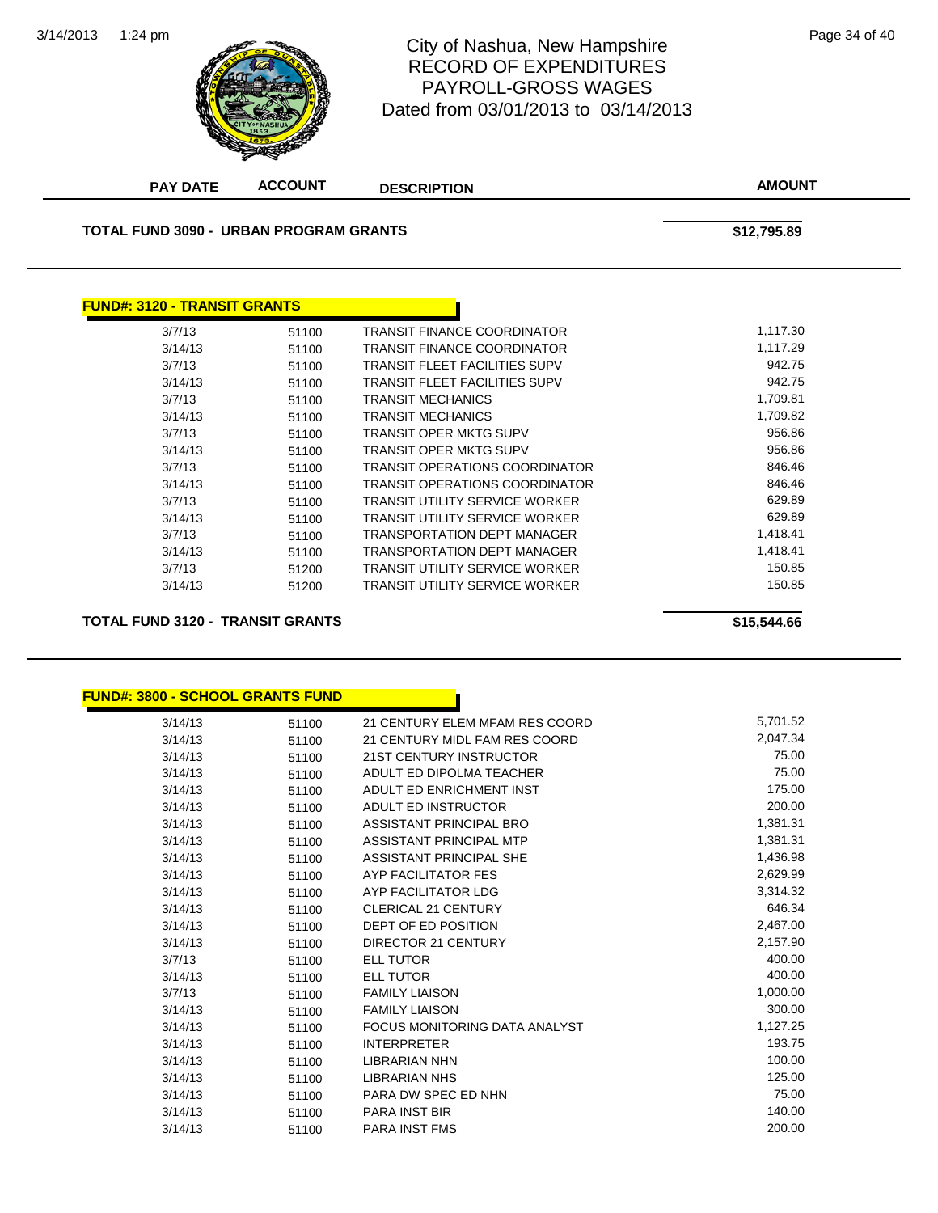![](_page_68_Picture_1.jpeg)

#### 1:24 pm Page 34 of 40 RECORD OF EXPENDITURES PAYROLL-GROSS WAGES Dated from 03/01/2013 to 03/14/2013

**AMOUNT PAY DATE ACCOUNT DESCRIPTION TOTAL FUND 3090 - URBAN PROGRAM GRANTS \$12,795.89 FUND#: 3120 - TRANSIT GRANTS** 3/7/13 51100 TRANSIT FINANCE COORDINATOR 1,117.30 3/14/13 51100 TRANSIT FINANCE COORDINATOR 1,117.29 3/7/13 51100 TRANSIT FLEET FACILITIES SUPV 942.75 3/14/13 51100 TRANSIT FLEET FACILITIES SUPV 942.75 3/7/13 51100 TRANSIT MECHANICS 1,709.81 3/14/13 51100 TRANSIT MECHANICS 1,709.82 3/7/13 51100 TRANSIT OPER MKTG SUPV 956.86 3/14/13 51100 TRANSIT OPER MKTG SUPV 956.86 3/7/13 51100 TRANSIT OPERATIONS COORDINATOR 846.46 3/14/13 51100 TRANSIT OPERATIONS COORDINATOR 846.46 3/7/13 51100 TRANSIT UTILITY SERVICE WORKER 629.89 3/14/13 51100 TRANSIT UTILITY SERVICE WORKER 629.89 3/7/13 51100 TRANSPORTATION DEPT MANAGER 1,418.41 3/14/13 51100 TRANSPORTATION DEPT MANAGER 1,418.41 3/7/13 51200 TRANSIT UTILITY SERVICE WORKER 150.85 3/14/13 51200 TRANSIT UTILITY SERVICE WORKER 150.85 **TOTAL FUND 3120 - TRANSIT GRANTS \$15,544.66**

| <u> FUND#: 3800 - SCHOOL GRANTS FUND</u> |       |                                      |          |
|------------------------------------------|-------|--------------------------------------|----------|
| 3/14/13                                  | 51100 | 21 CENTURY ELEM MFAM RES COORD       | 5,701.52 |
| 3/14/13                                  | 51100 | 21 CENTURY MIDL FAM RES COORD        | 2,047.34 |
| 3/14/13                                  | 51100 | 21ST CENTURY INSTRUCTOR              | 75.00    |
| 3/14/13                                  | 51100 | ADULT ED DIPOLMA TEACHER             | 75.00    |
| 3/14/13                                  | 51100 | ADULT ED ENRICHMENT INST             | 175.00   |
| 3/14/13                                  | 51100 | <b>ADULT ED INSTRUCTOR</b>           | 200.00   |
| 3/14/13                                  | 51100 | ASSISTANT PRINCIPAL BRO              | 1,381.31 |
| 3/14/13                                  | 51100 | ASSISTANT PRINCIPAL MTP              | 1,381.31 |
| 3/14/13                                  | 51100 | ASSISTANT PRINCIPAL SHE              | 1,436.98 |
| 3/14/13                                  | 51100 | AYP FACILITATOR FES                  | 2,629.99 |
| 3/14/13                                  | 51100 | AYP FACILITATOR LDG                  | 3,314.32 |
| 3/14/13                                  | 51100 | CLERICAL 21 CENTURY                  | 646.34   |
| 3/14/13                                  | 51100 | DEPT OF ED POSITION                  | 2,467.00 |
| 3/14/13                                  | 51100 | <b>DIRECTOR 21 CENTURY</b>           | 2,157.90 |
| 3/7/13                                   | 51100 | <b>ELL TUTOR</b>                     | 400.00   |
| 3/14/13                                  | 51100 | <b>ELL TUTOR</b>                     | 400.00   |
| 3/7/13                                   | 51100 | <b>FAMILY LIAISON</b>                | 1,000.00 |
| 3/14/13                                  | 51100 | <b>FAMILY LIAISON</b>                | 300.00   |
| 3/14/13                                  | 51100 | <b>FOCUS MONITORING DATA ANALYST</b> | 1,127.25 |
| 3/14/13                                  | 51100 | <b>INTERPRETER</b>                   | 193.75   |
| 3/14/13                                  | 51100 | <b>LIBRARIAN NHN</b>                 | 100.00   |
| 3/14/13                                  | 51100 | <b>LIBRARIAN NHS</b>                 | 125.00   |
| 3/14/13                                  | 51100 | PARA DW SPEC ED NHN                  | 75.00    |
| 3/14/13                                  | 51100 | <b>PARA INST BIR</b>                 | 140.00   |
| 3/14/13                                  | 51100 | <b>PARA INST FMS</b>                 | 200.00   |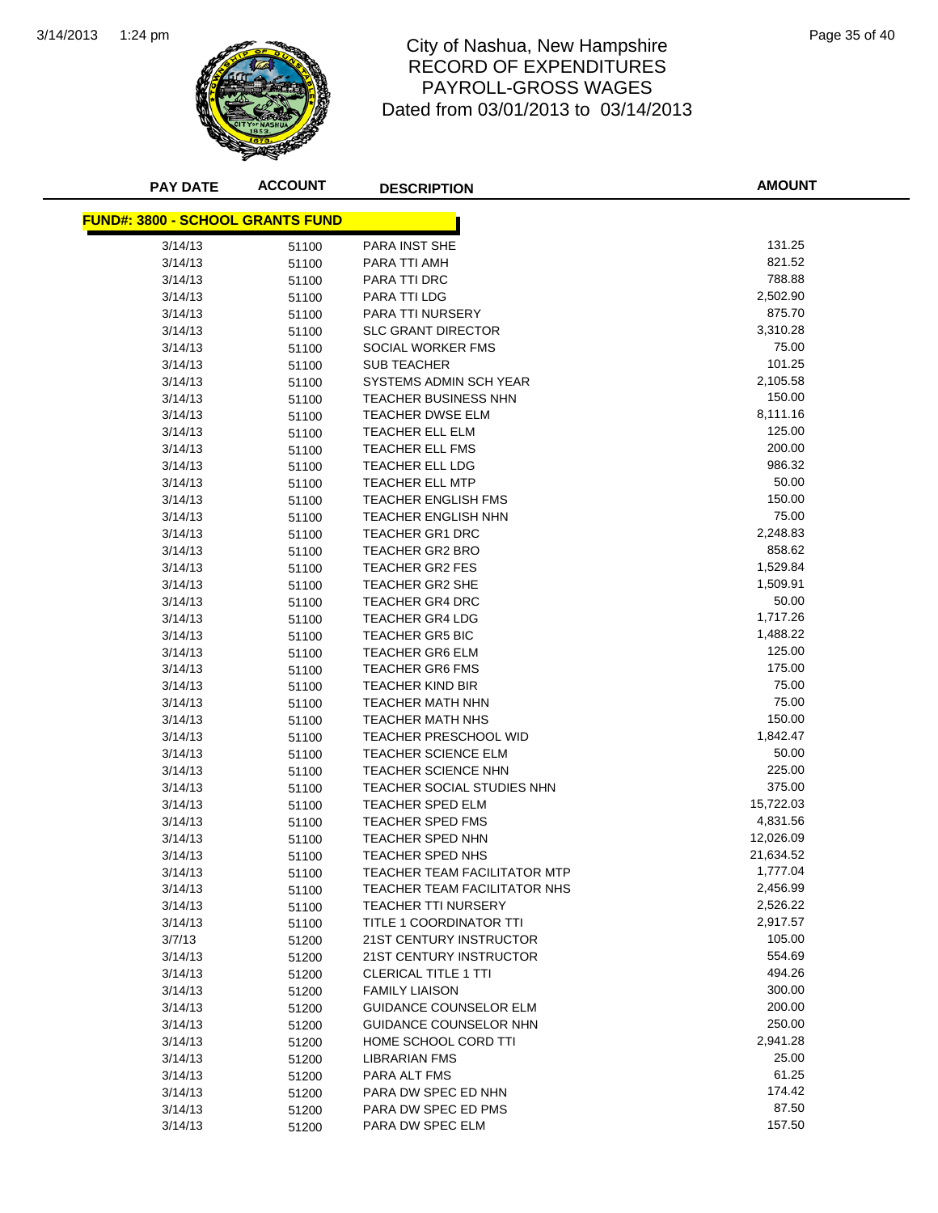![](_page_69_Picture_1.jpeg)

#### 1:24 pm Page 35 of 40 RECORD OF EXPENDITURES PAYROLL-GROSS WAGES Dated from 03/01/2013 to 03/14/2013

| <b>PAY DATE</b>                         | <b>ACCOUNT</b> | <b>DESCRIPTION</b>                               | <b>AMOUNT</b>        |
|-----------------------------------------|----------------|--------------------------------------------------|----------------------|
|                                         |                |                                                  |                      |
| <b>FUND#: 3800 - SCHOOL GRANTS FUND</b> |                |                                                  |                      |
| 3/14/13                                 | 51100          | PARA INST SHE                                    | 131.25               |
| 3/14/13                                 | 51100          | PARA TTI AMH                                     | 821.52               |
| 3/14/13                                 | 51100          | PARA TTI DRC                                     | 788.88               |
| 3/14/13                                 | 51100          | PARA TTI LDG                                     | 2,502.90             |
| 3/14/13                                 | 51100          | PARA TTI NURSERY                                 | 875.70               |
| 3/14/13                                 | 51100          | <b>SLC GRANT DIRECTOR</b>                        | 3,310.28             |
| 3/14/13                                 | 51100          | SOCIAL WORKER FMS                                | 75.00                |
| 3/14/13                                 | 51100          | <b>SUB TEACHER</b>                               | 101.25               |
| 3/14/13                                 | 51100          | SYSTEMS ADMIN SCH YEAR                           | 2,105.58             |
| 3/14/13                                 | 51100          | <b>TEACHER BUSINESS NHN</b>                      | 150.00               |
| 3/14/13                                 | 51100          | <b>TEACHER DWSE ELM</b>                          | 8,111.16             |
| 3/14/13                                 | 51100          | TEACHER ELL ELM                                  | 125.00               |
| 3/14/13                                 | 51100          | TEACHER ELL FMS                                  | 200.00               |
| 3/14/13                                 | 51100          | TEACHER ELL LDG                                  | 986.32               |
| 3/14/13                                 | 51100          | <b>TEACHER ELL MTP</b>                           | 50.00                |
| 3/14/13                                 | 51100          | <b>TEACHER ENGLISH FMS</b>                       | 150.00               |
| 3/14/13                                 | 51100          | <b>TEACHER ENGLISH NHN</b>                       | 75.00                |
| 3/14/13                                 | 51100          | <b>TEACHER GR1 DRC</b>                           | 2,248.83             |
| 3/14/13                                 | 51100          | <b>TEACHER GR2 BRO</b>                           | 858.62               |
| 3/14/13                                 | 51100          | TEACHER GR2 FES                                  | 1,529.84<br>1,509.91 |
| 3/14/13                                 | 51100          | <b>TEACHER GR2 SHE</b>                           | 50.00                |
| 3/14/13<br>3/14/13                      | 51100          | <b>TEACHER GR4 DRC</b><br><b>TEACHER GR4 LDG</b> | 1,717.26             |
| 3/14/13                                 | 51100          | <b>TEACHER GR5 BIC</b>                           | 1,488.22             |
| 3/14/13                                 | 51100          | <b>TEACHER GR6 ELM</b>                           | 125.00               |
| 3/14/13                                 | 51100<br>51100 | <b>TEACHER GR6 FMS</b>                           | 175.00               |
| 3/14/13                                 | 51100          | <b>TEACHER KIND BIR</b>                          | 75.00                |
| 3/14/13                                 | 51100          | <b>TEACHER MATH NHN</b>                          | 75.00                |
| 3/14/13                                 | 51100          | <b>TEACHER MATH NHS</b>                          | 150.00               |
| 3/14/13                                 | 51100          | <b>TEACHER PRESCHOOL WID</b>                     | 1,842.47             |
| 3/14/13                                 | 51100          | <b>TEACHER SCIENCE ELM</b>                       | 50.00                |
| 3/14/13                                 | 51100          | <b>TEACHER SCIENCE NHN</b>                       | 225.00               |
| 3/14/13                                 | 51100          | TEACHER SOCIAL STUDIES NHN                       | 375.00               |
| 3/14/13                                 | 51100          | TEACHER SPED ELM                                 | 15,722.03            |
| 3/14/13                                 | 51100          | <b>TEACHER SPED FMS</b>                          | 4,831.56             |
| 3/14/13                                 | 51100          | <b>TEACHER SPED NHN</b>                          | 12,026.09            |
| 3/14/13                                 | 51100          | TEACHER SPED NHS                                 | 21,634.52            |
| 3/14/13                                 | 51100          | TEACHER TEAM FACILITATOR MTP                     | 1,777.04             |
| 3/14/13                                 | 51100          | TEACHER TEAM FACILITATOR NHS                     | 2,456.99             |
| 3/14/13                                 | 51100          | <b>TEACHER TTI NURSERY</b>                       | 2,526.22             |
| 3/14/13                                 | 51100          | TITLE 1 COORDINATOR TTI                          | 2,917.57             |
| 3/7/13                                  | 51200          | 21ST CENTURY INSTRUCTOR                          | 105.00               |
| 3/14/13                                 | 51200          | 21ST CENTURY INSTRUCTOR                          | 554.69               |
| 3/14/13                                 | 51200          | <b>CLERICAL TITLE 1 TTI</b>                      | 494.26               |
| 3/14/13                                 | 51200          | <b>FAMILY LIAISON</b>                            | 300.00               |
| 3/14/13                                 | 51200          | <b>GUIDANCE COUNSELOR ELM</b>                    | 200.00               |
| 3/14/13                                 | 51200          | GUIDANCE COUNSELOR NHN                           | 250.00               |
| 3/14/13                                 | 51200          | HOME SCHOOL CORD TTI                             | 2,941.28             |
| 3/14/13                                 | 51200          | <b>LIBRARIAN FMS</b>                             | 25.00                |
| 3/14/13                                 | 51200          | PARA ALT FMS                                     | 61.25                |
| 3/14/13                                 | 51200          | PARA DW SPEC ED NHN                              | 174.42               |
| 3/14/13                                 | 51200          | PARA DW SPEC ED PMS                              | 87.50                |
| 3/14/13                                 | 51200          | PARA DW SPEC ELM                                 | 157.50               |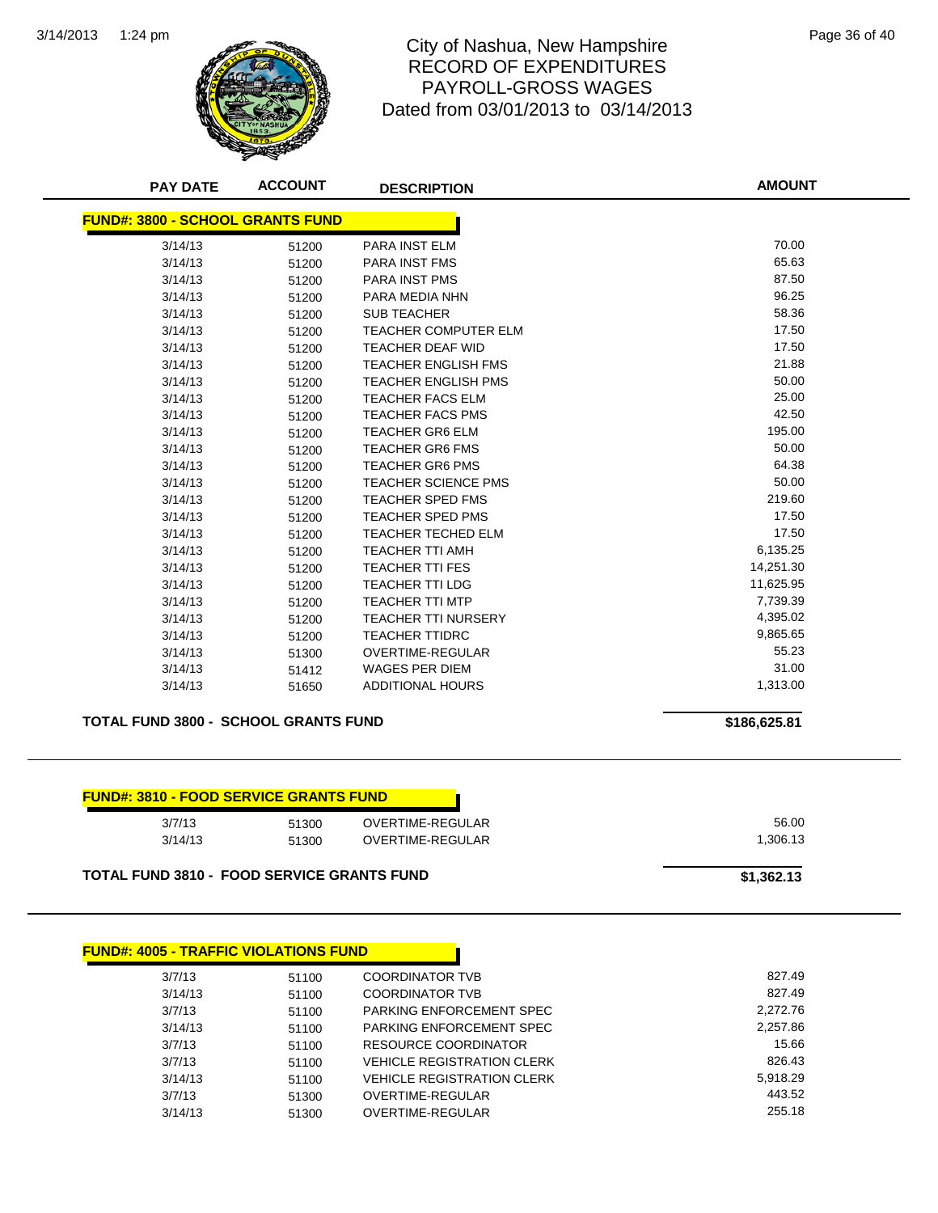![](_page_70_Picture_1.jpeg)

#### City of Nashua, New Hampshire **Page 36 of 40** Page 36 of 40 RECORD OF EXPENDITURES PAYROLL-GROSS WAGES Dated from 03/01/2013 to 03/14/2013

| <b>PAY DATE</b>                         | <b>ACCOUNT</b> | <b>DESCRIPTION</b>          | <b>AMOUNT</b> |
|-----------------------------------------|----------------|-----------------------------|---------------|
| <b>FUND#: 3800 - SCHOOL GRANTS FUND</b> |                |                             |               |
| 3/14/13                                 | 51200          | <b>PARA INST ELM</b>        | 70.00         |
| 3/14/13                                 | 51200          | <b>PARA INST FMS</b>        | 65.63         |
| 3/14/13                                 | 51200          | <b>PARA INST PMS</b>        | 87.50         |
| 3/14/13                                 | 51200          | PARA MEDIA NHN              | 96.25         |
| 3/14/13                                 | 51200          | <b>SUB TEACHER</b>          | 58.36         |
| 3/14/13                                 | 51200          | <b>TEACHER COMPUTER ELM</b> | 17.50         |
| 3/14/13                                 | 51200          | TEACHER DEAF WID            | 17.50         |
| 3/14/13                                 | 51200          | <b>TEACHER ENGLISH FMS</b>  | 21.88         |
| 3/14/13                                 | 51200          | <b>TEACHER ENGLISH PMS</b>  | 50.00         |
| 3/14/13                                 | 51200          | <b>TEACHER FACS ELM</b>     | 25.00         |
| 3/14/13                                 | 51200          | <b>TEACHER FACS PMS</b>     | 42.50         |
| 3/14/13                                 | 51200          | <b>TEACHER GR6 ELM</b>      | 195.00        |
| 3/14/13                                 | 51200          | <b>TEACHER GR6 FMS</b>      | 50.00         |
| 3/14/13                                 | 51200          | <b>TEACHER GR6 PMS</b>      | 64.38         |
| 3/14/13                                 | 51200          | <b>TEACHER SCIENCE PMS</b>  | 50.00         |
| 3/14/13                                 | 51200          | <b>TEACHER SPED FMS</b>     | 219.60        |
| 3/14/13                                 | 51200          | <b>TEACHER SPED PMS</b>     | 17.50         |
| 3/14/13                                 | 51200          | <b>TEACHER TECHED ELM</b>   | 17.50         |
| 3/14/13                                 | 51200          | <b>TEACHER TTI AMH</b>      | 6,135.25      |
| 3/14/13                                 | 51200          | <b>TEACHER TTI FES</b>      | 14,251.30     |
| 3/14/13                                 | 51200          | <b>TEACHER TTI LDG</b>      | 11,625.95     |
| 3/14/13                                 | 51200          | <b>TEACHER TTI MTP</b>      | 7,739.39      |
| 3/14/13                                 | 51200          | <b>TEACHER TTI NURSERY</b>  | 4,395.02      |
| 3/14/13                                 | 51200          | <b>TEACHER TTIDRC</b>       | 9,865.65      |
| 3/14/13                                 | 51300          | <b>OVERTIME-REGULAR</b>     | 55.23         |
| 3/14/13                                 | 51412          | <b>WAGES PER DIEM</b>       | 31.00         |
| 3/14/13                                 | 51650          | <b>ADDITIONAL HOURS</b>     | 1,313.00      |
|                                         |                |                             |               |

**TOTAL FUND 3800 - SCHOOL GRANTS FUND \$186,625.81**

# **FUND#: 3810 - FOOD SERVICE GRANTS FUND**

| 3/7/13  | 51300 | OVERTIME-REGULAR |
|---------|-------|------------------|
|         |       |                  |
| 3/14/13 | 51300 | OVERTIME-REGULAR |
|         |       |                  |
|         |       |                  |

TOTAL FUND 3810 - FOOD SERVICE GRANTS FUND<br>
\$1,362.13

| <b>FUND#: 4005 - TRAFFIC VIOLATIONS FUND</b> |       |                                   |          |
|----------------------------------------------|-------|-----------------------------------|----------|
| 3/7/13                                       | 51100 | <b>COORDINATOR TVB</b>            |          |
| 3/14/13                                      | 51100 | <b>COORDINATOR TVB</b>            |          |
| 3/7/13                                       | 51100 | PARKING ENFORCEMENT SPEC          | 2,272.76 |
| 3/14/13                                      | 51100 | PARKING ENFORCEMENT SPEC          | 2,257.86 |
| 3/7/13                                       | 51100 | RESOURCE COORDINATOR              |          |
| 3/7/13                                       | 51100 | <b>VEHICLE REGISTRATION CLERK</b> |          |
| 3/14/13                                      | 51100 | <b>VEHICLE REGISTRATION CLERK</b> | 5,918.29 |
| 3/7/13                                       | 51300 | OVERTIME-REGULAR                  |          |
| 3/14/13                                      | 51300 | OVERTIME-REGULAR                  |          |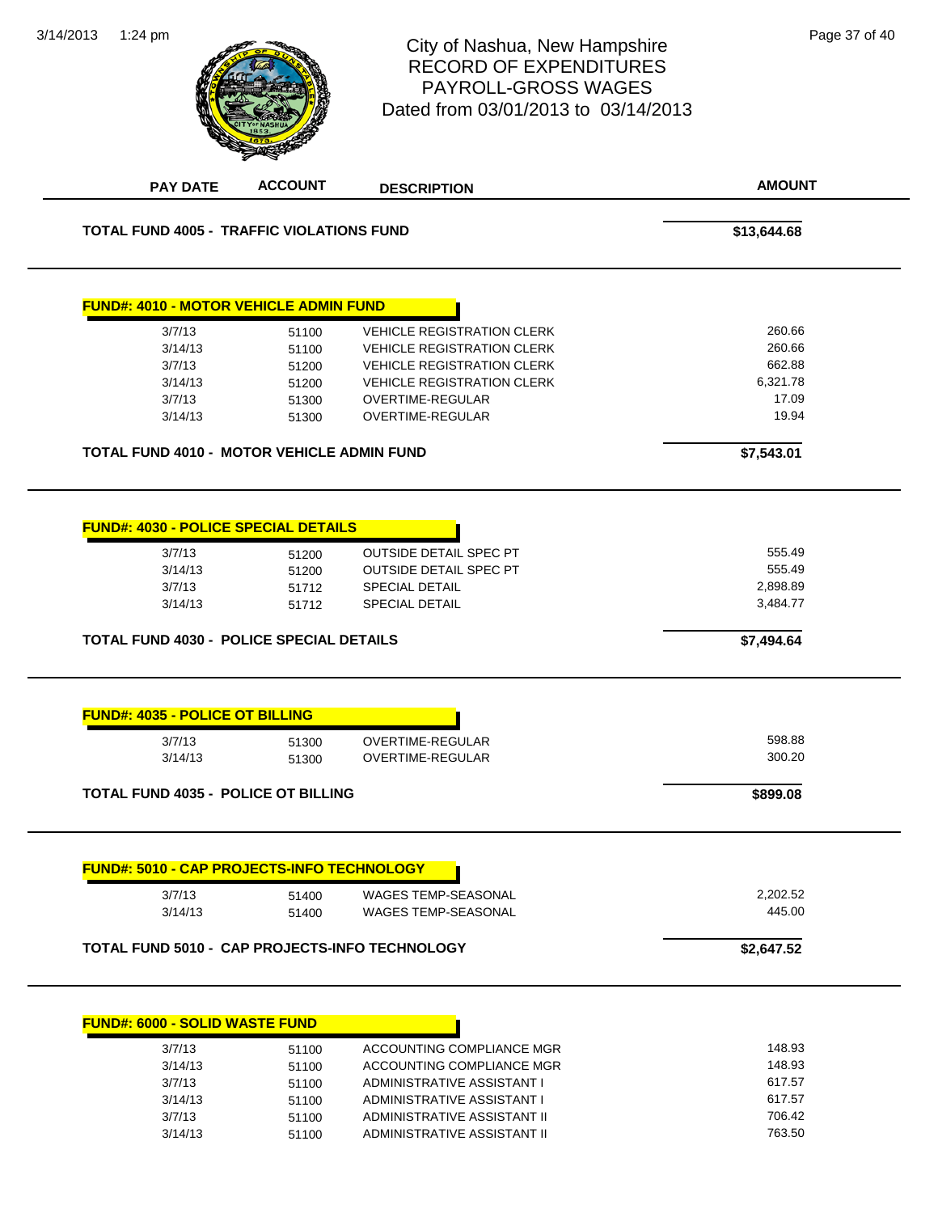| 3/14/2013 | 1:24 pm                                                                                                                           |                                  | City of Nashua, New Hampshire<br><b>RECORD OF EXPENDITURES</b><br><b>PAYROLL-GROSS WAGES</b><br>Dated from 03/01/2013 to 03/14/2013 | Page 37 of 40                                          |
|-----------|-----------------------------------------------------------------------------------------------------------------------------------|----------------------------------|-------------------------------------------------------------------------------------------------------------------------------------|--------------------------------------------------------|
|           | <b>PAY DATE</b>                                                                                                                   | <b>ACCOUNT</b>                   | <b>DESCRIPTION</b>                                                                                                                  | <b>AMOUNT</b>                                          |
|           | <b>TOTAL FUND 4005 - TRAFFIC VIOLATIONS FUND</b>                                                                                  |                                  |                                                                                                                                     | \$13,644.68                                            |
|           | <b>FUND#: 4010 - MOTOR VEHICLE ADMIN FUND</b>                                                                                     |                                  |                                                                                                                                     |                                                        |
|           | 3/7/13                                                                                                                            | 51100                            | <b>VEHICLE REGISTRATION CLERK</b>                                                                                                   | 260.66                                                 |
|           | 3/14/13                                                                                                                           | 51100                            | <b>VEHICLE REGISTRATION CLERK</b>                                                                                                   | 260.66                                                 |
|           | 3/7/13                                                                                                                            | 51200                            | <b>VEHICLE REGISTRATION CLERK</b>                                                                                                   | 662.88                                                 |
|           | 3/14/13                                                                                                                           | 51200                            | <b>VEHICLE REGISTRATION CLERK</b>                                                                                                   | 6,321.78                                               |
|           | 3/7/13                                                                                                                            | 51300                            | OVERTIME-REGULAR                                                                                                                    | 17.09                                                  |
|           | 3/14/13                                                                                                                           | 51300                            | OVERTIME-REGULAR                                                                                                                    | 19.94                                                  |
|           | TOTAL FUND 4010 - MOTOR VEHICLE ADMIN FUND                                                                                        |                                  |                                                                                                                                     | \$7,543.01                                             |
|           | <b>FUND#: 4030 - POLICE SPECIAL DETAILS</b><br>3/7/13<br>3/14/13<br>3/7/13<br>3/14/13<br>TOTAL FUND 4030 - POLICE SPECIAL DETAILS | 51200<br>51200<br>51712<br>51712 | <b>OUTSIDE DETAIL SPEC PT</b><br><b>OUTSIDE DETAIL SPEC PT</b><br>SPECIAL DETAIL<br><b>SPECIAL DETAIL</b>                           | 555.49<br>555.49<br>2,898.89<br>3,484.77<br>\$7,494.64 |
|           | <b>FUND#: 4035 - POLICE OT BILLING</b>                                                                                            |                                  |                                                                                                                                     |                                                        |
|           | 3/7/13                                                                                                                            | 51300                            | <b>OVERTIME-REGULAR</b>                                                                                                             | 598.88                                                 |
|           | 3/14/13                                                                                                                           | 51300                            | <b>OVERTIME-REGULAR</b>                                                                                                             | 300.20                                                 |
|           | <b>TOTAL FUND 4035 - POLICE OT BILLING</b>                                                                                        |                                  |                                                                                                                                     | \$899.08                                               |
|           | <b>FUND#: 5010 - CAP PROJECTS-INFO TECHNOLOGY</b>                                                                                 |                                  |                                                                                                                                     |                                                        |
|           | 3/7/13                                                                                                                            | 51400                            | WAGES TEMP-SEASONAL                                                                                                                 | 2,202.52                                               |
|           | 3/14/13                                                                                                                           | 51400                            | <b>WAGES TEMP-SEASONAL</b>                                                                                                          | 445.00                                                 |
|           |                                                                                                                                   |                                  | TOTAL FUND 5010 - CAP PROJECTS-INFO TECHNOLOGY                                                                                      | \$2,647.52                                             |
|           | <b>FUND#: 6000 - SOLID WASTE FUND</b>                                                                                             |                                  |                                                                                                                                     |                                                        |
|           | 3/7/13                                                                                                                            | 51100                            | ACCOUNTING COMPLIANCE MGR                                                                                                           | 148.93                                                 |
|           | 3/14/13                                                                                                                           | 51100                            | ACCOUNTING COMPLIANCE MGR                                                                                                           | 148.93                                                 |
|           | 2/7/12                                                                                                                            | 54400                            | A DMINICTD ATIVE A CCICTANT I                                                                                                       | 61757                                                  |

3/14/2013 1:24 pm

| 3/14/13 | 51100 | ACCOUNTING COMPLIANCE MGR   | 148.93 |
|---------|-------|-----------------------------|--------|
| 3/7/13  | 51100 | ADMINISTRATIVE ASSISTANT I  | 617.57 |
| 3/14/13 | 51100 | ADMINISTRATIVE ASSISTANT I  | 617.57 |
| 3/7/13  | 51100 | ADMINISTRATIVE ASSISTANT II | 706.42 |
| 3/14/13 | 51100 | ADMINISTRATIVE ASSISTANT II | 763.50 |
|         |       |                             |        |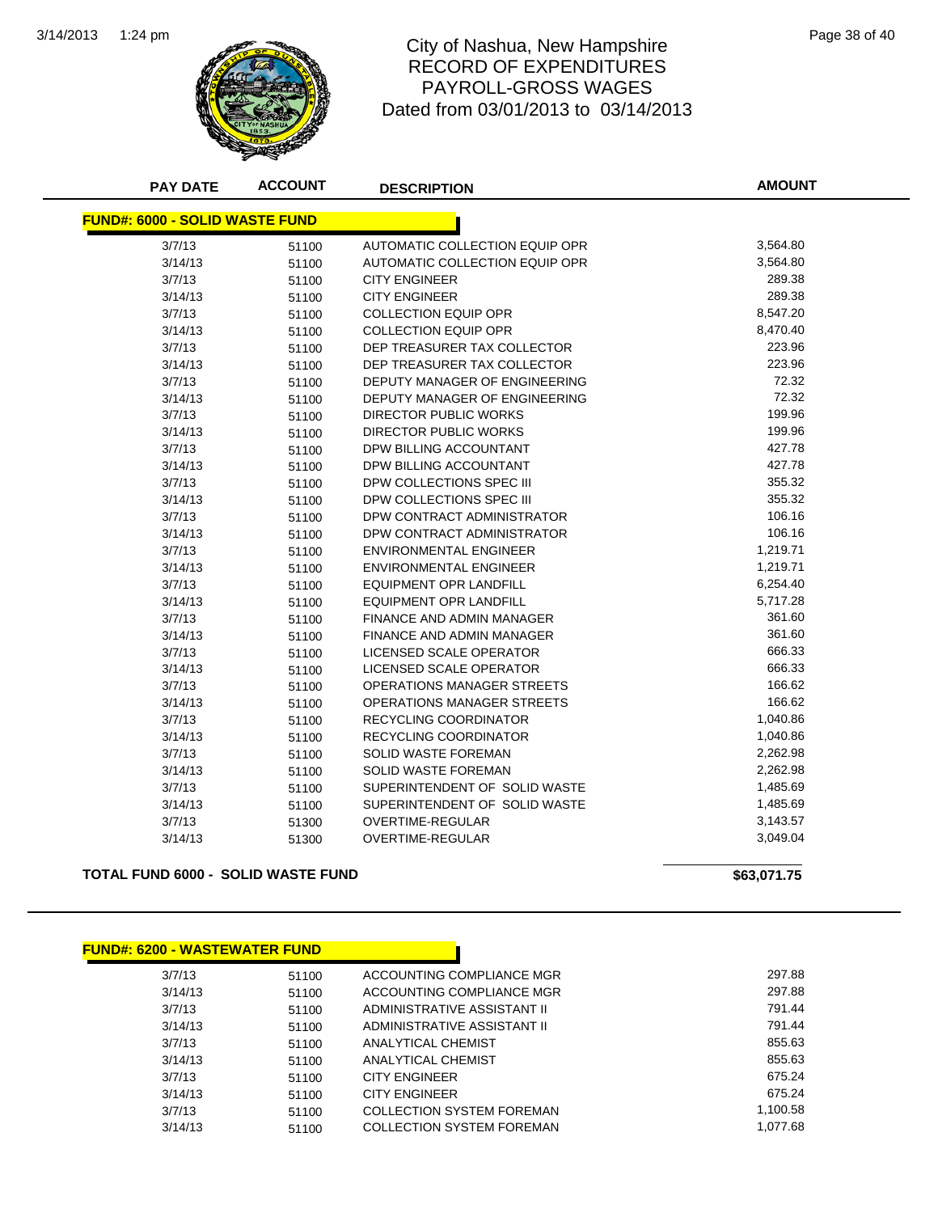

## 1:24 pm Page 38 of 40 RECORD OF EXPENDITURES PAYROLL-GROSS WAGES Dated from 03/01/2013 to 03/14/2013

| <b>PAY DATE</b>                       | <b>ACCOUNT</b> | <b>DESCRIPTION</b>               | <b>AMOUNT</b>        |  |  |
|---------------------------------------|----------------|----------------------------------|----------------------|--|--|
| <b>FUND#: 6000 - SOLID WASTE FUND</b> |                |                                  |                      |  |  |
|                                       |                |                                  |                      |  |  |
| 3/7/13                                | 51100          | AUTOMATIC COLLECTION EQUIP OPR   | 3,564.80<br>3,564.80 |  |  |
| 3/14/13                               | 51100          | AUTOMATIC COLLECTION EQUIP OPR   | 289.38               |  |  |
| 3/7/13                                | 51100          | <b>CITY ENGINEER</b>             |                      |  |  |
| 3/14/13                               | 51100          | <b>CITY ENGINEER</b>             | 289.38               |  |  |
| 3/7/13                                | 51100          | <b>COLLECTION EQUIP OPR</b>      | 8,547.20             |  |  |
| 3/14/13                               | 51100          | <b>COLLECTION EQUIP OPR</b>      | 8,470.40             |  |  |
| 3/7/13                                | 51100          | DEP TREASURER TAX COLLECTOR      | 223.96               |  |  |
| 3/14/13                               | 51100          | DEP TREASURER TAX COLLECTOR      | 223.96               |  |  |
| 3/7/13                                | 51100          | DEPUTY MANAGER OF ENGINEERING    | 72.32                |  |  |
| 3/14/13                               | 51100          | DEPUTY MANAGER OF ENGINEERING    | 72.32                |  |  |
| 3/7/13                                | 51100          | <b>DIRECTOR PUBLIC WORKS</b>     | 199.96               |  |  |
| 3/14/13                               | 51100          | <b>DIRECTOR PUBLIC WORKS</b>     | 199.96               |  |  |
| 3/7/13                                | 51100          | DPW BILLING ACCOUNTANT           | 427.78               |  |  |
| 3/14/13                               | 51100          | DPW BILLING ACCOUNTANT           | 427.78               |  |  |
| 3/7/13                                | 51100          | DPW COLLECTIONS SPEC III         | 355.32               |  |  |
| 3/14/13                               | 51100          | DPW COLLECTIONS SPEC III         | 355.32               |  |  |
| 3/7/13                                | 51100          | DPW CONTRACT ADMINISTRATOR       | 106.16               |  |  |
| 3/14/13                               | 51100          | DPW CONTRACT ADMINISTRATOR       | 106.16               |  |  |
| 3/7/13                                | 51100          | <b>ENVIRONMENTAL ENGINEER</b>    | 1,219.71             |  |  |
| 3/14/13                               | 51100          | <b>ENVIRONMENTAL ENGINEER</b>    | 1,219.71             |  |  |
| 3/7/13                                | 51100          | <b>EQUIPMENT OPR LANDFILL</b>    | 6,254.40             |  |  |
| 3/14/13                               | 51100          | <b>EQUIPMENT OPR LANDFILL</b>    | 5,717.28             |  |  |
| 3/7/13                                | 51100          | <b>FINANCE AND ADMIN MANAGER</b> | 361.60               |  |  |
| 3/14/13                               | 51100          | FINANCE AND ADMIN MANAGER        | 361.60               |  |  |
| 3/7/13                                | 51100          | LICENSED SCALE OPERATOR          | 666.33               |  |  |
| 3/14/13                               | 51100          | <b>LICENSED SCALE OPERATOR</b>   | 666.33               |  |  |
| 3/7/13                                | 51100          | OPERATIONS MANAGER STREETS       | 166.62               |  |  |
| 3/14/13                               | 51100          | OPERATIONS MANAGER STREETS       | 166.62               |  |  |
| 3/7/13                                | 51100          | RECYCLING COORDINATOR            | 1,040.86             |  |  |
| 3/14/13                               | 51100          | <b>RECYCLING COORDINATOR</b>     | 1,040.86             |  |  |
| 3/7/13                                | 51100          | <b>SOLID WASTE FOREMAN</b>       | 2,262.98             |  |  |
| 3/14/13                               | 51100          | <b>SOLID WASTE FOREMAN</b>       | 2,262.98             |  |  |
| 3/7/13                                | 51100          | SUPERINTENDENT OF SOLID WASTE    | 1,485.69             |  |  |
| 3/14/13                               | 51100          | SUPERINTENDENT OF SOLID WASTE    | 1,485.69             |  |  |
| 3/7/13                                | 51300          | <b>OVERTIME-REGULAR</b>          | 3,143.57             |  |  |
| 3/14/13                               | 51300          | <b>OVERTIME-REGULAR</b>          | 3,049.04             |  |  |
|                                       |                |                                  |                      |  |  |

**TOTAL FUND 6000 - SOLID WASTE FUND \$63,071.75** 

| <b>FUND#: 6200 - WASTEWATER FUND</b> |       |                             |          |
|--------------------------------------|-------|-----------------------------|----------|
| 3/7/13                               | 51100 | ACCOUNTING COMPLIANCE MGR   | 297.88   |
| 3/14/13                              | 51100 | ACCOUNTING COMPLIANCE MGR   | 297.88   |
| 3/7/13                               | 51100 | ADMINISTRATIVE ASSISTANT II | 791.44   |
| 3/14/13                              | 51100 | ADMINISTRATIVE ASSISTANT II | 791.44   |
| 3/7/13                               | 51100 | ANALYTICAL CHEMIST          | 855.63   |
| 3/14/13                              | 51100 | ANALYTICAL CHEMIST          | 855.63   |
| 3/7/13                               | 51100 | <b>CITY ENGINEER</b>        | 675.24   |
| 3/14/13                              | 51100 | <b>CITY ENGINEER</b>        | 675.24   |
| 3/7/13                               | 51100 | COLLECTION SYSTEM FOREMAN   | 1,100.58 |
| 3/14/13                              | 51100 | COLLECTION SYSTEM FOREMAN   | 1.077.68 |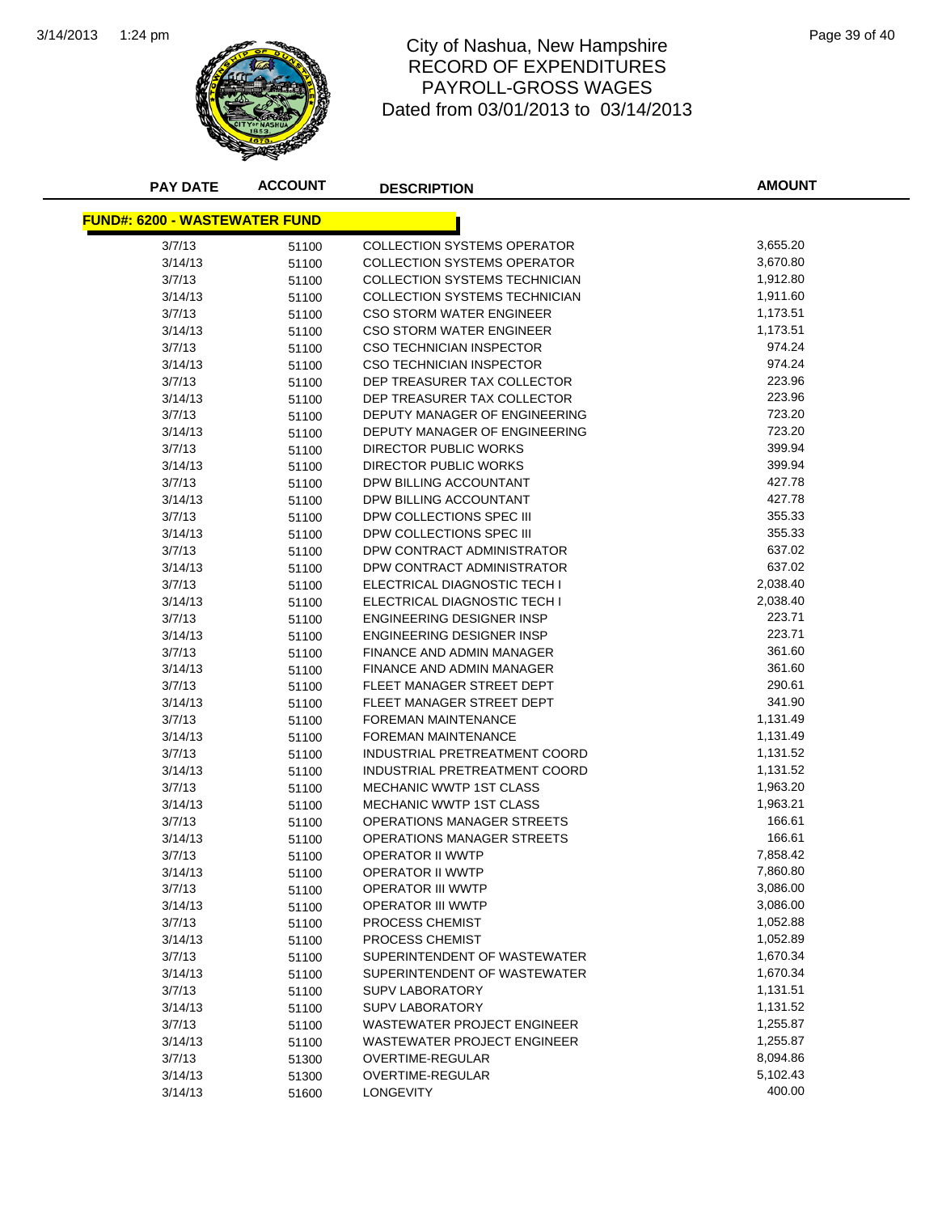

## 1:24 pm Page 39 of 40 RECORD OF EXPENDITURES PAYROLL-GROSS WAGES Dated from 03/01/2013 to 03/14/2013

| <b>ACCOUNT</b><br><b>PAY DATE</b><br><b>DESCRIPTION</b> | <b>AMOUNT</b> |
|---------------------------------------------------------|---------------|
| <b>FUND#: 6200 - WASTEWATER FUND</b>                    |               |
|                                                         |               |
| 3/7/13<br><b>COLLECTION SYSTEMS OPERATOR</b><br>51100   | 3,655.20      |
| 3/14/13<br><b>COLLECTION SYSTEMS OPERATOR</b><br>51100  | 3,670.80      |
| 3/7/13<br>COLLECTION SYSTEMS TECHNICIAN<br>51100        | 1,912.80      |
| COLLECTION SYSTEMS TECHNICIAN<br>3/14/13<br>51100       | 1,911.60      |
| 3/7/13<br><b>CSO STORM WATER ENGINEER</b><br>51100      | 1,173.51      |
| 3/14/13<br><b>CSO STORM WATER ENGINEER</b><br>51100     | 1,173.51      |
| 3/7/13<br>CSO TECHNICIAN INSPECTOR<br>51100             | 974.24        |
| 3/14/13<br>CSO TECHNICIAN INSPECTOR<br>51100            | 974.24        |
| 3/7/13<br>DEP TREASURER TAX COLLECTOR<br>51100          | 223.96        |
| 3/14/13<br>DEP TREASURER TAX COLLECTOR<br>51100         | 223.96        |
| 3/7/13<br>DEPUTY MANAGER OF ENGINEERING<br>51100        | 723.20        |
| 3/14/13<br>DEPUTY MANAGER OF ENGINEERING<br>51100       | 723.20        |
| 3/7/13<br>DIRECTOR PUBLIC WORKS<br>51100                | 399.94        |
| DIRECTOR PUBLIC WORKS<br>3/14/13<br>51100               | 399.94        |
| 3/7/13<br>DPW BILLING ACCOUNTANT<br>51100               | 427.78        |
| 3/14/13<br>DPW BILLING ACCOUNTANT<br>51100              | 427.78        |
| 3/7/13<br>DPW COLLECTIONS SPEC III<br>51100             | 355.33        |
| 3/14/13<br>DPW COLLECTIONS SPEC III<br>51100            | 355.33        |
| 3/7/13<br>DPW CONTRACT ADMINISTRATOR<br>51100           | 637.02        |
| 3/14/13<br>DPW CONTRACT ADMINISTRATOR<br>51100          | 637.02        |
| 3/7/13<br>ELECTRICAL DIAGNOSTIC TECH I<br>51100         | 2,038.40      |
| 3/14/13<br>ELECTRICAL DIAGNOSTIC TECH I<br>51100        | 2,038.40      |
| 3/7/13<br><b>ENGINEERING DESIGNER INSP</b><br>51100     | 223.71        |
| <b>ENGINEERING DESIGNER INSP</b><br>3/14/13<br>51100    | 223.71        |
| 3/7/13<br>FINANCE AND ADMIN MANAGER<br>51100            | 361.60        |
| 3/14/13<br>FINANCE AND ADMIN MANAGER<br>51100           | 361.60        |
| 3/7/13<br>FLEET MANAGER STREET DEPT<br>51100            | 290.61        |
| 3/14/13<br>FLEET MANAGER STREET DEPT<br>51100           | 341.90        |
| 3/7/13<br><b>FOREMAN MAINTENANCE</b><br>51100           | 1,131.49      |
| 3/14/13<br><b>FOREMAN MAINTENANCE</b><br>51100          | 1,131.49      |
| 3/7/13<br>INDUSTRIAL PRETREATMENT COORD<br>51100        | 1,131.52      |
| 3/14/13<br>INDUSTRIAL PRETREATMENT COORD<br>51100       | 1,131.52      |
| 3/7/13<br>MECHANIC WWTP 1ST CLASS<br>51100              | 1,963.20      |
| 3/14/13<br>MECHANIC WWTP 1ST CLASS<br>51100             | 1,963.21      |
| 3/7/13<br>OPERATIONS MANAGER STREETS<br>51100           | 166.61        |
| <b>OPERATIONS MANAGER STREETS</b><br>3/14/13<br>51100   | 166.61        |
| 3/7/13<br><b>OPERATOR II WWTP</b><br>51100              | 7,858.42      |
| <b>OPERATOR II WWTP</b><br>3/14/13<br>51100             | 7,860.80      |
| 3/7/13<br><b>OPERATOR III WWTP</b><br>51100             | 3,086.00      |
| 3/14/13<br><b>OPERATOR III WWTP</b><br>51100            | 3,086.00      |
| 3/7/13<br>PROCESS CHEMIST<br>51100                      | 1,052.88      |
| 3/14/13<br>PROCESS CHEMIST<br>51100                     | 1,052.89      |
| 3/7/13<br>SUPERINTENDENT OF WASTEWATER<br>51100         | 1,670.34      |
| 3/14/13<br>SUPERINTENDENT OF WASTEWATER<br>51100        | 1,670.34      |
| 3/7/13<br><b>SUPV LABORATORY</b><br>51100               | 1,131.51      |
| 3/14/13<br><b>SUPV LABORATORY</b><br>51100              | 1,131.52      |
| 3/7/13<br><b>WASTEWATER PROJECT ENGINEER</b><br>51100   | 1,255.87      |
| 3/14/13<br>WASTEWATER PROJECT ENGINEER<br>51100         | 1,255.87      |
| 3/7/13<br><b>OVERTIME-REGULAR</b><br>51300              | 8,094.86      |
| 3/14/13<br>OVERTIME-REGULAR<br>51300                    | 5,102.43      |
| 3/14/13<br><b>LONGEVITY</b><br>51600                    | 400.00        |